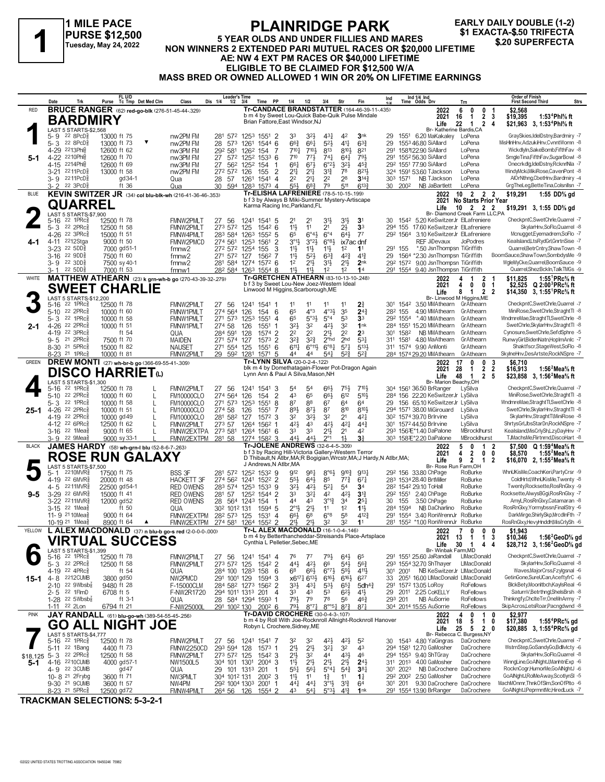### **1 MILE PACE PURSE \$12,500 Tuesday, May 24, 2022**

#### **PLAINRIDGE PARK 5 YEAR OLDS AND UNDER FILLIES AND MARES NON WINNERS 2 EXACTA-\$.50 TRIFFECTA**<br>Tuesday, May 24, 2022 NON WINNERS 2 EXTENDED PARI MUTUEL RACES OR \$20,000 LIFETIME<br>A EL NIM 4 EXT PM BACES OR \$40,000 LIFETIME **AE: NW 4 EXT PM RACES OR \$40,000 LIFETIME ELIGIBLE TO BE CLAIMED FOR \$12,500 W/A MASS BRED OR OWNED ALLOWED 1 WIN OR 20% ON LIFETIME EARNINGS EARLY DAILY DOUBLE (1-2)**

|              | Date             | Trk                                                           | Purse                        | FL U/D<br>Tc Tmp Det Med Clm                                            | Class                                  | <b>Leader's Time</b><br>Dis 1/4<br>1/2                                                    | 3/4                                  | PP<br>Time                                | 1/4                                                                                                 | 1/2                                            | 3/4                                        | Str                                    | Fin                                    | Ind       |                     | Ind 1/4 Ind<br>Time Odds Drv                                   | Trn                                                                         | <b>Order of Finish</b><br>Strs<br><b>First Second Third</b>                                                                    |
|--------------|------------------|---------------------------------------------------------------|------------------------------|-------------------------------------------------------------------------|----------------------------------------|-------------------------------------------------------------------------------------------|--------------------------------------|-------------------------------------------|-----------------------------------------------------------------------------------------------------|------------------------------------------------|--------------------------------------------|----------------------------------------|----------------------------------------|-----------|---------------------|----------------------------------------------------------------|-----------------------------------------------------------------------------|--------------------------------------------------------------------------------------------------------------------------------|
| <b>RED</b>   |                  |                                                               |                              | <b>BRUCE RANGER</b> (62) red-go-blk (276-51-45-44-.329)                 |                                        |                                                                                           |                                      |                                           | Tr-CANDACE BRANDSTATTER (164-46-39-11-435)<br>b m 4 by Sweet Lou-Quick Babe-Quik Pulse Mindale      |                                                |                                            |                                        |                                        |           |                     | 2022<br>2021                                                   | 0<br>6<br>0<br>$\overline{2}$<br>16<br>1                                    | \$2,568<br>-1<br>1:53 <sup>4</sup> Phl% ft<br>-3<br>\$19,395                                                                   |
|              |                  | <b>BARDMIRY</b>                                               |                              |                                                                         |                                        |                                                                                           |                                      |                                           | Brian Fattore, East Windsor, NJ                                                                     |                                                |                                            |                                        |                                        |           |                     | Life                                                           | 22<br>$\mathbf{1}$<br>Br- Katherine Bardis, CA                              | 2 4<br>\$21,963 3, 1:53 <sup>4</sup> Phl <sup>5</sup> / <sub>8</sub> ft                                                        |
|              | $5 - 9$          | LAST 5 STARTS-\$2,568<br>$22$ 8PcD $\frac{5}{8}$              | 13000 ft 75                  |                                                                         | nw2PM FM                               | 281 572 1253 1551 2                                                                       |                                      |                                           | 33                                                                                                  | 32}                                            | $43\frac{1}{4}$                            | 42                                     | 3 <sub>nk</sub>                        | 29        |                     | 1551 6.20 MaKakaley                                            | LoPena                                                                      | GraySkies,IdelDstny,Bardmiry -7                                                                                                |
|              |                  | 5-3 22 8PcD <sup>3</sup><br>4-29 2213Ph                       | 13000 ft 73<br>12600 ft 62   |                                                                         | nw2PM FM<br>nw3PM FM                   | 28<br>573<br>292 581                                                                      | 126 <sup>2</sup> 154                 | 1261 1544 6<br>-7                         | $66\frac{3}{4}$<br>7104                                                                             | 661<br>$7^{10}$                                | $5^{21}$<br>813                            | $4^{11}$<br>8103                       | $63\frac{3}{4}$<br>821                 | 29<br>291 |                     | 1553 46.80 SiAllard<br>158122.90 SiAllard                      | LoPena<br>LoPena                                                            | MisHInHnv,AdzukiHnv,CvnntWomn -8<br>Wickdvln.SakeBomb.FifthFav -8                                                              |
| $5-1$        |                  | 4-22 2210Phls                                                 | 12600 ft 70                  |                                                                         | nw3PM FM                               | 27 572 1252 1533 6                                                                        |                                      |                                           | 710                                                                                                 | 773                                            | $74\frac{1}{4}$                            | $64\frac{1}{4}$                        | 791                                    |           |                     | 291 1552 56.30 SiAllard                                        | LoPena                                                                      | SmgleTina,FifthFav,SugarBowl -8                                                                                                |
|              |                  | 4-15 2214Phlg<br>3-21 2211PcD <sup>5</sup>                    | 12600 ft 69<br>13000 ft 58   |                                                                         | nw3PM FM<br>nw2PM FM                   | 27<br>272 572 126                                                                         | 56 <sup>2</sup> 125 <sup>2</sup> 154 | -1<br>$\overline{2}$<br>155               | 661<br>21‡                                                                                          | 673<br>$21\frac{1}{4}$                         | 6°2 <sup>1</sup><br>$3^{12}$               | 3 <sup>2</sup><br>78                   | $45\frac{3}{4}$<br>821                 |           |                     | 292 1551 77.90 SiAllard<br>324 1591 53.60 TJackson             | LoPena<br>LoPena                                                            | Onecrkdig,IdelDstny,RcknrlNla -7<br>WindyMcki, MikiRose, CavenPont -8                                                          |
|              | $3 - 2$          | 3-9 2211PcD <sup>5</sup><br>22 3PcD <sup>5</sup>              |                              | gd 34-1<br>ft 36                                                        | Qua<br>Qua                             | 28 57<br>30                                                                               | 1261                                 | 1541<br>$\overline{4}$<br>594 1283 1573 4 | 22<br>$55\frac{1}{2}$                                                                               | $21\frac{1}{4}$<br>68                          | 2 <sup>2</sup><br>79                       | 28<br>511                              | $3^{14}$<br>$6^{13}\frac{3}{4}$        |           | 303 1571<br>30 2002 | NB TJackson<br>NB JaBartlett                                   | LoPena<br>LoPena                                                            | AlOrNthng,CbetHnv,Bardmiry -4<br>GrgTheLeg,BetteTina,Colsnllsn -7                                                              |
| <b>BLUE</b>  |                  |                                                               |                              | KEVIN SWITZER JR (34) col blu-blk-wh (216-41-36-46-.353)                |                                        |                                                                                           |                                      |                                           | <b>Tr-ELISHA LAFRENIERE (78-5-10-15-199)</b>                                                        |                                                |                                            |                                        |                                        |           |                     | 2022                                                           | $10 \quad 2 \quad 2 \quad 2$                                                | \$19,291<br>1:55 DD% gd                                                                                                        |
|              |                  | <b>QUARREL</b>                                                |                              |                                                                         |                                        |                                                                                           |                                      |                                           | b f 3 by Always B Miki-Summer Mystery-Artiscape<br>Karma Racing Inc, Parkland, FL                   |                                                |                                            |                                        |                                        |           |                     | Life                                                           | 2021 No Starts Prior Year<br>$10 \quad 2 \quad 2 \quad 2$                   | \$19,291 3, 1:55 DD% gd                                                                                                        |
|              | 5-16             | LAST 5 STARTS-\$7,900<br>$22$ 1PR $c_{8}$                     | 12500 ft 78                  |                                                                         | FMNW2PMLT                              | -56<br>27                                                                                 | 1241                                 | 1541 5                                    | 21                                                                                                  | 21                                             | 31}                                        | 3 <sup>1</sup>                         | 3 <sup>1</sup>                         | 30        |                     | 1542 5.20 KeSwitzerJr ElLafreniere                             | Br- Diamond Creek Farm LLC,PA                                               | CheckpntC.SwetChrle.Quarrel -7                                                                                                 |
|              | 5-3              | 22 2PRc3                                                      | 12500 ft 58                  |                                                                         | FMNW2PMLT                              | 273 572 125                                                                               |                                      | $154^2$ 6                                 | 11                                                                                                  | 11                                             | 2 <sup>1</sup>                             | $2\frac{1}{2}$                         | 3 <sup>3</sup>                         |           |                     | 294 155 17.60 KeSwitzerJr ElLafreniere                         |                                                                             | SkylarHnv,SoFlo,Quarrel -8                                                                                                     |
|              | $4 - 11$         | 4-26 22 3PRc\$<br>2212Stga                                    | 15000 ft 51<br>9000 ft 50    |                                                                         | <b>FMNW4PMLT</b><br>FMNW2PMCD          | 283 584 1263 1552<br>274 561                                                              | 1253                                 | 5<br>2<br>1561                            | 65<br>$3^{01}$                                                                                      | 6°43<br>3°23                                   | $6^{\circ}4$<br>$6^{\circ}83$              | $64\frac{1}{2}$<br>ix7ac dnf           | $7^7$                                  |           |                     | 292 1564 3.10 KeSwitzerJr ElLafreniere<br>REF JiDevaux         | JoPodres                                                                    | Mcnugget, Eyemadrem, SoFlo -7<br>Kealsland,LtsRydGrl,GnrtnSise -7                                                              |
|              | 3-23<br>3-16     | $22,5DD$ $_{3}^{5}$<br>22 9DD                                 | 7500 ft 60                   | 7000 gd51-1                                                             | fmnw <sub>2</sub><br>fmnw <sub>2</sub> | 272 572 1254 155<br>271 572 127                                                           |                                      | 3<br>1562 7                               | $11\frac{1}{2}$<br>11                                                                               | 11}<br>$5^{21}$                                | $11\frac{1}{2}$<br>$63\frac{3}{4}$         | 1 <sup>2</sup><br>$4^{2}\frac{3}{4}$   | 1 <sup>1</sup><br>$4^{13}$             | 29        | 291 155             | *.50 JsnThompsn TiGriffith<br>1564 *2.30 JsnThompsn TiGriffith |                                                                             | Quarrel, BetrCntry, Shaw Town -8<br>BoomSauce,ShawTown,SombdysMe -9                                                            |
|              | 3-9              | 22 3DD                                                        |                              | 7500 sy 40-1                                                            | fmnw <sub>2</sub>                      | 281 584 1274 1572 6                                                                       |                                      |                                           | 1 <sup>2</sup>                                                                                      | $21\frac{1}{2}$                                | 31}                                        | $21\frac{1}{2}$                        | 2 <sub>nk</sub>                        |           |                     | 292 1572 9.00 JsnThompsn TiGriffith                            |                                                                             | WgleMyCke,Quarrel,BoomSauce -9                                                                                                 |
| WHITE        | $3 - 1$          | 22 5DD                                                        | 7000 ft 53                   | MATTHEW ATHEARN (23) k grn-wh-b go (270-43-39-32-279)                   | fmnw1                                  | 28 <sup>2</sup> 584 126 <sup>3</sup> 1554 8                                               |                                      |                                           | $11\frac{1}{2}$<br>Tr-GRETCHEN ATHEARN (83-10-13-10-248)                                            | $11\frac{1}{2}$                                | 1 <sup>2</sup>                             | 1 <sup>2</sup>                         | 14                                     |           |                     | 291 1554 9.40 JsnThompsn TiGriffith<br>2022                    | $\mathbf{2}$<br>4<br>-1                                                     | Quarrel, ShezBckIn, Talk TMGs -9<br>1:55 ${}^1$ PRc ${}^5\!$ ft<br>\$11.825                                                    |
|              |                  |                                                               |                              | <b>SWEET CHARLIE</b>                                                    |                                        |                                                                                           |                                      |                                           | b f 3 by Sweet Lou-New Joez-Western Ideal<br>Linwood M Higgins, Scarborough, ME                     |                                                |                                            |                                        |                                        |           |                     | 2021<br>Life                                                   | 4<br>0<br>8<br>$\mathbf{1}$<br>$\overline{2}$                               | 0 <sub>1</sub><br>$Q 2:00^3$ PRc $\%$ ft<br>\$2.525<br>- 2<br>\$14,350 3, 1:55 <sup>1</sup> PRc <sup>5</sup> / <sub>8</sub> ft |
|              |                  | LAST 5 STARTS-\$12,200<br>22 1PRc3                            |                              |                                                                         |                                        |                                                                                           |                                      |                                           |                                                                                                     |                                                |                                            | 11                                     |                                        |           | 301 1542            | 3.50 MMAthearn GrAthearn                                       | Br- Linwood M Higgins, ME                                                   | CheckpntC,SwetChrle,Quarrel -7                                                                                                 |
|              | 5-16             | 5-10 22 2PRc                                                  | 12500 ft 78<br>10000 ft $60$ |                                                                         | FMNW2PMLT<br>FMNW1PM T                 | 27 56<br>274 564                                                                          | 126                                  | 1241 1541 1<br>154 6                      | 11<br>65                                                                                            | 11<br>$4^{\circ}3$                             | 11<br>$4^{03}\frac{1}{2}$                  | 35                                     | $2\frac{3}{4}$<br>$2^{4^3}$            |           | 28 <sup>2</sup> 155 | 4.90 MMAthearn                                                 | GrAthearn                                                                   | MiniRose,SwetChrle,StraghtTl -8                                                                                                |
| $2 - 1$      | 5-3<br>4-26      | 22 1PRc3<br>22 2PRc3                                          | 10000 ft 58<br>10000 ft 51   |                                                                         | <b>FMNW1PMLT</b><br>FMNW1PMLT          | 271 573<br>274 58                                                                         | 1253<br>126                          | 1551<br>4<br>1551<br>-1                   | 65<br>32}                                                                                           | $5^{\circ}3\frac{1}{2}$<br>32                  | $5^{\circ}4$<br>42}                        | 53<br>3 <sup>2</sup>                   | 3 <sup>3</sup><br>1nk                  |           |                     | 292 1554 *.40 MMAthearn<br>284 1551 15.20 MMAthearn            | GrAthearn<br>GrAthearn                                                      | WndmreMae,StraghtTl,SwetChrle -8<br>SwetChrle, SkylarHnv, Straght TI -8                                                        |
|              | 4-19             | 22 3PRc3                                                      |                              | ft $54$                                                                 | QUA                                    | 284 591                                                                                   | 128                                  | 1574<br>2                                 | 22                                                                                                  | 2 <sup>2</sup>                                 | 21}                                        | 2 <sup>2</sup>                         | 2 <sup>3</sup>                         |           | 301 1582            | NB MMAthearn                                                   | GrAthearn                                                                   | Cynosure.SwetChrle.SefdSphre -5                                                                                                |
|              | 9-5              | 21 2PRc3<br>8-30 21 5PRc                                      | 7500 ft 70<br>15000 ft 82    |                                                                         | MAIDEN<br><b>NAUSET</b>                | 271 574 127<br>271 554 125                                                                |                                      | $\overline{2}$<br>1573<br>1551<br>6       | $3^{2^{3}}$<br>$6^{11}\frac{1}{4}$                                                                  | $3^{2}\frac{3}{4}$<br>$6^{\circ}11\frac{1}{2}$ | 2 <sup>ohd</sup><br>$6^{83}$               | 2 <sub>hd</sub><br>$5^{7}$             | $5^{3}$<br>5133                        | 311       | 1581                | 4.80 MaAthearn<br>311 1574 9.90 AnMonti                        | GrAthearn<br>GrAthearn                                                      | RunwyGirl,BidenNatn,HopImAnIc -7<br>Shaktfscr,StageWest,SoFlo -8                                                               |
| <b>GREEN</b> |                  | 8-23 21 1PRc                                                  | 10000 ft 81                  | DREW MONTI (27) wh-br-b go (366-69-55-41-.309)                          | FMNW2PMLT                              | 29 592 1281                                                                               |                                      | $1571$ 5                                  | 44<br>Tr-LYNN SILVA (20-0-2-4-.122)                                                                 | 44                                             | $5^{41}$                                   | $5^{2}3$                               | $5^{2}$                                |           |                     | 284 1574 29.20 MMAthearn<br>2022                               | GrAthearn<br>17<br>0<br>0                                                   | SkylneHnv,DesArtste,RockNSpre -7<br>-3<br>\$6,710                                                                              |
|              |                  |                                                               |                              | <b>DISCO HARRIET</b> <sup>(1)</sup>                                     |                                        |                                                                                           |                                      |                                           | blk m 4 by Domethatagain-Flower Pot-Dragon Again<br>Lynn Ann & Paul A Silva, Mason, NH              |                                                |                                            |                                        |                                        |           |                     | 2021                                                           | 28<br>$\overline{2}$<br>1                                                   | $\overline{2}$<br>1:56 $^2$ Mea $\%$ ft<br>\$16,913                                                                            |
|              |                  | LAST 5 STARTS-\$1,300                                         |                              |                                                                         |                                        |                                                                                           |                                      |                                           |                                                                                                     |                                                |                                            |                                        |                                        |           |                     | Life<br>Br- Marion Beachy, OH                                  | 48<br>$\overline{1}$                                                        | 2 <sub>5</sub><br>\$23.858 3. 1:56 <sup>2</sup> Mea <sup>5</sup> / <sub>8</sub> ft                                             |
|              | 5-16<br>$5 - 10$ | 22 1PRc<br>22 2PRc3                                           | 12500 ft 78<br>10000 ft 60   | L                                                                       | FMNW2PMLT<br><b>FM10000CLO</b>         | 27 56<br>274 564                                                                          | 1241<br>126                          | 1541<br>3<br>$\overline{2}$<br>154        | 54<br>43                                                                                            | 54<br>65                                       | 66}<br>66}                                 | 751,<br>612                            | 7104<br>510}                           |           |                     | 304 1561 36.50 BrRanger<br>284 156 22.20 KeSwitzerJr LySilva   | LySilva                                                                     | CheckpntC,SwetChrle,Quarrel -7<br>MiniRose,SwetChrle,StraghtTl -8                                                              |
|              | 5-3              | 22 1PRc3<br>4-26 <sup>22</sup> 2PRc <sup>3</sup>              | 10000 ft 58                  | L                                                                       | <b>FM10000CLO</b>                      | 271 573 1253                                                                              |                                      | 1551<br>8                                 | 87<br>$89\frac{1}{2}$                                                                               | 88<br>$8^{7}\frac{1}{2}$                       | 67<br>87                                   | 64<br>810                              | 64<br>8103                             | 29        |                     | 156 65.10 KeSwitzerJr LySilva<br>294 1571 38.00 MiGirouard     | LySilva                                                                     | WndmreMae,StraghtTl,SwetChrle -8<br>SwetChrle, SkylarHnv, Straght T -8                                                         |
| 25-1         | $4 - 19$         | 22 2PRc                                                       | 10000 ft 51<br>10000 gd 49   | L<br>L                                                                  | <b>FM10000CLO</b><br><b>FM10000CLO</b> | 274 58<br>281 582 127                                                                     | 126                                  | 1551<br>7<br>1572 3                       | 32                                                                                                  | $3^{2}$                                        | 32                                         | 2 <sup>1</sup>                         | 421                                    |           |                     | 30 <sup>2</sup> 1574 39.70 Brlrvine                            | LySilva                                                                     | SkylarHnv, Straght TI, MiniRose -8                                                                                             |
|              | 3-16             | 4-12 22 6PRc<br>22 1Mea                                       | 12500 ft 62<br>9000 ft 65    | L<br>L                                                                  | FMNW2PMLT<br>FMNW2EXTPA                | 273 57<br>273 581                                                                         |                                      | 1264 1562 1<br>1264 1561 6                | $4^{2}\frac{1}{2}$<br>33                                                                            | 43<br>33                                       | 421<br>$21\frac{1}{2}$                     | $4^{2}$<br>2 <sup>1</sup>              | $44\frac{3}{4}$<br>42                  |           |                     | 301 1572 44.50 Brirvine<br>293 156 E*1.40 DaPalone             | LySilva<br>MBrocklhurst                                                     | ShrtysGrl,JbsStarDn,RockNSpre -7<br>Kealsland, MisCrlySh, LzyDayHnv -7                                                         |
|              |                  | 3-9 <sup>22</sup> 9Mea                                        |                              | 9000 sy 33-1                                                            | FMNW2EXTPM                             | 281 58                                                                                    |                                      | 1274 1582 3                               | 441                                                                                                 | 443                                            | $2^{\circ}1$                               | $1\frac{1}{2}$                         | 31                                     |           |                     | 303 158 E* 2.20 Da Palone                                      | MBrocklhurst                                                                | TJMachsMe,Flirtnmd,DiscoHart -8                                                                                                |
| <b>BLACK</b> |                  |                                                               |                              | JAMES HARDY (58) wh-grn-I blu (52-8-6-7-.263)<br><b>ROSE RUN GALAXY</b> |                                        |                                                                                           |                                      |                                           | <b>Tr-JOLENE ANDREWS (32-6-4-5-.309)</b><br>b f 3 by Racing Hill-Victoria Gallery-Western Terror    |                                                |                                            |                                        |                                        |           |                     | 2022<br>2021                                                   | 5<br>0<br>-1<br>4<br>2<br>0                                                 | \$7,500 Q 1:59 <sup>4</sup> Mea <sup>5</sup> / <sub>8</sub> ft<br>-2<br>0<br>\$8,570<br>1:55 <sup>-</sup> Mea% ft              |
|              |                  | LAST 5 STARTS-\$7,500                                         |                              |                                                                         |                                        |                                                                                           |                                      |                                           | D Thibault, N Atlbr, MA; R Bogigian, Wrcstr, MA; J Hardy, N Atlbr, MA;<br>J Andrews, N Atlbr, MA    |                                                |                                            |                                        |                                        |           |                     | Life                                                           | 9<br>$\mathbf{2}$<br>$\overline{1}$<br>Br- Rose Run Farm, OH                | 2<br>\$16,070 2, 1:55 <sup>2</sup> Mea <sup>5</sup> / <sub>8</sub> ft                                                          |
|              | 5- 1             | 2210MVR§<br>4-19 22 6MVR                                      | 17500 ft 75<br>20000 ft 48   |                                                                         | <b>BSS 3F</b><br><b>HACKETT 3F</b>     | 281 572 1252 1532 9<br>274 562 1241                                                       |                                      | 1522 2                                    | 912<br>$55\frac{1}{2}$                                                                              | 981<br>643                                     | $8°6\frac{1}{2}$<br>85                     | $9^{10}\frac{3}{4}$<br>$77\frac{3}{4}$ | 913<br>$67\frac{1}{4}$                 |           |                     | 292 156 33.80 ChPage<br>283 1534 28.40 BrtMiller               | RoBurke<br>RoBurke                                                          | WhnUKisMe,CoachKeri,PartyCrsr -9<br>ColdHrtd.WhnUKisMe.Twenty -8                                                               |
|              | 4-5              | 2211MVR                                                       | 22500 gd54-1                 |                                                                         | <b>RED OWENS</b>                       | 283 574 1253 1533 9                                                                       |                                      |                                           | 32}                                                                                                 | 42}                                            | $5^{21}$                                   | 5 <sup>4</sup>                         | 34                                     |           |                     | 28 <sup>2</sup> 154 <sup>2</sup> 29.10 ToHall                  | RoBurke                                                                     | Twenty, Rocksette, Ros RnGlxy -9<br>Rocksette.AlwysBGgi.RosRnGlxv -7                                                           |
| 9-5          | $3-29$           | 22 6MVR<br>3-22 2211MVR\$                                     | 15000 ft 41<br>12000 gd52    |                                                                         | <b>RED OWENS</b><br><b>RED OWENS</b>   | 281 57<br>28 564 1243 154                                                                 |                                      | 1252 1544 2                               | 33<br>44                                                                                            | $3^{21}$<br>43                                 | 42<br>$3^{013}$                            | $4^{2}\frac{1}{2}$<br>3 <sup>4</sup>   | 3 <sup>13</sup><br>$2^{51}$            |           | 30 155              | 29 <sup>2</sup> 1551 2.40 ChPage<br>3.50 ChPage                | RoBurke<br>RoBurke                                                          | AmyL, Ros RnGlxy, Catamaran -8                                                                                                 |
|              |                  | 3-15 22 1Mea<br>11-9 <sup>21</sup> 10 Mea                     | 9000 ft 64                   | ft $50$                                                                 | QUA<br>FMNW2EXTPM                      | 302 1012 131<br>282 573 125                                                               |                                      | 1594 5<br>1531<br>$\overline{4}$          | $2^{\circ}1\frac{1}{2}$<br>66}                                                                      | $21\frac{1}{2}$<br>68                          | 11<br>$6^{\circ}8$                         | 1 <sup>2</sup><br>58                   | $11\frac{1}{2}$<br>$4^{12}\frac{3}{4}$ |           | 284 1594            | NB DaCharlino<br>291 1554 3.40 RonWrennJr RoBurke              | RoBurke                                                                     | RosRnGlxy, Yormybssn, FinalStry -6<br>DarkMirge,ShirlySkp,MrcdInFth -7                                                         |
|              |                  | 10-19 <sup>21</sup> 1 Mea <sup>§</sup>                        | 8900 ft 64                   | ▲                                                                       | FMNW2EXTPM                             | 274 581 1264 1552 2                                                                       |                                      |                                           | 21}                                                                                                 | 211,                                           | 32                                         | 32                                     | 1 <sup>1</sup>                         |           |                     | 281 1552 *1.00 RonWrennJr RoBurke                              |                                                                             | RosRnGlxy,HevyHnddH,MisCrlySh -6                                                                                               |
| YELLOW       |                  |                                                               |                              | L ALEX MACDONALD (37) n blu-b go-s red (2-0-0-0-000)                    |                                        |                                                                                           |                                      |                                           | <b>Tr-L ALEX MACDONALD (16-1-0-4-.146)</b><br>b m 4 by Betterthancheddar-Streisands Place-Artsplace |                                                |                                            |                                        |                                        |           |                     | 2022<br>2021                                                   | 0<br>$\mathbf{7}$<br>$\mathbf{0}$<br>13<br>$\overline{1}$<br>$\overline{1}$ | 0<br>\$1.943<br>3<br>\$10,346<br>1:56 <sup>2</sup> GeoD% gd                                                                    |
|              |                  | LAST 5 STARTS-\$1,399                                         |                              | <b>VIRTUAL SUCCESS</b>                                                  |                                        |                                                                                           |                                      |                                           | Cynthia L Pelletier, Sebec, ME                                                                      |                                                |                                            |                                        |                                        |           |                     | Life<br>Br- Winbak Farm.MD                                     | 30<br>$\overline{1}$                                                        | 44<br>\$28,712 3, 1:56 <sup>2</sup> GeoD% gd                                                                                   |
|              |                  | $5-16$ 22 1PRc $\frac{5}{8}$<br>$5 - 3$ 22 2PRc $\frac{5}{8}$ | 12500 ft 78<br>12500 ft 58   |                                                                         | FMNW2PMLT<br>FMNW2PMLT                 | 27 56<br>273 572 125                                                                      |                                      | 1241 1541 4<br>1542 2                     | 76<br>$44\frac{1}{2}$                                                                               | 7 <sup>7</sup><br>$4^{21}$                     | $79\frac{1}{2}$<br>66                      | $64\frac{1}{2}$<br>$54\frac{1}{2}$     | 65<br>$56\frac{3}{4}$                  |           |                     | 291 1551 25.60 JaRandall<br>293 1554 32.70 ShThayer            | LIMacDonald<br>LIMacDonald                                                  | CheckpntC,SwetChrle,Quarrel -7<br>SkylarHnv,SoFlo,Quarrel -8                                                                   |
|              |                  | 4-19 22 4PRc <sup>5</sup>                                     |                              | ft $54$                                                                 | QUA                                    | 284 100 1283 158                                                                          |                                      | $6\overline{6}$                           | 6 <sup>8</sup>                                                                                      | $66\frac{1}{2}$                                | $6^{o}7\frac{1}{2}$                        | $59\frac{1}{2}$                        | $4^{11}\frac{1}{2}$                    |           |                     | 301 2001 NB KeSwitzerJr LIMacDonald                            |                                                                             | Waves, MajorCrss, Fzylgsnal -6                                                                                                 |
| 15-1         | $2 - 10$         | 4-8 2212CUMB<br>22 $9Wbsb\overline{s}$                        | 3800 gd50<br>9480 ft 28      |                                                                         | NW2PMCD<br>F-15000CLM                  | 291 1001 129<br>284 582 1273 1562 2                                                       |                                      | 1594 3                                    | $3^{3}\frac{1}{2}$                                                                                  | x6171 6131<br>$4^{3}\frac{1}{4}$               | 6163<br>$5^{31}$                           | 6163<br>$65\frac{1}{4}$                | 627<br>5dh <sup>4<math>3</math></sup>  |           |                     | 33 2051 16.00 LIMacDonald LIMacDonald<br>291 1572 13.05 LoRoy  | RoFellows                                                                   | GetinGone,SureUCan,AceftyfrC -6<br>BlckBety,MoonItbch,KayIsReal -6                                                             |
|              |                  | 2-5 22 1FlmD<br>$1-28$ 22 5Wbsb <sup>7</sup> <sub>8</sub>     | 6708 ft 5                    | ft $3-1$                                                                | F-NW2R1720<br>QUA                      | 294 1011 1313 201<br>28 584 1294 1593 1                                                   |                                      | $\overline{4}$                            | 33<br>793                                                                                           | 43<br>79                                       | 53<br>78                                   | $6^{21}$<br>56                         | $4^{11}$<br>46}                        |           | 293 201             | 29 2011 2.25 CoKELLY<br>NB AuSorrie                            | <b>RoFellows</b><br>RoFellows                                               | SaturnV,Betrthngl,ShelsBrsh -8<br>Thinkngfy,ChcIteTrr,OneMnArmy -7                                                             |
|              |                  | 1-11 22 2Lon                                                  | 6794 ft 21                   |                                                                         | F-NW25000L                             | 291 1002 130 2002 6                                                                       |                                      |                                           | 793                                                                                                 | $8^{\circ}7\frac{1}{4}$                        |                                            | $8^{\circ 51}$ $87\frac{3}{4}$         | $87\frac{1}{4}$                        |           |                     | 304 2014 15.55 AuSorrie                                        | <b>RoFellows</b>                                                            | SkipAcros,LetsRoar,Pacngdwnd -8                                                                                                |
| <b>PINK</b>  |                  |                                                               |                              | JAY RANDALL (61) blu-go-wh (389-54-55-45-256)                           |                                        |                                                                                           |                                      |                                           | Tr-DAVID CROCHERE (30-0-4-3-.107)<br>b m 4 by Roll With Joe-Rocknroll Allnight-Rocknroll Hanover    |                                                |                                            |                                        |                                        |           |                     | 2022<br>2021                                                   | 0<br>$\mathbf{1}$<br>4<br>18<br>5                                           | \$2,977<br>0<br>$1\quad 0$<br>\$17,380<br>1:55 <sup>4</sup> $PRc$ <sup>5</sup> / <sub>8</sub> gd                               |
|              |                  | GO ALL<br>LAST 5 STARTS-\$4,777                               |                              | <b>NIGHT JOE</b>                                                        |                                        |                                                                                           |                                      |                                           | Robyn L Crochere, Sidney, ME                                                                        |                                                |                                            |                                        |                                        |           |                     | Life                                                           | $25 \quad 5 \quad 2 \quad 0$<br>Br- Rebecca C. Burgess, NY                  | \$20,885 3, 1:55 <sup>4</sup> PRc <sup>5</sup> / <sub>8</sub> gd                                                               |
|              | 5-16             | $22$ 1PR $c_{8}^5$                                            | 12500 ft 78                  |                                                                         | FMNW2PMLT                              | 27 56                                                                                     |                                      | 1241 1541 7                               | 32                                                                                                  | 32                                             | $4^{21}$                                   | $4^{2}\frac{1}{2}$                     | 5 <sup>2</sup>                         |           |                     | 30 1543 4.80 YaGingras                                         | DaCrochere                                                                  | CheckpntC,SwetChrle,Quarrel -7                                                                                                 |
|              |                  | 5-11 22 1Bang<br>\$18,125 5-3 $^{22}$ 2PRc $_{8}^{5}$         | 4400 ft 73<br>12500 ft 58    |                                                                         | FMNW2250CD<br>FMNW2PMLT                | 293 594 128<br>273 572 125                                                                |                                      | 1573 1<br>1542 3                          | $21\frac{1}{2}$<br>2 <sup>1</sup>                                                                   | 2 <sup>11</sup><br>32                          | $3^{2}\frac{1}{4}$<br>44                   | 3 <sup>2</sup><br>$43\frac{1}{2}$      | 43<br>46                               |           |                     | 294 1581 12.70 GaMosher<br>294 1553 9.40 ShTGrav               | DaCrochere<br>DaCrochere                                                    | WstrnStep,GoSandyGo,Bdllvlcty -6<br>SkylarHnv,SoFlo,Quarrel -8                                                                 |
| 5-1          |                  | 4-16 2210 CUMB<br>4-9 22 3CUMB                                |                              | 4000 gd57-1<br>gd 47                                                    | NW1500L5<br>QUA                        | 304 101 1301<br>29 101 1313 201 1                                                         |                                      | 2004 3                                    | 11号<br>$55\frac{1}{4}$                                                                              | $21\frac{1}{2}$<br>$56\frac{1}{4}$             | 2 <sup>11</sup><br>$5^{\circ}4\frac{1}{4}$ | 2 <sup>11</sup><br>$5^{4}$             | $2^{4}$<br>$3^{8}$                     |           | 301 2023            | 311 2013 4.00 GaMosher<br>NB DaCrochere DaCrochere             | DaCrochere                                                                  | WinngLine,GoAlNghtJ,ManhtnExp -6<br>RocknCogr,HumorMe,GoAlNghtJ -6                                                             |
|              |                  | 10-8 <sup>21</sup> 2Frybg                                     | 3600 ft 71                   |                                                                         | NW3PMLT                                | 304 1012 131                                                                              |                                      | $2002$ 3                                  | 11号                                                                                                 | 11                                             | $1\frac{3}{4}$                             | 11                                     | $1\frac{1}{4}$                         |           |                     | 292 2002 2.50 GaMosher                                         | DaCrochere                                                                  | GoAlNghtJ,RolMeAway,ScotlynSI -5                                                                                               |
|              |                  | 9-30 21 9CUMB<br>8-23 <sup>21</sup> 5PRc <sup>3</sup>         | 3600 ft 57<br>12500 gd72     |                                                                         | NW4PM<br><b>FMNW4PMLT</b>              | 29 <sup>2</sup> 100 <sup>4</sup> 130 <sup>3</sup> 200 <sup>1</sup> 1<br>264 56 126 1554 2 |                                      |                                           | $44\frac{1}{4}$<br>43                                                                               | $44\frac{1}{4}$<br>$5^{4}$                     | $3^{01}$<br>5°3 <sup>3</sup>               | $3^{13}$<br>$4^{13}$                   | 64<br>1nk                              |           |                     | 301 201 9.30 DaCrochere DaCrochere<br>291 1554 13.90 BrRanger  | DaCrochere                                                                  | MachMOnmr, ThnkOfSlm, SonOfPlto -6<br>GoAlNghtJ,PeprmntMc,HiredLuck -7                                                         |

**TRACKMAN SELECTIONS: 5-3-2-1**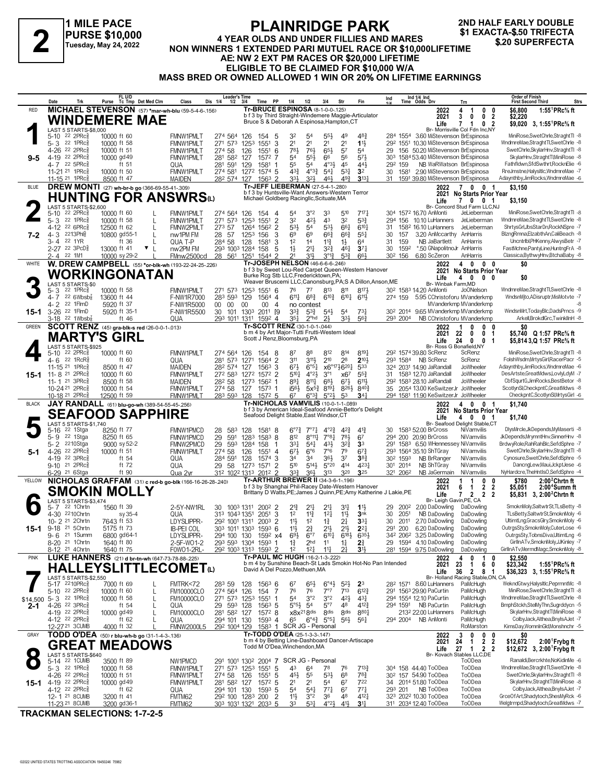**1 MILE PACE PURSE \$10,000 Tuesday, May 24, 2022**

## **PLAINRIDGE PARK 4 YEAR OLDS AND UNDER FILLIES AND MARES NON WINNERS 1 A TURNER IN USE TANK SEXACTA-\$.50 TRIFECTA**<br>
Tuesday, May 24, 2022 MON WINNERS 1 EXTENDED PARI MUTUEL RACE OR \$10,000LIFETIME<br>
A EL NIM 2 EXT PM BACES OR \$20,000 LIFETIME **AE: NW 2 EXT PM RACES OR \$20,000 LIFETIME ELIGIBLE TO BE CLAIMED FOR \$10,000 W/A MASS BRED OR OWNED ALLOWED 1 WIN OR 20% ON LIFETIME EARNINGS**

**2ND HALF EARLY DOUBLE**

|              | Date<br>Trk                                                           | FL U/D<br>Tc Tmp Det Med Clm<br>Purse                                 | <b>Leader's Time</b><br>Dis 1/4<br>Class                                            | Time PP<br>$1/2$ $3/4$                                                             | Fin<br>1/4<br>1/2<br>3/4<br>Str                                                                                                                                      | Ind 1/4 Ind<br>Time Odds Drv<br>Ind                                                       | <b>Order of Finish</b><br><b>Strs</b><br><b>First Second Third</b><br>Trn                                                                                                            |
|--------------|-----------------------------------------------------------------------|-----------------------------------------------------------------------|-------------------------------------------------------------------------------------|------------------------------------------------------------------------------------|----------------------------------------------------------------------------------------------------------------------------------------------------------------------|-------------------------------------------------------------------------------------------|--------------------------------------------------------------------------------------------------------------------------------------------------------------------------------------|
| <b>RED</b>   |                                                                       | MICHAEL STEVENSON (57) *mar-wh-blu (59-5-4-6-156)                     |                                                                                     |                                                                                    | Tr-BRUCE ESPINOSA (8-1-0-0-.125)                                                                                                                                     | 2022<br>4                                                                                 | 1:55 ${}^1$ PRc ${}^5\!$ ft<br>\$6,800<br>$\overline{1}$<br>0<br>0                                                                                                                   |
|              |                                                                       | WINDEMERE MAE                                                         |                                                                                     |                                                                                    | b f 3 by Third Straight-Windemere Maggie-Articulator<br>Bruce S & Deborah A Espinosa, Hampton, CT                                                                    | 3<br>2021<br>Life                                                                         | 0 <sub>2</sub><br>0<br>\$2.220<br>$\mathbf{7}$<br>0 <sub>2</sub><br>\$9,020 3, 1:55 <sup>1</sup> PRc% ft<br>$\mathbf{1}$                                                             |
|              | LAST 5 STARTS-\$8,000<br>$22$ 2PR $c_{8}^5$<br>$5 - 10$               | 10000 ft 60                                                           | <b>FMNW1PMLT</b><br>274 564 126                                                     | 154<br>5                                                                           | $55\frac{1}{2}$<br>32<br>5 <sup>4</sup><br>49<br>48}                                                                                                                 | Br- Morrisville Col Fdn Inc,NY<br>284 1554 3.60 MiStevenson BrEspinosa                    | MiniRose,SwetChrle,StraghtTl -8                                                                                                                                                      |
|              | 5-3 22 1PRc                                                           | 10000 ft 58                                                           | 271 573<br><b>FMNW1PMLT</b>                                                         | 3<br>1551<br>1253                                                                  | 2 <sup>1</sup><br>2 <sup>1</sup><br>2 <sup>1</sup><br>2 <sup>1</sup><br>11<br>781                                                                                    | 292 1551 10.30 MiStevenson BrEspinosa                                                     | WndmreMae,StraghtTl,SwetChrle -8<br>SwetChrle, SkylarHnv, Straght TI -8                                                                                                              |
| 9-5          | 4-26 <sup>22</sup> 2PRc <sup>5</sup><br>4-19 22 2PRcs                 | 10000 ft 51<br>10000 gd 49                                            | <b>FMNW1PMLT</b><br>274 58<br><b>FMNW1PMLT</b><br>281 582 127                       | 126<br>1551<br>6<br>1572 7                                                         | 761<br>$65\frac{1}{2}$<br>57<br>54<br>573<br>54<br>$55\frac{1}{2}$<br>66<br>56                                                                                       | 156 50.20 MiStevenson BrEspinosa<br>29<br>303 1584 53.40 MiStevenson BrEspinosa           | SkylarHnv, Straght Tl, MiniRose -8                                                                                                                                                   |
|              | 4-7 22 5PRc<br>11-21 <sup>21</sup> 1PRc                               | ft 51                                                                 | 281<br>591<br>QUA                                                                   | 129<br>1581<br>-1<br>1272<br>1574 5                                                | 55<br>$4^{\circ}3\frac{1}{2}$<br>45<br>$44\frac{1}{2}$<br>5 <sup>4</sup><br>$43\frac{3}{7}$<br>$4^{03}\frac{3}{4}$<br>$5^{3}$<br>$54\frac{1}{4}$<br>3 <sup>2</sup>   | 292 159<br>NB WaRWatson BrEspinosa<br>1581 2.90 MiStevenson BrEspinosa<br>30              | Fathfldwn,SfdSwthrt,RocknElie -6<br>RreJmstne,HalysItIc,WndmreMae -7                                                                                                                 |
|              | 11-15 21 1PRcs                                                        | 10000 ft 50<br>8500 ft 47                                             | 274 581<br><b>FMNW1PMLT</b><br>282 574 127<br>MAIDEN                                | 1563 2                                                                             | 33}<br>493<br>$3^{13}$<br>32}<br>461                                                                                                                                 | 1591 39.80 MiStevenson BrEspinosa<br>31                                                   | Adaynthby, JimRocks, WndmreMae -6                                                                                                                                                    |
| <b>BLUE</b>  |                                                                       | DREW MONTI (27) wh-br-b go (366-69-55-41-.309)                        |                                                                                     |                                                                                    | Tr-JEFF LIEBERMAN (27-5-4-1-280)<br>b f 3 by Huntsville-Want Answers-Western Terror                                                                                  | 2022                                                                                      | 70<br>0 <sub>1</sub><br>\$3,150<br>2021 No Starts Prior Year                                                                                                                         |
|              |                                                                       | HUNTING FOR ANSWRSധ                                                   |                                                                                     |                                                                                    | Michael Goldberg Racingllc, Scituate, MA                                                                                                                             | Life                                                                                      | 7001<br>\$3,150                                                                                                                                                                      |
|              | LAST 5 STARTS-\$2,600<br>$22$ 2PR $c_{8}^5$<br>$5 - 10$               | 10000 ft 60                                                           | 274 564 126<br><b>FMNW1PMLT</b>                                                     | 154<br>4                                                                           | 3°2<br>510<br>717.1<br>54<br>33                                                                                                                                      | 304 1572 16.70 AnMonti                                                                    | Br- Concord Stud Farm LLC,NJ<br>MiniRose,SwetChrle,StraghtTl -8<br>JeLieberman                                                                                                       |
|              | 22 1PR $c_{8}^{5}$<br>$5 - 3$<br>4-12 <sup>22</sup> 6PRc <sup>5</sup> | L<br>10000 ft 58<br>12500 ft 62<br>L                                  | 271 573<br><b>FMNW1PMLT</b><br>FMNW2PMLT<br>273 57                                  | $\overline{2}$<br>1551<br>125 <sup>3</sup><br>1264<br>1562<br>2                    | 32<br>421<br>43<br>3 <sup>2</sup><br>53}<br>$6^{10}$<br>53}<br>54<br>533<br>661                                                                                      | 294 156 10.10 LuHanners<br>1582 16.10 LuHanners<br>31                                     | WndmreMae,StraghtTl,SwetChrle -8<br>JeLieberman<br>JeLieberman<br>ShrtysGrl,JbsStarDn,RockNSpre -7                                                                                   |
| 7-2          | 2213Phlg<br>$4 - 3$                                                   | 10800 gd55-1<br>$\mathsf{L}$                                          | nw1PM FM<br>28 57                                                                   | 1253<br>156<br>3                                                                   | 69<br>69<br>$66\frac{3}{4}$<br>$66\frac{3}{4}$<br>$55\frac{1}{4}$                                                                                                    | 30<br>157<br>3.20 AnMccarthy AnHarris                                                     | BlzngRmna, ElzabthAn, CaliBeach -8                                                                                                                                                   |
|              | 22 1YR<br>3- 4<br>2-27 22 3PcD <sup>5</sup>                           | ft 36<br>$\mathbf{v}$<br>13000 ft 41                                  | 284 58<br>QUA T-P<br>293 1003 1284<br>nw2PM FM                                      | 128<br>1581<br>3<br>158<br>5                                                       | 1 <sup>2</sup><br>14<br>$11\frac{3}{4}$<br>$1\frac{1}{2}$<br>64<br>$1\frac{1}{2}$<br>$3^{24}$<br>$21\frac{1}{4}$<br>$3^{7}{}_{4}$<br>$46\frac{1}{4}$                 | 159<br>NB JaBartlett<br>31<br>30<br>*.50 GNapolitnoJr AnHarris<br>1592                    | Uncntribl,PHKenny,AlwysBetr -7<br>AnHarris<br>FastMchne,PantyLine,HuntngFrA -8                                                                                                       |
|              | 2-4 22 1M1                                                            | 10000 sy 29-2                                                         | FMnw2500cd<br>28 561 1251                                                           | 1544 2                                                                             | 2 <sup>1</sup><br>$5^{3}$<br>31}<br>$3^{012}$<br>661<br>Tr-JOSEPH NELSON (46-6-6-6-246)                                                                              | 30 <sup>2</sup> 156<br>6.80 ScZeron                                                       | Classica,BythwyHnv,BtchaBaby -8<br>AnHarris                                                                                                                                          |
| WHITE        |                                                                       | W. DREW CAMPBELL (55) *or-blk-wh (193-22-24-25-.226)<br>WORKINGONATAN |                                                                                     |                                                                                    | b f 3 by Sweet Lou-Red Carpet Queen-Western Hanover                                                                                                                  | 2022<br>2021                                                                              | 4 0<br>$0\quad 0$<br>\$0<br>No Starts Prior Year                                                                                                                                     |
|              | LAST 5 STARTS-\$0                                                     |                                                                       |                                                                                     |                                                                                    | Burke Rcg Stb LLC, Fredericktown, PA;<br>Weaver Bruscemi LLC, Canonsburg, PA; S A Dillon, Anson, ME                                                                  | Life<br>4<br>Br- Winbak Farm, MD                                                          | \$0<br>0<br>$0\quad 0$                                                                                                                                                               |
|              | 22 1PRc <sup>5</sup><br>5-3<br>4-7 22 6Wbsb $\frac{7}{8}$             | 10000 ft 58<br>13600 ft 44                                            | FMNW1PMLT<br>283 593 129<br>F-NW1R7000                                              | 271 573 1253 1551 6<br>$1564$ 4                                                    | 77<br>813<br>811<br>8174<br>76<br>$6^{10\frac{3}{4}}$<br>$6^{11}\frac{1}{4}$<br>$68\frac{3}{4}$<br>$6^{10}\frac{1}{4}$<br>6113                                       | 30 <sup>2</sup> 158 <sup>3</sup> 14.20 AnMonti<br>274 159<br>5.95 CChristoforu MVanderkmp | WndmreMae,StraghtTl,SwetChrle -8<br>Jo <sub>ONelson</sub><br>WndsnMjto,ADisruptr,MisMotvte -7                                                                                        |
|              | 4-2 <sup>22</sup> 1FlmD                                               | 5920 ft 37                                                            | F-NW1R5000<br>$00\,$<br>00                                                          | $00\,$<br>$\overline{4}$<br>00                                                     | no contest                                                                                                                                                           | MVanderkmp MVanderkmp                                                                     |                                                                                                                                                                                      |
| 15-1         | 3-26 22 1FlmD<br>3-18 <sup>22</sup> 1Wbsb <del>{</del>                | 5920 ft 35-1<br>ft 46                                                 | F-NW1R5500<br>30<br>QUA<br>293 1011 1311                                            | 101 1303 2011 [9<br>1592 4                                                         | $3^{3}\frac{3}{4}$<br>$73\frac{1}{4}$<br>$5^{3}\frac{3}{4}$<br>$5^{4}$<br>5 <sup>4</sup><br>$2^{\circ}$ hd<br>21<br>334<br>$56\frac{3}{4}$<br>351                    | 30 <sup>2</sup> 2014 9.65 MVanderkmp MVanderkmp<br>293 2004<br>NB CChristoforu MVanderkmp | WindsnMrt,TodavBlc,DadsPrncs -9<br>Arkell,BrokdlGrc,TwinkllnH -8                                                                                                                     |
| <b>GREEN</b> |                                                                       | <b>SCOTT RENZ</b> (45) gra-blk-s red (26-0-0-1-.013)                  |                                                                                     |                                                                                    | Tr-SCOTT RENZ (30-1-0-1-044)<br>b m 4 by Art Major-Tutti Frutti-Western Ideal                                                                                        | 2022<br>1                                                                                 | 0<br>0<br>\$O<br>0                                                                                                                                                                   |
|              |                                                                       | MARTY'S GIRL                                                          |                                                                                     | Scott J Renz, Bloomsburg, PA                                                       |                                                                                                                                                                      | 2021<br>22<br>24<br>Life                                                                  | 0<br>0 <sub>1</sub><br>\$5,740 Q 1:57 PRc% ft<br>0<br>0 <sub>1</sub><br>\$5,814 3,Q 1:57 PRc% ft                                                                                     |
|              | LAST 5 STARTS-\$925<br>5-10 22 2PRc <sup>5</sup>                      | 10000 ft 60                                                           | FMNW1PMLT<br>274 564 126                                                            | 154 8                                                                              | 8191<br>87<br>812<br>814<br>88                                                                                                                                       | Br- Ross G Bonafield, NY<br>292 1574 39.80 ScRenz                                         | MiniRose.SwetChrle.StraghtTl -8<br>ScRenz                                                                                                                                            |
|              | 22 1 $RcR_8^5$<br>4- 6<br>11-15 21 1PRc <sup>5</sup>                  | ft $60$<br>8500 ft 47                                                 | 281 573 1271<br>QUA<br>MAIDEN<br>282 574 127                                        | 1564<br>$\overline{2}$<br>1563<br>3                                                | 210<br>28<br>311<br>3111,<br>$2^{10}$<br>673<br>$6^{\circ 51}$<br>x6°1746204<br>533                                                                                  | 293 1584 NB ScRenz<br>324 2031 14.90 JaRandall                                            | ScRenz<br>FolshWsdm,MrtysGirl,RacerPacr -5<br>Adaynthby,JimRocks,WndmreMae -6<br>JoWheeler                                                                                           |
| 15-1         | $11 - 821$<br>$2$ PR $c_{8}^{5}$                                      | 10000 ft 60                                                           | 272 583 1272<br><b>FMNW1PMLT</b>                                                    | $157^2$ 2                                                                          | $5^{10}$<br>$4^{\circ}2\frac{1}{2}$<br>$3^{\circ}1$<br>$55\frac{3}{4}$<br>x67                                                                                        | 31 1583 12.70 JaRandall                                                                   | DesArtste,GreatMdws,LovlyLdyM -7<br>JoWheeler                                                                                                                                        |
|              | 11-1 <sup>21</sup> 3PRc<br>10-24 21 2PRc                              | 8500 ft 58<br>10000 ft 54                                             | 282 58<br>MAIDEN<br><b>FMNW1PMLT</b><br>274 58                                      | 1273<br>1562<br>-1<br>127<br>$1573$ 1                                              | 891<br>$8^{11}\frac{1}{4}$<br>$6^{8}$<br>$6^{71}$<br>6111<br>i563<br>$8^{19}\frac{1}{4}$<br>$8^{26}\frac{1}{2}$<br>$8^{40}\frac{3}{4}$<br>$5x^{5}$                   | 29 <sup>2</sup> 158 <sup>3</sup> 28.10 JaRandall<br>35 2054 13.00 KeSwitzerJr JoWheeler   | JoWheeler<br>CbfSqurtG,JimRocks,BestBetor -8<br>ScotlynSl,CheckpntC,GreatMdws -8                                                                                                     |
|              | 10-18 21 2PRc3                                                        | 12500 ft 59                                                           | 283 593 128<br><b>FMNW1PMLT</b>                                                     | $157^2$ 5                                                                          | $5^{\circ}2\frac{1}{2}$<br>$34\frac{1}{4}$<br>67<br>$6^{o_{32}}$<br>53                                                                                               | 294 1581 11.90 KeSwitzerJr JoWheeler                                                      | CheckpntC,ScotlynSI,MrtysGirl -6                                                                                                                                                     |
| <b>BLACK</b> |                                                                       | JAY RANDALL (61) blu-go-wh (389-54-55-45-256)                         |                                                                                     |                                                                                    | <b>Tr-NICHOLAS VAMVILIS (10-0-1-1-089)</b><br>b f 3 by American Ideal-Seafood Annie-Bettor's Delight                                                                 | 2022                                                                                      | 4 0 0 1<br>\$1,740<br>2021 No Starts Prior Year                                                                                                                                      |
|              | LAST 5 STARTS-\$1,740                                                 | <b>SEAFOOD SAPPHIRE</b>                                               |                                                                                     |                                                                                    | Seafood Delight Stable, East Windsor, CT                                                                                                                             | Life                                                                                      | 4 0 0 1<br>\$1,740<br>Br- Seafood Delight Stable,CT                                                                                                                                  |
|              | 22 1Stga<br>$5 - 16$<br>22 1Stga                                      | 8250 ft 77<br>8250 ft 65                                              | FMNW1PMCD<br>28<br>583<br>591                                                       | 128<br>1581 8                                                                      | $6^{\circ}7^{\circ}$<br>$7^{\circ}7^{\circ}$<br>$4^{\circ}2^{\frac{3}{4}}$<br>$4^{2}\frac{3}{4}$<br>$4^{13}$<br>7°81<br>781<br>812<br>$8^{\circ}11\frac{1}{4}$<br>67 | 30 1583 52.00 BrCross<br>294 200 20.90 BrCross                                            | DlysMrcle, JkDepends, MyMaserti -8<br>NiVamvilis<br>JkDepends,MrymntHnv,SinnerHnv -8<br>NiVamvilis                                                                                   |
|              | 5-9<br>5-2 2210Stga                                                   | 9000 sy 52-2                                                          | 29<br>FMNW1PMCD<br>29<br>593<br>FMNW2PMCD                                           | 1283<br>$1583$ 8<br>1284<br>158<br>-1                                              | $3^{2^{3}}$<br>$3^{3}$<br>$5^{4}$<br>$43\frac{1}{2}$<br>3 <sup>3</sup>                                                                                               | 1583 6.50 WHennessey NiVamvilis<br>291                                                    | BrdwyRole,RahRahBlc,SefdSphre -7                                                                                                                                                     |
| 5-1          | $22$ 2PR $c_{8}$<br>4-26<br>4-19 22 3PRc                              | 10000 ft 51<br>ft 54                                                  | 274 58<br><b>FMNW1PMLT</b><br>284 591<br>QUA                                        | 126<br>1551<br>4<br>128<br>3<br>1574                                               | $67\frac{1}{2}$<br>7°6<br>79<br>$6^{\circ}6$<br>$6^{73}$<br>$36\frac{1}{2}$<br>37<br>34<br>34<br>$38\frac{3}{4}$                                                     | 293 1564 35.10 ShTGray<br>30 <sup>2</sup> 1593<br>NB BrRanger                             | SwetChrle, SkylarHnv, Straght T -8<br>NiVamvilis<br>Cynosure,SwetChrle,SefdSphre -5<br>NiVamvilis                                                                                    |
|              | $9-10$ 21 2PRc $\frac{5}{8}$                                          | ft 72                                                                 | QUA<br>29 58                                                                        | 1273<br>$\overline{2}$<br>1571                                                     | 510<br>414<br>4231<br>5143<br>$5^{\circ}20$                                                                                                                          | 301 2014<br>NB ShTGray                                                                    | DancngLew,Maui,JckptJese -6<br>NiVamvilis                                                                                                                                            |
| YELLOW       | 6-29 21 6Stga                                                         | ft 90                                                                 | 312 1022 1313<br>Qua 2yr<br>NICHOLAS GRAFFAM (31) c red-b go-blk (166-16-26-28-240) | 2012 2                                                                             | $3^{3}\frac{3}{4}$<br>320<br>325<br>364<br>$3^{13}$<br><b>Tr-ARTHUR BREWER II (34-3-6-1-196)</b>                                                                     | 321 2062<br>NB JaGermain<br>2022                                                          | NyHardcre, TheHntIsO, SefdSphre -4<br>NiVamvilis<br>$2:002$ Chrtnft<br>0<br>\$780<br>1<br>0                                                                                          |
|              |                                                                       | SMOKIN MOLLY                                                          |                                                                                     |                                                                                    | b f 3 by Shanghai Phil-Racey Date-Western Hanover<br>Brittany D Watts, PE; James J Quinn, PE; Amy Katherine J Lakie, PE                                              | 2021<br>6<br>Life<br>7                                                                    | $\overline{2}$<br>$\overline{2}$<br>\$5,051<br>2:00 <sup>4</sup> Summ ft<br>-1<br>$\mathbf{2}$<br>$\overline{2}$<br>$\overline{\mathbf{2}}$<br>\$5.831 3. 2:00 <sup>2</sup> Chrtn ft |
|              | LAST 5 STARTS-\$3,474<br>5-7 22 1 Chrtn                               |                                                                       |                                                                                     |                                                                                    |                                                                                                                                                                      | Br- Leigh Gavin, PE, CA                                                                   | SmoknMoly,SaltwtrSt,TLsBetty -8                                                                                                                                                      |
|              | 4-30 2210Chrtn                                                        | 1560 ft 39<br>sy 35-4                                                 | 2-5Y-NW1RL<br>30<br>QUA<br>313 1043 1351                                            | 1003 1311 2002 2<br>2051<br>3                                                      | $2^{13}$<br>$21\frac{1}{4}$<br>2 <sup>11</sup><br>3 <sup>1</sup><br>$1\frac{11}{2}$<br>$11\frac{3}{4}$<br>11}<br>3nk<br>1 <sup>2</sup><br>$12\frac{1}{4}$            | 29 2002<br>2.00 DaDowling<br>NR DaDowling<br>30<br>2051                                   | DaDowling<br>TLsBetty,SaltwtrSt,SmoknMoly -6<br>DaDowling                                                                                                                            |
| 15-1         | 10- 2 <sup>21</sup> 2 Chrtn<br>9-18 <sup>21</sup> 5Chrtn              | 7643 ft 53<br>5175 ft 73                                              | LDYSLIPPR-<br>292 1001 1311<br><b>IB-PEI COL</b>                                    | $200^3$ 2<br>303 1011 1303 1593 6                                                  | 2 <sup>1</sup><br>$33\frac{1}{4}$<br>11}<br>$1\frac{3}{4}$<br>1 <sup>2</sup><br>$2^{3}_{4}$<br>$21\frac{1}{2}$<br>$21\frac{1}{2}$<br>$11\frac{1}{2}$<br>$2^{2}$      | 30<br>2011<br>2.70 DaDowling<br>291<br>200<br>6.20 DaDowling                              | UltimtLng,GracsGlry,SmoknMoly -6<br>DaDowling<br>OutrgsSty,SmoknMoly,CuterLose -6<br>DaDowling                                                                                       |
|              | $9 - 6$<br>21 1Summ                                                   | 6800 gd64-1                                                           | LDYSLIPPR-<br>294 100                                                               | 130<br>1592 x4                                                                     | $69\frac{1}{2}$<br>$6^{10}\frac{1}{4}$<br>$6^{18}\frac{1}{2}$<br>$6^{35}$<br>$6^{\circ}7$                                                                            | 342 2062 3.25 DaDowling                                                                   | DaDowling<br>OutrgsSty,TobnsDiva,UltimtLng -6                                                                                                                                        |
|              | 8-20 <sup>21</sup> 1 Chrtn<br>8-12 21 4Chrtn                          | 1640 ft 80<br>1640 ft 75                                              | 2-5F-W01-2<br>F0W01-2RL-                                                            | 293 593 1304 1593<br>-1<br>292 1003 1313 1593 2                                    | $1\frac{3}{4}$<br>2 <sub>hd</sub><br>11<br>$1\frac{1}{4}$<br>$2\frac{3}{4}$<br>1 <sup>2</sup><br>$12\frac{1}{4}$<br>$11\frac{1}{4}$<br>21<br>3 <sup>1</sup>          | 29 1594 4.10 DaDowling<br>281 1594 9.75 DaDowling                                         | DaDowling<br>GirllnATv,SmoknMoly,JJKinley -7<br>DaDowling<br>GirllnATv.MermdMagc.SmoknMolv -8                                                                                        |
| <b>PINK</b>  |                                                                       | LUKE HANNERS (21) d br-tn-wh (647-73-78-88-.225)                      |                                                                                     |                                                                                    | Tr-PAUL MC HUGH (16-2-1-3-.222)<br>b m 4 by Sunshine Beach-St Lads Smokin Hot-No Pan Intended                                                                        | 2022<br>4<br>23<br>2021                                                                   | 0<br>0<br>\$2,550<br>1<br>6 0<br>$\overline{1}$<br>\$23,342<br>1:55 <sup>1</sup> $PRc$ % ft                                                                                          |
|              |                                                                       | <b>HALLEYSLITTLECOMETω</b>                                            |                                                                                     |                                                                                    | David A Del Pozzo, Methuen, MA                                                                                                                                       | 36<br>Life                                                                                | $\overline{2}$<br>8 1<br>\$36,323 3, 1:55 PRc <sup>5</sup> / <sub>8</sub> ft                                                                                                         |
|              | LAST 5 STARTS-\$2,550<br>5-17 2210PRcs                                | 7000 ft 69                                                            | 283 59<br>FMTRK<72                                                                  | 128<br>$156^3$ 6                                                                   | $6^{\circ}4\frac{1}{2}$<br>$5^{21}$<br>$65\frac{1}{2}$<br>23<br>67                                                                                                   | 28 <sup>2</sup> 1571 8.60 LuHanners                                                       | Br- Holland Racing Stable, ON, CA<br>WekndGtwy,HalysItIc,PeprmntMc -8<br>PaMcHugh                                                                                                    |
| \$14,500     | 5-10 22 2PRc $\frac{5}{8}$<br>5-3 22 1PRc <sup>5</sup>                | 10000 ft 60<br>L<br>10000 ft 58<br>L                                  | <b>FM10000CLO</b><br>274 564 126<br>271 573 1253<br><b>FM10000CLO</b>               | 7<br>154<br>1551<br>-1                                                             | $7^{13}$<br>76<br>76<br>7°7<br>$6^{12}\frac{3}{4}$<br>3°2<br>3°2<br>$42\frac{1}{2}$<br>54<br>$43\frac{1}{4}$                                                         | 291 1563 29.90 PaCurtin<br>294 1554 12.10 PaCurtin                                        | MiniRose,SwetChrle,StraghtTl -8<br>PaMcHugh<br>WndmreMae,StraghtTl,SwetChrle -8<br>PaMcHugh                                                                                          |
| $2 - 1$      | 4-26 <sup>22</sup> 3PRc $\frac{5}{8}$                                 | ft $54$<br>L                                                          | 29 593 128<br>QUA                                                                   | $156^3$ 5                                                                          | $5^{\circ}5^{\frac{1}{2}}$<br>$5^{\circ}7$<br>48<br>412}<br>54                                                                                                       | 294 1591 NB PaCurtin                                                                      | BmphStckh,StelMyThn,Sugrddycn -5<br>PaMcHugh                                                                                                                                         |
|              | 4-19 22 2PRc <sup>5</sup><br>4-12 22 2PRc <sup>5</sup>                | 10000 gd 49<br>L<br>ft $62$                                           | <b>FM10000CLO</b><br>281 582 127<br>QUA<br>294 101 130                              | 1572 8<br>1593 4                                                                   | 8801<br>$x8x^{21}8$ dis<br>8 <sub>dis</sub><br>8 <sub>dis</sub><br>65<br>$6^{\circ}4^{\frac{3}{4}}$ $5^{\circ}5^{\frac{1}{4}}$<br>$56\frac{1}{2}$<br>$56\frac{1}{4}$ | 213 <sup>2</sup> 22.00 LuHanners<br>294 2004 NB AnMonti                                   | PaMcHugh<br>SkylarHnv,StraghtTl,MiniRose -8<br>PaMcHugh<br>ColbyJack,Althea,BnyIsAJet -7                                                                                             |
| GRAY         | 12-2721 3CUMB                                                         | 4000 ft 32<br>TODD O'DEA (50) r blu-wh-b go (31-1-4-3-136)            | 292 1004 129<br><b>FMNW2000L5</b>                                                   |                                                                                    | 1583 1 SCR JG - Personal<br>Tr-TODD O'DEA (25-1-3-3-147)                                                                                                             | 2022<br>3                                                                                 | RoMarston<br>KimsDay,WomnInGld,Monshnchr -5<br>0<br>- 0<br>\$0                                                                                                                       |
|              | <b>GREAT</b>                                                          | <b>MEADOWS</b>                                                        |                                                                                     |                                                                                    | b m 4 by Betting Line-Dashboard Dancer-Artiscape<br>Todd M O'Dea, Winchendon, MA                                                                                     | 2021<br>24                                                                                | $\frac{0}{2}$<br>\$12,672<br>$\mathbf{1}$<br>2<br>$2:00$ <sup>1</sup> Frybg ft                                                                                                       |
|              | LAST 5 STARTS-\$640                                                   |                                                                       |                                                                                     |                                                                                    |                                                                                                                                                                      | 27<br>Life<br>Br- Kovach Stables LLC,DE                                                   | \$12,672 3, 2:00 Frybg ft<br>$\overline{1}$<br>2 2                                                                                                                                   |
|              | 5-14 22 1CUMB<br>5-3 22 1PRc <sup>3</sup>                             | 3500 ft 89<br>10000 ft 58                                             | NW1PMCD<br><b>FMNW1PMLT</b>                                                         | 271 573 1253 1551<br>5                                                             | 291 1001 1302 2004 7 SCR JG - Personal<br>$7^{13}\frac{3}{4}$<br>43<br>64<br>78<br>76                                                                                | 304 158 44.40 ToODea                                                                      | Ranaldi, Bercrkhte, NoKidinMe -6<br>To <sub>ODea</sub><br>To <sub>ODea</sub><br>WndmreMae,StraghtTl,SwetChrle -8                                                                     |
|              | 4-26 22 2PRc <sup>5</sup>                                             | 10000 ft 51                                                           | 274 58<br>FMNW1PMLT                                                                 | 1551<br>5<br>126                                                                   | $5^{31}$<br>6 <sup>8</sup><br>$78\frac{3}{4}$<br>$45\frac{1}{2}$<br>55                                                                                               | 30 <sup>2</sup> 157 54.90 ToODea                                                          | SwetChrle, SkylarHnv, StraghtTl -8<br>To <sub>ODea</sub>                                                                                                                             |
| 15-1         | 4-19 22 2PRc <sup>5</sup><br>4-12 22 2PRc <sup>3</sup>                | 10000 gd 49<br>ft $62$                                                | <b>FMNW1PMLT</b><br>281 582 127<br>294 101 130<br>QUA                               | 5<br>1572<br>1593 5                                                                | 2 <sup>1</sup><br>2 <sup>1</sup><br>54<br>6 <sup>7</sup><br>722<br>54<br>$77\frac{1}{4}$<br>67<br>$77\frac{1}{4}$<br>$5^{41}$                                        | 34 2014 51.80 ToODea<br>NB ToODea<br>293 201                                              | SkylarHnv, Straght TI, MiniRose -8<br>To <sub>ODea</sub><br>To <sub>ODea</sub><br>ColbyJack,Althea,BnyIsAJet -7                                                                      |
|              | 12-1 21 8 CUMB<br>11-23 21 8 CUMB                                     | 3200 ft 41<br>3200 gd36-1                                             | FMTM62<br>FMTM62                                                                    | $\overline{2}$<br>29 <sup>2</sup> 100 128 <sup>3</sup> 200<br>303 1031 1321 2033 5 | 11}<br>3°2<br>36<br>48<br>$4^{12}$<br>33<br>531<br>$4^{\circ}2\frac{1}{2}$<br>41}<br>34                                                                              | 323 2022 10.30 ToODea<br>311 2034 12.40 ToODea                                            | To <sub>O</sub> Dea<br>GrceOfArt,Shadytoch,ShesMyRck -6<br>To <sub>ODea</sub><br>Welgtrmpd,Shadytoch,GreatMdws -7                                                                    |

**TRACKMAN SELECTIONS: 1-7-2-5**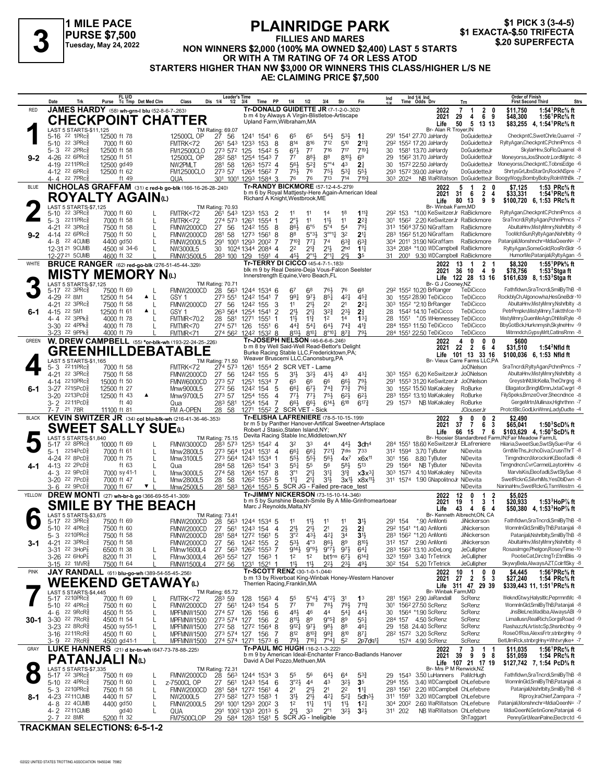# **PLAINRIDGE PARK**

\$1 PICK 3 (3-4-5)<br>\$1 EXACTA-\$.50 TRIFECTA

# **FILLIES AND MARES NON WINNERS \$2,000 (100% MA OWNED \$2,400)** LAST 5 STARTS<br>Tuesday, May 24, 2022 MON WINNERS \$2,000 (100% MA OWNED \$2,400) LAST 5 STARTS<br>OR WITH A TM BATING OF 74 OR LESS ATOR **OR WITH A TM RATING OF 74 OR LESS ATOD STARTERS HIGHER THAN NW \$3,000 OR WINNERS THIS CLASS/HIGHER L/S NE AE: CLAIMING PRICE \$7,500**

|              | Date<br>Trk                                                                   | FL U/D<br>Tc Tmp Det Med Clm<br>Purse                           | Dis 1/4<br>Class                                               | Leader's Time<br>1/2<br>3/4<br><b>PP</b><br>Time             | 1/4<br>1/2<br>3/4                                                                                        | Str                                                                                      | Ind                    | Ind 1/4 Ind<br>Time Odds Drv                                                        | Trn                                                            | <b>Order of Finish</b><br><b>First Second Third</b><br>Strs                                                |
|--------------|-------------------------------------------------------------------------------|-----------------------------------------------------------------|----------------------------------------------------------------|--------------------------------------------------------------|----------------------------------------------------------------------------------------------------------|------------------------------------------------------------------------------------------|------------------------|-------------------------------------------------------------------------------------|----------------------------------------------------------------|------------------------------------------------------------------------------------------------------------|
| <b>RED</b>   |                                                                               | JAMES HARDY (58) wh-grn-I blu (52-8-6-7-.263)                   |                                                                |                                                              | <b>Tr-DONALD GUIDETTE JR (7-1-2-0-.302)</b>                                                              |                                                                                          |                        | 2022                                                                                | $\begin{matrix} 2 & 0 \\ 6 & 9 \end{matrix}$<br>7<br>1         | 1:54 <sup>1</sup> PRc <sup>5</sup> / <sub>8</sub> ft<br>\$11.750                                           |
|              |                                                                               |                                                                 | <b>CHECKPOINT CHATTER</b>                                      |                                                              | b m 4 by Always A Virgin-Blistletoe-Artiscape<br>Upland Farm, Wilbraham, MA                              |                                                                                          |                        | 2021<br>Life                                                                        | 29<br>4<br>5<br>50<br>13 13                                    | \$48,300<br>1:56 $\degree$ PRc $\%$ ft<br>\$83,255 4, 1:54 <sup>1</sup> PRc <sup>5</sup> / <sub>8</sub> ft |
|              | LAST 5 STARTS-\$11,125                                                        |                                                                 | TM Rating: 69.07                                               |                                                              |                                                                                                          |                                                                                          |                        | Br- Alan R Troyer, IN                                                               |                                                                |                                                                                                            |
|              | $22$ 1PR $c_{\overline{8}}^5$<br>5-16<br>$22 \text{ } 3$ PRc $\frac{5}{8}$    | 12500 ft 78                                                     | 12500CL OP                                                     | 27 56<br>1241 1541 6                                         | $54\frac{1}{2}$<br>65<br>65<br>816<br>712<br>8<br>814                                                    | $5^{3}$<br>$1\frac{3}{4}$<br>510<br>$2^{11}$                                             | 291                    | 1541 27.70 JaHardy                                                                  | DoGuidetteJr<br>DoGuidetteJr                                   | CheckpntC,SwetChrle,Quarrel -7<br>RyltyAgan,CheckpntC,PchmPrncs -8                                         |
|              | $5 - 10$<br>22 2PRc3<br>5-3                                                   | 7000 ft 60<br>12500 ft 58                                       | FMTRK<72<br><b>FM12500CLO</b>                                  | 261 543<br>1233<br>153<br>273 572<br>125<br>1542 5           | $67\frac{1}{2}$<br>$7^7$<br>716                                                                          | 717<br>7194                                                                              | 30                     | 292 1552 17.20 JaHardy<br>1581 13.70 JaHardy                                        | DoGuidetteJr                                                   | SkylarHnv,SoFlo,Quarrel -8                                                                                 |
| $9 - 2$      | 4-26 22 6PRcs                                                                 | 12500 ft 51                                                     | 12500CL OP                                                     | 282 581<br>1543 7<br>1254                                    | 88<br>$7^7$<br>883                                                                                       | 8104<br>69                                                                               | 29                     | 156 <sup>2</sup> 31.70 JaHardy                                                      | DoGuidetteJr                                                   | Moneyorss, JosShootr, LordMgntc -8                                                                         |
|              | 4-19 2211PRc <sup>5</sup>                                                     | 12500 gd 49                                                     | NW2PMLT                                                        | 281 58<br>126 <sup>3</sup><br>1572 4                         | $56\frac{1}{2}$<br>$5^{\circ 4}$<br>$5^{2}$                                                              | 43<br>2 <sup>1</sup>                                                                     | 30                     | 1572 22.50 JaHardy                                                                  | DoGuidetteJr                                                   | Moneyorss,CheckpntC,TobnsEdge -6                                                                           |
|              | 4-12 22 6PRc                                                                  | 12500 ft 62<br>ft 49                                            | <b>FM12500CLO</b>                                              | 273 57<br>1264 1562 7                                        | $75\frac{1}{2}$<br>751<br>76<br>76<br>713<br>76                                                          | $5^{3}$<br>$55\frac{1}{2}$<br>714<br>7193                                                | 303 2024               | 293 1572 39.00 JaHardy                                                              | DoGuidetteJr                                                   | ShrtysGrl,JbsStarDn,RockNSpre -7                                                                           |
| <b>BLUE</b>  | 4-4 22 7PRc                                                                   |                                                                 | QUA<br>NICHOLAS GRAFFAM (31) c red-b go-blk (166-16-26-28-240) | 301 1001 1293 1584 3                                         | Tr-RANDY BICKMORE (57-12-4-5-279)                                                                        |                                                                                          |                        | 2022                                                                                | 5<br>$\overline{1}$<br>2                                       | NB WaRWatson DoGuidetteJr BoogyWogy,BombyBoby,RolnWthBk -7<br>\$7,125<br>1:53 PRc% ft                      |
|              |                                                                               | <b>ROYALTY AGAIN</b> W                                          |                                                                |                                                              | b m 6 by Royal Mattjesty-Here Again-American Ideal                                                       |                                                                                          |                        | 2021                                                                                | 2 <sub>4</sub><br>6<br>31                                      | \$33,331<br>1:54 $\text{PRc\%}$ ft                                                                         |
|              |                                                                               |                                                                 |                                                                |                                                              | Richard A Knight, Westbrook, ME                                                                          |                                                                                          |                        | Life                                                                                | 80 13<br>9<br>9                                                | \$100,720 6, 1:53 PRc <sup>5</sup> / <sub>8</sub> ft                                                       |
|              | <b>LAST 5 STARTS-\$7,125</b><br>$22 \text{ } 3$ PRc $\frac{5}{8}$<br>$5 - 10$ | 7000 ft 60                                                      | TM Rating: 70.93<br>FMTRK<72                                   | 261 543<br>1233 153<br>$\overline{\phantom{a}}$              | 11<br>11<br>14                                                                                           | $111\frac{3}{7}$<br>1 <sup>8</sup>                                                       | 292 153                | Br- Winbak Farm, MD<br>*1.00 KeSwitzerJr RaBickmore                                 |                                                                | RyltyAgan,CheckpntC,PchmPrncs -8                                                                           |
|              | 5-3 2211PRc                                                                   | 7000 ft 58                                                      | FMTRK<72                                                       | 274 573<br>1261<br>1554                                      | $2^{\circ}3$<br>$11\frac{1}{2}$<br>11<br>-1                                                              | 11<br>$2^{2}$                                                                            |                        | 301 1562 2.20 KeSwitzerJr RaBickmore                                                |                                                                | SraTncrdi,RyltyAgan,PchmPrncs -7                                                                           |
|              | 4-21 22 3PRc <sup>5</sup>                                                     | 7500 ft 58                                                      | FMNW2000CD<br>27<br>L                                          | 56<br>1242<br>155<br>-8                                      | 86}<br>$6^{\circ}5$<br>$5^{\circ}4$                                                                      | 54<br>$79\frac{1}{4}$                                                                    |                        | 313 1564 37.50 NiGraffam                                                            | RaBickmore                                                     | AbultaHnv, MistyMmry, NshrIblty -8                                                                         |
| $9 - 2$      | 4-14 22 6PRc<br>4-8 22 4 CUMB                                                 | 7500 ft 50<br>4400 gd50                                         | FMNW2000CD<br><b>FMNW2000L5</b>                                | 281 58<br>1273<br>1561<br>291 1001 1293<br>2002 7            | 88<br>$5^{\circ}3\frac{1}{2}$<br>$3^{\circ 0}11$<br>8<br>710}<br>74<br>$77\frac{1}{4}$                   | 3 <sup>2</sup><br>2 <sup>11</sup><br>$63\frac{3}{4}$<br>$63\frac{3}{4}$                  |                        | 283 1562 51.20 NiGraffam<br>304 2011 31.90 NiGraffam                                | RaBickmore<br>RaBickmore                                       | TooMchSun,RyltyAgan,Nshrlblty -9<br>Patanjali,Monshnchr=MdiaQeenN= -7                                      |
|              | 12-31 21 9CUMB                                                                | 4500 sl 34-6                                                    | NW3000L5                                                       | 30 1024 1344 2084 4                                          | $21\frac{1}{2}$<br>2 <sup>2</sup><br>$2^{13}$                                                            | 2 <sub>hd</sub><br>$1^{11}$                                                              |                        | 334 2084 *1.00 WDCampbell RaBickmore                                                |                                                                | RyltyAgan,SomeGold,RosRnSldr -5                                                                            |
|              | 12-2721 5CUMB                                                                 | 4600 ft 32                                                      | FMNW3500L5                                                     | 283 100<br>129<br>1591 4                                     | 454<br>$2^{\circ}1\frac{1}{2}$<br>$2^{\circ}11$                                                          | $21\frac{1}{2}$<br>3 <sub>5</sub>                                                        |                        | 31 2001 9.30 WDCampbell RaBickmore                                                  |                                                                | HumorMe, Patanjali, RyltyAgan -5                                                                           |
| WHITE        |                                                                               | <b>BRUCE RANGER</b> (62) red-go-blk (276-51-45-44-.329)         |                                                                |                                                              | Tr-TERRY DI CICCO (45-4-7-1-183)<br>blk m 9 by Real Desire-Deja Vous-Falcon Seelster                     |                                                                                          |                        | 2022                                                                                | $\mathbf{2}$<br>13<br>-1                                       | \$8,320<br>1:55 $^1$ PPk $\%$ ft                                                                           |
|              |                                                                               | MISTY MEMORY Nω                                                 |                                                                |                                                              | Innerstrength Equine, Vero Beach, FL                                                                     |                                                                                          |                        | 2021<br>Life 122 28                                                                 | 36 10<br>49<br>13 16                                           | \$78,756<br>1:53 Stgaft<br>\$161,639 8, 1:53 Stga ft                                                       |
|              | LAST 5 STARTS-\$7,125                                                         |                                                                 | <b>TM Rating: 70.71</b>                                        |                                                              |                                                                                                          |                                                                                          |                        | Br- G J Cooney, NZ                                                                  |                                                                |                                                                                                            |
|              | 22 3PRc <sup>5</sup><br>$5-17$<br>4-29 22 8M1                                 | 7500 ft 69<br>12500 ft 54                                       | FMNW2000CD<br>$\blacktriangle$  <br>GSY <sub>1</sub>           | 28 563<br>1244 1534 6<br>273 551<br>1242 1541                | 67<br>68<br>761,<br>$85\frac{1}{4}$<br>991<br>971<br>7                                                   | 68<br>76<br>421<br>$45\frac{3}{4}$                                                       | 30                     | 29 <sup>2</sup> 155 <sup>2</sup> 10.20 BrRanger<br>155 <sup>2</sup> 28.90 TeDiCicco | TeDiCicco<br>TeDiCicco                                         | Fathfldwn,SraTncrdi,SmilByThB -8<br>RockblyCh,Algonowha,HesGneBdr-10                                       |
|              | 4-21 22 3PRcs                                                                 | 7500 ft 58                                                      | FMNW2000CD<br>27<br>L                                          | 56<br>1242 155                                               | 2 <sup>2</sup><br>1 <sup>1</sup><br>$21\frac{1}{2}$<br>3                                                 | 2 <sup>1</sup><br>$2^{2}$                                                                |                        | 303 1552 *2.10 BrRanger                                                             | TeDiCicco                                                      | AbultaHnv, MistyMmry, NshrIblty -8                                                                         |
| 6-1          | 22 5M1<br>$4 - 15$                                                            | 12500 ft 61                                                     | GSY <sub>1</sub><br>$\triangle$ $\perp$                        | 263 564<br>1254<br>1541                                      | 2 <sup>11</sup><br>2 <sup>11</sup><br>$3^{22}$<br>$\overline{2}$                                         | $2^{3}$<br>21                                                                            | 28                     | 1542 14.10 TeDiCicco                                                                | TeDiCicco                                                      | PetrPmpknMistwlmrv.Taktthfce-10                                                                            |
|              | 22 3PPk <sup>5</sup><br>4-4<br>3-30 22 4PPk                                   | 4000 ft 78                                                      | <b>FMTMR&lt;70.2</b>                                           | 28 581<br>1271<br>1551                                       | 1 <sup>2</sup><br>$11\frac{1}{2}$<br>$11\frac{3}{4}$<br>-1<br>$64\frac{1}{2}$<br>$44\frac{3}{4}$         | 14<br>$13\frac{1}{4}$<br>$74\frac{3}{4}$                                                 | 28                     | 1551 *.05 WHennessey TeDiCicco                                                      | TeDiCicco                                                      | MistyMmry,QuenMeAgn,OhMisRyle -8<br>BbyGotBck,Hurknmysh,SkylneHnv -9                                       |
|              | 3-23 22 9PPk§                                                                 | 4000 ft 78<br>4000 ft 79                                        | FMTMR<70<br>FMTMR<71                                           | 274 571<br>126<br>$155^{1}$ 6<br>274 562<br>1242 1532 8      | $54\frac{1}{4}$<br>8101<br>$8^{\circ}10\frac{1}{4}$<br>8133                                              | $4^{13}$<br>$8^{73}$<br>791                                                              |                        | 284 1553 11.50 TeDiCicco<br>284 1551 22.50 TeDiCicco                                | TeDiCicco                                                      | Mitrnndch,GypsyMrlt,CatlnsRmn -8                                                                           |
| <b>GREEN</b> |                                                                               |                                                                 | W. DREW CAMPBELL (55) *or-blk-wh (193-22-24-25-226)            |                                                              | Tr-JOSEPH NELSON (46-6-6-6-246)                                                                          |                                                                                          |                        | 2022                                                                                | $\mathbf{0}$<br>0<br>4<br>0                                    | \$600                                                                                                      |
|              |                                                                               |                                                                 | <b>GREENHILLDEBATABLE</b>                                      |                                                              | b m 8 by Well Said-Well Read-Bettor's Delight<br>Burke Racing Stable LLC, Fredericktown, PA;             |                                                                                          |                        | 2021                                                                                | $\overline{2}$<br>6<br>22<br>- 4                               | \$31,510<br>1:54 $^2$ Nfld ft                                                                              |
|              | LAST 5 STARTS-\$1,165                                                         |                                                                 | TM Rating: 71.50                                               |                                                              | Weaver Bruscemi LLC, Canonsburg, PA                                                                      |                                                                                          |                        | Life                                                                                | 101 13 33 16<br>Br- Vieux Carre Farms LLC.PA                   | \$100.036 6.1:53 Nfld ft                                                                                   |
|              | 2211PRc<br>5-3                                                                | 7000 ft 58                                                      | FMTRK<72                                                       | 274 573<br>1261                                              | 1554 2 SCR VET - Lame                                                                                    |                                                                                          |                        |                                                                                     | Jo0Nelson                                                      | SraTncrdi,RyltyAgan,PchmPrncs -7                                                                           |
|              | 4-21 22 3PRc<br>4-14 2210PRc                                                  | 7500 ft 58<br>15000 ft 50                                       | FMNW2000CD<br>FMNW6000CD                                       | 27 56<br>1242<br>155<br>273 57<br>1534 7<br>1251             | 5<br>3 <sup>1</sup><br>3 <sup>2</sup><br>431<br>66<br>66<br>65                                           | 43<br>43<br>791<br>66}                                                                   | 291                    | 303 1553 6.20 KeSwitzerJr JoONelson<br>1553 31.20 KeSwitzerJr JoONelson             |                                                                | AbultaHnv, MistyMmry, NshrIbIty -8<br>GreystnNt, McKella, The Chrgng -8                                    |
| 6-1          | 3-27 2215PcD <sup>5</sup>                                                     | 12500 ft 27                                                     | Mnw9000L5                                                      | 272 56<br>1242 154                                           | 661<br>$67\frac{1}{2}$<br>74 <sup>3</sup><br>5                                                           | $73\frac{3}{4}$<br>$76\frac{3}{4}$                                                       | 30                     | 155 <sup>2</sup> 15.50 MaKakaley                                                    | RoBurke                                                        | Ellagator,BringMDmn,JxtaCwgrl -8                                                                           |
|              | 3-20 2213PcD <sup>5</sup>                                                     | 12500 ft 43                                                     | Mnw9700L5                                                      | 273 57<br>1254 155                                           | $77\frac{1}{2}$<br>75}<br>$\overline{4}$<br>$77\frac{1}{2}$                                              | $6^{21}$<br>$6^{21}$                                                                     |                        | 283 1552 13.10 MaKakaley                                                            | RoBurke                                                        | FilySpeks,BrnzeOver,Shecndnce -8                                                                           |
|              | 3-2 2211PcD <sup>5</sup>                                                      | ft $40$                                                         | Qua                                                            | 1254 154<br>283 581                                          | 661<br>$66\frac{1}{2}$<br>$6^{14}$<br>7                                                                  | 617 <sup>3</sup><br>618                                                                  | 29<br>1573             | NB MaKakalev                                                                        | RoBurke                                                        | GergeMrtn,Mullinax,Highrthnn -7                                                                            |
|              |                                                                               |                                                                 |                                                                |                                                              |                                                                                                          |                                                                                          |                        |                                                                                     |                                                                |                                                                                                            |
| <b>BLACK</b> | 21 7BR<br>7- 7                                                                | 11100 ft 81                                                     | FM A-OPEN                                                      | 28 58<br>1271                                                | 1552 2 SCR VET - Sick<br>Tr-ELISHA LAFRENIERE (78-5-10-15-199)                                           |                                                                                          |                        |                                                                                     | <b>JClouserJr</b><br>0<br>0                                    | ProtctBlc,GodLknWmn,LadyDudte -4                                                                           |
|              |                                                                               |                                                                 | KEVIN SWITZER JR (34) col blu-blk-wh (216-41-36-46-.353)       |                                                              | br m 5 by Panther Hanover-Artifical Sweetner-Artsplace                                                   |                                                                                          |                        | 2022<br>2021                                                                        | 9<br>2<br>6<br>$\overline{7}$<br>37<br>-3                      | \$2,490<br>1:50 $3$ ScD $\%$ ft<br>\$65,041                                                                |
|              |                                                                               | <b>SWEET SALLY SUE</b> W                                        |                                                                |                                                              | Robert J Stasio, Staten Island, NY;<br>Devita Racing Stable Inc, Middletown, NY                          |                                                                                          |                        | Life                                                                                | 66 15<br>$\overline{7}$<br>6                                   | \$103,629 4, 1:50 ${}^{3}$ ScD ${}^{5}$ s ft                                                               |
|              | LAST 5 STARTS-\$1,840<br>$22.8$ PRc $\frac{5}{8}$<br>5-17                     | 10000 ft 69                                                     | <b>TM Rating: 75.15</b><br>FMNW3000CD                          | 283 573<br>1253 1542 4                                       | 32<br>33<br>44                                                                                           | 441,<br>3dh <sup>4</sup>                                                                 |                        | 284 1551 18.60 KeSwitzerJr ElLafreniere                                             |                                                                | Br- Hoosier Standardbred Farm, IN; Fair Meadow Farm, IL<br>Hilaria, Sweet Sue, Swt Sly Sue=Par -6          |
|              | 2214PcD3<br>5-1                                                               | 7000 ft 61                                                      | L<br>Mnw2800L5                                                 | 273 564<br>1241<br>1531 4                                    | 661<br>7211<br>$66\frac{1}{4}$                                                                           | 7dis<br>733                                                                              | 312 1594               | 3.70 TyButer                                                                        | NiDevita                                                       | GrntMeThs,JrchoDiva,CrusnThrT -8                                                                           |
|              | 4-24 22 8PcD <sup>5</sup>                                                     | 7000 ft 75                                                      | Mnw3100L5<br>L                                                 | 273 564<br>1243 1534 1                                       | $5^{5}\frac{1}{2}$<br>$56\frac{1}{2}$<br>$55\frac{1}{2}$                                                 | $4x^7$<br>$x6x$ <sup>11</sup>                                                            | 30 <sup>1</sup><br>156 | 8.80 TyButer                                                                        | NiDevita<br>NiDevita                                           | Timgndncn, MorockinK, Eleofadli -8                                                                         |
|              | 4-13 22 2PcD <sup>5</sup><br>4-3 22 9PcD <sup>5</sup>                         | ft 63<br>7000 sy 41-1                                           | Qua<br>Mnw3000L5                                               | 284 58<br>1263 1541 3<br>274 58<br>1264 157                  | $55\frac{1}{4}$<br>55<br>56<br>$3^{\circ}1$<br>$2^{11}$<br>3 <sup>11</sup><br>8                          | 583<br>513<br>$3^{12}$<br>x3x31                                                          | 29<br>1564<br>303 1573 | NB TyButer<br>4.10 MaKakaley                                                        | NiDevita                                                       | Timgndncn,CvrCarmel,LaytonHnv -6<br>MarvIsKis,Eleofadli,SwtSlySue -8                                       |
|              | 3-20 22 7PcD <sup>5</sup>                                                     | 7000 ft 47                                                      | Mnw2800L5                                                      | 28 58<br>126 <sup>2</sup> 1553 5                             | $2^{11}$<br>$11\frac{1}{4}$<br>3 <sup>1</sup>                                                            | $3x^{11}$<br>x8x <sup>11}</sup>                                                          | 311 1574               | 1.90 GNapolitnoJr NiDevita                                                          |                                                                | SwetRcknG,SilvrhlMs,YesDblDwn -8                                                                           |
|              | 22 9PcD<br>3-6                                                                | ▼<br>7000 ft 67                                                 | Mnw2500L5                                                      | 281 583                                                      | 1264 1553 5 SCR JG - Failed pre-race                                                                     | test                                                                                     |                        |                                                                                     | NiDevita                                                       | NarinaHnv,SwetRcknG,TsmWestrn -6                                                                           |
| YELLOW       |                                                                               | DREW MONTI (27) wh-br-b go (366-69-55-41-.309)                  |                                                                |                                                              | <b>Tr-JIMMY NICKERSON (73-15-10-14-346)</b><br>b m 5 by Sunshine Beach-Smile By A Mile-Grinfromeartoear  |                                                                                          |                        | 2022<br>2021                                                                        | 12<br>$\mathbf{0}$<br>1<br>2<br>3<br>19<br>$\mathbf{1}$<br>- 1 | \$5,025<br>1:53 $3$ HoP $\%$ ft<br>\$20,933                                                                |
|              |                                                                               | <b>SMILE BY THE BEACH</b>                                       |                                                                |                                                              | Marc J Reynolds, Malta, NY                                                                               |                                                                                          |                        | Life                                                                                | 43<br>$\overline{\mathbf{4}}$<br>6<br>-4                       | \$50,380 4, 1:53 HoP % ft                                                                                  |
|              | <b>LAST 5 STARTS-\$3.675</b><br>22 3PRc<br>5-17                               | 7500 ft 69                                                      | <b>TM Rating: 73.41</b><br>FMNW2000CD<br>28                    | 563<br>1244 1534 5                                           | $11\frac{1}{2}$<br>11<br>11                                                                              | 11<br>3 <sub>1</sub>                                                                     | 291 154                | *.90 AnMonti                                                                        | Br- Kenneth Albrecht, ON, CA<br>JiNickerson                    | Fathfldwn,SraTncrdi,SmilByThB -8                                                                           |
|              | 5-10 22 4PRc $\frac{5}{8}$                                                    | 7500 ft 60                                                      | FMNW2000CD                                                     | 27 561<br>1243 154<br>$\overline{4}$                         | $21\frac{1}{2}$<br>$21\frac{1}{2}$<br>2 <sup>1</sup>                                                     | $2\frac{1}{2}$<br>2 <sup>3</sup>                                                         |                        | 292 1541 *1.40 AnMonti                                                              | <b>JiNickerson</b>                                             | WomnInGld,SmilByThB,Patanjali -8                                                                           |
|              | 5-3 2210PRc <sup>5</sup>                                                      | 7500 ft 58                                                      | FMNW2000CD                                                     | 281 584 1272 1561 5                                          | 3°2<br>43}<br>$4^{2}$                                                                                    | 3 <sup>4</sup><br>31,                                                                    |                        | 283 1562 *1.20 AnMonti                                                              | <b>JiNickerson</b>                                             | Patanjali, Nshrlblty, SmilByThB -8                                                                         |
| 3-1          | 22 3PRc3<br>$4 - 21$                                                          | 7500 ft 58                                                      | FMNW2000CD<br>27                                               | 56<br>1242 155                                               | $4^{\circ}3$<br>$\overline{2}$<br>$5^{3}\frac{1}{2}$<br>$86\frac{1}{2}$                                  | $8^{10}\frac{1}{2}$<br>89                                                                |                        | 312 157 2.90 AnMonti                                                                | JiNickerson                                                    | AbultaHnv, MistyMmry, NshrIblty -8<br>RosasImge,Phelgon,RoseyTime-10                                       |
|              | $3-31$ 22 $3HOP_8^7$<br>3-26 22 6HoP <sup>7</sup>                             | 6500 ft 38<br>8200 ft 31                                        | 27<br>FMnw1600L4<br>FMnw3000L4                                 | 126 <sup>2</sup> 1553 7<br>563<br>$1563$ 1<br>263 552<br>127 | $9^{14}$<br>$9°9\frac{1}{2}$<br>$9^{\circ}7\frac{1}{2}$<br>1 <sup>2</sup><br>1 <sup>2</sup>              | $9^{7}\frac{1}{2}$<br>$64\frac{1}{4}$<br>bt1ns $6^{7\frac{1}{2}}$<br>$6^{14}\frac{3}{4}$ |                        | 283 1562 13.10 JoDeLong<br>323 1593 3.40 TrTetrick                                  | JeCullipher<br>JeCullipher                                     | PootieCat,DirctngTr,EtrnIBlis -9                                                                           |
|              | 3-15 <sup>22</sup> 1MVR <sup>3</sup>                                          | 7500 ft 64                                                      | <b>FMNW1500L4</b>                                              | 272 56<br>1231 1521                                          | 11}<br>$11\frac{1}{2}$<br>$2^{2}$                                                                        | $2^{3}$<br>491                                                                           | 30 <sup>2</sup> 154    | 5.20 TrTetrick                                                                      | JeCullipher                                                    | SkywyBela, AlwaysAZT, ColrflSky -8                                                                         |
| <b>PINK</b>  |                                                                               | JAY RANDALL (61) blu-go-wh (389-54-55-45-256)                   |                                                                |                                                              | Tr-SCOTT RENZ (30-1-0-1-044)<br>b m 13 by Riverboat King-Winbak Honey-Western Hanover                    |                                                                                          |                        | 2022                                                                                | 10<br>$\overline{1}$<br>0<br>0                                 | 1:56 ${}^{3}$ PRc ${}^{5}_{8}$ ft<br>\$4,445                                                               |
|              | <b>WEEKEND</b>                                                                |                                                                 | <b>GETAWAY</b>                                                 |                                                              | Therrien Racing, Franklin, MA                                                                            |                                                                                          |                        | 2021<br>Life                                                                        | $\overline{2}$<br>5 3<br>27<br>311 47<br>29 39                 | \$27,240<br>1:54 $PRc\%$ ft<br>\$339,443 11, 1:51 <sup>1</sup> PRc <sup>5</sup> / <sub>8</sub> ft          |
|              | LAST 5 STARTS-\$4,445                                                         |                                                                 | TM Rating: 65.72                                               |                                                              |                                                                                                          |                                                                                          |                        | Br- Winbak Farm, MD                                                                 |                                                                |                                                                                                            |
|              | 5-17 2210PRcs<br>5-10 22 4PRc                                                 | 7000 ft 69                                                      | FMTRK<72                                                       | 283 59<br>128<br>1563 4                                      | 55<br>$5^{\circ}4\frac{1}{2}$<br>$4^{\circ}2\frac{1}{2}$<br>710<br>$7^7$                                 | 3 <sup>1</sup><br>1 <sup>3</sup><br>793<br>711월                                          | 301                    | 281 1563 2.90 JaRandall<br>1562 27.50 ScRenz                                        | ScRenz<br>ScRenz                                               | WekndGtwy,HalysItIc,PeprmntMc -8<br>WomnInGld,SmilByThB,Patanjali -8                                       |
|              | 4-6 22 9RcR\$                                                                 | 7500 ft 60<br>4500 ft 55                                        | FMNW2000CD<br>L<br>MPFMNW1500<br>L                             | 27 561<br>1243<br>154<br>274 57<br>126<br>156                | $78\frac{1}{2}$<br>5<br>483<br>46<br>44<br>6                                                             | $54\frac{1}{4}$<br>$44\frac{1}{2}$                                                       | 30                     | 1564 *1.90 ScRenz                                                                   | ScRenz                                                         | JnsBleLne,Madiba,AlwaysABI -9                                                                              |
| 30-1         | 3-30 22 7 RcR                                                                 | 4500 ft 54                                                      | $\mathsf{L}$<br>MPFMNW1500                                     | 273 574<br>156<br>127                                        | $\overline{2}$<br>$8^{11}\frac{1}{2}$<br>89<br>$9°5\frac{3}{4}$                                          | 89<br>$55\frac{1}{4}$                                                                    |                        | 284 157 4.50 ScRenz                                                                 | ScRenz                                                         | Limallusn, RealRich, Gorgs Road -9                                                                         |
|              | 3-23 22 8RcR}                                                                 | 4500 sy 55-1                                                    | MPFMNW1500                                                     | 272 58<br>1272 1564 8                                        | 98}<br>$9^{12}\frac{1}{4}$<br>97}                                                                        | 461<br>88                                                                                | 29                     | 158 24.40 ScRenz                                                                    | ScRenz                                                         | FlashazzN, ArtistcSp, Shsnbchby -9                                                                         |
|              | 3-16 2211RcR§                                                                 | 4500 ft 60                                                      | MPFMNW1500<br>MPFMNW1500                                       | 273 574 127<br>156                                           | $8^{10}\frac{3}{4}$<br>$99\frac{3}{4}$<br>812<br>7<br>$7^{10}$<br>791<br>$7^{\circ}4\frac{1}{6}$         | $87\frac{1}{4}$<br>810<br>5 <sup>2</sup>                                                 |                        | 282 1572 3.20 ScRenz<br>1574 4.90 ScRenz                                            | ScRenz<br>ScRenz                                               | RoseOfRss, AlexsFrtr, stnbrgHny -9<br>BetUlmRck,stnbrgHny+Whtvrylke+ -7                                    |
| GRAY         | 3-9 22 7 RcR                                                                  | 4500 gd 41-1<br>LUKE HANNERS (21) d br-tn-wh (647-73-78-88-225) |                                                                | 274 574 1271 1573 6                                          | Tr-PAUL MC HUGH (16-2-1-3-.222)                                                                          | $2p7dq^{11}$                                                                             |                        | 2022                                                                                | 3<br>7<br>-1<br>-1                                             | 1:56 <sup>1</sup> PRc <sup>5</sup> / <sub>8</sub> ft<br>\$11,035                                           |
|              |                                                                               |                                                                 |                                                                |                                                              | b m 9 by American Ideal-Enchanter Franco-Badlands Hanover                                                |                                                                                          |                        | 2021                                                                                | -9<br>98<br>39                                                 | \$51,059<br>1:54 $PRc\%$ ft                                                                                |
|              | LAST 5 STARTS-\$7,335                                                         | PATANJALI Nω                                                    | TM Rating: 72.31                                               |                                                              | David A Del Pozzo, Methuen, MA                                                                           |                                                                                          |                        | Life<br>Br- Mrs P M Renwick, NZ                                                     | 107 21 17 19                                                   | \$127,742 7, 1:54 PcD% ft                                                                                  |
|              | 5-17 22 3PRc <sup>5</sup>                                                     | 7500 ft 69                                                      | FMNW2000CD                                                     | 28 563<br>1244 1534 3                                        | 55<br>56<br>$64\frac{1}{2}$                                                                              | $5^{3}\frac{3}{4}$<br>64                                                                 | 1543<br>29             | 3.50 LuHanners PaMcHugh                                                             |                                                                | Fathfldwn,SraTncrdi,SmilByThB -8                                                                           |
|              | 5-10 22 4PRc                                                                  | 7500 ft 60                                                      | z-7500CL OP<br>27                                              | 561<br>1243 154                                              | 3°23<br>43<br>44<br>6                                                                                    | $3^{2}\frac{1}{2}$<br>3 <sub>5</sub>                                                     | 294 155                | 3.40 WDCampbell ChLefebvre                                                          |                                                                | WomnInGld,SmilByThB,Patanjali -8                                                                           |
| 8-1          | $5 - 3$ 2210PRc $\frac{5}{8}$<br>4-23 2211 CUMB                               | 7500 ft 58<br>4400 ft 57                                        | FMNW2000CD<br>L<br>$\mathsf{L}$<br>NW2000L5                    | 281 584 1272 1561<br>273 582 1273 1583<br>-1                 | 2 <sup>1</sup><br>2 <sup>11</sup><br>2 <sup>1</sup><br>4<br>3 <sup>1</sup><br>2 <sup>11</sup><br>$4^{2}$ | 2 <sup>2</sup><br>$1\frac{11}{4}$<br>$5^{21}$<br>5dh <sup>31</sup>                       | 283 1561<br>311 1591   | 2.20 WDCampbell ChLefebvre<br>3.20 WDCampbell ChLefebvre                            |                                                                | Patanjali, Nshrlblty, SmilByThB -8<br>Riproy, IraChief, Zampara - 7                                        |
|              | 4-8 22 4CUMB                                                                  | 4400 gd50                                                       | <b>FMNW2000L5</b><br>L                                         | 291 1001 1293 2002 3                                         | 1 <sup>2</sup><br>$11\frac{1}{4}$<br>11                                                                  | 11<br>$12\frac{1}{4}$                                                                    | 304 2002               | 2.60 WaRWatson ChLefebvre                                                           |                                                                | Patanjali,Monshnchr=MdiaQeenN= -7                                                                          |
|              | 4-2 2211 CUMB<br>22 8MR<br>2- 7                                               | gd40<br>5200 ft 32                                              | L<br>QUA<br>FM7500CLOP<br>29                                   | 291 1002 1303 2013 5                                         | $21\frac{1}{2}$<br>3 <sup>3</sup><br>$2^{\circ}1$<br>584 1283 1581 5 SCR JG - Ineligible                 | $3^{21}$<br>$3^{2}\frac{1}{2}$                                                           | 311 202                | NB WaRWatson ChLefebvre                                                             | ShTaggart                                                      | MdiaQeenN,GetinGone,Patanjali -6<br>PennyGirl,MeanPalne,Electrctd -6                                       |

**TRACKMAN SELECTIONS: 6-5-1-2**

**1 MILE PACE PURSE \$7,500 Tuesday, May 24, 2022**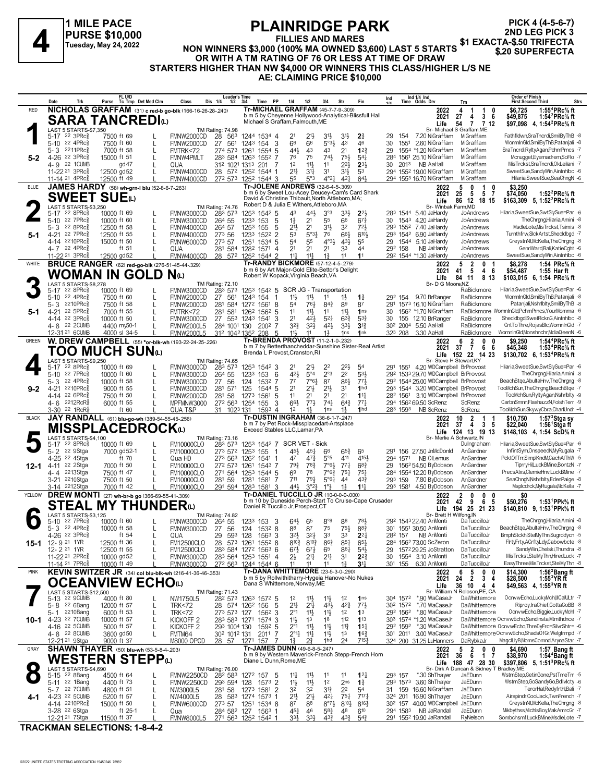

# **PLAINRIDGE PARK**

**FILLIES AND MARES**

**2ND LEG PICK 3**

**PICK 4 (4-5-6-7)**

**OR WITH A TM RATING OF 76 OR LESS AT TIME OF DRAW STARTERS HIGHER THAN NW \$4,000 OR WINNERS THIS CLASS/HIGHER L/S NE AE: CLAIMING PRICE \$10,000**

|              | Date                                                                | Trk                                               |                            | FL U/D<br>Purse Tc Tmp Det Med Clm                      | Class                                                           | Leader's Time<br>Dis 1/4<br>$1/2$ $3/4$                |                                     | Time PP<br>1/4                                                                              | 1/2                                                                    | 3/4                              | Str                                   |                                                        | Ind                                    |                                  | Ind 1/4 Ind<br>Time Odds Drv                                              | Trn                                                           | Order of Finish<br><b>First Second Third</b>                                                     | <b>Strs</b>                                                         |
|--------------|---------------------------------------------------------------------|---------------------------------------------------|----------------------------|---------------------------------------------------------|-----------------------------------------------------------------|--------------------------------------------------------|-------------------------------------|---------------------------------------------------------------------------------------------|------------------------------------------------------------------------|----------------------------------|---------------------------------------|--------------------------------------------------------|----------------------------------------|----------------------------------|---------------------------------------------------------------------------|---------------------------------------------------------------|--------------------------------------------------------------------------------------------------|---------------------------------------------------------------------|
| <b>RED</b>   |                                                                     |                                                   |                            |                                                         | NICHOLAS GRAFFAM (31) c red-b go-blk (166-16-26-28-240)         |                                                        |                                     | Tr-MICHAEL GRAFFAM (45-7-7-9-.309)                                                          |                                                                        |                                  |                                       |                                                        |                                        |                                  | 2022                                                                      | 4<br>1<br>0<br>-1                                             | \$6,725                                                                                          | 1:55 ${}^4$ PRc ${}^5\!$ ft                                         |
|              |                                                                     |                                                   |                            | <b>SARA TANCREDI</b> O                                  |                                                                 |                                                        |                                     | Michael S Graffam, Falmouth, ME                                                             |                                                                        |                                  |                                       | b m 5 by Cheyenne Hollywood-Analytical-Blissfull Hall  |                                        |                                  | 2021                                                                      | 36<br>27<br>4<br>$\overline{7}$<br>712                        | \$49,875                                                                                         | 1:54 $^{2}$ PRc $\%$ ft                                             |
|              |                                                                     | LAST 5 STARTS-\$7,350                             |                            |                                                         |                                                                 | <b>TM Rating: 74.98</b>                                |                                     |                                                                                             |                                                                        |                                  |                                       |                                                        |                                        |                                  | Life                                                                      | 54<br>Br- Michael S Graffam.ME                                | \$97,098 4, 1:54 <sup>2</sup> PRc <sup>5</sup> / <sub>8</sub> ft                                 |                                                                     |
|              | 5-17 22 3PRc <sub>8</sub>                                           |                                                   | 7500 ft 69                 |                                                         | FMNW2000CD                                                      | 28 563                                                 | 1244 1534 4                         |                                                                                             | 2 <sup>1</sup><br>$21\frac{1}{2}$                                      | 3 <sup>1</sup> }                 | 3 <sup>1</sup>                        | $2\frac{3}{4}$                                         | 29                                     | 154                              | 7.20 NiGraffam                                                            | MiGraffam                                                     |                                                                                                  | Fathfldwn,SraTncrdi,SmilByThB -8                                    |
|              | 5-10 22 4PRc                                                        |                                                   | 7500 ft 60                 | L                                                       | FMNW2000CD                                                      | 27 561                                                 | 154<br>1243                         | 3                                                                                           | 66<br>66                                                               | $5°3\frac{1}{2}$                 | 43                                    | 46                                                     | 30                                     | 1551                             | 2.60 NiGraffam                                                            | MiGraffam                                                     |                                                                                                  | WomnInGld,SmilByThB,Patanjali -8                                    |
|              | 5-3<br>$4 - 26$                                                     | 2211PRc<br>22 3PRc3                               | 7000 ft 58<br>15000 ft 51  | L                                                       | FMTRK<72<br><b>FMNW4PMLT</b>                                    | 274 573<br>283 584 1263                                | 1261                                | 1554 5<br>1552 7                                                                            | 44}<br>43<br>76<br>75                                                  | 43<br>$74\frac{1}{2}$            | 2 <sup>1</sup><br>75}                 | $1^{2}$<br>$54\frac{1}{4}$                             | 29<br>284                              |                                  | 1554 *1.20 NiGraffam<br>1561 25.10 NiGraffam                              | MiGraffam<br>MiGraffam                                        |                                                                                                  | SraTncrdi,RyltyAgan,PchmPrncs -7<br>Mcnugget,Eyemadrem,SoFlo -7     |
| 5-2          | 4-9 22 1 CUMB                                                       |                                                   |                            | gd47                                                    | QUA                                                             | 312 1021 1313                                          |                                     | 201 7                                                                                       | $11\frac{1}{2}$<br>1 <sup>2</sup>                                      | 11                               | $2^{2}\frac{1}{2}$                    | $2^{31}$                                               | 30                                     | 2013                             | NB AaHall                                                                 | MiGraffam                                                     |                                                                                                  | MisTrckst.SraTncrdi.OkLeilani -7                                    |
|              | 11-22 <sup>21</sup> 3PRc                                            |                                                   | 12500 gd52                 |                                                         | FMNW4000CD                                                      | 28 572 1252 1544 1                                     |                                     |                                                                                             | 31<br>21                                                               | 3 <sup>1</sup>                   | $3^{11}$                              | 53                                                     |                                        |                                  | 294 1552 19.00 NiGraffam                                                  | MiGraffam                                                     |                                                                                                  | SweetSue,SandyWin,Aintnhlbc -6                                      |
|              | 11-14 <sup>21</sup> 4PRc                                            |                                                   | 12500 ft 49                |                                                         | FMNW4000CD                                                      | 272 573 1252 1544 3                                    |                                     |                                                                                             | 55<br>5°3                                                              | $4^{\circ}2^{\frac{1}{4}}$       | $4^{2}$                               | 643                                                    |                                        |                                  | 294 1553 16.70 NiGraffam                                                  | MiGraffam                                                     |                                                                                                  | Hilaria, Sweet Sue, Sea Chng N-6                                    |
| <b>BLUE</b>  |                                                                     |                                                   |                            | JAMES HARDY (58) wh-grn-I blu (52-8-6-7-263)            |                                                                 |                                                        |                                     | <b>Tr-JOLENE ANDREWS</b> (32-6-4-5-.309)<br>b m 6 by Sweet Lou-Acey Deucey-Cam's Card Shark |                                                                        |                                  |                                       |                                                        |                                        |                                  | 2022                                                                      | 5<br>0<br>1<br>0                                              | \$3,250                                                                                          | 1:52 $^{2}$ PRc $^{5}$ ft                                           |
|              |                                                                     | <b>SWEET SUE</b>                                  |                            |                                                         |                                                                 |                                                        |                                     | David & Christine Thibault, North Attleboro, MA;                                            |                                                                        |                                  |                                       |                                                        |                                        |                                  | 2021<br>Life                                                              | $5\phantom{.0}$<br>$\overline{7}$<br>- 5<br>25<br>86 12 18 15 | \$74,050<br>\$163.309 5. 1:52 <sup>2</sup> PRc <sup>5</sup> / <sub>8</sub> ft                    |                                                                     |
|              |                                                                     | LAST 5 STARTS-\$3,250                             |                            |                                                         |                                                                 | TM Rating: 74.76                                       |                                     | Robert D & Julia E Withers, Attleboro, MA                                                   |                                                                        |                                  |                                       |                                                        |                                        |                                  | Br- Winbak                                                                | Farm,MD                                                       |                                                                                                  |                                                                     |
|              | 5-17                                                                | $22$ 8PR $c_{8}$<br>22 7PRc3                      | 10000 ft 69                | L                                                       | FMNW3000CD                                                      | 283 573                                                | 1253 1542 5                         |                                                                                             | 443<br>43<br>2 <sup>1</sup>                                            | 3°3<br>55                        | 3 <sup>3</sup><br>66                  | $2^{2}$<br>$67\frac{3}{4}$                             |                                        |                                  | 283 1544 5.40 JaHardy<br>4.20 JaHardy                                     | JoAndrews<br>JoAndrews                                        | Hilaria,SweetSue,SwtSlySue=Par -6                                                                | TheChrana.Hilaria.Amini -8                                          |
|              | 5-10<br>5-3                                                         | 22 8PRc3                                          | 10000 ft 60<br>12500 ft 58 | L<br>L                                                  | FMNW3000CD<br>FMNW4000CD                                        | 264 55<br>264 57                                       | 153<br>1233<br>1253<br>155          | 5<br>5                                                                                      | $1\frac{1}{2}$<br>2 <sup>1</sup><br>2 <sup>1</sup>                     | 3 <sup>1</sup>                   | 32                                    | $72\frac{1}{2}$                                        | 30                                     | 1543                             | 293 1552 7.40 JaHardy                                                     | JoAndrews                                                     |                                                                                                  | MsdleLote, MisTrckst, Tsimis -8                                     |
| 5-1          | 4-21                                                                | 22 7PRc                                           | 12500 ft 55                |                                                         | FMNW4000CD                                                      | 273 56                                                 | 1233                                | 1522 2                                                                                      | 53<br>5°3 <sup>1</sup>                                                 | 76                               | 66}                                   | 6103                                                   |                                        |                                  | 293 1542 6.90 JaHardy                                                     | JoAndrews                                                     |                                                                                                  | Turnthfrw,SlckArtst,Shecldbgd -7                                    |
|              | 4-14                                                                | 2210PRc3                                          | 15000 ft 50                |                                                         | FMNW6000CD                                                      | 273 57                                                 | 1251                                | 1534 5                                                                                      | 55<br>54                                                               | $4^{\circ}3\frac{1}{2}$          | $4^{3}\frac{1}{2}$                    | 55                                                     | 29                                     | 1544                             | 5.10 JaHardy                                                              | JoAndrews                                                     |                                                                                                  | GreystnNt, McKella, The Chrgng -8                                   |
|              | 4-7 22 4PRc<br>11-22 <sup>21</sup> 3PRc                             |                                                   | 12500 gd52                 | ft 51                                                   | QUA                                                             | 281 584                                                | 1282 1571 4                         |                                                                                             | 2 <sup>1</sup><br>2 <sup>1</sup><br>11 <sup>1</sup><br>$11\frac{1}{2}$ | 2 <sup>1</sup><br>$1\frac{3}{4}$ | 33<br>11                              | 44<br>1 <sup>1</sup>                                   | 292 158                                |                                  | NB JaHardy<br>292 1544 *1.30 JaHardy                                      | JoAndrews<br>JoAndrews                                        |                                                                                                  | GenrlWard,Bali,KatieCght -6<br>SweetSue,SandyWin,Aintnhlbc -6       |
| WHITE        |                                                                     |                                                   |                            | <b>BRUCE RANGER</b> (62) red-go-blk (276-51-45-44-.329) | FMNW4000CD                                                      | 28 572 1252 1544 2                                     |                                     | Tr-RANDY BICKMORE (57-12-4-5-279)                                                           |                                                                        |                                  |                                       |                                                        |                                        |                                  | 2022                                                                      | $\overline{2}$<br>0<br>5                                      | \$8,278                                                                                          | 1:54 PRc% ft                                                        |
|              |                                                                     |                                                   |                            |                                                         |                                                                 |                                                        |                                     | b m 6 by Art Major-Gold Elite-Bettor's Delight                                              |                                                                        |                                  |                                       |                                                        |                                        |                                  | 2021                                                                      | 46<br>41<br>- 5                                               | \$54,487                                                                                         | 1:55 Harft                                                          |
|              |                                                                     |                                                   |                            | WOMAN IN GOLD N $\scriptstyle\rm \omega$                |                                                                 |                                                        |                                     | Robert W Kopack, Virginia Beach, VA                                                         |                                                                        |                                  |                                       |                                                        |                                        |                                  | Life                                                                      | 84 11<br>8 13                                                 | \$103,015 6, 1:54 PRc% ft                                                                        |                                                                     |
|              | $5 - 17$                                                            | LAST 5 STARTS-\$8,278<br>$22.8$ PRc $\frac{5}{8}$ | 10000 ft 69                |                                                         | FMNW3000CD                                                      | TM Rating: 72.10<br>283 573                            |                                     | 1253 1542 5 SCR JG - Transportation                                                         |                                                                        |                                  |                                       |                                                        |                                        |                                  | Br- D G Moore, NZ                                                         | RaBickmore                                                    | Hilaria, Sweet Sue, Swt Sly Sue=Par -6                                                           |                                                                     |
|              | $5 - 10$                                                            | 22 4PRc3                                          | 7500 ft 60                 | L                                                       | FMNW2000CD                                                      | 27<br>561                                              | 1243 154                            |                                                                                             | 11}<br>11}                                                             | 11                               | $1\frac{1}{2}$                        | $1\frac{3}{4}$                                         |                                        |                                  | 29 <sup>2</sup> 154 9.70 BrRanger                                         | RaBickmore                                                    |                                                                                                  | WomnInGld,SmilByThB,Patanjali -8                                    |
|              | 5-3                                                                 | 2210PRc3                                          | 7500 ft 58                 | L                                                       | <b>FMNW2000CD</b>                                               | 281<br>584                                             | 1272                                | 1561 8                                                                                      | 76}<br>54                                                              | $84\frac{3}{4}$                  | 89                                    | 87                                                     | 291                                    |                                  | 1573 16.10 NiGraffam                                                      | RaBickmore                                                    |                                                                                                  | Patanjali, Nshrlblty, SmilBy ThB -8                                 |
| 5-1          | 4-21                                                                | 22 5PRc                                           | 7000 ft 55                 |                                                         | FMTRK<72                                                        | 281<br>581                                             | 126 <sup>2</sup> 156 <sup>2</sup> 5 |                                                                                             | 11<br>11}                                                              | 11                               | 11                                    | 1 <sub>ns</sub>                                        | 30                                     |                                  | 156 <sup>2</sup> *1.70 NiGraffam                                          |                                                               | RaBickmore WomnInGld,PchmPrncs,YourMomma -6                                                      |                                                                     |
|              | 4-14 22 3PRc <sup>5</sup><br>4-8 22 2CUMB                           |                                                   | 10000 ft 50<br>4400 my50-1 |                                                         | FMNW3000CD<br><b>FMNW2000L5</b>                                 | 27 553 1243 1541<br>284 1001 130                       |                                     | -3<br>$200^2$ 7                                                                             | 2 <sup>1</sup><br>42}<br>$3^{2}\frac{3}{4}$<br>$3^{21}$                | $5^{21}$<br>421                  | $63\frac{3}{4}$<br>$3^{3}\frac{1}{2}$ | $5^{3}\frac{3}{4}$<br>$3^{13}$                         | 30<br>30 <sup>2</sup> 200 <sup>4</sup> | 155                              | 12.10 BrRanger<br>5.50 AaHall                                             | RaBickmore<br>RaBickmore                                      |                                                                                                  | Shecldbgd,SwetRcknG,Aintnhlbc -8<br>CntToThre,RojasBlc,WomnInGld -7 |
|              | 12-31 21 6CUMB                                                      |                                                   |                            | 4000 sl 34-5                                            | <b>FMNW2000L5</b>                                               | 312 1042 1352 208                                      |                                     | 5                                                                                           | 11,<br>11                                                              | $1\frac{1}{2}$                   | 1 <sub>ns</sub>                       | 1nk                                                    | 323 208                                |                                  | 3.30 AaHall                                                               | RaBickmore                                                    | WomnInGld,Monshnchr,MdiaQeenN -6                                                                 |                                                                     |
| GREEN        |                                                                     |                                                   |                            |                                                         | W. DREW CAMPBELL (55) *or-blk-wh (193-22-24-25-.226)            |                                                        |                                     | Tr-BRENDA PROVOST (11-2-1-0-232)                                                            |                                                                        |                                  |                                       |                                                        |                                        |                                  | 2022                                                                      | 6<br>$\overline{2}$<br>0<br>n                                 | \$9,250                                                                                          | 1:54 <sup>4</sup> PRc <sup>5</sup> / <sub>8</sub> ft                |
|              |                                                                     |                                                   |                            | TOO MUCH SUNധ                                           |                                                                 |                                                        |                                     | Brenda L Provost, Cranston, RI                                                              |                                                                        |                                  |                                       | b m 7 by Betterthancheddar-Sunshine Sister-Real Artist |                                        |                                  | 2021                                                                      | $6\quad 6$<br>$\overline{7}$<br>37                            | \$45,348                                                                                         | 1:53 ${}^4$ PRc ${}^5\!$ sft                                        |
|              |                                                                     | LAST 5 STARTS-\$9,250                             |                            |                                                         |                                                                 | TM Rating: 74.65                                       |                                     |                                                                                             |                                                                        |                                  |                                       |                                                        |                                        |                                  | Life<br>Br- Steve H Stewart, KY                                           | 152 22 14 23                                                  | \$130,702 6, 1:53 <sup>4</sup> PRc <sup>5</sup> / <sub>8</sub> ft                                |                                                                     |
|              | 5-17                                                                | 22 8PRc                                           | 10000 ft 69                |                                                         | FMNW3000CD                                                      | 283 573                                                | 1253 1542 3                         |                                                                                             | $21\frac{1}{2}$<br>21                                                  | 2 <sup>2</sup>                   | $2^{2}\frac{1}{2}$                    | 54                                                     | 291                                    |                                  | 1551 4.20 WDCampbell BrProvost                                            |                                                               | Hilaria,SweetSue,SwtSlySue=Par -6                                                                |                                                                     |
|              | 5-10 22 7PRc                                                        |                                                   | 10000 ft 60                | L                                                       | FMNW3000CD                                                      | 264 55                                                 | 153<br>1233                         | 6                                                                                           | $5^{\circ}4$<br>421                                                    | 2°3                              | 2 <sup>2</sup>                        | 533                                                    |                                        |                                  | 292 1533 29.70 WDCampbell BrProvost                                       |                                                               |                                                                                                  | TheChrana.Hilaria.Amini -8                                          |
|              | 5-3                                                                 | 22 $4PRc85$<br>2210PRc3                           | 10000 ft 58                | L                                                       | FMNW3000CD                                                      | 56<br>27                                               | 124                                 | 1532 7                                                                                      | $7°6\frac{1}{2}$<br>$7^7$                                              | 87                               | 861                                   | $77\frac{1}{2}$                                        |                                        |                                  | 292 1544 25.00 WDCampbell BrProvost<br>293 1544 3.20 WDCampbell BrProvost |                                                               | BeachBtge, AbultaHnv, The Chrgng -8<br>TooMchSun, TheChrgng, BeachBtge -7                        |                                                                     |
| $9-2$        | 4-21<br>4-14                                                        | 22 6PRc3                                          | 9000 ft 55<br>7500 ft 50   |                                                         | FMNW3000CD<br>FMNW2000CD                                        | 281 571<br>281 58                                      | 125<br>1273<br>1561                 | 1544 5<br>5                                                                                 | $21\frac{1}{2}$<br>2 <sup>1</sup><br>11<br>2 <sup>1</sup>              | $2^{11}$<br>2 <sup>1</sup>       | 3 <sup>1</sup><br>2 <sup>1</sup>      | 1 <sub>hd</sub><br>$11\frac{1}{4}$                     |                                        | 282 1561                         | 3.10 WDCampbell BrProvost                                                 |                                                               |                                                                                                  | TooMchSun,RyltyAgan,Nshrlblty -9                                    |
|              | $4 - 6$ 2212RcR <sup>3</sup>                                        |                                                   | 6000 ft 55                 | L                                                       | MPFMNW3000                                                      | 272 563 1254 155                                       |                                     | 3                                                                                           | 661<br>$77\frac{1}{2}$                                                 | $74\frac{1}{4}$                  | $64\frac{3}{4}$                       | 773                                                    |                                        |                                  | 294 1562 69.50 ScRenz                                                     | ScRenz                                                        | CarbnSmnn,FlashazzN,FolshTerr -9                                                                 |                                                                     |
|              |                                                                     |                                                   |                            |                                                         |                                                                 |                                                        |                                     |                                                                                             |                                                                        |                                  |                                       |                                                        |                                        |                                  |                                                                           |                                                               |                                                                                                  |                                                                     |
|              | 3-30 <sup>22</sup> 1RcR <sup>3</sup>                                |                                                   |                            | ft 60                                                   | QUA T&P                                                         | 31 1023 131                                            |                                     | 1593 4                                                                                      | 1 <sup>2</sup><br>$1\frac{1}{2}$                                       | 1 <sub>ns</sub>                  | $1\frac{1}{2}$                        | 1 <sub>hd</sub>                                        |                                        | 283 1593                         | NB ScRenz                                                                 | ScRenz                                                        |                                                                                                  | TooMchSun, SkywyCbra, CharlUndr -4                                  |
| <b>BLACK</b> |                                                                     |                                                   |                            | JAY RANDALL (61) blu-go-wh (389-54-55-45-.256)          |                                                                 |                                                        |                                     | Tr-DUSTIN INGRAHAM (36-6-1-7-.247)                                                          |                                                                        |                                  |                                       |                                                        |                                        |                                  | 2022                                                                      | 10<br>$\overline{2}$<br>1<br>-1                               | \$10,750                                                                                         | 1:57 $3$ Stga sy                                                    |
|              |                                                                     |                                                   |                            | MISSPLACEDROCKധ                                         |                                                                 |                                                        |                                     | b m 7 by Pet Rock-Missplacedart-Artsplace<br>Exceed Stables LLC, Lamar, PA                  |                                                                        |                                  |                                       |                                                        |                                        |                                  | 2021                                                                      | $\overline{4}$<br>3 <sub>5</sub><br>37                        | \$22,040                                                                                         | 1:56 Stgaft                                                         |
|              |                                                                     | LAST 5 STARTS-\$4,100                             |                            |                                                         |                                                                 | TM Rating: 73.16                                       |                                     |                                                                                             |                                                                        |                                  |                                       |                                                        |                                        |                                  |                                                                           | Life 124 13 19 13<br>Br- Merlie A Schwartz, IN                | \$148,103 4, 1:54 ScD <sup>5</sup> / <sub>8</sub> ft                                             |                                                                     |
|              | 5-17                                                                | $22$ 8PR $c_{8}$                                  | 10000 ft 69                |                                                         | <b>FM10000CLO</b>                                               | 283 573                                                |                                     | 1253 1542 7 SCR VET - Sick                                                                  |                                                                        |                                  |                                       |                                                        |                                        |                                  |                                                                           | Dulngraham                                                    | Hilaria, Sweet Sue, Swt Sly Sue=Par -6                                                           |                                                                     |
|              | $5 - 2$                                                             | 22 9Stga                                          |                            | 7000 gd52-1<br>L                                        | <b>FM10000CLO</b>                                               | 273 572                                                | 155<br>1253                         |                                                                                             | 454<br>45}                                                             | 66                               | $65\frac{3}{4}$                       | 65<br>4154                                             | 291                                    |                                  | 156 27.50 JnMcDonId                                                       | AnGardner<br>AnGardner                                        |                                                                                                  | InfintSym,OnspeedN,MyRugala -7                                      |
| 12-1         | 4-25<br>$4 - 11$                                                    | 22 4Stga<br>22 2Stga                              | 7000 ft 50                 | ft 70<br>L                                              | Qua HD<br><b>FM10000CLO</b>                                     | 273 563<br>272 573                                     | 1262<br>1261 1543 7                 | 1541 1                                                                                      | 47<br>$47\frac{3}{4}$<br>$79\frac{3}{4}$<br>$78\frac{3}{4}$            | $5^{\circ}5$<br>$7°6\frac{1}{2}$ | 411<br>$77\frac{1}{4}$                | $68\frac{3}{4}$                                        | 29                                     | 294 1571                         | NB OlLemus<br>1562 54.50 ByDobson                                         | AnGardner                                                     |                                                                                                  | PcktOfTrr,SimplKndM,CachAlThW -5<br>TiprryHil,LuckBMine,BontzN -7   |
|              | 4-4 2213Stga                                                        |                                                   | 7500 ft 47                 |                                                         | <b>FM10000CLO</b>                                               | 271 564                                                | 1253 1544 5                         |                                                                                             | 6 <sup>9</sup><br>78                                                   | $7^{\circ}6_{4}^{3}$             | $75\frac{1}{4}$                       | $75\frac{1}{4}$                                        |                                        |                                  | 284 1554 12.20 ByDobson                                                   | AnGardner                                                     |                                                                                                  | PrecsAlxs,ClemieHnv,LuckBMine -7                                    |
|              | 3-21                                                                | 2210Stga                                          | 7500 ft 50                 |                                                         | <b>FM10000CLO</b>                                               | 281 59                                                 | 1281 1581                           | -7                                                                                          | 793<br>711                                                             | 5°6 <sub>1</sub>                 | 44                                    | $43\frac{3}{7}$                                        | 293 159                                |                                  | 7.80 ByDobson                                                             | AnGardner                                                     |                                                                                                  | SeaChngN, NshrIbIty, EdenPaige -8                                   |
|              | 3-14 <sup>2212</sup> Stga                                           |                                                   | 7000 ft 42                 |                                                         | <b>FM10000CLO</b>                                               | 291 594 1283 1581 3                                    |                                     |                                                                                             | 441<br>$3^{°2}$                                                        | $1^{\circ}$ $\frac{3}{4}$        |                                       | $11\frac{1}{4}$                                        |                                        |                                  | 293 1581 4.50 ByDobson                                                    | AnGardner                                                     |                                                                                                  | Msplcdrck, My Rugala, McKella -7                                    |
| YELLOW       |                                                                     |                                                   |                            | DREW MONTI (27) wh-br-b go (366-69-55-41-.309)          |                                                                 |                                                        |                                     | Tr-DANIEL TUCCILLO JR (10-0-0-0-000)                                                        |                                                                        |                                  |                                       | b m 10 by Duneside Perch-Start To Cruise-Cape Crusader |                                        |                                  | 2022<br>2021                                                              | 0<br>0<br>2<br>n<br>9<br>6<br>-5<br>42                        | \$0<br>\$50,276                                                                                  | 1:53 <sup>1</sup> PPk% ft                                           |
|              |                                                                     | STEAL                                             |                            | <b>MY THUNDER</b> <sup>(1)</sup>                        |                                                                 |                                                        |                                     | Daniel R Tuccillo Jr, Prospect, CT                                                          |                                                                        |                                  |                                       |                                                        |                                        |                                  | Life                                                                      | 194 25 21 23                                                  | \$140,810 9, 1:53 <sup>1</sup> PPk <sup>5</sup> / <sub>8</sub> ft                                |                                                                     |
|              |                                                                     | LAST 5 STARTS-\$3,125<br>22 7PRc                  |                            |                                                         |                                                                 | TM Rating: 74.82                                       |                                     |                                                                                             |                                                                        |                                  |                                       | 781                                                    |                                        |                                  | Br- Brett H Wilfong, IN<br>292 1543 22.40 AnMonti                         | DaTuccilloJr                                                  |                                                                                                  | TheChrgng,Hilaria,Amini -8                                          |
|              | 5-10<br>5-3 $22$ 4PRc $\frac{5}{8}$                                 |                                                   | 10000 ft 60<br>10000 ft 58 | L                                                       | FMNW3000CD<br>FMNW3000CD                                        | 264 55<br>27 56                                        | 1233 153<br>124 1532 8              | 3                                                                                           | $64\frac{1}{2}$<br>65<br>87<br>88                                      | $8^{\circ}8$<br>75               | 88<br>$75\frac{1}{2}$                 | 883                                                    |                                        |                                  | 301 1551 30.50 AnMonti                                                    | DaTuccilloJr                                                  | BeachBtge, AbultaHnv, The Chrgng -8                                                              |                                                                     |
|              | 4-26 22 3PRc                                                        |                                                   |                            | ft 54                                                   | QUA                                                             | 29 593 128 1563 3                                      |                                     |                                                                                             | 3 <sup>2</sup><br>$3^{2}$                                              | 33                               | 33                                    | $2^{2+}$                                               | 282 157                                |                                  | NB AnMonti                                                                | DaTuccilloJr                                                  | BmphStckh,StelMyThn,Sugrddycn -5                                                                 |                                                                     |
|              | 15-1 12-9 21 1YR                                                    |                                                   | 12500 ft 36                |                                                         | <b>FM12500CLO</b>                                               | 28 573 1261 1552 8                                     |                                     |                                                                                             | $8^{10}\frac{3}{4}$<br>$8^{10}\frac{3}{4}$                             | $86\frac{3}{4}$                  | $85\frac{1}{4}$                       | $65\frac{1}{2}$                                        |                                        |                                  | 284 1562 73.00 ScZeron                                                    | DaTuccilloJr                                                  |                                                                                                  | FirtyFrty,ACrftyLdy,Cabowbcte -8                                    |
|              | 12-2 21 1YR                                                         |                                                   | 12500 ft 55                |                                                         | <b>FM12500CLO</b>                                               | 283 584 1272 1563 6                                    |                                     |                                                                                             | $6^{7\frac{1}{2}}$<br>$6^{7}\frac{1}{2}$                               | 65                               | 861                                   | $5^{4}$                                                | 29                                     |                                  | 1572 29.25 JoStratton                                                     | DaTuccilloJr<br>DaTuccilloJr                                  |                                                                                                  | SandvWin.Chelski.Thundra -8<br>MisTrckst,StelMyThn,HiredLuck -7     |
|              | 11-22 <sup>21</sup> 2PRc <sup>3</sup><br>11-14 21 7PRc <sup>3</sup> |                                                   | 10000 gd52<br>10000 ft 49  |                                                         | <b>FMNW3000CD</b><br>FMNW3000CD                                 | 283 564 1253 1551 4<br>272 563 1244 1544 6             |                                     |                                                                                             | 21<br>$2^{11}$<br>11<br>11                                             | $2^{11}$<br>11                   | 3 <sup>1</sup><br>$1\frac{3}{4}$      | $2^{2}\frac{3}{4}$<br>3 <sup>11</sup>                  | 30<br>301 155                          |                                  | 1554 3.10 AnMonti<br>6.30 AnMonti                                         | DaTuccilloJr                                                  |                                                                                                  | EasyThree, MisTrckst, StelMyThn -8                                  |
| <b>PINK</b>  |                                                                     |                                                   |                            |                                                         | <b>KEVIN SWITZER JR</b> (34) col blu-blk-wh (216-41-36-46-.353) |                                                        |                                     | Tr-DANA WHITTEMORE (23-5-3-0-.290)                                                          |                                                                        |                                  |                                       |                                                        |                                        |                                  | 2022                                                                      | 5<br>0<br>6<br>0                                              | \$14,300                                                                                         | 1:56 $2$ Bang ft                                                    |
|              |                                                                     |                                                   |                            |                                                         |                                                                 |                                                        |                                     | b m 5 by Rollwithitharry-Hygeia Hanover-No Nukes                                            |                                                                        |                                  |                                       |                                                        |                                        |                                  | 2021                                                                      | $\overline{2}$<br>3 <sub>4</sub><br>24                        | \$28,500                                                                                         | $1:553$ YRft                                                        |
|              |                                                                     | LAST 5 STARTS-\$12,500                            |                            | OCEANVIEW ECHOധ                                         |                                                                 |                                                        |                                     | Dana S Whittemore, Norway, ME                                                               |                                                                        |                                  |                                       |                                                        |                                        |                                  | Life                                                                      | 36 10<br>44<br>Br- William N Roloson, PE, CA                  | \$49,563 4, 1:55 <sup>3</sup> YR ft                                                              |                                                                     |
|              | 5-13 22 9CUMB                                                       |                                                   | 4000 ft 80                 | L                                                       | NW1750L5                                                        | TM Rating: 71.43<br>28 <sup>2</sup> 573 1263 1572 5    |                                     |                                                                                             | 1 <sup>2</sup><br>$11\frac{1}{2}$                                      | $11\frac{1}{2}$                  | 1 <sup>2</sup>                        | 1 <sub>ns</sub>                                        |                                        | 304 1572                         | *.90 WaCaseJr                                                             | DaWhittemore                                                  |                                                                                                  | OcnvwEcho,LuckyMchl,IICalULtr -7                                    |
|              | 5-8 <sup>22</sup> 6Bang                                             |                                                   | 12000 ft 57                | L                                                       | <b>TRK&lt;72</b>                                                | 28 574 126 <sup>2</sup> 156                            |                                     | 5                                                                                           | $2^{11}$<br>2 <sup>11</sup>                                            | $4^{3}\frac{1}{2}$               | $4^{2}\frac{3}{4}$                    | $77\frac{1}{2}$                                        |                                        | 30 <sup>2</sup> 157 <sup>2</sup> | *.70 WaCaseJr                                                             | DaWhittemore                                                  |                                                                                                  | Riproy, IraChief, GottaGoBB -8                                      |
|              | 5- 1                                                                | 2210Bang                                          | 6000 ft 53                 | L                                                       | <b>TRK&lt;72</b>                                                | 273 573 127                                            |                                     | 1562 3                                                                                      | $2^{\circ}1$<br>$11\frac{1}{2}$                                        | $11\frac{1}{2}$                  | 1 <sup>2</sup>                        | 1 <sup>3</sup>                                         |                                        | 292 1562                         | *.80 WaCaseJr                                                             | DaWhittemore                                                  |                                                                                                  | OcnvwEcho,Biggie,LuckyMchl -7                                       |
| 10-1         | 4-23 22 7 CUMB                                                      |                                                   | 10000 ft 57                | L                                                       | KICKOFF <sub>2</sub>                                            | 283 583 1271 1574 3                                    |                                     |                                                                                             | 11}<br>1 <sup>3</sup>                                                  | 1 <sup>8</sup>                   | 112                                   | $1^{13}$                                               |                                        |                                  | 303 1574 *1.20 WaCaseJr                                                   |                                                               | DaWhittemore OcnvwEcho,Sandinsta,Mtmthdnce -7<br>DaWhittemore OcnvwEcho, ThreDyFrc=SilvrShtr= -6 |                                                                     |
|              | 4-16 22 5 CUMB<br>4-8 22 8 CUMB                                     |                                                   | 5000 ft 57<br>3600 gd50    | L<br>L                                                  | KICKOFF <sub>2</sub><br>FMTM64                                  | 293 1004 130<br>302 1012 131                           |                                     | 1592 5<br>2011 7                                                                            | $2^{\circ}1$<br>$11\frac{1}{2}$<br>$2^{\circ}1\frac{1}{4}$<br>$1^{11}$ | $11\frac{1}{2}$<br>11            | $11\frac{3}{4}$<br>1 <sup>3</sup>     | $15\frac{1}{4}$<br>$16\frac{3}{4}$                     |                                        |                                  | 292 1592 *.30 WaCaseJr<br>301 2011 3.00 WaCaseJr                          |                                                               | DaWhittemoreOcnvwEcho,ShadsOfGr,Welgtrmpd -7                                                     |                                                                     |
|              | 12-21 <sup>21</sup> 9Stga                                           |                                                   | 9000 ft 37                 |                                                         | M8000 OPCD                                                      | 28 57 1271 157                                         |                                     |                                                                                             | $2\frac{3}{4}$<br>$1\frac{3}{4}$                                       | 1hd                              | 2 <sup>4</sup>                        | 7151                                                   |                                        |                                  | 324 200 31.25 LuHanners                                                   | DaRybkaJr                                                     | MagclLlyB,MomsComnd,ArynaStar -7                                                                 |                                                                     |
| GRAY         |                                                                     |                                                   |                            | <b>SHAWN THAYER</b> (50) blu-wh (53-5-8-4-203)          |                                                                 |                                                        |                                     | Tr-JAMES DUNN (49-6-8-5-.247)                                                               |                                                                        |                                  |                                       |                                                        |                                        |                                  | 2022                                                                      | $\overline{2}$<br>0<br>5<br>0                                 | \$4,690                                                                                          | 1:57 Bang ft                                                        |
|              |                                                                     |                                                   |                            | WESTERN STEPPധ                                          |                                                                 |                                                        |                                     | Diane L Dunn, Rome, ME                                                                      |                                                                        |                                  |                                       | b m 9 by Western Maverick-French Stepp-French Horn     |                                        |                                  | 2021                                                                      | $\overline{1}$<br>- 6<br>36<br>- 7                            | \$38,970                                                                                         | 1:54 <sup>4</sup> Bang ft                                           |
|              |                                                                     | LAST 5 STARTS-\$4,690                             |                            |                                                         |                                                                 | TM Rating: 76.00                                       |                                     |                                                                                             |                                                                        |                                  |                                       |                                                        |                                        |                                  |                                                                           | Life 188 47 28 30<br>Br- Dirk A Duncan & Sidney T Bradley, ME | \$397.806                                                                                        | 5, 1:51 ${}^{3}$ PRc ${}^{\prime\prime}$ s ft                       |
|              | 5-15 <sup>22</sup> 8Bang                                            |                                                   | 4500 ft 64                 |                                                         | FMNW2250CD                                                      | 28 <sup>2</sup> 58 <sup>3</sup> 127 <sup>2</sup> 157 5 |                                     |                                                                                             | $11\frac{1}{2}$<br>14                                                  | 11                               | 11                                    | $12\frac{1}{4}$                                        | 293 157                                |                                  | *.30 ShThayer                                                             | JaEDunn                                                       |                                                                                                  | WstrnStep,GetinGone,PstTmeTrr -5                                    |
|              | 5-11 <sup>22</sup> 1Bang                                            |                                                   | 4400 ft 73                 | L                                                       | FMNW2250CD                                                      | 293 594                                                | 128                                 | $1573$ 2                                                                                    | 11}<br>11}                                                             | 1 <sup>2</sup>                   | 2 <sub>ns</sub>                       | $1\frac{3}{4}$                                         |                                        |                                  | 293 1573 3.60 ShThayer                                                    | JaEDunn                                                       |                                                                                                  | WstrnStep,GoSandyGo,Bdllvlcty -6                                    |
| 4-1          | 5-7 22 7 CUMB<br>4-23 22 5CUMB                                      |                                                   | 4800 ft 51<br>5200 ft 57   | L<br>L                                                  | NW3000L5<br>NW4000L5                                            | 281 58<br>28 583 1274 1573 1                           | 1273 1581 2                         |                                                                                             | 32<br>32<br>$21\frac{1}{2}$<br>2 <sup>11</sup>                         | $3^{12}$<br>$4^{2}$              | 2 <sup>2</sup><br>$75\frac{1}{4}$     | 5 <sup>4</sup><br>$7^{17}$                             | 31 159                                 |                                  | 16.60 NiGraffam<br>324 201 16.90 ShThayer                                 | JaEDunn<br>JaEDunn                                            |                                                                                                  | TerorHal,Redyfrthl,Bali -7<br>Airspindr,CoolJack,TwnFrench -7       |
|              | 4-14 2210PRc <sup>5</sup>                                           |                                                   | 15000 ft 50                | L                                                       | FMNW6000CD                                                      | 273 57                                                 | 1251 1534 8                         |                                                                                             | 87<br>88                                                               | $8^{\circ}7\frac{1}{2}$          | $8^{10}\frac{1}{2}$                   | $8^{16}\frac{1}{2}$                                    |                                        |                                  | 30 <sup>2</sup> 157 40.00 WDCampbell JaEDunn                              |                                                               |                                                                                                  | GreystnNt, McKella, The Chrgng -8                                   |
|              | 3-28 <sup>22</sup> 6Stga<br>12-21 <sup>21</sup> 7 Stga              |                                                   | 11500 ft 37                | ft 25-1<br>L                                            | Qua<br><b>FMNW8000L5</b>                                        | 284 582 127 1563 1<br>271 563 1252 1542                |                                     |                                                                                             | $45\frac{3}{4}$<br>46<br>334<br>334                                    | $5^{8}$<br>43 <sup>3</sup>       | 48<br>433                             | 610<br>$5^{4}3$                                        |                                        | 294 1583                         | NB JaRandall<br>291 1552 19.90 JaRandall                                  | JaEDunn<br>RyNelson                                           | Sombchsmf,LuckBMine,MsdleLote -7                                                                 | Mikbythss, MichlsBoy, MakAmrcGr -7                                  |

**TRACKMAN SELECTIONS: 1-8-4-2**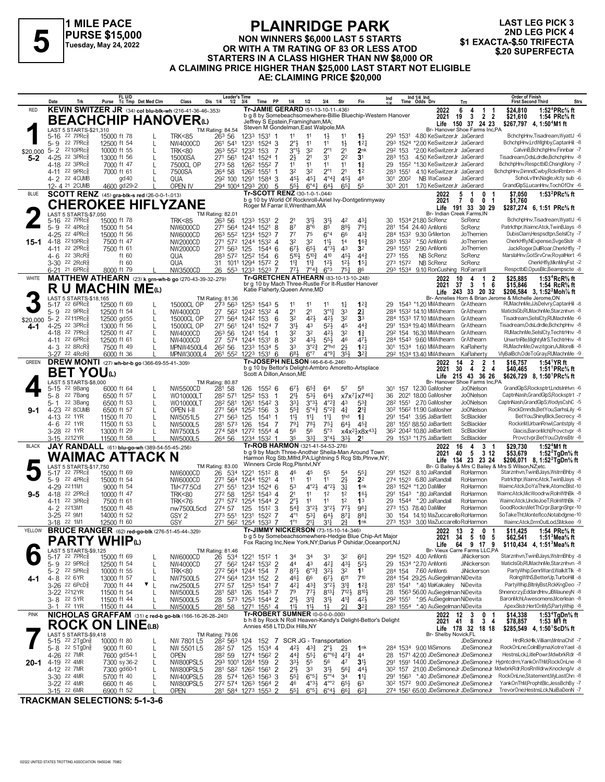

# **PLAINRIDGE PARK NON WINNERS \$6,000 LAST 5 STARTS PURSE \$15,000**<br>
Tuesday, May 24, 2022<br>
OR WITH A TM RATING OF 83 OR LESS ATOD<br>
STARTERS IN A CLASS HICHER THAN NIM \$8,000 OR \$20 SUPERFECTA **STARTERS IN A CLASS HIGHER THAN NW \$8,000 OR A CLAIMING PRICE HIGHER THAN \$25,000 LAST START NOT ELIGIBLE AE: CLAIMING PRICE \$20,000**

**LAST LEG PICK 3 2ND LEG PICK 4<br>\$1 EXACTA-\$.50 TRIFECTA** 

|              | Date             |                                                                   | Trk                                                |             | FL U/D                      | Purse Tc Tmp Det Med Clm                             | Class                                                         | <b>Leader's Time</b><br>Dis 1/4<br>1/2      | 3/4          | <b>PP</b><br>Time          | 1/4                                         | 1/2                                           | 3/4                                                      | Str                                | Fin                                                                                                                     | Ind |          | Ind 1/4 Ind<br>Time Odds Drv                                                                           | Trn                                                               | <b>Order of Finish</b><br><b>First Second Third</b>                                                                           | <b>Strs</b> |
|--------------|------------------|-------------------------------------------------------------------|----------------------------------------------------|-------------|-----------------------------|------------------------------------------------------|---------------------------------------------------------------|---------------------------------------------|--------------|----------------------------|---------------------------------------------|-----------------------------------------------|----------------------------------------------------------|------------------------------------|-------------------------------------------------------------------------------------------------------------------------|-----|----------|--------------------------------------------------------------------------------------------------------|-------------------------------------------------------------------|-------------------------------------------------------------------------------------------------------------------------------|-------------|
| <b>RED</b>   |                  |                                                                   |                                                    |             |                             |                                                      | KEVIN SWITZER JR (34) col blu-blk-wh (216-41-36-46-.353)      |                                             |              |                            | Tr-JAMIE GERARD (51-13-10-11-436)           |                                               |                                                          |                                    | b g 8 by Somebeachsomewhere-Billie Bluechip-Western Hanover                                                             |     |          | 2022                                                                                                   | 6<br>$\mathbf{1}$<br>4                                            | 1:52 ${}^4$ PRc ${}^5\!$ ft<br>\$24,810                                                                                       |             |
|              |                  |                                                                   |                                                    |             |                             |                                                      | <b>BEACHCHIP HANOVER</b> <sup>(L)</sup>                       |                                             |              |                            | Jeffrey S Epstein, Framingham, MA;          |                                               |                                                          |                                    |                                                                                                                         |     |          | 2021                                                                                                   | $\overline{2}$<br>-19<br>-3<br>Life 150 37 24 23                  | $\overline{2}$<br>\$21,610<br>1:54 PRc% ft<br>\$267.797 4.1:50 <sup>4</sup> M1 ft                                             |             |
|              |                  |                                                                   | LAST 5 STARTS-\$21,310                             |             |                             |                                                      |                                                               | <b>TM Rating: 84.54</b>                     |              |                            | Steven M Gondelman, East Walpole, MA        |                                               |                                                          |                                    |                                                                                                                         |     |          |                                                                                                        | Br- Hanover Shoe Farms Inc,PA                                     |                                                                                                                               |             |
|              | $5 - 9$          | 5-16 22 7PRc<br>22 7PRc                                           |                                                    |             | 15000 ft 78<br>12500 ft 54  | L                                                    | <b>TRK&lt;85</b><br>NW4000CD                                  | 263 56<br>261 541                           |              | 1233 1531 1<br>1231 1524 3 | 11<br>$2^{\circ}$                           | 11<br>11                                      | $1\frac{1}{2}$<br>11                                     | 11<br>$1\frac{1}{2}$               | $1\frac{1}{2}$<br>$1^{2}$                                                                                               |     | 293 1531 | 4.80 KeSwitzerJr JaGerard<br>293 1524 *2.00 KeSwitzerJr JaGerard                                       |                                                                   | BchchpHnv, Tisadream, WyattJ -6<br>BchchpHnv,LrdWlghby,CaptanHil -8                                                           |             |
| \$20,000     |                  | 5-2 2210PRcs                                                      |                                                    |             | 10000 ft 55                 |                                                      | <b>TRK&lt;80</b>                                              | 263 552                                     | 1232 153     |                            | $3^{01}\frac{1}{2}$<br>-7                   | 32                                            | $2^{\circ}1$                                             | 2 <sup>1</sup>                     | 2nk                                                                                                                     |     | 292 153  | *2.00 KeSwitzerJr JaGerard                                                                             |                                                                   | CalvinB.BchchpHnv.Finnbar -7                                                                                                  |             |
| 5-2          |                  | 4-25 22 3PRcs                                                     |                                                    |             | 13000 ft 56                 |                                                      | 15000SA                                                       | 271 561                                     | 1241         | 1524                       | $2\frac{1}{2}$                              | 2 <sup>1</sup>                                | 31                                                       | 2 <sup>2</sup>                     | 3 <sup>1</sup>                                                                                                          |     | 283 153  | 4.50 KeSwitzerJr JaGerard                                                                              |                                                                   | Tisadream, OdsLdrdle, BchchpHnv -8<br>BchchpHnv.RespctblD.ChsnaMonv -7                                                        |             |
|              |                  | 4-18 22 3PRc <sup>5</sup><br>4-11 22 9PRc                         |                                                    |             | 7000 ft 47<br>7000 ft 61    |                                                      | 7500CL OP<br>7500SA                                           | 273 58<br>264 58                            | 1262<br>1262 | 1552 7<br>$1551$ 1         | 11<br>32                                    | 11<br>32                                      | 11<br>$2^{\circ}1$                                       | 11<br>2 <sup>1</sup>               | $1\frac{3}{4}$<br>1 <sup>2</sup>                                                                                        | 29  | 283 1551 | 1552 *1.30 KeSwitzerJr JaGerard<br>4.10 KeSwitzerJr JaGerard                                           |                                                                   | BchchpHnv,DimndCwby,RcknRmbrn -8                                                                                              |             |
|              |                  | 4-2 22 4CUMB                                                      |                                                    |             | gd 40                       |                                                      | QUA                                                           | 29 <sup>2</sup> 100 129 <sup>1</sup> 1584 3 |              |                            | 451                                         | 451                                           | $4^{\circ}4^{\circ}$                                     | 451                                | 48                                                                                                                      | 301 | 2002     | NB WaCaseJr                                                                                            | JaGerard                                                          | SohoLvthn, Nagle, victy sub -6                                                                                                |             |
|              |                  | 12-4 21 2 CUMB                                                    |                                                    |             | 4600 gd29-2                 |                                                      | OPEN IV                                                       | 294 1004 1293 200                           |              |                            | 55}<br>5<br>Tr-SCOTT RENZ (30-1-0-1-044)    | $6^\circ 44$                                  | 643                                                      | $65\frac{1}{4}$                    | 55                                                                                                                      |     | 303 201  | 1.70 KeSwitzerJr JaGerard                                                                              |                                                                   | GrandGlpS,LucanHnv,TochOfChr -6                                                                                               |             |
| <b>BLUE</b>  |                  |                                                                   |                                                    |             |                             | SCOTT RENZ (45) gra-blk-s red (26-0-0-1-.013)        |                                                               |                                             |              |                            |                                             |                                               |                                                          |                                    | b g 10 by World Of Rocknroll-Airiel Ivy-Dontgetinmyway                                                                  |     |          | 2022<br>2021                                                                                           | 5<br>0<br>-1<br>- 1<br>0<br>7<br>0<br>-1                          | \$7,050<br>1:53 <sup>2</sup> PRc <sup>5</sup> / <sub>8</sub> ft<br>\$1.760                                                    |             |
|              |                  |                                                                   |                                                    |             |                             |                                                      | <b>CHEROKEE HIFLYZANE</b>                                     |                                             |              |                            | Roger M Farrar II, Wrentham, MA             |                                               |                                                          |                                    |                                                                                                                         |     |          | Life                                                                                                   | 191<br>33 30 29                                                   | \$287,274 6, 1:51 PRc% ft                                                                                                     |             |
|              | 5-16             | 22 7PRc <sup>3</sup>                                              | LAST 5 STARTS-\$7,050                              |             | 15000 ft 78                 |                                                      | <b>TRK&lt;85</b>                                              | TM Rating: 82.01<br>263 56                  |              | 1233 1531 2                | 2 <sup>1</sup>                              | 31}                                           | 3 <sup>1</sup>                                           | 42                                 | 431                                                                                                                     | 30  |          | 1534 21.80 ScRenz                                                                                      | Br- Indian Creek Farms, IN<br>ScRenz                              | BchchpHnv, Tisadream, WyattJ -6                                                                                               |             |
|              |                  | 5-9 22 4PRc <sup>5</sup>                                          |                                                    |             | 15000 ft 54                 |                                                      | NW6000CD                                                      | 271 564                                     |              | 1244 1521 8                | 87                                          | $8^{\circ}6$                                  | 85                                                       | 891                                | $79\frac{1}{4}$                                                                                                         | 281 |          | 154 24.40 AnMonti                                                                                      | ScRenz                                                            | Patrkthpr.WaimcAtck.TwinBJays -8                                                                                              |             |
| 15-1         |                  | 4-25 22 4PRc <sup>5</sup><br>4-18 2210PRc                         |                                                    |             | 15000 ft 56<br>7500 ft 47   |                                                      | NW6000CD<br>NW2000CD                                          | 263 552<br>271 572 1244 1532 4              |              | 1234 1523 7                | $7^7$<br>32                                 | 75<br>32                                      | $6^{\circ}4$<br>$11\frac{1}{2}$                          | 66<br>1 <sup>4</sup>               | $4^{3}\frac{3}{4}$<br>$16\frac{3}{4}$                                                                                   |     | 283 1532 | 284 1532 9.30 GrMerton<br>*.50 AnMonti                                                                 | JoTherrien<br>JoTherrien                                          | DubisClam, Hespsdtpn, SelsICty -7<br>CherkHfly,NExpense,SvgeSlstr -8                                                          |             |
|              |                  | 4-11 22 2PRc                                                      |                                                    |             | 7500 ft 61                  |                                                      | NW2000CD                                                      | 271 563 125                                 |              | 1544 6                     | $6^{7}\frac{1}{2}$                          | $65\frac{1}{2}$                               | $4^{\circ}3\frac{1}{2}$                                  | 43                                 | 3 <sup>2</sup>                                                                                                          |     | 293 1551 | 2.90 AnMonti                                                                                           | JoTherrien                                                        | JackRoger,DullRoar,CherkHfly -7                                                                                               |             |
|              | 4- 6             | 22 3RcR                                                           |                                                    |             | ft $60$                     |                                                      | QUA                                                           | 283 572 1252 154                            |              |                            | 5104<br>6                                   | $5^{10}$                                      | 410                                                      | 454                                | $44\frac{3}{4}$                                                                                                         |     | 273 155  | NB ScRenz                                                                                              | ScRenz                                                            | MarslaHnv, GotSrvCrw, RoyalHert -6<br>CherkHfly, Mkn MnyFst -2                                                                |             |
|              |                  | 3-30 <sup>22</sup> 2RcR <sup>3</sup><br>6-21 21 6PRc <sup>3</sup> |                                                    |             | ft $60$<br>8000 ft 79       |                                                      | QUA<br>NW3500CD                                               | 31 1011 1294 1572 2<br>26 553               |              | 1233 1523 7                | $11\frac{3}{4}$<br>$77\frac{1}{2}$          | $11\frac{3}{4}$<br>$7^{\circ}4^{\frac{3}{2}}$ | $12\frac{1}{2}$<br>$6^{\circ}3$                          | $12\frac{1}{2}$<br>$75\frac{1}{4}$ | $15\frac{1}{4}$<br>86                                                                                                   |     | 273 1572 | NB ScRenz<br>293 1534 9.10 RonCushing                                                                  | ScRenz<br>RoFarrarll                                              | RespctblD,OpusBlc,Beampscte -8                                                                                                |             |
| WHITE        |                  |                                                                   |                                                    |             |                             |                                                      | <b>MATTHEW ATHEARN</b> (23) k grn-wh-b go (270-43-39-32-.279) |                                             |              |                            | Tr-GRETCHEN ATHEARN (83-10-13-10-.248)      |                                               |                                                          |                                    |                                                                                                                         |     |          | 2022                                                                                                   | 10<br>4<br>-1                                                     | 1:53 <sup>4</sup> RcR <sup>5</sup> / <sub>8</sub> ft<br>2<br>\$25,885                                                         |             |
|              |                  |                                                                   |                                                    |             |                             | <b>R U MACHIN ME</b> ധ                               |                                                               |                                             |              |                            | Katie Flaherty, Queen Anne, MD              |                                               |                                                          |                                    | br g 10 by Mach Three-Rustle For It-Rustler Hanover                                                                     |     |          | 2021                                                                                                   | 37<br>3<br>$\mathbf{1}$<br>Life 243 33 20 32                      | \$15,846<br>1:54 RcR <sup>5</sup> / <sub>8</sub> ft<br>6<br>\$206,584 3, 1:52 <sup>2</sup> Moh <sup>7</sup> / <sub>8</sub> ft |             |
|              |                  |                                                                   | LAST 5 STARTS-\$18,165                             |             |                             |                                                      |                                                               | TM Rating: 81.36                            |              |                            |                                             |                                               |                                                          |                                    |                                                                                                                         |     |          |                                                                                                        |                                                                   | Br- Annelies Horn & Brian Jerome & Michelle Jerome,ON                                                                         |             |
|              | $5-17$           | $22.6$ PRc $\frac{5}{8}$<br>5-9 22 9PRc $\frac{5}{8}$             |                                                    |             | 12500 ft 69<br>12500 ft 54  |                                                      | 15000CL OP<br>NW4000CD                                        | 273 563<br>27 562                           |              | 1253 1543 5<br>1242 1532 4 | 11<br>2 <sup>1</sup>                        | 11<br>2 <sup>1</sup>                          | 11<br>$3^{\circ}1\frac{1}{4}$                            | $1\frac{1}{4}$<br>33               | $1^{22}$<br>2 <sup>1</sup>                                                                                              | 29  |          | 1543 *1.20 MMAthearn GrAthearn<br>284 1532 14.10 MMAthearn                                             | GrAthearn                                                         | RUMachnMe,JJsDelvry,CaptanHil -8<br>MaticlsGb.RUMachnMe.Starznhvn -8                                                          |             |
| \$20,000     |                  | 5-2 2211PRcs                                                      |                                                    |             | 12500 gd55                  |                                                      | 15000CL OP                                                    | 271 564                                     | 1242 153     |                            | 32<br>6                                     | 421                                           | 421                                                      | 32                                 | 3 <sup>3</sup>                                                                                                          |     |          | 284 1533 17.10 MMAthearn                                                                               | GrAthearn                                                         | Tisadream.SelslCtv.RUMachnMe -6                                                                                               |             |
| 4-1          |                  | 4-25 22 3PRc                                                      |                                                    |             | 13000 ft 56                 |                                                      | 15000CL OP                                                    | 271 561                                     | 1241         | 1524 7                     | 3 <sup>1</sup>                              | 43                                            | $5^{21}$                                                 | 45                                 | $44\frac{3}{4}$                                                                                                         |     |          | 291 1534 19.40 MMAthearn                                                                               | GrAthearn                                                         | Tisadream, OdsLdrdle, BchchpHnv -8                                                                                            |             |
|              |                  | 4-18 22 7PRc<br>4-11 22 6PRc                                      |                                                    | 12500 ft 61 | 12500 ft 47                 | L                                                    | NW4000CD<br>NW4000CD                                          | 26 <sup>3</sup> 56<br>27 574                | 1241 154     | 1244 1531 8                | 32<br>32                                    | 32<br>433                                     | 421<br>55}                                               | 3 <sup>2</sup><br>46               | $1\frac{3}{4}$<br>471                                                                                                   |     |          | 292 154 16.30 MMAthearn<br>284 1543 9.60 MMAthearn                                                     | GrAthearn<br>GrAthearn                                            | RUMachnMe,SeIsICty,TechtrHnv -8<br>UnwrtnRle, Mighty MrS, TechtrHnv -8                                                        |             |
|              |                  | 4-3 22 8RcR <sup>5</sup>                                          |                                                    |             | 7500 ft 49                  |                                                      | MPNW4500L4                                                    | 26 <sup>2</sup> 56                          |              | 1233 1534 5                | 33                                          | $3^{°2}\frac{3}{4}$                           | $2o$ hd                                                  | 2 <sup>1</sup>                     | $12\frac{1}{4}$                                                                                                         |     |          | 301 1534 1.60 MMAthearn                                                                                | KaFlaherty                                                        | RUMachnMe, Owzitgoin, AJMorelli -8                                                                                            |             |
| <b>GREEN</b> |                  | 3-27 22 4RcR\$                                                    |                                                    |             | 6000 ft 36                  |                                                      | MPNW3000L4                                                    | 261 552 1223 1531 6                         |              |                            | 683<br>Tr-JOSEPH NELSON (46-6-6-6-246)      | $6^{\circ}7$                                  | $4^{99}$ <sup>1</sup>                                    | 3 <sup>5</sup>                     | $3^{2}3$                                                                                                                |     |          | 292 1534 13.40 MMAthearn                                                                               | KaFlaherty                                                        | VlvBalBch.OdeToGrav.RUMachnMe -9                                                                                              |             |
|              |                  |                                                                   |                                                    |             |                             | <b>DREW MONTI</b> (27) wh-br-b go (366-69-55-41-309) |                                                               |                                             |              |                            |                                             |                                               |                                                          |                                    | b g 10 by Bettor's Delight-Armbro Amoretto-Artsplace                                                                    |     |          | 2022<br>2021                                                                                           | $\overline{2}$<br>$\overline{2}$<br>14<br>$4\quad 2\quad 4$<br>30 | \$16.757<br>1:54 <sup>1</sup> YR ft<br>\$40,465<br>1:51 PRc% ft                                                               |             |
|              |                  |                                                                   | BET YOUω<br>LAST 5 STARTS-\$8,000                  |             |                             |                                                      |                                                               |                                             |              |                            | Scott A Dillon.Anson.ME                     |                                               |                                                          |                                    |                                                                                                                         |     |          |                                                                                                        | Life 215 43 36 26<br>Br- Hanover Shoe Farms Inc,PA                | \$626,729 8, 1:50 PRc <sup>5</sup> / <sub>8</sub> ft                                                                          |             |
|              | $5-15$           | 22 9Bang                                                          |                                                    |             | 6000 ft 64                  |                                                      | NW5500CD                                                      | TM Rating: 80.87<br>281 58                  | 126          | 1552 6                     | 673                                         | $65\frac{3}{4}$                               | 64                                                       | 57                                 | 58                                                                                                                      | 301 |          | 157 12.30 GaMosher                                                                                     | Jo0Nelson                                                         | GrandGlpS,Rocksptrt,LndsInHvn -6                                                                                              |             |
|              | $5 - 8$          | 22 7Bang                                                          |                                                    |             | 6500 ft 57                  |                                                      | WO10000LT                                                     | 282 571                                     | 1252 153     |                            | 21}<br>-1                                   | 533                                           | 643                                                      |                                    | x7x <sup>71</sup> x7461                                                                                                 | 36  |          | 2021 18.00 GaMosher                                                                                    | Jo0Nelson<br><b>JoONelson</b>                                     | CaptnNash,GrandGlpS,Rocksptrt -7<br>CaptnNash,GrandGlpS,WodysCshC -5                                                          |             |
| $9 - 1$      | $5 - 1$<br>4-23  |                                                                   | 22 3Bang<br>22 8CUMB                               |             | 6500 ft 53<br>6500 ft 57    | L                                                    | WO10000LT<br>OPEN I-II                                        | 282 581<br>271 564                          | 1261<br>1252 | 1542 3<br>156              | 331<br>$55\frac{3}{4}$<br>3                 | $3^{03}\frac{1}{2}$<br>$5^{\circ}4_{4}^{3}$   | $4^{\circ}2^3$<br>$5^{\circ}2_{7}^{3}$                   | 43<br>$4\frac{3}{4}$               | $5^{3}$<br>$2^{13}$                                                                                                     |     |          | 282 1551 2.70 GaMosher<br>30 <sup>2</sup> 156 <sup>2</sup> 11.90 GaMosher                              | <b>JoONelson</b>                                                  | RockDmnds,BetYou,SarhsLily -6                                                                                                 |             |
|              | $4 - 13$         | 22 1YR                                                            |                                                    |             | 11500 ft 70                 |                                                      | NW5051L5                                                      | 271 563                                     | 125          | 1541                       | 11<br>-1                                    | $11\frac{1}{4}$                               | $11\frac{1}{4}$                                          | 1hd                                | $1\frac{3}{4}$                                                                                                          |     |          | 291 1541 3.95 JaBartlett                                                                               | ScBlackler                                                        | BetYou,ShinyBlck,Secrecy -8                                                                                                   |             |
|              |                  | 4-6 22 1YR<br>3-28 22 1YR                                         |                                                    |             | 11500 ft 53<br>13000 ft 29  |                                                      | NW5000L5<br>NW7500L5                                          | 281 573<br>274 584 1272 1554 4              | 126          | 154                        | $79\frac{1}{4}$<br>-7<br>56                 | 783<br>56                                     | $75\frac{1}{4}$<br>5°3                                   | $64\frac{1}{2}$                    | $45\frac{3}{4}$<br>$x4x^2\frac{1}{2}x8x^{43}$                                                                           |     |          | 281 1551 88.50 JaBartlett<br>36 <sup>2</sup> 204 <sup>2</sup> 10.80 JaBartlett                         | ScBlackler<br>ScBlackler                                          | RockinM,UrbanRnwl,Cantstply -8<br>Glacis, Baron Mchl, Provetvpr -8                                                            |             |
|              |                  | 3-15 2212YR                                                       |                                                    |             | 11500 ft 58                 |                                                      | NW5000L5                                                      | 264 56 1234 1532 1                          |              |                            | 35                                          | 331                                           | 3°43                                                     | 3 <sup>3</sup>                     | 2 <sup>1</sup>                                                                                                          |     |          | 29 153 <sup>3</sup> *1.75 JaBartlett                                                                   | ScBlackler                                                        | Provctvpr,BetYou,ClytnsBtr -8                                                                                                 |             |
| <b>BLACK</b> |                  |                                                                   |                                                    |             |                             | JAY RANDALL (61) blu-go-wh (389-54-55-45-.256)       |                                                               |                                             |              |                            | Tr-ROB HARMON (321-41-54-53-.276)           |                                               |                                                          |                                    | b g 9 by Mach Three-Another Sheila-Man Around Town                                                                      |     |          | 2022<br>2021                                                                                           | 3<br>16<br>4<br>5<br>3 12<br>40                                   | 1:52 $4$ M1 ft<br>\$29,730<br>-1<br>\$53,679<br>1:52 $2$ TgDn% ft                                                             |             |
|              |                  |                                                                   |                                                    |             |                             | WAIMAC ATTACK N                                      |                                                               |                                             |              |                            |                                             |                                               |                                                          |                                    | Harmon Rcg Stb, Mlfrd, PA; Lightning 5 Rcg Stb, Plnvw, NY;                                                              |     |          | Life                                                                                                   | 134 23 23 24                                                      | \$206,071 8, 1:52 <sup>2</sup> TgDn% ft                                                                                       |             |
|              | 5-17             | 22 7PRc3                                                          | LAST 5 STARTS-\$17,750                             |             | 15000 ft 69                 |                                                      | NW6000CD                                                      | TM Rating: 83.00<br>26<br>-534              |              | 1221 1512 8                | Winners Circle Rcg, Plsntvl, NY<br>46       | 45                                            | 55                                                       | 5 <sup>4</sup>                     | $55\frac{1}{4}$                                                                                                         |     |          | 291 1522 8.10 JaRandall                                                                                | RoHarmon                                                          | Br- G Bailey & Mrs C Bailey & Mrs S Wilson, NZ; etc.<br>Starznhvn, TwinBJays, WstrnBhby -8                                    |             |
|              |                  | 5-9 22 4PRc $\frac{5}{8}$                                         |                                                    |             | 15000 ft 54                 |                                                      | NW6000CD                                                      | 271 564                                     |              | 1244 1521 4                | 11                                          | 11                                            | 11                                                       | $2\frac{1}{2}$                     | 2 <sup>2</sup>                                                                                                          |     | 274 1523 | 6.80 JaRandall                                                                                         | RoHarmon                                                          | Patrkthpr, WaimcAtck, TwinBJays -8                                                                                            |             |
|              |                  | 4-29 2211M1                                                       |                                                    |             | 9000 ft 54                  |                                                      | TM<77.5Cd                                                     | 271 551                                     |              | 1234 1524 6                | 53                                          | $4^{\circ}2\frac{1}{2}$                       | $4^{\circ}2\frac{1}{2}$                                  | $3\frac{1}{4}$                     | 1nk                                                                                                                     |     |          | 283 1524 *1.20 DaMiller                                                                                | RoHarmon                                                          | WaimcAtck.DoYaThink.AtomcBlst-10                                                                                              |             |
| $9 - 5$      | $4 - 18$<br>4-11 | 22 2PRc <sup>5</sup><br>$22 \text{ } 3$ PRc $\frac{5}{8}$         |                                                    |             | 10000 ft 47<br>7500 ft 61   |                                                      | <b>TRK&lt;80</b><br><b>TRK&lt;76</b>                          | 272 58<br>271 572                           | 1254         | 1252 1543 4<br>1544 2      | 2 <sup>1</sup><br>$2^{\circ}3$              | 11<br>11                                      | 1 <sup>2</sup><br>11                                     | 1 <sup>2</sup><br>1 <sup>2</sup>   | 161<br>1 <sup>3</sup>                                                                                                   | 29  | 291 1543 | *.80 JaRandall<br>1544 *.20 JaRandall                                                                  | RoHarmon<br>RoHarmon                                              | WaimcAtck,MicWoodrw,RolnWthBk -8<br>WaimcAtck,UncleJoeT,RolnWthBk -7                                                          |             |
|              | $4 - 2$          | 2213M1                                                            |                                                    |             | 15000 ft 48                 |                                                      | nw7500L5cd                                                    | 274 57                                      | 125          | 1512 3                     | $5^{4}$                                     | 3°2 <sup>1</sup>                              | $3^{o_2}\frac{1}{2}$                                     | 773                                | 981                                                                                                                     |     |          | 273 153 78.40 DaMiller                                                                                 | RoHarmon                                                          | GoodRocknMetThCrpr,BargnShpr-10                                                                                               |             |
|              |                  | 3-25 22 9M1<br>3-18 <sup>22</sup> 1M1                             |                                                    |             | 14000 ft 52<br>12500 ft 60  |                                                      | GSY <sub>2</sub><br>GSY                                       | 273 551<br>271 562 1254 1533 7              | 1231         | 1522 7                     | $4^{\circ}1$<br>$1^{\circ}1$                | 531<br>$21\frac{1}{4}$                        | $64\frac{1}{2}$<br>31                                    | $87\frac{1}{4}$<br>2∛              | 881<br>1nk                                                                                                              | 30  |          | 154 14.10 MaZuccarello RoHarmon<br>273 1533 3.00 MaZuccarello RoHarmon                                 |                                                                   | SoTakeTht,Monteflco,Notabdgme-10<br>WaimcAtck,DrmOutLod,SMckee -9                                                             |             |
| YELLOW       |                  |                                                                   |                                                    |             |                             |                                                      | <b>BRUCE RANGER</b> (62) red-go-blk (276-51-45-44-.329)       |                                             |              |                            | Tr-JIMMY NICKERSON (73-15-10-14-.346)       |                                               |                                                          |                                    |                                                                                                                         |     |          | 2022 13 2                                                                                              | 0                                                                 | \$11,425<br>1:54 PRc% ft<br>-1                                                                                                |             |
|              |                  |                                                                   | PARTY WHIPധ                                        |             |                             |                                                      |                                                               |                                             |              |                            |                                             |                                               |                                                          |                                    | b g 5 by Somebeachsomewhere-Hedgie Blue Chip-Art Major<br>Fox Racing Inc, New York, NY; Darius P Oshidar, Oceanport, NJ |     |          | ZUZT                                                                                                   | 5 10 5<br>- 34                                                    | 140.SO<br>т:эт∘меа% π                                                                                                         |             |
|              |                  |                                                                   | LAST 5 STARTS-\$9,125                              |             |                             |                                                      |                                                               | TM Rating: 81.46                            |              |                            |                                             |                                               |                                                          |                                    |                                                                                                                         |     |          | Life                                                                                                   | 64 9 17 9<br>Br- Vieux Carre Farms LLC,PA                         | \$110,434 4, 1:51 <sup>3</sup> Mea <sup>5</sup> / <sub>8</sub> ft                                                             |             |
|              |                  | 5-17 22 7PRc <sup>5</sup><br>5-9 22 9PRc                          |                                                    |             | 15000 ft 69                 |                                                      | NW6000CD                                                      | 26 534 1221 1512 1                          |              |                            | 34<br>44                                    | 34<br>43                                      | 33                                                       | 32<br>$43\frac{1}{2}$              | $66\frac{1}{4}$<br>$5^{2}$                                                                                              |     |          | 294 1523 4.00 AnMonti<br>29 1534 *2.70 AnMonti                                                         | JiNickerson<br>JiNickerson                                        | Starznhvn, TwinBJays, WstrnBhby -8<br>MaticlsGb,RUMachnMe,Starznhvn -8                                                        |             |
|              |                  | $5 - 2$ $22$ $5PRc\frac{5}{8}$                                    |                                                    |             | 12500 ft 54<br>10000 ft 55  | L<br>L                                               | NW4000CD<br><b>TRK&lt;80</b>                                  | 27 562 1242 1532 2<br>272 564 1244 154      |              |                            | $8^{71}$<br>-7                              | $6^{o_3}\frac{3}{4}$                          | 421<br>3 <sup>2</sup>                                    | 3 <sup>2</sup>                     | 1 <sup>1</sup>                                                                                                          |     | 284 154  | 7.60 AnMonti                                                                                           | JiNickerson                                                       | PartyWhip,GenrlWard,WalkItTlk -8                                                                                              |             |
| 4-1          |                  | 4-8 22 6YR                                                        |                                                    |             | 13000 ft 57                 | L                                                    | NW7500L5                                                      | 274 564 1234 152                            |              |                            | 2<br>461                                    | 66                                            | $6^{7}\frac{1}{2}$                                       | 611                                | 710                                                                                                                     |     |          | 284 154 29.25 AuSiegelman NiDevita                                                                     |                                                                   | RolngWthS,BetterUp,TurboHill -8                                                                                               |             |
|              |                  | 3-26 22 6PcD <sup>5</sup><br>3-22 2212YR                          |                                                    |             | 7000 ft 44<br>11500 ft 54   | ▼<br>L                                               | nw2500L5<br>NW5000L5                                          | 272 57<br>281 581 126 1543 7                | 1253 1541    |                            | -7<br>421<br>79                             | $43\frac{3}{4}$<br>$77\frac{1}{2}$            | $3^{o_2}\frac{1}{2}$<br>$8^{13}\frac{1}{4}$              | $3^{13}$<br>$712\frac{1}{2}$       | $1^{2}$<br>8103                                                                                                         | 28  |          | 281 1541 *.40 MaKakaley NiDevita<br>1563 56.00 AuSiegelman NiDevita                                    |                                                                   | PartyWhip,BltnlyBst,RckKngDeo -7<br>Shnencrzy,EddardHnv,JBMauneyN -8                                                          |             |
|              |                  | 3-8 <sup>22</sup> 5YR                                             |                                                    |             | 11500 ft 44                 |                                                      | NW5000L5                                                      | 28 573 1253 1544 2                          |              |                            | 21}                                         | 31}                                           | 31}                                                      | $4^{13}$                           | $4^{2}\frac{1}{2}$                                                                                                      |     | 292 1551 | *.95 AuSiegelman NiDevita                                                                              |                                                                   | BaronMchl,Awesomens,Mcerlean -8                                                                                               |             |
|              |                  | 3-1 <sup>22</sup> 1YR                                             |                                                    |             | 11500 ft 44                 |                                                      | NW5000L5                                                      | 281 58                                      |              | 1271 1551 4                | $11\frac{1}{2}$                             | $11\frac{1}{2}$                               | 13                                                       | 21                                 | $3^{24}$                                                                                                                |     |          | 283 1554 *.40 AuSiegelman NiDevita                                                                     |                                                                   | ApexSistr,HertOnMyS,PartyWhip -8                                                                                              |             |
| <b>PINK</b>  |                  |                                                                   |                                                    |             |                             |                                                      | NICHOLAS GRAFFAM (31) c red-b go-blk (166-16-26-28-240)       |                                             |              |                            | Tr-ROBERT SUMNER (0-0-0-0-000)              |                                               |                                                          |                                    | b h 8 by Rock N Roll Heaven-Kandy's Delight-Bettor's Delight                                                            |     |          | 2022<br>2021                                                                                           | $\mathbf 0$<br>12<br>3<br>- 8<br>3 <sub>4</sub><br>- 41           | \$14,338<br>1:53 <sup>4</sup> TgDn% ft<br>\$78,857<br>1:53 M1 ft                                                              |             |
|              |                  |                                                                   |                                                    |             |                             | <b>ROCK ON LINE(LB)</b>                              |                                                               |                                             |              |                            | Annies 458 LTD, Dix Hills, NY               |                                               |                                                          |                                    |                                                                                                                         |     |          |                                                                                                        | Life 178 32 18 18                                                 | \$285,549 4, 1:50 ScD % ft                                                                                                    |             |
|              |                  |                                                                   | LAST 5 STARTS-\$9,418<br>5-15 <sup>22</sup> 2TgDng |             | 10000 ft 80                 |                                                      | NW 7801 L5                                                    | TM Rating: 79.06<br>282 563                 |              |                            | 124 152 7 SCR JG - Transportation           |                                               |                                                          |                                    |                                                                                                                         |     |          | Br- Shelby Novick,FL                                                                                   | <b>JDeSimoneJr</b>                                                | HrdRckHlk, Villiam, MntnaChif -7                                                                                              |             |
|              |                  |                                                                   | 5-8 22 5TgDng                                      |             | 9000 ft 60                  | L                                                    | NW 5501 L5                                                    | 28 <sup>2</sup> 57                          |              | 125 1534 4                 | $4^{2}\frac{1}{2}$                          | $4^{3}\frac{3}{4}$                            | $2^{\circ}$ <sub>2</sub>                                 | $2\frac{1}{2}$                     | 1 <sup>nk</sup>                                                                                                         |     |          | 284 1534 9.00 MiSimons                                                                                 | JDeSimoneJr                                                       | RockOnLne,ColnlByma,KotreYael -8<br>HestnsLck,LitlePowr,MdwbrkRdr -8                                                          |             |
| 20-1         |                  | 4-26 22 7MR<br>4-19 22 4MR                                        |                                                    |             | 7600 gd54-1<br>7300 sy 36-2 | L<br>L                                               | OPEN<br><b>NW800PSL5</b>                                      | 28 <sup>2</sup> 59<br>293 1001 1284 159     |              | 1274 1562 2                | $44\frac{3}{4}$<br>$3^{3}\frac{1}{2}$<br>-2 | $55\frac{1}{4}$<br>55                         | $6^{\circ}6^{\frac{3}{4}}$ 47 <sup>3</sup><br>56         | 47                                 | 44<br>3 <sup>1</sup>                                                                                                    | 28  |          | 1571 42.00 JDeSimoneJr JDeSimoneJr                                                                     |                                                                   | 291 1591 14.00 JDeSimoneJr JDeSimoneJr Hypntcdrm, YankOnThM, RockOnLne -8                                                     |             |
|              |                  | 4-12 22 7MR                                                       |                                                    |             | 7300 gd60-1                 |                                                      | <b>NW800PSL5</b>                                              | 281 582 1262 1561 2                         |              |                            | 21}                                         | 3 <sup>3</sup>                                | 31}                                                      | $56\frac{1}{4}$                    | $44\frac{1}{2}$                                                                                                         |     |          |                                                                                                        |                                                                   | 302 157 21.00 JDeSimoneJr JDeSimoneJr MdwbrkRdr,RosRnWdrw,KnockngAr -8                                                        |             |
|              |                  | 3-30 22 4MR<br>3-22 <sup>22</sup> 4MR                             |                                                    |             | 5700 ft 40<br>6600 ft 46    |                                                      | NW400PSL5<br>NW800PSL5                                        | 28 574 1263 1563 3<br>272 574 1263 1564 2   |              |                            | $55\frac{1}{4}$<br>46                       | $6^{\circ 51}$<br>$4^{\circ}3\frac{1}{2}$     | $\bar{5}^{\circ 6}4$<br>$4^{\circ}2 \quad 65\frac{1}{2}$ | 3 <sup>4</sup>                     | $11\frac{1}{4}$<br>63                                                                                                   |     |          | 291 1563 *.40 JDeSimoneJr JDeSimoneJr<br>30 <sup>2</sup> 157 <sup>2</sup> 9.00 JDeSimoneJr JDeSimoneJr |                                                                   | RockOnLne,Statement,MyLastChn -8<br>YankOnThM,ProphtBlc,JessBchBy -7                                                          |             |
|              |                  | 3-15 22 6MR                                                       |                                                    |             | 6900 ft 52                  |                                                      | <b>OPEN</b>                                                   | 281 584 1273 1553 2                         |              |                            | $55\frac{1}{4}$                             | 6°5 <sub>1</sub>                              | $6^{\circ}4\frac{1}{2}$                                  | $66\frac{1}{4}$                    | $6^{2}\frac{3}{4}$                                                                                                      |     |          | 274 1561 65.00 JDeSimoneJr JDeSimoneJr                                                                 |                                                                   | TrevorOne,HestnsLck,NuiBaDenN -7                                                                                              |             |

**TRACKMAN SELECTIONS: 5-1-3-6**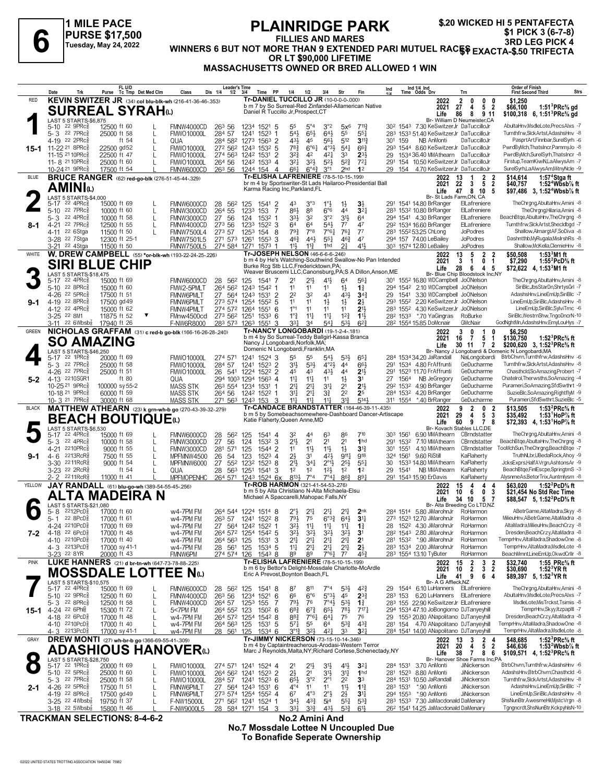**1 MILE PACE PURSE \$17,500 Tuesday, May 24, 2022**

#### **PLAINRIDGE PARK FILLIES AND MARES WINDERS 6 BUT NOT MORE THAN 9 EXTENDED**<br>FILLIES AND MARES 3RD LEG PICK 4<br>WINNERS 6 BUT NOT MORE THAN 9 EXTENDED PARI MUTUEL RACES 3RD LEG PICK 4<br>OR LEGAL AND MARES AND MARES PARI MUTUEL RACES EXACTA-\$.50 TRIFECTA **OR LT \$90,000 LIFETIME MASSACHUSETTS OWNED OR BRED ALLOWED 1 WIN \$.20 WICKED HI 5 PENTAFECTA \$1 PICK 3 (6-7-8)**

|              | Date<br>Trk                                                      | FL U/D<br>Purse Tc Tmp Det Med Clm                                            | Dis 1/4<br>Class                                                                  | <b>Leader's Time</b><br>$1/2$ $3/4$<br>Time<br>PP       | 1/4<br>1/2<br>3/4                                                                                             | Fin<br>Str                                                                                           | Ind 1/4 Ind<br>Time Odds Drv<br>Ind                                                  | <b>Order of Finish</b><br>Strs<br><b>First Second Third</b><br>Trn                                                                                                                      |
|--------------|------------------------------------------------------------------|-------------------------------------------------------------------------------|-----------------------------------------------------------------------------------|---------------------------------------------------------|---------------------------------------------------------------------------------------------------------------|------------------------------------------------------------------------------------------------------|--------------------------------------------------------------------------------------|-----------------------------------------------------------------------------------------------------------------------------------------------------------------------------------------|
| <b>RED</b>   |                                                                  | KEVIN SWITZER JR (34) col blu-blk-wh (216-41-36-46-.353)                      |                                                                                   |                                                         | <b>Tr-DANIEL TUCCILLO JR (10-0-0-0-000)</b><br>b m 7 by So Surreal-Red Zinfandel-Allamerican Native           |                                                                                                      | 2022                                                                                 | 2<br>0<br>$0\quad 0$<br>\$1,250                                                                                                                                                         |
|              |                                                                  | <b>SURREAL SYRAH</b> a                                                        |                                                                                   |                                                         | Daniel R Tuccillo Jr, Prospect, CT                                                                            |                                                                                                      | 2021<br>Life                                                                         | 27<br>5 <sub>2</sub><br>\$66,100<br>1:51 ${}^{3}$ PRc ${}^{5}_{8}$ gd<br>4<br>86<br>8<br>9 11<br>\$100,318 6, 1:51 <sup>3</sup> PRc <sup>5</sup> / <sub>8</sub> gd                      |
|              | LAST 5 STARTS-\$6,875<br>$5 - 10$<br>$22$ 9PR $c_{8}$            | 12500 ft 60                                                                   | 26 <sup>3</sup> 56<br>FMNW4000CD                                                  | 1234<br>1521<br>-5                                      | 55<br>$5^{\circ}4$<br>$3^{\circ}2$                                                                            | $5x^6$<br>7113                                                                                       | 30 <sup>2</sup> 154 <sup>3</sup> 7.30 KeSwitzerJr DaTuccilloJr                       | Br- William D Neumeister, CA<br>AbultaHnv,MsdleLote,PrecsAlxs -7                                                                                                                        |
|              | 22 7PRc3<br>5-3<br>4-19 22 2PRc                                  | 25000 ft 58<br>ft 54                                                          | 284 57<br><b>FMWO10000L</b>                                                       | 1523<br>1241<br>-1                                      | 65}<br>$64\frac{1}{2}$<br>543                                                                                 | 55<br>$55\frac{1}{4}$<br>512                                                                         | 283 1533 51.40 KeSwitzerJr DaTuccilloJr<br>NB AnMonti                                | Turnthfrw,SlckArtst,AdashsHnv -8<br>DaTuccilloJr<br>PasprtArt,Finnbar,SurelSyrh -6                                                                                                      |
|              | 15-1 11-22 21 8PRcs                                              | 22500 gd52<br>L                                                               | QUA<br><b>FMWO10000L</b>                                                          | 284 582 1273<br>$1563$ 2<br>272 562 1243<br>1532<br>-5  | 431<br>45<br>783<br>$6^{\circ}6^{\circ}4$                                                                     | $56\frac{1}{2}$<br>$3^{11}$<br>$4^{\circ}3\frac{1}{2}$<br>$5^{41}$<br>$66\frac{3}{4}$                | 30 <sup>1</sup><br>159<br>293 1544 8.60 KeSwitzerJr DaTuccilloJr                     | PwrdBvMch.ThatsIncr.PammyJo -8                                                                                                                                                          |
|              | 11-15 21 10PRc3<br>11-8 21 10 PR c 3                             | 22500 ft 47<br>25000 ft 60                                                    | <b>FMWO10000L</b><br>264 56<br><b>FMWO10000L</b>                                  | 274 563 1242 1531<br>$\overline{2}$<br>1242 1533 4      | $3^{2}$<br>42<br>$3^{2}$<br>$3^{2}\frac{1}{2}$                                                                | 421<br>33<br>$2^{3}$<br>$5^{2}$<br>$5^{2}$<br>$72\frac{1}{4}$                                        | 1534 36.40 MMAthearn DaTuccilloJr<br>29<br>291<br>154 10.50 KeSwitzerJr DaTuccilloJr | PwrdByMch,SurelSyrh,ThatsIncr -8<br>Firstup, Team KiwiN, La Alwys Am - 7                                                                                                                |
|              | 10-24 <sup>21</sup> 9PRc <sup>5</sup>                            | 17500 ft 54                                                                   | FMNW6000CD<br>26 <sup>3</sup> 56                                                  | 1244 154 4                                              | 661<br>$6^{\circ}4^{\frac{3}{4}}$<br>$3^{\circ}1$                                                             | 2 <sub>hd</sub><br>1 <sup>2</sup>                                                                    | 29<br>154                                                                            | 4.70 KeSwitzerJr DaTuccilloJr<br>SurelSyrh,LaAlwysAm,MitnyNcle -9                                                                                                                       |
| <b>BLUE</b>  |                                                                  | <b>BRUCE RANGER</b> (62) red-go-blk (276-51-45-44-.329)                       |                                                                                   |                                                         | Tr-ELISHA LAFRENIERE (78-5-10-15-199)<br>br m 4 by Sportswriter-St Lads Hailaroo-Presidential Ball            |                                                                                                      | 2022<br>2021                                                                         | $\mathbf{2}$<br>1:57 <sup>4</sup> Stgaft<br>13<br>\$14,614<br>-2<br>$\overline{2}$<br>22<br>1:52 <sup>4</sup> Wbsb $%$ ft<br>5<br>\$40,757<br>3                                         |
|              | AMINIധ                                                           |                                                                               |                                                                                   |                                                         | Karma Racing Inc, Parkland, FL                                                                                |                                                                                                      | Life                                                                                 | 47<br>8 10<br>5<br>\$97,486 3, 1:52 <sup>4</sup> Wbsb <sup>7</sup> / <sub>8</sub> ft                                                                                                    |
|              | LAST 5 STARTS-\$4,000<br>5-17 22 4PRc <sup>3</sup>               | 15000 ft 69                                                                   | FMNW6000CD<br>28<br>562                                                           | 125<br>1541 2                                           | 43<br>$3^{\circ}3$<br>$1^\circ \frac{1}{2}$                                                                   | $1\frac{1}{2}$<br>$3\frac{1}{2}$                                                                     | 291<br>1541 14.80 BrRanger                                                           | Br- St Lads Farm, ON, CA<br>TheChrgng,AbultaHnv,Amini -8<br>ElLafreniere                                                                                                                |
|              | 22 $7PRc8$<br>$5 - 10$<br>22 4PRc3<br>5-3                        | 10000 ft 60<br>L<br>10000 ft 58                                               | 264 55<br>FMNW3000CD<br>27 56<br>FMNW3000CD                                       | 153<br>7<br>1233<br>124<br>1532                         | 88<br>86}<br>$6^{\circ}6$<br>$3^{3}\frac{1}{2}$<br>32                                                         | 44<br>3 <sup>2</sup><br>3°2<br>3 <sup>1</sup><br>64                                                  | 283 1532 10.80 BrRanger<br>294 1541 4.30 BrRanger                                    | TheChrgng,Hilaria,Amini -8<br>ElLafreniere<br>ElLafreniere<br>BeachBtge, AbultaHnv, The Chrgng -8                                                                                       |
| 8-1          | 4-21 22 7PRc3                                                    | 12500 ft 55<br>L                                                              | 273 56<br>FMNW4000CD                                                              | 1233<br>$152^2$ 3                                       | 64<br>64                                                                                                      | $5^{4}$<br>$7^7$<br>47                                                                               | 292 1534 16.60 BrRanger                                                              | ElLafreniere<br>Turnthfrw.SlckArtst.Shecldbad -7                                                                                                                                        |
|              | 22 6Stga<br>$4 - 11$<br>3-28 <sup>22</sup> 7Stga                 | 11500 ft 50<br>12300 ft 25-1                                                  | 273 57<br><b>FMNW7500L4</b><br><b>FMNW7501L5</b><br>271 573                       | 1253<br>154<br>8<br>1261<br>1553<br>3                   | $79\frac{3}{4}$<br>$7^{\circ}8$<br>$46\frac{3}{4}$<br>443<br>$55\frac{1}{4}$                                  | $76\frac{1}{4}$<br>77<br>7°6 <sub>4</sub><br>47<br>$46\frac{3}{4}$                                   | 283 1552 53.25 ChLong<br>294 157 74.00 LeBailey                                      | <b>JoPodres</b><br>Shallow, Almargt AF, SoDiva -8<br>Dashntthb,MyRugala,MisIrshRs -8<br><b>JoPodres</b>                                                                                 |
|              | 22 4Stga<br>3-21                                                 | 11500 ft 50                                                                   | <b>FMNW7500L5</b><br>274 584                                                      | 1271<br>1573                                            | $11\frac{3}{4}$<br>11}<br>1hd<br><b>Tr-JOSEPH NELSON (46-6-6-6-246)</b>                                       | 411<br>2 <sup>1</sup>                                                                                | 303 1574 12.80 LeBailey                                                              | Shallow, McKella, ClemieHnv -8<br><b>JoPodres</b>                                                                                                                                       |
| WHITE        |                                                                  | W. DREW CAMPBELL (55) *or-blk-wh (193-22-24-25-.226)<br><b>SIRI BLUE CHIP</b> |                                                                                   |                                                         | b m 4 by He's Watching-Southwind Swallow-No Pan Intended                                                      |                                                                                                      | 2022<br>2021                                                                         | 13<br>$\mathbf{2}$<br>1:53 <sup>3</sup> M1 ft<br>5<br>2<br>\$50,508<br>$\overline{\mathbf{3}}$<br>$\mathbf{1}$<br>1:55 <sup>2</sup> PcD% ft<br>1<br>0<br>\$7,290                        |
|              | LAST 5 STARTS-\$18,475                                           |                                                                               |                                                                                   |                                                         | Burke Rcg Stb LLC, Fredericktown, PA;<br>Weaver Bruscemi LLC, Canonsburg, PA; S A Dillon, Anson, ME           |                                                                                                      | Life                                                                                 | 28<br>6<br>4<br>-5<br>\$72,622 4, 1:53 M1 ft<br>Br- Blue Chip Bloodstock Inc,NY                                                                                                         |
|              | 5-17 22 4PRc <sup>5</sup><br>5-10 22 8PRc $\frac{5}{8}$          | 15000 ft 69<br>15000 ft 60                                                    | FMNW6000CD<br>28<br>FMW2-5PMLT<br>264 562                                         | 562 125<br>1541<br>-7<br>1243 1542<br>-1                | 41}<br>2 <sup>1</sup><br>$21\frac{1}{2}$<br>11<br>11<br>11                                                    | 64<br>561<br>$1\frac{1}{2}$<br>$1\frac{3}{4}$                                                        | 301 1552 16.80 WDCampbell JoONelson<br>294 1542 2.10 WDCampbell JoONelson            | TheChrgng,AbultaHnv,Amini -8<br>SiriBlc.JbsStarDn.ShrtysGrl -7                                                                                                                          |
|              | 4-26 <sup>22</sup> 5PRc <sup>5</sup>                             | 17500 ft 51                                                                   | FMNW6PMLT<br>27 564                                                               | 1243<br>1531 2                                          | 2 <sup>2</sup><br>3 <sup>2</sup><br>43                                                                        | 43}<br>$34\frac{3}{4}$                                                                               | 29<br>1541                                                                           | AdashsHnvLineEmUp,SiriBlc -7<br>3.30 WDCampbell JoONelson                                                                                                                               |
| $9-1$        | 4-19 22 8PRc3<br>4-12 22 4PRc <sup>3</sup>                       | 17500 gd 49<br>15000 ft 62                                                    | FMNW6PMLT<br><b>FMNW4PMLT</b>                                                     | 273 574 1254<br>1552<br>-5<br>274 572 1264<br>1551<br>6 | 11<br>11<br>$1\frac{1}{2}$<br>$1^{\circ}1$<br>11<br>11                                                        | $1\frac{1}{2}$<br>$2\frac{1}{2}$<br>11<br>21,                                                        | 293 1552<br>283 1552 4.30 KeSwitzerJr JoONelson                                      | 2.20 KeSwitzerJr JoONelson<br>LineEmUp,SiriBlc,AdashsHnv -8<br>LineEmUp,SiriBlc,SylviTrnc -6                                                                                            |
|              | 3-25 22 8M1                                                      | 11875 ft 52                                                                   | FMnw4500cd                                                                        | 273 562 1251<br>$153^3$ 6                               | $1^{\circ}$ $\frac{3}{4}$<br>$1^{11}$<br>$11\frac{1}{4}$                                                      | $1^{2}\frac{3}{4}$<br>$11\frac{1}{2}$<br>53}<br>$6^{2}3$                                             | *.70 YaGingras<br>28 <sup>2</sup> 1533                                               | SiriBlc, WestrnShw, TngoDncrN-10<br>RoBurke<br>GodNahtMn.AdashsHnv.EmvLouHvs -7                                                                                                         |
| <b>GREEN</b> | 22 $6Wbsb\frac{7}{8}$<br>3-11                                    | 17940 ft 26                                                                   | F-NW6R8000<br>283 573<br>NICHOLAS GRAFFAM (31) c red-b go-blk (166-16-26-28-.240) | 1263 1551<br>3                                          | $33\frac{1}{4}$<br>34<br>Tr-NANCY LONGOBARDI (19-1-2-4-181)                                                   | $54\frac{1}{4}$                                                                                      | 28 <sup>2</sup> 1554 15.85 DoMcnair<br>2022                                          | GMcNair<br>3<br>0<br>\$6,250<br>1                                                                                                                                                       |
|              | <b>SO AMAZING</b>                                                |                                                                               |                                                                                   |                                                         | b m 4 by So Surreal-Teddy Ballgirl-Kassa Branca<br>Nancy J Longobardi, Norfolk, MA;                           |                                                                                                      | 2021<br>Life                                                                         | 5<br>\$130,750<br>1:52 ${}^{3}$ PRc ${}^{5}_{8}$ ft<br>16<br>- 7<br>1<br>30 11<br>$\overline{2}$<br>\$200,620 3, 1:52 <sup>3</sup> PRc <sup>5</sup> / <sub>8</sub> ft<br>$\overline{7}$ |
|              | LAST 5 STARTS-\$46,250<br>5-17 22 1PRc <sup>5</sup>              | 20000 ft 69                                                                   | <b>FMWO10000L</b>                                                                 | 1241<br>1524<br>3                                       | Domenic N Longobardi, Franklin, MA<br>55<br>55                                                                | 53}<br>$65\frac{1}{4}$                                                                               | 284 1534 34.20 JaRandall                                                             | Br- Nancy J Longobardi & Domenic N Longobardi, MA<br>BtrbChvrn,Turnthfrw,AdashsHnv -6<br>NaLongobardi                                                                                   |
|              | 5-3 22 7PRc                                                      | 25000 ft 58                                                                   | 274 571<br>284 57<br><b>FMWO10000L</b>                                            | 1523 2<br>1241                                          | $31\frac{1}{2}$<br>$53\frac{1}{2}$                                                                            | $5^{4}$<br>$4^{o}2\frac{1}{2}$<br>44<br>661                                                          | 1534 4.80 FrAffrunti<br>291                                                          | GeDucharme<br>Turnthfrw.SlckArtst.AdashsHnv -8                                                                                                                                          |
| $5 - 2$      | 4-26 22 7PRcs<br>4-13 2210SGR1                                   | 25000 ft 51<br>ft 80                                                          | 26<br><b>FMWO10000L</b><br>541<br>QUA                                             | 1522 2<br>1224<br>294 1003 1294<br>1563 4               | 45<br>43<br>$11\frac{1}{4}$<br>$11\frac{1}{4}$<br>11                                                          | 43}<br>44<br>2 <sup>1</sup><br>$1\frac{1}{2}$<br>3 <sup>1</sup>                                      | 291<br>1523 11.70 FrAffrunti<br>27<br>1564<br>NB JeGregory                           | GeDucharme<br>Chasthcld,SoAmazing,Probert -7<br>Chatelrol, Therwsths, SoAmazing -4<br>GeDucharme                                                                                        |
|              | 10-25 21 9PRc <sup>3</sup>                                       | 100000 sy 55-2                                                                | <b>MASS STK</b>                                                                   | 263 554 1234 1531                                       | 2 <sup>11</sup><br>$21\frac{1}{4}$<br>34                                                                      | 213<br>2 <sup>1</sup>                                                                                | 292 1532 4.90 BrRanger                                                               | Purameri,SoAmazing,SfdSwthrt -9<br>GeDucharme                                                                                                                                           |
|              | 10-18 <sup>21</sup> 9PRc <sup>3</sup><br>10-3 <sup>21</sup> 7PRc | 60000 ft 59<br>30000 ft 68                                                    | <b>MASS STK</b><br>264 56<br><b>MASS STK</b><br>271 563                           | 1242 1522 1<br>1243 153<br>3                            | $21\frac{1}{4}$<br>31<br>$3\frac{3}{4}$<br>$11\frac{1}{4}$<br>11 <sup>11</sup><br>$11\frac{1}{4}$             | 2 <sup>2</sup><br>2 <sup>5</sup><br>$5^{14}$<br>$3^{13}$                                             | 284 1532 4.20 BrRanger<br>311 1554 *.40 BrRanger                                     | SuzieBlc,SoAmazing,RightflyM -9<br>GeDucharme<br>Purameri,SfdSwthrt,SuzieBlc -5<br>GeDucharme                                                                                           |
| <b>BLACK</b> |                                                                  |                                                                               | MATTHEW ATHEARN (23) k grn-wh-b go (270-43-39-32-279)                             |                                                         | <b>Tr-CANDACE BRANDSTATTER (164-46-39-11-435)</b><br>b m 5 by Somebeachsomewhere-Dashboard Dancer-Artiscape   |                                                                                                      | 2022<br>2021                                                                         | 1:53 $^{2}$ PRc $\%$ ft<br>9<br>$\overline{2}$<br>0<br>2<br>\$13,505<br>29<br>3<br>4<br>5<br>\$35,492<br>1:53 HoP $\%$ ft                                                               |
|              |                                                                  | <b>BEACH BOUTIQUE</b> t                                                       |                                                                                   |                                                         | Katie Flaherty, Queen Anne, MD                                                                                |                                                                                                      | Life                                                                                 | 60<br>9<br>78<br>\$72,393 4, 1:53 HoP % ft                                                                                                                                              |
|              | LAST 5 STARTS-\$6,530<br>22 4PRc3<br>5-17                        | 15000 ft 69                                                                   | FMNW6000CD<br>28<br>562                                                           | 125<br>1541 4                                           | 63<br>32                                                                                                      | 86<br>710                                                                                            | 303 1561<br>6.90 MMAthearn                                                           | Br- Kovach Stables LLC,DE<br>TheChrgng,AbultaHnv,Amini -8<br>CBrndstatter                                                                                                               |
|              | $22 \, 4$ PR $c_{8}^{5}$<br>5-3<br>4-21 2210PRc                  | 10000 ft 58<br>9000 ft 55                                                     | 27<br>56<br>FMNW3000CD<br>281<br>571<br>FMNW3000CD                                | 124<br>1532 3<br>125<br>1544 2                          | $21\frac{1}{2}$<br>2 <sup>1</sup><br>2 <sup>1</sup><br>11<br>11}<br>$11\frac{1}{2}$                           | 2 <sup>1</sup><br>1 <sub>hd</sub><br>$1\frac{1}{2}$<br>$3^{13}$                                      | 7.10 MMAthearn<br>291<br>1532<br>1551<br>4.10 MMAthearn<br>30 <sup>1</sup>           | BeachBtge, AbultaHnv, TheChrgng -8<br>CBrndstatter<br>TooMchSun, TheChrgng, BeachBtge -7<br>CBrndstatter                                                                                |
| $9 - 1$      | 2213RcR<br>4- 6                                                  | 7500 ft 55<br>L                                                               | 26<br>MPFMNW4500<br>54                                                            | 123<br>1523<br>4                                        | $2\frac{1}{2}$<br>31                                                                                          | 42}<br>$9^{11}\frac{1}{4}$<br><b>918</b>                                                             | 9.60 RiStill<br>324 1561                                                             | TruthNLbr,UBedaRock,Ahoy -9<br>KaFlaherty                                                                                                                                               |
|              | 2211RcR៖<br>$3 - 30$<br>3-23 <sup>22</sup> 2RcR <sup>5</sup>     | 9000 ft 54<br>L<br>ft 54                                                      | 27<br>MPFMNW6000<br>QUA<br>28<br>563                                              | 552 1232<br>1523<br>8<br>1251<br>1541<br>3              | $21\frac{1}{2}$<br>34 <sub>1</sub><br>1 <sup>2</sup><br>$12\frac{1}{2}$<br>1 <sup>2</sup>                     | $2^{\circ}1\frac{1}{2}$<br>$2^{5}\frac{1}{2}$<br>$55\frac{1}{4}$<br>1 <sup>2</sup><br>1 <sup>2</sup> | 1533 14.80 MMAthearn<br>30<br>29<br>1541<br>NB MMAthearn                             | KaFlaherty<br>JcksExprs.HalfAVrgn.AshtonsAr -9<br>BeachBtge,FinlEscpe,SpringtmS -3<br>KaFlaherty                                                                                        |
| YELLOW       | $2211$ Rc $R_8^5$<br>2- 2                                        | 11000 ft 41                                                                   | MPFMOPENHC<br>264 571                                                             | 1243 1524 6x                                            | 8134<br>$7^{\circ}4$<br>Tr-ROB HARMON (321-41-54-53-.276)                                                     | $7^{\circ}41$<br>$86\frac{3}{4}$<br>89 <sub>7</sub>                                                  | 291 1543 15.90 ErDavis                                                               | AlvsnmeAs.BetorTrix.Auntmlvsm -8<br>KaFlaherty<br>1:52 $^{2}$ PcD $\%$ ft                                                                                                               |
|              |                                                                  | JAY RANDALL (61) blu-go-wh (389-54-55-45-256)<br>TA MADEIRA N                 |                                                                                   |                                                         | b m 5 by Alta Christiano N-Alta Michaela-Elsu<br>Michael A Spaccarelli, Mahopac Falls, NY                     |                                                                                                      | 2022<br>2021                                                                         | 15<br>4<br>\$63.020<br>4<br>-4<br>10<br>0<br>3<br>6<br>\$21,454 No Std Rec Time                                                                                                         |
|              | LAST 5 STARTS-\$21,080                                           |                                                                               |                                                                                   |                                                         |                                                                                                               |                                                                                                      | Life                                                                                 | 34<br>5<br>- 7<br>\$88,547 5, 1:52 <sup>2</sup> PcD <sup>5</sup> / <sub>8</sub> ft<br>10<br>Br- Alta Breeding Co LTD,NZ                                                                 |
|              | 2212PcD <sub>8</sub><br>5-8<br>$22$ 8PcD $\frac{5}{8}$<br>5- 1   | 17000 ft 60<br>17000 ft 61                                                    | w4-7PM FM<br>w4-7PM FM                                                            | 264 544 1224 1514 8<br>263 57 1241 1522 8               | $21\frac{1}{4}$<br>$21\frac{1}{4}$<br>$2^{\circ}$ <sub>2</sub><br>791<br>75                                   | 2 <sub>nk</sub><br>2 <sup>11</sup><br>$6^{03}\frac{3}{4}$<br>64}<br>3 <sup>11</sup>                  | 284 1514 5.80 JiMarohnJr<br>273 1523 12.70 JiMarohnJr                                | ABetrGame, AltaMadra, Skyy -8<br>RoHarmon<br>MilieuHnv.ABetrGame.AltaMadra -8<br>RoHarmon                                                                                               |
|              | 4-24 2210PcD <sup>3</sup><br>4-18 22 6PcD $\frac{5}{8}$          | 1/000 ft 69                                                                   | W4-7PM FM                                                                         | 27 564 1242 1522                                        | 3 <sub>2</sub><br>$1 +$<br>$1^1$                                                                              | 14<br>-11                                                                                            | 28 1524 4.30 JiMarohnJr<br>28 <sup>2</sup> 154 <sup>3</sup> 2.80 JiMarohnJr          | AltaMadra, MilieuHnv, Beach Crzy - 8<br>RoHarmor<br>Dresden, Beach Crzy, Alta Madra - 8<br>RoHarmon                                                                                     |
| 7-2          | 4-10 2210PcD <sup>5</sup>                                        | 17000 ft 48<br>17000 ft 40                                                    | w4-7PM FM<br>w4-7PM FM                                                            | 264 572 1254 1542 5<br>264 563 125<br>$1531$ 3          | $3^{21}$<br>$3^{2}\frac{1}{2}$<br>$3^{2}\frac{1}{2}$<br>2 <sup>11</sup><br>$21\frac{1}{4}$<br>2 <sup>11</sup> | $3^{2}\frac{1}{2}$<br>3 <sup>1</sup><br>$2^{11}$<br>2 <sup>1</sup>                                   | 281 1532 *.90 JiMarohnJr                                                             | TemprHnv,AltaMadra,ShadowOne -8<br>RoHarmon                                                                                                                                             |
|              | 4-3 2213PcD <sup>5</sup><br>3-23 22 8YR                          | 17000 sy 41-1<br>20000 ft 43                                                  | w4-7PM FM<br>FMNW6PM<br>274 574                                                   | 28 561 125<br>1534 5<br>1543 8<br>126                   | $11\frac{1}{4}$<br>$21\frac{1}{4}$<br>89<br>89                                                                | $2^{11}$<br>$2^{11}$<br>$2\frac{1}{2}$<br>$45\frac{3}{4}$<br>7°61<br>$7^7$                           | 283 1534 2.00 JiMarohnJr<br>283 1554 13.10 TyButer                                   | TemprHnv,AltaMadra,MsdleLote -8<br>RoHarmon<br>BeachMmnt,LineEmUp,OkwdCrIIr -8<br>RoHarmon                                                                                              |
| <b>PINK</b>  |                                                                  | LUKE HANNERS (21) d br-tn-wh (647-73-78-88-.225)                              |                                                                                   |                                                         | <b>Tr-ELISHA LAFRENIERE (78-5-10-15-199)</b>                                                                  |                                                                                                      | 2022                                                                                 | 1:55 PRc% ft<br>2<br>3<br>\$32,740<br>15<br>-2                                                                                                                                          |
|              |                                                                  | <b>MOSSDALE LOTTEE Nap</b>                                                    |                                                                                   |                                                         | b m 6 by Bettor's Delight-Mossdale Charlotte-McArdle<br>Eric A Prevost, Boynton Beach, FL                     |                                                                                                      | 2021<br>Life                                                                         | $\overline{2}$<br>3 <sub>2</sub><br>10<br>\$30,690<br>$1:523$ YR ft<br>41<br>9<br>6<br>4<br>\$89,397 5, 1:52 <sup>3</sup> YR ft                                                         |
|              | LAST 5 STARTS-\$10,575<br>5-17 22 4PRc <sup>3</sup>              | 15000 ft 69                                                                   | <b>FMNW6000CD</b>                                                                 | 28 56 <sup>2</sup> 125<br>15418                         | 811<br>$7^{\circ}4$<br>87                                                                                     | $5^{3}\frac{1}{2}$<br>$4^{2}\frac{3}{4}$                                                             | Br- A G Affleck, NZ<br>29 1544 6.10 LuHanners ElLafreniere                           | TheChrgng,AbultaHnv,Amini -8                                                                                                                                                            |
|              | 5-10 22 9PRc <sup>3</sup><br>$5 - 3$ 22 8PRc $\frac{5}{8}$       | 12500 ft 60<br>L                                                              | 263 56<br>FMNW4000CD                                                              | 1234<br>1521<br>6                                       | 66<br>$6^{\circ}6$<br>793<br>76                                                                               | $5°3\frac{1}{2}$<br>45<br>$2^{3}\frac{3}{4}$<br>$7^\circ 43$                                         | 283 153 6.20 LuHanners ElLafreniere                                                  | AbultaHnv,MsdleLote,PrecsAlxs -7<br>MsdleLote, MisTrckst, Tsimis -8                                                                                                                     |
|              | 15-1 4-24 22 6Ph                                                 | 12500 ft 58<br>15300 ft 72<br>L                                               | FMNW4000CD<br>264 57<br>5<7PM FM                                                  | 1253<br>155<br>$150^2$ 6<br>264 552 123                 | $6^{8}$ <sub>4</sub><br>$65\frac{1}{2}$<br>$6^{7}\frac{3}{4}$                                                 | $5^{31}$<br>$1\frac{3}{4}$<br>$78\frac{1}{2}$<br>$7^{17}\frac{1}{4}$                                 | 283 155 22.90 KeSwitzerJr ElLafreniere<br>294 1534 47.10 JoBongiorno DJTanyeyhill    | TemprHnv,Skyy,ItzpapItl -7                                                                                                                                                              |
|              | 4-18 22 6PcD <sup>5</sup><br>4-10 2210PcD <sup>3</sup>           | 17000 ft 48<br>17000 ft 40                                                    | w4-7PM FM<br>w4-7PM FM                                                            | 264 572 1254 1542 8<br>264 563 125<br>$153^1$ 5         | 883<br>7°61<br>$64\frac{1}{4}$<br>$5^{71}$<br>55<br>64                                                        | 75<br>76<br>$5^{3}\frac{3}{4}$<br>$4^{3}\frac{3}{4}$                                                 | 29 1553 20.80 ANapolitano DJTanyeyhill<br>281 154 4.70 ANapolitano DJTanyeyhill      | Dresden, BeachCrzy, AltaMadra -8<br>TemprHnv,AltaMadra,ShadowOne -8                                                                                                                     |
|              | 4-3 2213PcD <sup>3</sup>                                         | 17000 sy 41-1                                                                 | w4-7PM FM<br>28 561                                                               | 125<br>1534 6                                           | $3^{012}$<br>$3^{2}\frac{1}{2}$                                                                               | 33<br>3 <sup>2</sup><br>421                                                                          | 284 1541 14.00 ANapolitano DJTanyeyhill                                              | TemprHnv,AltaMadra,MsdleLote -8                                                                                                                                                         |
| GRAY         |                                                                  | DREW MONTI (27) wh-br-b go (366-69-55-41-.309)                                |                                                                                   |                                                         | Tr-JIMMY NICKERSON (73-15-10-14-346)<br>b m 4 by Captaintreacherous-Arodasi-Western Terror                    |                                                                                                      | 2022<br>2021                                                                         | 2 <sub>4</sub><br>1:52 ${}^{3}$ PRc ${}^{5}_{8}$ ft<br>13<br>\$48,685<br>3<br>5 <sup>5</sup><br>$\overline{2}$<br>20<br>\$46,636<br>1:53 $2$ Wbsb $\%$ ft<br>4                          |
|              | LAST 5 STARTS-\$28,750                                           | <b>ADASHIOUS HANOVER</b> W                                                    |                                                                                   |                                                         | Marc J Reynolds, Malta, NY; Richard Cortese, Schenectady, NY                                                  |                                                                                                      | Life                                                                                 | 38<br>$\mathbf{7}$<br>86<br>\$109,571 4, 1:52 PRc % ft<br>Br- Hanover Shoe Farms Inc, PA                                                                                                |
|              | 5-17 22 1PRc <sup>3</sup>                                        | 20000 ft 69                                                                   | <b>FMWO10000L</b>                                                                 | 274 571 1241 1524 4                                     | $21\frac{1}{2}$<br>2 <sup>1</sup><br>3 <sup>1</sup>                                                           | $4^{11}$<br>$3^{2}$                                                                                  | 284 1531<br>3.70 AnMonti                                                             | BtrbChvrn,Turnthfrw,AdashsHnv -6<br>JiNickerson                                                                                                                                         |
|              | 5-10 $22$ 5PRc $\frac{5}{8}$<br>$5 - 3$ 22 7PRc $\frac{5}{8}$    | 25000 ft 60<br>L<br>25000 ft 58<br>L                                          | <b>FMWO10000L</b><br>284 57<br>FMWO10000L                                         | 264 562 1241 1523 2<br>1241 1523 6                      | $2\frac{1}{2}$<br>2 <sup>1</sup><br>31}<br>3°2<br>$65\frac{1}{2}$<br>$2^{\circ}1$                             | $3^{11}$<br>1 <sub>hd</sub><br>2 <sup>2</sup><br>3 <sup>3</sup>                                      | 281 1523 8.80 AnMonti<br>284 1531 10.50 JaRandall                                    | AdashsHnv, BtrbChvrn, Chasthcld -6<br>JiNickerson<br>JiNickerson<br>Turnthfrw, Slck Artst, AdashsHnv -8                                                                                 |
| $2 - 1$      | 4-26 22 5PRc <sup>5</sup><br>4-19 22 8PRc <sup>3</sup>           | 17500 ft 51<br>L<br>17500 gd 49                                               | FMNW6PMLT<br>FMNW6PMLT                                                            | 27 564 1243 1531 6<br>273 574 1254 1552 4               | $4^{\circ}4$<br>11<br>11<br>67<br>$4^{\circ}3$<br>$2^{\circ}$                                                 | 11<br>$1\frac{13}{4}$<br>$2\frac{1}{2}$<br>3 <sup>11</sup>                                           | *.90 AnMonti<br>283 1531<br>294 1553 *.90 AnMonti                                    | AdashsHnv,LineEmUp,SiriBlc -7<br>JiNickerson<br>LineEmUp,SiriBlc,AdashsHnv -8<br>JiNickerson                                                                                            |
|              | $3-25$ 22 4Wbsb <sup>2</sup>                                     | 19750 ft 37                                                                   | F-NW15000L                                                                        | 271 562 1241 1524 1                                     | $34\frac{1}{2}$<br>$4^{3}\frac{3}{4}$<br>5i <sup>4</sup>                                                      | $55\frac{1}{4}$<br>$5^{3}\frac{3}{4}$                                                                | 283 1533 7.30 JaMacdonald DaMenary                                                   | ShsNunBtr,AwesmeHil,MjstcVrgn -8                                                                                                                                                        |
|              | $3-18$ 22 5Wbsb <sup>1</sup> / <sub>8</sub>                      | 15800 ft 46                                                                   | F-NW9000L5                                                                        | 28 584 1271 154                                         | 3 <sup>31</sup><br>$3^{3}_{4}$                                                                                | $5^{3}\frac{3}{4}$<br>43}<br>$61\frac{1}{2}$                                                         | 26 <sup>2</sup> 1541 14.25 JaMacdonald DaMenary                                      | Tgngncrdt,ShsNunBtr,KckpyhlsN-10                                                                                                                                                        |

**TRACKMAN SELECTIONS: 8-4-6-2 No.2 Amini And**

**No.7 Mossdale Lottee N Uncoupled Due To Bonafide Seperate Ownership**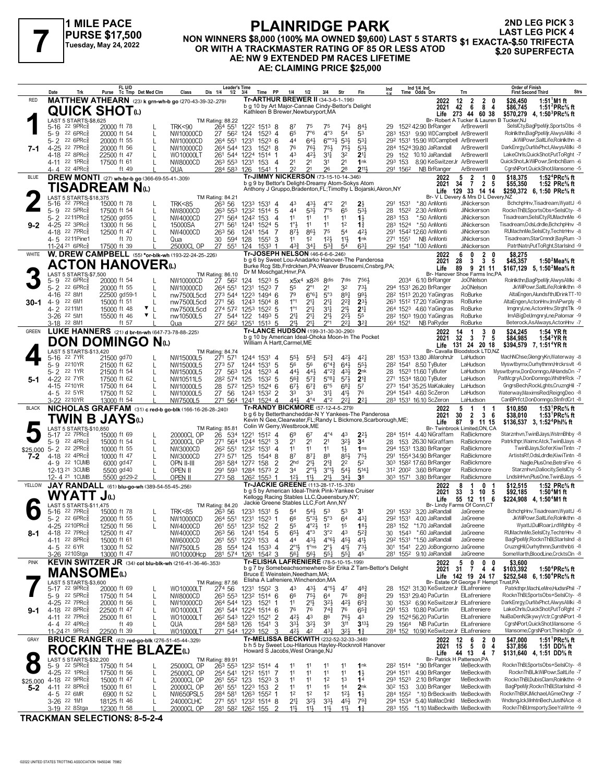

#### **PLAINRIDGE PARK NON WINNERS \$8,000 (100% MA OWNED \$9,600) LAST 5 STARTS PURSE \$17,500**<br>NON WINNERS \$8,000 (100% MA OWNED \$9,600) LAST 5 STARTS \$1 EXACTA-\$.50 TRIFECTA<br>OR WITH A TRACKMASTER RATING OF 85 OR LESS ATOD \$20 SUPERFECTA **AE: NW 9 EXTENDED PM RACES LIFETIME AE: CLAIMING PRICE \$25,000 2ND LEG PICK 3 LAST LEG PICK 4**

| <b>Tr-ARTHUR BREWER II (34-3-6-1-196)</b><br><b>MATTHEW ATHEARN</b> (23) k grn-wh-b go (270-43-39-32-.279)<br><b>RED</b><br>12<br>1:51 M1 ft<br>2022<br>2<br>$\mathbf{2}$<br>\$26,450<br>b g 10 by Art Major-Cannae Cindy-Bettor's Delight<br>42<br>6<br>8 <sub>4</sub><br>1:51 $^{2}$ PRc $\%$ ft<br>2021<br>\$86,745<br><b>QUICK SHOT</b><br>Kathleen B Brewer, Newburyport, MA<br>Life 273 44 60 38<br>\$570,279<br>4, 1:50 ${}^{3}$ PRc ${}^{5}_{8}$ ft<br>LAST 5 STARTS-\$8,625<br>Br- Robert A Tucker & Lauren B Tucker, NJ<br>TM Rating: 88.22<br>SelslCty,BagPpeMjr,SportsObs -8<br>5-16<br>$22$ 9PR $c_{8}$<br>20000 ft 78<br><b>TRK&lt;90</b><br>264 551<br>1222 1513 8<br>$74\frac{1}{2}$<br>84}<br>152 <sup>2</sup> 42.90 BrRanger<br>ArBrewerll<br>87<br>75<br>75<br>29.<br>7°6<br>$4^{\circ}3$<br>54<br>22 6PRc3<br>65<br>53<br>1531 9.90 WDCampbell ArBrewerll<br>Rolnlkthn,BagPpeMjr,AlwysAMki -8<br>5-9<br>20000 ft 54<br>NW10000CD<br>27 562<br>124<br>$152^3$ 4<br>283<br>22 6PRc3<br>643<br>$6^{o_0}3\frac{1}{2}$<br>$5 - 2$<br>264 551<br>44<br>$5^{3}$<br>$53\frac{1}{4}$<br>292 1531 15.90 WDCampbell ArBrewerll<br>JkWilPowr,SaltLife,Rolnlkthn -8<br>20000 ft 55<br>1231<br>$152^3$ 6<br>NW10000CD<br>DarkEnrgy,OurMxPhct,AlwysAMki -8<br>4-25 22 7PRc3<br>20000 ft 56<br>264 544 123<br>76<br>761<br>$75\frac{1}{2}$<br>533<br>284 1524 39.80 JaRandall<br>ArBrewerll<br>NW10000CD<br>$152^1$ 8<br>751<br>7-1<br>$22$ 8PR $c_8^5$<br>43<br>LakeChrls, QuickShot, PutToRght -7<br>22500 ft 47<br>261 544 1224 1514<br>421<br>34<br>32<br>2 <sup>11</sup><br>152 10.10 JaRandall<br>ArBrewerll<br>4-18<br>WO10000LT<br>29<br>QuickShot,JkWilPowr,SmbchBarn -6<br>4-11 22 1PRc<br>2 <sup>1</sup><br>2 <sup>1</sup><br>2 <sup>1</sup><br>8.90 KeSwitzerJr ArBrewerII<br>17500 ft 61<br>NW8000CD<br>263 553 1231<br>153<br>31<br>1nk<br>293 153<br>4<br>22 4PRc<br>22<br>21<br>211,<br>26<br>28<br>291 1562<br>NB BrRanger<br>CgrsNPort, QuickShot, Mansome -5<br>ft 49<br>QUA<br>284 583<br>126<br>1541<br>ArBrewerl<br>4- 4<br>-1<br>Tr-JIMMY NICKERSON (73-15-10-14-.346)<br><b>DREW MONTI</b> (27) wh-br-b go (366-69-55-41-.309)<br><b>BLUE</b><br>1:52 <sup>4</sup> $PRc$ <sup>5</sup> % ft<br>2022<br>2<br>\$18,375<br>5<br>1<br>b g 9 by Bettor's Delight-Dreamy Atom-Sokys Atom<br>$\overline{7}$<br>2021<br>34<br>2 5<br>1:52 PRc% ft<br>\$55,350<br>TISADREAM Nധ<br>Anthony J Gruppo, Bradenton, FL; Timothy L Bojarski, Akron, NY<br>Life<br>129<br>33 14 14<br>\$250,372 6, 1:50 PRc% ft<br>LAST 5 STARTS-\$18,375<br>Br- V L Devery & Mrs D L Devery, NZ<br>TM Rating: 84.21<br>BchchpHnv, Tisadream, WyattJ -6<br>$4^{\circ}2$<br>5-16<br>22 7PRc <sup>3</sup><br>15000 ft 78<br><b>TRK&lt;85</b><br>263 56<br>123 <sup>3</sup> 1531 4<br>431,<br>2 <sup>1</sup><br>21<br>291<br>1531<br>*.80 AnMonti<br><b>JiNickerson</b><br>43<br>22 $5PRc8^5$<br>533<br>7°5<br>$5 - 9$<br>44<br>65<br>533<br>1522<br>RocknThBl,SportsObs+SelsICty- -8<br>17500 ft 54<br>NW8000CD<br>263 553<br>1232 1514 5<br>28<br>2.30 AnMonti<br>JiNickerson<br>Tisadream,SelslCty,RUMachnMe -6<br>$5 - 2$<br>2211PRc3<br>11<br>11<br>11<br>$1\frac{1}{2}$<br>283 153<br>*.50 AnMonti<br>12500 gd55<br>NW4000CD<br>271 564<br>1242 153<br>11<br>JiNickerson<br>4<br>$1^{\circ}$<br>283 1524 *.50 AnMonti<br>Tisadream, OdsLdrdle, BchchpHnv -8<br>4-25 22 3PRc3<br>13000 ft 56<br>271 561<br>1 <sup>2</sup><br>$1\frac{3}{4}$<br>JiNickerson<br>$9 - 2$<br>15000SA<br>1241<br>1524 5<br>11<br>11<br>RUMachnMe,SeIsICty,TechtrHnv -8<br>22 7PRc3<br>12500 ft 47<br>263 56<br>873<br>$86\frac{1}{2}$<br>75<br>54<br>421<br>291 1542 12.60 AnMonti<br>JiNickerson<br>4-18<br>NW4000CD<br>1241<br>154<br>Tisadream,StarCmndr,BayRum -3<br>4-5 2211Pine1<br>ft 70<br>$12\frac{1}{2}$<br>11}<br>30<br>594<br>128<br>1551<br>11<br>1 <sup>2</sup><br>1nk<br>271 1551<br>NB AnMonti<br>JiNickerson<br>Qua<br>-3<br>27 551<br>63 <sup>1</sup><br>PatrtNatn,PutToRght,StarIsInd -9<br>11-24 <sup>21</sup> 6PRc <sup>3</sup><br>25000CL OP<br>$43\frac{3}{4}$<br>$34\frac{1}{4}$<br>$5^{3}{}_{4}^{3}$<br>292 1541 *1.00 AnMonti<br>17500 ft 39<br>124<br>$1533$ 1<br>54<br>JiNickerson<br>Tr-JOSEPH NELSON (46-6-6-6-246)<br>W. DREW CAMPBELL (55) *or-blk-wh (193-22-24-25-226)<br>WHITE<br>$\overline{2}$<br>2022<br>\$8,275<br>6<br>0<br>0<br>b g 6 by Sweet Lou-Anadarko Hanover-The Panderosa<br>$\mathbf{3}$<br>2021<br>28<br>3<br>- 5<br>\$45,357<br>1:50 $^2$ Mea $\%$ ft<br><b>ACTON HANOVER</b> W<br>Burke Rcg Stb, Frdrcktwn, PA; Weaver Bruscemi, Cnsbrg, PA;<br>Life<br>89<br>9 21 11<br>\$167,129 5, 1:50 <sup>2</sup> Mea <sup>5</sup> / <sub>8</sub> ft<br>Dr M Moschgat, Hnvr, PA<br>LAST 5 STARTS-\$7,500<br>Br- Hanover Shoe Farms Inc,PA<br>TM Rating: 86.10<br>Rolnlkthn,BagPpeMjr,AlwysAMki -8<br>5-9<br>22 6PRc <sup>3</sup><br>20000 ft 54<br>NW10000CD<br>27<br>562<br>124<br>$152^3$ 5<br>x5x <sup>4</sup> x8 <sup>26</sup><br>8 <sup>dis</sup><br>7dis<br>7561<br>2034 6.10 BrRanger<br><b>JoONelson</b><br>$2^{\circ}1$<br>32<br>733<br>$5 - 2$<br>$22.6$ PRc $\frac{5}{8}$<br>264 551<br>2 <sup>1</sup><br>JkWilPowr,SaltLife,Rolnlkthn -8<br>20000 ft 55<br>NW10000CD<br>1231<br>$1523$ 7<br>55<br>294 1531 26.20 BrRanger<br><b>JoONelson</b><br>79<br>5°3<br>891<br>993<br>22 8M1<br>273 544 1223<br>$6^{\circ}6^{\frac{1}{4}}$<br>RoBurke<br>AltaEngen, Alundsfth, IIDrinkTT-10<br>4-16<br>22500 gd59-1<br>nw7500L5cd<br>1494 6<br>28 <sup>2</sup> 151 <sup>3</sup> 20.20 YaGingras<br>$1^{\circ}1$<br>RoBurke<br>AltaEngen, ActonHnv, Im APwrply -8<br>4-9<br>22 6M1<br>15000 ft 51<br>27 <sup>1</sup> 56<br>$21\frac{1}{4}$<br>2 <sup>11</sup><br>$2^{2^{3}}$<br>$2^{3\frac{1}{2}}$<br>263 1512 17.20 YaGingras<br>$30 - 1$<br>nw7500L5cd<br>1243<br>1504 8<br>▼<br>$1^{\circ}1$<br>RoBurke<br>4- 2<br>2211M1<br>15000 ft 48<br>274 572 1253 1522 5<br>$21\frac{1}{4}$<br>34<br>21}<br>2 <sup>11</sup><br>264 1523 4.60 YaGingras<br>ImgnryLne,ActonHnv,StrghtTlk -9<br>nw7500L5cd<br>$21\frac{1}{4}$<br>ImABigDel,ImgnryLne,Palomar -9<br>3-26 <sup>22</sup> 5M1<br>$\mathbf{v}$  <br>$21\frac{1}{4}$<br>2 <sup>11</sup><br>$2^{21}$<br>55<br>RoBurke<br>15500 ft 46<br>nw10500L5<br>27 544 122<br>1493 5<br>28 <sup>2</sup> 150 <sup>3</sup> 19.00 YaGingras<br>211<br>$21\frac{1}{4}$<br>2°1<br>22 <sub>1</sub><br>$3^{2}$<br>3-18 <sup>22</sup> 8M1<br>ft 57<br>1513, 5<br>264 1521<br>NB PaRyder<br>RoBurke<br>Beterock, As Always, Actor Hnv -7<br>272 562<br>1251<br>Qua<br>Tr-LANCE HUDSON (199-31-30-30-290)<br>LUKE HANNERS (21) d br-tn-wh (647-73-78-88-.225)<br>GREEN<br>2022<br>14<br>3<br>\$24,245<br>1:54 YR ft<br>1<br>b g 10 by American Ideal-Ohoka Moon-In The Pocket<br>2021<br>32<br>\$84,985<br>$\mathbf{3}$<br>$\overline{7}$<br>-5<br>1:54 $3$ YR ft<br>DON DOMINGO Nω<br>William A Hartt, Carmel, ME<br>131 24 20 18<br>\$394,579 7, 1:51 <sup>4</sup> YR ft<br>Life<br>LAST 5 STARTS-\$13,420<br>Br- Cavalla Bloodstock LTD,NZ<br><b>TM Rating: 84.74</b><br>$5^{2}$<br>MachNChse, GlengryKn, Waterway -8<br>421<br>22 7 YR<br>21500 gd70<br>NW15000L5<br>271 571<br>1244 1531 4<br>$55\frac{1}{2}$<br>55<br>421<br>281 1533 13.80 JiMarohnJr<br>LaHudson<br>5-16<br>2210YR<br>$6^{\circ}4_{4}^{3}$<br>643<br>553<br>21500 ft 62<br>56<br>56<br>Myswtbymx, Ourhythmn, Hrckrsvlt -6<br>5-9<br>NW15000L5<br>273 57<br>1244<br>1531<br>-5<br>28 <sup>2</sup> 1541 8.50 TyButer<br>LaHudson<br>22 1YR<br>$5 - 2$<br>443<br>443<br>$4^{\circ}2^{\frac{3}{4}}$<br>43}<br>2 <sub>nk</sub><br>28 1523 11.60 TyButer<br>LaHudson<br>Myswtbymx,DonDomngo,AlHandsOn -7<br>21500 ft 54<br>27 563<br>124<br>1523 4<br>NW15000L5<br>$5^{\circ}8\frac{1}{4}$<br>LaHudson<br>PatMcgryA,DonDomngo,WhitHrRck -7<br>4-22 22 7YR<br>17500 ft 62<br>282 574<br>125<br>$56\frac{3}{4}$<br>$5^{7}$<br>$5^{7}\frac{1}{2}$<br>$2^{13}$<br>271 1534 18.00 TyButer<br>NW10511L5<br>$153^2$ 5<br>5-1<br>$6^{\circ 5}$<br>GngrsBech,RockLghts,CruzngHil -7<br>2210YR<br>17500 ft 64<br>28<br>$6^{7}$<br>$6^{8}$ <sub>1</sub><br>57<br>273 1541 35.25 MaKakaley<br>LaHudson<br>4-15<br>NW10000L5<br>572<br>1253 1524 6<br>$6^{7}\frac{1}{2}$<br>76<br>Waterway, Maxims Red, Reigng Deo -8<br>4-5 22 5YR<br>34<br>41}<br>17500 ft 52<br>NW10000L5<br>27 56<br>1243 1532 2<br>33<br>33<br>294 1543 4.60 ScZeron<br>LaHudson<br>443<br>$4^{\circ}4$<br>$4^{\circ}2$<br>22 <sub>1</sub><br>$2^{2}$<br>CanBPrfct,DonDomngo,StnfrdCrt -8<br>$3-22$<br>2210YR<br>13000 ft 54<br>NW7500L5<br>271 564<br>1241 1524 4<br>283 1531 16.10 ScZeron<br>LaHudson<br>NICHOLAS GRAFFAM (31) c red-b go-blk (166-16-26-28-240)<br>Tr-RANDY BICKMORE (57-12-4-5-279)<br><b>BLACK</b><br>1:53 ${}^1$ PRc ${}^5\!$ ft<br>2022<br>\$10,850<br>5<br>1<br>-1<br>b g 6 by Betterthancheddar-N Y Yankees-The Panderosa<br>$\overline{2}$<br>2021<br>30<br>3<br>\$38,010<br>1:53 <sup>1</sup> PRc <sup>5</sup> / <sub>8</sub> ft<br>- 6<br>TWIN B JAYSധ<br>Kevin N Gee, Clearwater, FL; Randy L Bickmore, Scarborough, ME;<br>Life<br>87<br>9 11 15<br>\$136,537 3, 1:52 <sup>4</sup> Phl <sup>5</sup> / <sub>8</sub> ft<br>Colin W Gerry, Westbrook, ME<br>LAST 5 STARTS-\$10,850<br>Br- Twinbrook Limited,ON, CA<br>TM Rating: 85.81<br>Starznhvn, TwinBJays, WstrnBhby -8<br>$4^{\circ}4$<br>22 7PRc3<br>15000 ft 69<br>20000CL OP<br>534<br>1221<br>$151^2$ 4<br>69<br>67<br>43<br>$2^{2}$<br>284 1514 4.40 NiGraffam<br>RaBickmore<br>5-17<br>26<br>2 <sup>1</sup><br>323<br>22 4PRc3<br>20000CL OP<br>271 564<br>2 <sup>1</sup><br>2 <sup>1</sup><br>3 <sup>4</sup><br>153 26.30 NiGraffam<br>Patrkthpr, WaimcAtck, TwinBJays -8<br>5-9<br>15000 ft 54<br>$1521$ 3<br>28<br>RaBickmore<br>1244<br>$5 - 2$<br>22 2PRc3<br>26 <sup>2</sup> 55 <sup>1</sup><br>11<br>11<br>11<br>1 <sub>ns</sub><br>RaBickmore<br>TwinBJays,Sofer,KiwiTintn -7<br>10000 ft 55<br>1232<br>$1\frac{1}{2}$<br>294 1531 13.80 BrRanger<br>NW3000CD<br>1531<br>-4<br>\$25,000<br>88<br>ArtistsRf, OdsLdrdle, KiwiTintn -8<br>4-18 22 4PRc<br>10000 ft 47<br>273 571<br>125<br>87<br>$87\frac{1}{4}$<br>85}<br>$75\frac{1}{2}$<br>291 1554 34.90 BrRanger<br>RaBickmore<br>7-2<br>NW3000CD<br>1544 8<br>21}<br>4-9 22 1 CUMB<br>6000 gd 47<br>2 <sub>hd</sub><br>$21\frac{1}{2}$<br>2 <sup>2</sup><br>52<br>303 1582 17.60 BrRanger<br>RaBickmore<br>Nagle,PlusOne,BetrsFire -6<br>OPN II-III<br>283 584 1272 158<br>$5^{41}$<br>Starznhvn, Daliocity, SelsICty -5<br>12-13 21 3 CUMB<br>34<br>$2^{\circ}1\frac{1}{2}$<br>$3^{01}$<br>$5^{14}$<br>312 2002 3.60 BrRanger<br>5500 gd 40<br>OPEN II<br>291 593 1284 1573 2<br>RaBickmore<br>341<br>12-4 21 1 CUMB<br>5500 gd29-2<br><b>OPEN II</b><br>12 <sup>1</sup><br>3 <sup>8</sup><br>303 1571 3.80 BrRanger<br>LndsInHvn,PlusOne,TwinBJays -5<br>273 58<br>126 <sup>2</sup> 1553 1<br>$11\frac{1}{2}$<br>$21\frac{1}{2}$<br>RaBickmore<br>Tr-JACKIE GREENE (113-28-17-15-376)<br>JAY RANDALL (61) blu-go-wh (389-54-55-45-.256)<br>YELLOW<br>\$12,515<br>1:52 PRc% ft<br>2022<br>0<br>8<br>1<br>b g 5 by American Ideal-Think Pink-Yankee Cruiser<br>\$92,185<br>2021<br>33<br>$\mathbf{3}$<br>10 5<br>1:50 <sup>4</sup> M1 ft<br>WYATT<br>Jധ<br>Kellogg Racing Stables LLC, Queensbury, NY;<br>\$224,908 4, 1:50 <sup>4</sup> M1 ft<br>Life<br>55 12 11 6<br>Jackie Greene Stables LLC, Fort Ann, NY<br>LAST 5 STARTS-\$11,475<br>Br- Lindy Farms Of Conn,CT<br><b>TM Rating: 84.20</b><br>BchchpHnv,Tisadream,WyattJ -6<br>22 7PRc <sup>3</sup><br>15000 ft 78<br><b>TRK&lt;85</b><br>263 56<br>1233 1531 5<br>54 <sup>1</sup><br>53<br>53<br>3 <sup>1</sup><br>291 1532 3.20 JaRandall<br>JaGreene<br>5-16<br>54<br>5-2 22 6PRc <sup>5</sup><br>JkWilPowr,SaltLife,Rolnlkthn -8<br>$5^{\circ}3$<br>431<br>292 1531 4.00 JaRandall<br>20000 ft 55<br>NW10000CD<br>264 551<br>1231 1523 1<br>66<br>$5^{\circ}3\frac{1}{2}$<br>64<br>JaGreene<br>JaGreene<br>4-25<br>ZZ1UPRC§<br>12500 ft 56<br>NW4000CD<br>261 551<br>1234 152<br>2<br>ხა<br>4 4<br>15<br>1 <sub>5</sub><br>283 152<br>^1./0 JaRandall<br>WyattJ,DullRoar,LrdWighby -8<br>RUMachnMe.SelsICtv.TechtrHnv -8<br>4-18 22 7PRc <sup>5</sup><br>30 1543 *.60 JaRandall<br>12500 ft 47<br>263 56<br>$65\frac{1}{2}$<br>$4^{\circ}3$<br>3°2<br>43<br>JaGreene<br>NW4000CD<br>1241 154<br>5<br>$5^{2}$<br>8-1<br>BagPpeMjr,RocknThBl,StarIsInd -8<br>4-11 22 8PRc <sup>5</sup><br>292 1531 *1.50 JaRandall<br>JaGreene<br>15000 ft 61<br>261 551 1223 153<br>44<br>431<br>$4^{\circ}6\frac{1}{2}$<br>$45\frac{1}{2}$<br>$4^{11}$<br>NW6000CD<br>$\overline{4}$<br>CruzngHil,Ourhythmn,Sumthnbti -8<br>4-5 22 6YR<br>NW7500L5<br>$2^{\circ}1\frac{1}{2}$<br>$2^{\circ}$<br>41}<br>$73\frac{1}{2}$<br>301 1541 2.20 JoBongiorno JaGreene<br>13000 ft 52<br>28 554 124 1533 4<br>1°ns<br>281 1552 9.10 JaRandall<br>SomeWarth,BloodLine,CrcktsCln -8<br>3-26 <sup>22</sup> 10Stga<br>13000 ft 47<br>WO10000Hcp<br>1261 1542 3<br>561<br>$55\frac{1}{4}$<br>JaGreene<br>281 574<br>$56\frac{1}{2}$<br>45<br>$55\frac{1}{4}$<br>Tr-ELISHA LAFRENIERE (78-5-10-15-199)<br>KEVIN SWITZER JR (34) col blu-blk-wh (216-41-36-46-353)<br><b>PINK</b><br>2022<br>5<br>0<br>$\mathbf 0$<br>\$3,600<br>0<br>b g 7 by Somebeachsomewhere-Sir Erika Z Tam-Bettor's Delight<br>$31 \overline{7}$<br>2021<br>44<br>1:50 <sup>4</sup> PRc <sup>5</sup> / <sub>8</sub> ft<br>\$103,392<br><b>MANSOME</b> (L)<br>Bruce E Weinstein, Needham, MA;<br>Life 142 19 24 17<br>\$252.548 6. 1:50 <sup>4</sup> PRc <sup>5</sup> / <sub>8</sub> ft<br>Elisha A Lafreniere, Winchendon, MA<br>LAST 5 STARTS-\$3,600<br>Br- Estate Of George F Hempt Trust, PA<br>TM Rating: 87.56<br>Patrkthpr,MachLeMre,HudsnPhil -7<br>483<br>5-17 22 9PRc <sup>3</sup><br>20000 ft 69<br>WO10000LT<br>274 56<br>1231 1502 3<br>43<br>431<br>4°5}<br>47<br>28 1521 31.30 KeSwitzerJr ElLafreniere<br>RocknThBl,SportsObs+SelslCty- -8<br>5-9 22 5PRc<br>17500 ft 54<br>76<br>863<br>1531 29.40 PaCurtin<br>NW8000CD<br>263 553 1232 1514 6<br>66<br>75}<br>64<br>29<br>ElLafreniere<br>$\mathbf{I}$<br>DarkEnrgy,OurMxPhct,AlwysAMki -8<br>4-25 <sup>22</sup> 7PRc<br>11<br>$21\frac{1}{2}$<br>$3^{21}$<br>$4^{21}$<br>30 1532 6.90 KeSwitzerJr ElLafreniere<br>264 544 123 1521 1<br>$65\frac{3}{4}$<br>20000 ft 56<br>L<br>NW10000CD<br>153 10.80 PaCurtin<br>ElLafreniere<br>LakeChrls, QuickShot, PutToRght -7<br>4-18 22 8PRc<br>22500 ft 47<br>261 544 1224 1514 6<br>76<br>76<br>$74\frac{3}{4}$<br>76<br>$65\frac{3}{4}$<br>291<br>WO10000LT<br>9-1<br>421<br>1524 56.20 PaCurtin<br>ElLafreniere<br>NuiBaDenN, SkywyVctr, CgrsNPort -8<br>4-11 22 7PRc <sup>5</sup><br>25000 ft 61<br>WO10000LT<br>26 <sup>2</sup> 543 1223 1521 2<br>43<br>86<br>$76\frac{1}{2}$<br>43<br>29<br>CgrsNPort,QuickShot,Mansome -5<br>4-4 22 4PRc<br>$3^{2}\frac{1}{2}$<br>3 <sup>9</sup><br>311<br>$3^{13}$<br>ElLafreniere<br>ft 49<br>QUA<br>284 583 126<br>1541 3<br>33}<br>29<br>1564 NB PaCurtin<br>Mansome,CgrsNPort,ThinkbgDr -9<br>11-24 <sup>21</sup> 9PRc <sup>5</sup><br>271 544 1223 152<br>423<br>42<br>$43\frac{1}{4}$<br>284 152 10.90 KeSwitzerJr ElLafreniere<br>22500 ft 39<br>WO10000LT<br>3<br>32}<br>$1\frac{3}{4}$<br>Tr-MELISSA BECKWITH (232-52-32-33-.348)<br><b>BRUCE RANGER</b> (62) red-go-blk (276-51-45-44-.329)<br>GRAY<br>\$47,000<br>1:51 $\text{PRc}$ % ft<br>2022<br>12<br>$\mathbf{2}$<br>6<br>b h 5 by Sweet Lou-Hilarious Hayley-Rocknroll Hanover<br>15<br>5<br>\$37,856<br>2021<br>0 <sub>4</sub><br>1:51 DD% ft<br><b>ROCKIN THE BLAZE</b> (L)<br>Howard S Jacobs, West Orange, NJ<br>44 13<br>Life<br>47<br>\$131,640 4, 1:51 DD% ft<br>LAST 5 STARTS-\$32,200<br>Br- Patrick H Patterson, PA<br>TM Rating: 89.91<br>RocknThBl,SportsObs+SelslCty- -8<br>5-9 22 5PRc <sup>5</sup><br>17500 ft 54<br>25000CL OP<br>263 553<br>1232 1514 4<br>1nk<br>282 1514<br>*.90 BrRanger<br>MeBeckwith<br>11<br>11<br>11<br>11<br>4-25 <sup>22</sup> 1PRc <sup>5</sup><br>RocknThBl,JkWilPowr,SaltLife -7<br>25000CL OP<br>11<br>11<br>11<br>11<br>4.90 BrRanger<br>17500 ft 56<br>254 541<br>1212 1511 7<br>$1\frac{1}{2}$<br>294 1511<br>MeBeckwith<br>RocknThBl,DubisClam,Rolnlkthn -9<br>4-18 22 9PRc $\frac{5}{8}$<br>11<br>11<br>1 <sup>2</sup><br>1 <sup>3</sup><br>1 <sup>4</sup><br>293 1523 2.10 BrRanger<br>MeBeckwith<br>20000CL OP<br>261 552 123<br>1523 3<br>15000 ft 47<br>L<br>\$25,000<br>3.00 BrRanger<br>MeBeckwith<br>BagPpeMjr,RocknThBl,StarIsInd -8<br>$5-2$<br>4-11 22 8PRc <sup>3</sup><br>15000 ft 61<br>20000CL OP<br>261 551<br>1223 153<br>11<br>1 <sup>5</sup><br>1 <sup>4</sup><br>2 <sub>nk</sub><br>30 <sup>2</sup> 153<br>-2<br>11<br>RocknThBl,KJMichael,AGmeChngr -7<br>1 <sup>2</sup><br>*.10 BrBeckwith MeBeckwith<br>4-5 22 6MR<br>6900 ft 52<br>NW650PSL5<br>284 581 1263 1552 1<br>1 <sup>2</sup><br>1 <sup>2</sup><br>$12\frac{1}{2}$<br>284 1552<br>$1\frac{1}{2}$<br>WndsngJck,MnhtnBech,JustNAce -8<br>3-26 <sup>22</sup> 1M1<br>21<br>$3^{3}\frac{1}{2}$<br>294 1534 5.40 MaMacDnld MeBeckwith<br>18125 ft 46<br>24000CLHC<br>271 551 1232 1514 8<br>$3^{2}\frac{1}{2}$<br>$45\frac{1}{2}$<br>$79\frac{3}{4}$<br>RocknThBl,Imsporty,SeeYaWrte -9<br>3-19 22 8Stga<br>281 582 1262 155 | Date<br>Trk | FL U/D<br>Purse Tc Tmp Det Med Clm | Class      | <b>Leader's Time</b><br>Dis 1/4<br>1/2 | 3/4<br>Time | PP | 1/4 | 1/2 | 3/4             | Str | Fin            | <b>Order of Finish</b><br>Ind 1/4 Ind<br>Time Odds Drv<br>Ind<br>Strs<br><b>First Second Third</b><br>Trn |
|--------------------------------------------------------------------------------------------------------------------------------------------------------------------------------------------------------------------------------------------------------------------------------------------------------------------------------------------------------------------------------------------------------------------------------------------------------------------------------------------------------------------------------------------------------------------------------------------------------------------------------------------------------------------------------------------------------------------------------------------------------------------------------------------------------------------------------------------------------------------------------------------------------------------------------------------------------------------------------------------------------------------------------------------------------------------------------------------------------------------------------------------------------------------------------------------------------------------------------------------------------------------------------------------------------------------------------------------------------------------------------------------------------------------------------------------------------------------------------------------------------------------------------------------------------------------------------------------------------------------------------------------------------------------------------------------------------------------------------------------------------------------------------------------------------------------------------------------------------------------------------------------------------------------------------------------------------------------------------------------------------------------------------------------------------------------------------------------------------------------------------------------------------------------------------------------------------------------------------------------------------------------------------------------------------------------------------------------------------------------------------------------------------------------------------------------------------------------------------------------------------------------------------------------------------------------------------------------------------------------------------------------------------------------------------------------------------------------------------------------------------------------------------------------------------------------------------------------------------------------------------------------------------------------------------------------------------------------------------------------------------------------------------------------------------------------------------------------------------------------------------------------------------------------------------------------------------------------------------------------------------------------------------------------------------------------------------------------------------------------------------------------------------------------------------------------------------------------------------------------------------------------------------------------------------------------------------------------------------------------------------------------------------------------------------------------------------------------------------------------------------------------------------------------------------------------------------------------------------------------------------------------------------------------------------------------------------------------------------------------------------------------------------------------------------------------------------------------------------------------------------------------------------------------------------------------------------------------------------------------------------------------------------------------------------------------------------------------------------------------------------------------------------------------------------------------------------------------------------------------------------------------------------------------------------------------------------------------------------------------------------------------------------------------------------------------------------------------------------------------------------------------------------------------------------------------------------------------------------------------------------------------------------------------------------------------------------------------------------------------------------------------------------------------------------------------------------------------------------------------------------------------------------------------------------------------------------------------------------------------------------------------------------------------------------------------------------------------------------------------------------------------------------------------------------------------------------------------------------------------------------------------------------------------------------------------------------------------------------------------------------------------------------------------------------------------------------------------------------------------------------------------------------------------------------------------------------------------------------------------------------------------------------------------------------------------------------------------------------------------------------------------------------------------------------------------------------------------------------------------------------------------------------------------------------------------------------------------------------------------------------------------------------------------------------------------------------------------------------------------------------------------------------------------------------------------------------------------------------------------------------------------------------------------------------------------------------------------------------------------------------------------------------------------------------------------------------------------------------------------------------------------------------------------------------------------------------------------------------------------------------------------------------------------------------------------------------------------------------------------------------------------------------------------------------------------------------------------------------------------------------------------------------------------------------------------------------------------------------------------------------------------------------------------------------------------------------------------------------------------------------------------------------------------------------------------------------------------------------------------------------------------------------------------------------------------------------------------------------------------------------------------------------------------------------------------------------------------------------------------------------------------------------------------------------------------------------------------------------------------------------------------------------------------------------------------------------------------------------------------------------------------------------------------------------------------------------------------------------------------------------------------------------------------------------------------------------------------------------------------------------------------------------------------------------------------------------------------------------------------------------------------------------------------------------------------------------------------------------------------------------------------------------------------------------------------------------------------------------------------------------------------------------------------------------------------------------------------------------------------------------------------------------------------------------------------------------------------------------------------------------------------------------------------------------------------------------------------------------------------------------------------------------------------------------------------------------------------------------------------------------------------------------------------------------------------------------------------------------------------------------------------------------------------------------------------------------------------------------------------------------------------------------------------------------------------------------------------------------------------------------------------------------------------------------------------------------------------------------------------------------------------------------------------------------------------------------------------------------------------------------------------------------------------------------------------------------------------------------------------------------------------------------------------------------------------------------------------------------------------------------------------------------------------------------------------------------------------------------------------------------------------------------------------------------------------------------------------------------------------------------------------------------------------------------------------------------------------------------------------------------------------------------------------------------------------------------------------------------------------------------------------------------------------------------------------------------------------------------------------------------------------------------------------------------------------------------------------------------------------------------------------------------------------------------------------------------------------------------------------------------------------------------------------------------------------------------------------------------------------------------------------------------------------------------------------------------------------------------------------------------------------------------------------------------------------------------------------------------------------------------------------------------------------------------------------------------------------------------------------------------------------------------------------------------------------------------------------------------------------------------------------------------------------------------------------------------------------------------------------------------------------------------------------------------------------------------------------------------------------------------------------------------------------------------------------------------------------------------------------------------------------------------------------------------------------------------------------------------------------------------------------------------------------------------------------------------------------------------------------------------------------------------------------------------------------------------------------------------------------------------------------------------------------------------------------------------------------------------------------------------------------------------------------------------------------------------------------------------------------------------------------------------------------------------------------------------------------------------------------------------------------------------------------------------------------------------------------------------------------------------------------------------------------------------------------------------------------------------------------------------------------------------------------------------------------------------------------------------------------------------------------------------------------------------------------------------------------------------------------------------------------------------------------------------------------------------------------------------------------------------------------------------------------------------------------------------------------------------------------------------------------------------------------------------------------------------------------------------------------------------------------------------------------------------------------------------------------------------------------------------------------------------------------------------------------------------------------------------------------------------------------------------------------------------------------------------------------------------------------------------------------------------------------------------------------------------------------------------------------------------------------------------------------------------------------------------------------------------------------------------------------------------------------------------------------------------------------------------------------------------------------------------------------------------------------------------------------------------------------------------------------------------------------------------------------------------------------------------------------------------------------------------------------------------------------------------------------------------------------------------------------------------------------------------------------------------------------------------------------------------------------------------------------------------------------------------------------------------------------------------------------------------------------------------------------------------------------------------------------------------------------------------------------------------------------------------------------------------------------------------------------------------------------------------------------------------------------------------------------------------------------------------------------------------------------------------------------------------------------------------------------------------------------------------------------------------------------------------------------------------------------------------------------------------------------------------------------------------------------------------------------------------------------------------------------------------------------------------------------------------------------------------------------------------------------------------------------------------------------------------------------------------------------------------------------------------------------------------------------------------------------------------------------------------------------------------------------------------------------------------------------------------------------------------------------------------------------------------------------------------------------------------------------------------------------------------------------------------------------------------------------------------------------------------------------------------------------------------------------------------------------------------------------------------------------------------------------------------------------------------------------------------------------------------------------------------------------------------------------------------------------------------------------------------------------------------------------------------------------------------------------------------------------------------------------------------------------------------------------------------------------------------------------------------------------------------------------------------------------------------------------------------------------------------------------------------------|-------------|------------------------------------|------------|----------------------------------------|-------------|----|-----|-----|-----------------|-----|----------------|-----------------------------------------------------------------------------------------------------------|
|                                                                                                                                                                                                                                                                                                                                                                                                                                                                                                                                                                                                                                                                                                                                                                                                                                                                                                                                                                                                                                                                                                                                                                                                                                                                                                                                                                                                                                                                                                                                                                                                                                                                                                                                                                                                                                                                                                                                                                                                                                                                                                                                                                                                                                                                                                                                                                                                                                                                                                                                                                                                                                                                                                                                                                                                                                                                                                                                                                                                                                                                                                                                                                                                                                                                                                                                                                                                                                                                                                                                                                                                                                                                                                                                                                                                                                                                                                                                                                                                                                                                                                                                                                                                                                                                                                                                                                                                                                                                                                                                                                                                                                                                                                                                                                                                                                                                                                                                                                                                                                                                                                                                                                                                                                                                                                                                                                                                                                                                                                                                                                                                                                                                                                                                                                                                                                                                                                                                                                                                                                                                                                                                                                                                                                                                                                                                                                                                                                                                                                                                                                                                                                                                                                                                                                                                                                                                                                                                                                                                                                                                                                                                                                                                                                                                                                                                                                                                                                                                                                                                                                                                                                                                                                                                                                                                                                                                                                                                                                                                                                                                                                                                                                                                                                                                                                                                                                                                                                                                                                                                                                                                                                                                                                                                                                                                                                                                                                                                                                                                                                                                                                                                                                                                                                                                                                                                                                                                                                                                                                                                                                                                                                                                                                                                                                                                                                                                                                                                                                                                                                                                                                                                                                                                                                                                                                                                                                                                                                                                                                                                                                                                                                                                                                                                                                                                                                                                                                                                                                                                                                                                                                                                                                                                                                                                                                                                                                                                                                                                                                                                                                                                                                                                                                                                                                                                                                                                                                                                                                                                                                                                                                                                                                                                                                                                                                                                                                                                                                                                                                                                                                                                                                                                                                                                                                                                                                                                                                                                                                                                                                                                                                                                                                                                                                                                                                                                                                                                                                                                                                                                                                                                                                                                                                                                                                                                                                                                                                                                                                                                                                                                                                                                                                                                                                                                                                                                                                                                                                                                                                                                                                                                                                                                                                                                                                                                                                                                                                                                                                                                                                                                                                                                                                                                                                                                                                                                                                                                                                                                                                                                                                                                                                                                                                                                                                                                                                                                                                                                                                                                                                                                                                                                                                                                                                                                                                                                                                                                                                                                                                                                                                                                                                                                                                                                                                                                                                                                                                                                                                                                                                                                                                                                                                                                              |             |                                    |            |                                        |             |    |     |     |                 |     |                |                                                                                                           |
|                                                                                                                                                                                                                                                                                                                                                                                                                                                                                                                                                                                                                                                                                                                                                                                                                                                                                                                                                                                                                                                                                                                                                                                                                                                                                                                                                                                                                                                                                                                                                                                                                                                                                                                                                                                                                                                                                                                                                                                                                                                                                                                                                                                                                                                                                                                                                                                                                                                                                                                                                                                                                                                                                                                                                                                                                                                                                                                                                                                                                                                                                                                                                                                                                                                                                                                                                                                                                                                                                                                                                                                                                                                                                                                                                                                                                                                                                                                                                                                                                                                                                                                                                                                                                                                                                                                                                                                                                                                                                                                                                                                                                                                                                                                                                                                                                                                                                                                                                                                                                                                                                                                                                                                                                                                                                                                                                                                                                                                                                                                                                                                                                                                                                                                                                                                                                                                                                                                                                                                                                                                                                                                                                                                                                                                                                                                                                                                                                                                                                                                                                                                                                                                                                                                                                                                                                                                                                                                                                                                                                                                                                                                                                                                                                                                                                                                                                                                                                                                                                                                                                                                                                                                                                                                                                                                                                                                                                                                                                                                                                                                                                                                                                                                                                                                                                                                                                                                                                                                                                                                                                                                                                                                                                                                                                                                                                                                                                                                                                                                                                                                                                                                                                                                                                                                                                                                                                                                                                                                                                                                                                                                                                                                                                                                                                                                                                                                                                                                                                                                                                                                                                                                                                                                                                                                                                                                                                                                                                                                                                                                                                                                                                                                                                                                                                                                                                                                                                                                                                                                                                                                                                                                                                                                                                                                                                                                                                                                                                                                                                                                                                                                                                                                                                                                                                                                                                                                                                                                                                                                                                                                                                                                                                                                                                                                                                                                                                                                                                                                                                                                                                                                                                                                                                                                                                                                                                                                                                                                                                                                                                                                                                                                                                                                                                                                                                                                                                                                                                                                                                                                                                                                                                                                                                                                                                                                                                                                                                                                                                                                                                                                                                                                                                                                                                                                                                                                                                                                                                                                                                                                                                                                                                                                                                                                                                                                                                                                                                                                                                                                                                                                                                                                                                                                                                                                                                                                                                                                                                                                                                                                                                                                                                                                                                                                                                                                                                                                                                                                                                                                                                                                                                                                                                                                                                                                                                                                                                                                                                                                                                                                                                                                                                                                                                                                                                                                                                                                                                                                                                                                                                                                                                                                                                                                                              |             |                                    |            |                                        |             |    |     |     |                 |     |                |                                                                                                           |
|                                                                                                                                                                                                                                                                                                                                                                                                                                                                                                                                                                                                                                                                                                                                                                                                                                                                                                                                                                                                                                                                                                                                                                                                                                                                                                                                                                                                                                                                                                                                                                                                                                                                                                                                                                                                                                                                                                                                                                                                                                                                                                                                                                                                                                                                                                                                                                                                                                                                                                                                                                                                                                                                                                                                                                                                                                                                                                                                                                                                                                                                                                                                                                                                                                                                                                                                                                                                                                                                                                                                                                                                                                                                                                                                                                                                                                                                                                                                                                                                                                                                                                                                                                                                                                                                                                                                                                                                                                                                                                                                                                                                                                                                                                                                                                                                                                                                                                                                                                                                                                                                                                                                                                                                                                                                                                                                                                                                                                                                                                                                                                                                                                                                                                                                                                                                                                                                                                                                                                                                                                                                                                                                                                                                                                                                                                                                                                                                                                                                                                                                                                                                                                                                                                                                                                                                                                                                                                                                                                                                                                                                                                                                                                                                                                                                                                                                                                                                                                                                                                                                                                                                                                                                                                                                                                                                                                                                                                                                                                                                                                                                                                                                                                                                                                                                                                                                                                                                                                                                                                                                                                                                                                                                                                                                                                                                                                                                                                                                                                                                                                                                                                                                                                                                                                                                                                                                                                                                                                                                                                                                                                                                                                                                                                                                                                                                                                                                                                                                                                                                                                                                                                                                                                                                                                                                                                                                                                                                                                                                                                                                                                                                                                                                                                                                                                                                                                                                                                                                                                                                                                                                                                                                                                                                                                                                                                                                                                                                                                                                                                                                                                                                                                                                                                                                                                                                                                                                                                                                                                                                                                                                                                                                                                                                                                                                                                                                                                                                                                                                                                                                                                                                                                                                                                                                                                                                                                                                                                                                                                                                                                                                                                                                                                                                                                                                                                                                                                                                                                                                                                                                                                                                                                                                                                                                                                                                                                                                                                                                                                                                                                                                                                                                                                                                                                                                                                                                                                                                                                                                                                                                                                                                                                                                                                                                                                                                                                                                                                                                                                                                                                                                                                                                                                                                                                                                                                                                                                                                                                                                                                                                                                                                                                                                                                                                                                                                                                                                                                                                                                                                                                                                                                                                                                                                                                                                                                                                                                                                                                                                                                                                                                                                                                                                                                                                                                                                                                                                                                                                                                                                                                                                                                                                                                                                              |             |                                    |            |                                        |             |    |     |     |                 |     |                |                                                                                                           |
|                                                                                                                                                                                                                                                                                                                                                                                                                                                                                                                                                                                                                                                                                                                                                                                                                                                                                                                                                                                                                                                                                                                                                                                                                                                                                                                                                                                                                                                                                                                                                                                                                                                                                                                                                                                                                                                                                                                                                                                                                                                                                                                                                                                                                                                                                                                                                                                                                                                                                                                                                                                                                                                                                                                                                                                                                                                                                                                                                                                                                                                                                                                                                                                                                                                                                                                                                                                                                                                                                                                                                                                                                                                                                                                                                                                                                                                                                                                                                                                                                                                                                                                                                                                                                                                                                                                                                                                                                                                                                                                                                                                                                                                                                                                                                                                                                                                                                                                                                                                                                                                                                                                                                                                                                                                                                                                                                                                                                                                                                                                                                                                                                                                                                                                                                                                                                                                                                                                                                                                                                                                                                                                                                                                                                                                                                                                                                                                                                                                                                                                                                                                                                                                                                                                                                                                                                                                                                                                                                                                                                                                                                                                                                                                                                                                                                                                                                                                                                                                                                                                                                                                                                                                                                                                                                                                                                                                                                                                                                                                                                                                                                                                                                                                                                                                                                                                                                                                                                                                                                                                                                                                                                                                                                                                                                                                                                                                                                                                                                                                                                                                                                                                                                                                                                                                                                                                                                                                                                                                                                                                                                                                                                                                                                                                                                                                                                                                                                                                                                                                                                                                                                                                                                                                                                                                                                                                                                                                                                                                                                                                                                                                                                                                                                                                                                                                                                                                                                                                                                                                                                                                                                                                                                                                                                                                                                                                                                                                                                                                                                                                                                                                                                                                                                                                                                                                                                                                                                                                                                                                                                                                                                                                                                                                                                                                                                                                                                                                                                                                                                                                                                                                                                                                                                                                                                                                                                                                                                                                                                                                                                                                                                                                                                                                                                                                                                                                                                                                                                                                                                                                                                                                                                                                                                                                                                                                                                                                                                                                                                                                                                                                                                                                                                                                                                                                                                                                                                                                                                                                                                                                                                                                                                                                                                                                                                                                                                                                                                                                                                                                                                                                                                                                                                                                                                                                                                                                                                                                                                                                                                                                                                                                                                                                                                                                                                                                                                                                                                                                                                                                                                                                                                                                                                                                                                                                                                                                                                                                                                                                                                                                                                                                                                                                                                                                                                                                                                                                                                                                                                                                                                                                                                                                                                                                                              |             |                                    |            |                                        |             |    |     |     |                 |     |                |                                                                                                           |
|                                                                                                                                                                                                                                                                                                                                                                                                                                                                                                                                                                                                                                                                                                                                                                                                                                                                                                                                                                                                                                                                                                                                                                                                                                                                                                                                                                                                                                                                                                                                                                                                                                                                                                                                                                                                                                                                                                                                                                                                                                                                                                                                                                                                                                                                                                                                                                                                                                                                                                                                                                                                                                                                                                                                                                                                                                                                                                                                                                                                                                                                                                                                                                                                                                                                                                                                                                                                                                                                                                                                                                                                                                                                                                                                                                                                                                                                                                                                                                                                                                                                                                                                                                                                                                                                                                                                                                                                                                                                                                                                                                                                                                                                                                                                                                                                                                                                                                                                                                                                                                                                                                                                                                                                                                                                                                                                                                                                                                                                                                                                                                                                                                                                                                                                                                                                                                                                                                                                                                                                                                                                                                                                                                                                                                                                                                                                                                                                                                                                                                                                                                                                                                                                                                                                                                                                                                                                                                                                                                                                                                                                                                                                                                                                                                                                                                                                                                                                                                                                                                                                                                                                                                                                                                                                                                                                                                                                                                                                                                                                                                                                                                                                                                                                                                                                                                                                                                                                                                                                                                                                                                                                                                                                                                                                                                                                                                                                                                                                                                                                                                                                                                                                                                                                                                                                                                                                                                                                                                                                                                                                                                                                                                                                                                                                                                                                                                                                                                                                                                                                                                                                                                                                                                                                                                                                                                                                                                                                                                                                                                                                                                                                                                                                                                                                                                                                                                                                                                                                                                                                                                                                                                                                                                                                                                                                                                                                                                                                                                                                                                                                                                                                                                                                                                                                                                                                                                                                                                                                                                                                                                                                                                                                                                                                                                                                                                                                                                                                                                                                                                                                                                                                                                                                                                                                                                                                                                                                                                                                                                                                                                                                                                                                                                                                                                                                                                                                                                                                                                                                                                                                                                                                                                                                                                                                                                                                                                                                                                                                                                                                                                                                                                                                                                                                                                                                                                                                                                                                                                                                                                                                                                                                                                                                                                                                                                                                                                                                                                                                                                                                                                                                                                                                                                                                                                                                                                                                                                                                                                                                                                                                                                                                                                                                                                                                                                                                                                                                                                                                                                                                                                                                                                                                                                                                                                                                                                                                                                                                                                                                                                                                                                                                                                                                                                                                                                                                                                                                                                                                                                                                                                                                                                                                                                                                              |             |                                    |            |                                        |             |    |     |     |                 |     |                |                                                                                                           |
|                                                                                                                                                                                                                                                                                                                                                                                                                                                                                                                                                                                                                                                                                                                                                                                                                                                                                                                                                                                                                                                                                                                                                                                                                                                                                                                                                                                                                                                                                                                                                                                                                                                                                                                                                                                                                                                                                                                                                                                                                                                                                                                                                                                                                                                                                                                                                                                                                                                                                                                                                                                                                                                                                                                                                                                                                                                                                                                                                                                                                                                                                                                                                                                                                                                                                                                                                                                                                                                                                                                                                                                                                                                                                                                                                                                                                                                                                                                                                                                                                                                                                                                                                                                                                                                                                                                                                                                                                                                                                                                                                                                                                                                                                                                                                                                                                                                                                                                                                                                                                                                                                                                                                                                                                                                                                                                                                                                                                                                                                                                                                                                                                                                                                                                                                                                                                                                                                                                                                                                                                                                                                                                                                                                                                                                                                                                                                                                                                                                                                                                                                                                                                                                                                                                                                                                                                                                                                                                                                                                                                                                                                                                                                                                                                                                                                                                                                                                                                                                                                                                                                                                                                                                                                                                                                                                                                                                                                                                                                                                                                                                                                                                                                                                                                                                                                                                                                                                                                                                                                                                                                                                                                                                                                                                                                                                                                                                                                                                                                                                                                                                                                                                                                                                                                                                                                                                                                                                                                                                                                                                                                                                                                                                                                                                                                                                                                                                                                                                                                                                                                                                                                                                                                                                                                                                                                                                                                                                                                                                                                                                                                                                                                                                                                                                                                                                                                                                                                                                                                                                                                                                                                                                                                                                                                                                                                                                                                                                                                                                                                                                                                                                                                                                                                                                                                                                                                                                                                                                                                                                                                                                                                                                                                                                                                                                                                                                                                                                                                                                                                                                                                                                                                                                                                                                                                                                                                                                                                                                                                                                                                                                                                                                                                                                                                                                                                                                                                                                                                                                                                                                                                                                                                                                                                                                                                                                                                                                                                                                                                                                                                                                                                                                                                                                                                                                                                                                                                                                                                                                                                                                                                                                                                                                                                                                                                                                                                                                                                                                                                                                                                                                                                                                                                                                                                                                                                                                                                                                                                                                                                                                                                                                                                                                                                                                                                                                                                                                                                                                                                                                                                                                                                                                                                                                                                                                                                                                                                                                                                                                                                                                                                                                                                                                                                                                                                                                                                                                                                                                                                                                                                                                                                                                                                                                                              |             |                                    |            |                                        |             |    |     |     |                 |     |                |                                                                                                           |
|                                                                                                                                                                                                                                                                                                                                                                                                                                                                                                                                                                                                                                                                                                                                                                                                                                                                                                                                                                                                                                                                                                                                                                                                                                                                                                                                                                                                                                                                                                                                                                                                                                                                                                                                                                                                                                                                                                                                                                                                                                                                                                                                                                                                                                                                                                                                                                                                                                                                                                                                                                                                                                                                                                                                                                                                                                                                                                                                                                                                                                                                                                                                                                                                                                                                                                                                                                                                                                                                                                                                                                                                                                                                                                                                                                                                                                                                                                                                                                                                                                                                                                                                                                                                                                                                                                                                                                                                                                                                                                                                                                                                                                                                                                                                                                                                                                                                                                                                                                                                                                                                                                                                                                                                                                                                                                                                                                                                                                                                                                                                                                                                                                                                                                                                                                                                                                                                                                                                                                                                                                                                                                                                                                                                                                                                                                                                                                                                                                                                                                                                                                                                                                                                                                                                                                                                                                                                                                                                                                                                                                                                                                                                                                                                                                                                                                                                                                                                                                                                                                                                                                                                                                                                                                                                                                                                                                                                                                                                                                                                                                                                                                                                                                                                                                                                                                                                                                                                                                                                                                                                                                                                                                                                                                                                                                                                                                                                                                                                                                                                                                                                                                                                                                                                                                                                                                                                                                                                                                                                                                                                                                                                                                                                                                                                                                                                                                                                                                                                                                                                                                                                                                                                                                                                                                                                                                                                                                                                                                                                                                                                                                                                                                                                                                                                                                                                                                                                                                                                                                                                                                                                                                                                                                                                                                                                                                                                                                                                                                                                                                                                                                                                                                                                                                                                                                                                                                                                                                                                                                                                                                                                                                                                                                                                                                                                                                                                                                                                                                                                                                                                                                                                                                                                                                                                                                                                                                                                                                                                                                                                                                                                                                                                                                                                                                                                                                                                                                                                                                                                                                                                                                                                                                                                                                                                                                                                                                                                                                                                                                                                                                                                                                                                                                                                                                                                                                                                                                                                                                                                                                                                                                                                                                                                                                                                                                                                                                                                                                                                                                                                                                                                                                                                                                                                                                                                                                                                                                                                                                                                                                                                                                                                                                                                                                                                                                                                                                                                                                                                                                                                                                                                                                                                                                                                                                                                                                                                                                                                                                                                                                                                                                                                                                                                                                                                                                                                                                                                                                                                                                                                                                                                                                                                                                                                              |             |                                    |            |                                        |             |    |     |     |                 |     |                |                                                                                                           |
|                                                                                                                                                                                                                                                                                                                                                                                                                                                                                                                                                                                                                                                                                                                                                                                                                                                                                                                                                                                                                                                                                                                                                                                                                                                                                                                                                                                                                                                                                                                                                                                                                                                                                                                                                                                                                                                                                                                                                                                                                                                                                                                                                                                                                                                                                                                                                                                                                                                                                                                                                                                                                                                                                                                                                                                                                                                                                                                                                                                                                                                                                                                                                                                                                                                                                                                                                                                                                                                                                                                                                                                                                                                                                                                                                                                                                                                                                                                                                                                                                                                                                                                                                                                                                                                                                                                                                                                                                                                                                                                                                                                                                                                                                                                                                                                                                                                                                                                                                                                                                                                                                                                                                                                                                                                                                                                                                                                                                                                                                                                                                                                                                                                                                                                                                                                                                                                                                                                                                                                                                                                                                                                                                                                                                                                                                                                                                                                                                                                                                                                                                                                                                                                                                                                                                                                                                                                                                                                                                                                                                                                                                                                                                                                                                                                                                                                                                                                                                                                                                                                                                                                                                                                                                                                                                                                                                                                                                                                                                                                                                                                                                                                                                                                                                                                                                                                                                                                                                                                                                                                                                                                                                                                                                                                                                                                                                                                                                                                                                                                                                                                                                                                                                                                                                                                                                                                                                                                                                                                                                                                                                                                                                                                                                                                                                                                                                                                                                                                                                                                                                                                                                                                                                                                                                                                                                                                                                                                                                                                                                                                                                                                                                                                                                                                                                                                                                                                                                                                                                                                                                                                                                                                                                                                                                                                                                                                                                                                                                                                                                                                                                                                                                                                                                                                                                                                                                                                                                                                                                                                                                                                                                                                                                                                                                                                                                                                                                                                                                                                                                                                                                                                                                                                                                                                                                                                                                                                                                                                                                                                                                                                                                                                                                                                                                                                                                                                                                                                                                                                                                                                                                                                                                                                                                                                                                                                                                                                                                                                                                                                                                                                                                                                                                                                                                                                                                                                                                                                                                                                                                                                                                                                                                                                                                                                                                                                                                                                                                                                                                                                                                                                                                                                                                                                                                                                                                                                                                                                                                                                                                                                                                                                                                                                                                                                                                                                                                                                                                                                                                                                                                                                                                                                                                                                                                                                                                                                                                                                                                                                                                                                                                                                                                                                                                                                                                                                                                                                                                                                                                                                                                                                                                                                                                                                                              |             |                                    |            |                                        |             |    |     |     |                 |     |                |                                                                                                           |
|                                                                                                                                                                                                                                                                                                                                                                                                                                                                                                                                                                                                                                                                                                                                                                                                                                                                                                                                                                                                                                                                                                                                                                                                                                                                                                                                                                                                                                                                                                                                                                                                                                                                                                                                                                                                                                                                                                                                                                                                                                                                                                                                                                                                                                                                                                                                                                                                                                                                                                                                                                                                                                                                                                                                                                                                                                                                                                                                                                                                                                                                                                                                                                                                                                                                                                                                                                                                                                                                                                                                                                                                                                                                                                                                                                                                                                                                                                                                                                                                                                                                                                                                                                                                                                                                                                                                                                                                                                                                                                                                                                                                                                                                                                                                                                                                                                                                                                                                                                                                                                                                                                                                                                                                                                                                                                                                                                                                                                                                                                                                                                                                                                                                                                                                                                                                                                                                                                                                                                                                                                                                                                                                                                                                                                                                                                                                                                                                                                                                                                                                                                                                                                                                                                                                                                                                                                                                                                                                                                                                                                                                                                                                                                                                                                                                                                                                                                                                                                                                                                                                                                                                                                                                                                                                                                                                                                                                                                                                                                                                                                                                                                                                                                                                                                                                                                                                                                                                                                                                                                                                                                                                                                                                                                                                                                                                                                                                                                                                                                                                                                                                                                                                                                                                                                                                                                                                                                                                                                                                                                                                                                                                                                                                                                                                                                                                                                                                                                                                                                                                                                                                                                                                                                                                                                                                                                                                                                                                                                                                                                                                                                                                                                                                                                                                                                                                                                                                                                                                                                                                                                                                                                                                                                                                                                                                                                                                                                                                                                                                                                                                                                                                                                                                                                                                                                                                                                                                                                                                                                                                                                                                                                                                                                                                                                                                                                                                                                                                                                                                                                                                                                                                                                                                                                                                                                                                                                                                                                                                                                                                                                                                                                                                                                                                                                                                                                                                                                                                                                                                                                                                                                                                                                                                                                                                                                                                                                                                                                                                                                                                                                                                                                                                                                                                                                                                                                                                                                                                                                                                                                                                                                                                                                                                                                                                                                                                                                                                                                                                                                                                                                                                                                                                                                                                                                                                                                                                                                                                                                                                                                                                                                                                                                                                                                                                                                                                                                                                                                                                                                                                                                                                                                                                                                                                                                                                                                                                                                                                                                                                                                                                                                                                                                                                                                                                                                                                                                                                                                                                                                                                                                                                                                                                                                                                              |             |                                    |            |                                        |             |    |     |     |                 |     |                |                                                                                                           |
|                                                                                                                                                                                                                                                                                                                                                                                                                                                                                                                                                                                                                                                                                                                                                                                                                                                                                                                                                                                                                                                                                                                                                                                                                                                                                                                                                                                                                                                                                                                                                                                                                                                                                                                                                                                                                                                                                                                                                                                                                                                                                                                                                                                                                                                                                                                                                                                                                                                                                                                                                                                                                                                                                                                                                                                                                                                                                                                                                                                                                                                                                                                                                                                                                                                                                                                                                                                                                                                                                                                                                                                                                                                                                                                                                                                                                                                                                                                                                                                                                                                                                                                                                                                                                                                                                                                                                                                                                                                                                                                                                                                                                                                                                                                                                                                                                                                                                                                                                                                                                                                                                                                                                                                                                                                                                                                                                                                                                                                                                                                                                                                                                                                                                                                                                                                                                                                                                                                                                                                                                                                                                                                                                                                                                                                                                                                                                                                                                                                                                                                                                                                                                                                                                                                                                                                                                                                                                                                                                                                                                                                                                                                                                                                                                                                                                                                                                                                                                                                                                                                                                                                                                                                                                                                                                                                                                                                                                                                                                                                                                                                                                                                                                                                                                                                                                                                                                                                                                                                                                                                                                                                                                                                                                                                                                                                                                                                                                                                                                                                                                                                                                                                                                                                                                                                                                                                                                                                                                                                                                                                                                                                                                                                                                                                                                                                                                                                                                                                                                                                                                                                                                                                                                                                                                                                                                                                                                                                                                                                                                                                                                                                                                                                                                                                                                                                                                                                                                                                                                                                                                                                                                                                                                                                                                                                                                                                                                                                                                                                                                                                                                                                                                                                                                                                                                                                                                                                                                                                                                                                                                                                                                                                                                                                                                                                                                                                                                                                                                                                                                                                                                                                                                                                                                                                                                                                                                                                                                                                                                                                                                                                                                                                                                                                                                                                                                                                                                                                                                                                                                                                                                                                                                                                                                                                                                                                                                                                                                                                                                                                                                                                                                                                                                                                                                                                                                                                                                                                                                                                                                                                                                                                                                                                                                                                                                                                                                                                                                                                                                                                                                                                                                                                                                                                                                                                                                                                                                                                                                                                                                                                                                                                                                                                                                                                                                                                                                                                                                                                                                                                                                                                                                                                                                                                                                                                                                                                                                                                                                                                                                                                                                                                                                                                                                                                                                                                                                                                                                                                                                                                                                                                                                                                                                                                                              |             |                                    |            |                                        |             |    |     |     |                 |     |                |                                                                                                           |
|                                                                                                                                                                                                                                                                                                                                                                                                                                                                                                                                                                                                                                                                                                                                                                                                                                                                                                                                                                                                                                                                                                                                                                                                                                                                                                                                                                                                                                                                                                                                                                                                                                                                                                                                                                                                                                                                                                                                                                                                                                                                                                                                                                                                                                                                                                                                                                                                                                                                                                                                                                                                                                                                                                                                                                                                                                                                                                                                                                                                                                                                                                                                                                                                                                                                                                                                                                                                                                                                                                                                                                                                                                                                                                                                                                                                                                                                                                                                                                                                                                                                                                                                                                                                                                                                                                                                                                                                                                                                                                                                                                                                                                                                                                                                                                                                                                                                                                                                                                                                                                                                                                                                                                                                                                                                                                                                                                                                                                                                                                                                                                                                                                                                                                                                                                                                                                                                                                                                                                                                                                                                                                                                                                                                                                                                                                                                                                                                                                                                                                                                                                                                                                                                                                                                                                                                                                                                                                                                                                                                                                                                                                                                                                                                                                                                                                                                                                                                                                                                                                                                                                                                                                                                                                                                                                                                                                                                                                                                                                                                                                                                                                                                                                                                                                                                                                                                                                                                                                                                                                                                                                                                                                                                                                                                                                                                                                                                                                                                                                                                                                                                                                                                                                                                                                                                                                                                                                                                                                                                                                                                                                                                                                                                                                                                                                                                                                                                                                                                                                                                                                                                                                                                                                                                                                                                                                                                                                                                                                                                                                                                                                                                                                                                                                                                                                                                                                                                                                                                                                                                                                                                                                                                                                                                                                                                                                                                                                                                                                                                                                                                                                                                                                                                                                                                                                                                                                                                                                                                                                                                                                                                                                                                                                                                                                                                                                                                                                                                                                                                                                                                                                                                                                                                                                                                                                                                                                                                                                                                                                                                                                                                                                                                                                                                                                                                                                                                                                                                                                                                                                                                                                                                                                                                                                                                                                                                                                                                                                                                                                                                                                                                                                                                                                                                                                                                                                                                                                                                                                                                                                                                                                                                                                                                                                                                                                                                                                                                                                                                                                                                                                                                                                                                                                                                                                                                                                                                                                                                                                                                                                                                                                                                                                                                                                                                                                                                                                                                                                                                                                                                                                                                                                                                                                                                                                                                                                                                                                                                                                                                                                                                                                                                                                                                                                                                                                                                                                                                                                                                                                                                                                                                                                                                                                                                              |             |                                    |            |                                        |             |    |     |     |                 |     |                |                                                                                                           |
|                                                                                                                                                                                                                                                                                                                                                                                                                                                                                                                                                                                                                                                                                                                                                                                                                                                                                                                                                                                                                                                                                                                                                                                                                                                                                                                                                                                                                                                                                                                                                                                                                                                                                                                                                                                                                                                                                                                                                                                                                                                                                                                                                                                                                                                                                                                                                                                                                                                                                                                                                                                                                                                                                                                                                                                                                                                                                                                                                                                                                                                                                                                                                                                                                                                                                                                                                                                                                                                                                                                                                                                                                                                                                                                                                                                                                                                                                                                                                                                                                                                                                                                                                                                                                                                                                                                                                                                                                                                                                                                                                                                                                                                                                                                                                                                                                                                                                                                                                                                                                                                                                                                                                                                                                                                                                                                                                                                                                                                                                                                                                                                                                                                                                                                                                                                                                                                                                                                                                                                                                                                                                                                                                                                                                                                                                                                                                                                                                                                                                                                                                                                                                                                                                                                                                                                                                                                                                                                                                                                                                                                                                                                                                                                                                                                                                                                                                                                                                                                                                                                                                                                                                                                                                                                                                                                                                                                                                                                                                                                                                                                                                                                                                                                                                                                                                                                                                                                                                                                                                                                                                                                                                                                                                                                                                                                                                                                                                                                                                                                                                                                                                                                                                                                                                                                                                                                                                                                                                                                                                                                                                                                                                                                                                                                                                                                                                                                                                                                                                                                                                                                                                                                                                                                                                                                                                                                                                                                                                                                                                                                                                                                                                                                                                                                                                                                                                                                                                                                                                                                                                                                                                                                                                                                                                                                                                                                                                                                                                                                                                                                                                                                                                                                                                                                                                                                                                                                                                                                                                                                                                                                                                                                                                                                                                                                                                                                                                                                                                                                                                                                                                                                                                                                                                                                                                                                                                                                                                                                                                                                                                                                                                                                                                                                                                                                                                                                                                                                                                                                                                                                                                                                                                                                                                                                                                                                                                                                                                                                                                                                                                                                                                                                                                                                                                                                                                                                                                                                                                                                                                                                                                                                                                                                                                                                                                                                                                                                                                                                                                                                                                                                                                                                                                                                                                                                                                                                                                                                                                                                                                                                                                                                                                                                                                                                                                                                                                                                                                                                                                                                                                                                                                                                                                                                                                                                                                                                                                                                                                                                                                                                                                                                                                                                                                                                                                                                                                                                                                                                                                                                                                                                                                                                                                                                                              |             |                                    |            |                                        |             |    |     |     |                 |     |                |                                                                                                           |
|                                                                                                                                                                                                                                                                                                                                                                                                                                                                                                                                                                                                                                                                                                                                                                                                                                                                                                                                                                                                                                                                                                                                                                                                                                                                                                                                                                                                                                                                                                                                                                                                                                                                                                                                                                                                                                                                                                                                                                                                                                                                                                                                                                                                                                                                                                                                                                                                                                                                                                                                                                                                                                                                                                                                                                                                                                                                                                                                                                                                                                                                                                                                                                                                                                                                                                                                                                                                                                                                                                                                                                                                                                                                                                                                                                                                                                                                                                                                                                                                                                                                                                                                                                                                                                                                                                                                                                                                                                                                                                                                                                                                                                                                                                                                                                                                                                                                                                                                                                                                                                                                                                                                                                                                                                                                                                                                                                                                                                                                                                                                                                                                                                                                                                                                                                                                                                                                                                                                                                                                                                                                                                                                                                                                                                                                                                                                                                                                                                                                                                                                                                                                                                                                                                                                                                                                                                                                                                                                                                                                                                                                                                                                                                                                                                                                                                                                                                                                                                                                                                                                                                                                                                                                                                                                                                                                                                                                                                                                                                                                                                                                                                                                                                                                                                                                                                                                                                                                                                                                                                                                                                                                                                                                                                                                                                                                                                                                                                                                                                                                                                                                                                                                                                                                                                                                                                                                                                                                                                                                                                                                                                                                                                                                                                                                                                                                                                                                                                                                                                                                                                                                                                                                                                                                                                                                                                                                                                                                                                                                                                                                                                                                                                                                                                                                                                                                                                                                                                                                                                                                                                                                                                                                                                                                                                                                                                                                                                                                                                                                                                                                                                                                                                                                                                                                                                                                                                                                                                                                                                                                                                                                                                                                                                                                                                                                                                                                                                                                                                                                                                                                                                                                                                                                                                                                                                                                                                                                                                                                                                                                                                                                                                                                                                                                                                                                                                                                                                                                                                                                                                                                                                                                                                                                                                                                                                                                                                                                                                                                                                                                                                                                                                                                                                                                                                                                                                                                                                                                                                                                                                                                                                                                                                                                                                                                                                                                                                                                                                                                                                                                                                                                                                                                                                                                                                                                                                                                                                                                                                                                                                                                                                                                                                                                                                                                                                                                                                                                                                                                                                                                                                                                                                                                                                                                                                                                                                                                                                                                                                                                                                                                                                                                                                                                                                                                                                                                                                                                                                                                                                                                                                                                                                                                                                                                              |             |                                    |            |                                        |             |    |     |     |                 |     |                |                                                                                                           |
|                                                                                                                                                                                                                                                                                                                                                                                                                                                                                                                                                                                                                                                                                                                                                                                                                                                                                                                                                                                                                                                                                                                                                                                                                                                                                                                                                                                                                                                                                                                                                                                                                                                                                                                                                                                                                                                                                                                                                                                                                                                                                                                                                                                                                                                                                                                                                                                                                                                                                                                                                                                                                                                                                                                                                                                                                                                                                                                                                                                                                                                                                                                                                                                                                                                                                                                                                                                                                                                                                                                                                                                                                                                                                                                                                                                                                                                                                                                                                                                                                                                                                                                                                                                                                                                                                                                                                                                                                                                                                                                                                                                                                                                                                                                                                                                                                                                                                                                                                                                                                                                                                                                                                                                                                                                                                                                                                                                                                                                                                                                                                                                                                                                                                                                                                                                                                                                                                                                                                                                                                                                                                                                                                                                                                                                                                                                                                                                                                                                                                                                                                                                                                                                                                                                                                                                                                                                                                                                                                                                                                                                                                                                                                                                                                                                                                                                                                                                                                                                                                                                                                                                                                                                                                                                                                                                                                                                                                                                                                                                                                                                                                                                                                                                                                                                                                                                                                                                                                                                                                                                                                                                                                                                                                                                                                                                                                                                                                                                                                                                                                                                                                                                                                                                                                                                                                                                                                                                                                                                                                                                                                                                                                                                                                                                                                                                                                                                                                                                                                                                                                                                                                                                                                                                                                                                                                                                                                                                                                                                                                                                                                                                                                                                                                                                                                                                                                                                                                                                                                                                                                                                                                                                                                                                                                                                                                                                                                                                                                                                                                                                                                                                                                                                                                                                                                                                                                                                                                                                                                                                                                                                                                                                                                                                                                                                                                                                                                                                                                                                                                                                                                                                                                                                                                                                                                                                                                                                                                                                                                                                                                                                                                                                                                                                                                                                                                                                                                                                                                                                                                                                                                                                                                                                                                                                                                                                                                                                                                                                                                                                                                                                                                                                                                                                                                                                                                                                                                                                                                                                                                                                                                                                                                                                                                                                                                                                                                                                                                                                                                                                                                                                                                                                                                                                                                                                                                                                                                                                                                                                                                                                                                                                                                                                                                                                                                                                                                                                                                                                                                                                                                                                                                                                                                                                                                                                                                                                                                                                                                                                                                                                                                                                                                                                                                                                                                                                                                                                                                                                                                                                                                                                                                                                                                                                                              |             |                                    |            |                                        |             |    |     |     |                 |     |                |                                                                                                           |
|                                                                                                                                                                                                                                                                                                                                                                                                                                                                                                                                                                                                                                                                                                                                                                                                                                                                                                                                                                                                                                                                                                                                                                                                                                                                                                                                                                                                                                                                                                                                                                                                                                                                                                                                                                                                                                                                                                                                                                                                                                                                                                                                                                                                                                                                                                                                                                                                                                                                                                                                                                                                                                                                                                                                                                                                                                                                                                                                                                                                                                                                                                                                                                                                                                                                                                                                                                                                                                                                                                                                                                                                                                                                                                                                                                                                                                                                                                                                                                                                                                                                                                                                                                                                                                                                                                                                                                                                                                                                                                                                                                                                                                                                                                                                                                                                                                                                                                                                                                                                                                                                                                                                                                                                                                                                                                                                                                                                                                                                                                                                                                                                                                                                                                                                                                                                                                                                                                                                                                                                                                                                                                                                                                                                                                                                                                                                                                                                                                                                                                                                                                                                                                                                                                                                                                                                                                                                                                                                                                                                                                                                                                                                                                                                                                                                                                                                                                                                                                                                                                                                                                                                                                                                                                                                                                                                                                                                                                                                                                                                                                                                                                                                                                                                                                                                                                                                                                                                                                                                                                                                                                                                                                                                                                                                                                                                                                                                                                                                                                                                                                                                                                                                                                                                                                                                                                                                                                                                                                                                                                                                                                                                                                                                                                                                                                                                                                                                                                                                                                                                                                                                                                                                                                                                                                                                                                                                                                                                                                                                                                                                                                                                                                                                                                                                                                                                                                                                                                                                                                                                                                                                                                                                                                                                                                                                                                                                                                                                                                                                                                                                                                                                                                                                                                                                                                                                                                                                                                                                                                                                                                                                                                                                                                                                                                                                                                                                                                                                                                                                                                                                                                                                                                                                                                                                                                                                                                                                                                                                                                                                                                                                                                                                                                                                                                                                                                                                                                                                                                                                                                                                                                                                                                                                                                                                                                                                                                                                                                                                                                                                                                                                                                                                                                                                                                                                                                                                                                                                                                                                                                                                                                                                                                                                                                                                                                                                                                                                                                                                                                                                                                                                                                                                                                                                                                                                                                                                                                                                                                                                                                                                                                                                                                                                                                                                                                                                                                                                                                                                                                                                                                                                                                                                                                                                                                                                                                                                                                                                                                                                                                                                                                                                                                                                                                                                                                                                                                                                                                                                                                                                                                                                                                                                                                                                              |             |                                    |            |                                        |             |    |     |     |                 |     |                |                                                                                                           |
|                                                                                                                                                                                                                                                                                                                                                                                                                                                                                                                                                                                                                                                                                                                                                                                                                                                                                                                                                                                                                                                                                                                                                                                                                                                                                                                                                                                                                                                                                                                                                                                                                                                                                                                                                                                                                                                                                                                                                                                                                                                                                                                                                                                                                                                                                                                                                                                                                                                                                                                                                                                                                                                                                                                                                                                                                                                                                                                                                                                                                                                                                                                                                                                                                                                                                                                                                                                                                                                                                                                                                                                                                                                                                                                                                                                                                                                                                                                                                                                                                                                                                                                                                                                                                                                                                                                                                                                                                                                                                                                                                                                                                                                                                                                                                                                                                                                                                                                                                                                                                                                                                                                                                                                                                                                                                                                                                                                                                                                                                                                                                                                                                                                                                                                                                                                                                                                                                                                                                                                                                                                                                                                                                                                                                                                                                                                                                                                                                                                                                                                                                                                                                                                                                                                                                                                                                                                                                                                                                                                                                                                                                                                                                                                                                                                                                                                                                                                                                                                                                                                                                                                                                                                                                                                                                                                                                                                                                                                                                                                                                                                                                                                                                                                                                                                                                                                                                                                                                                                                                                                                                                                                                                                                                                                                                                                                                                                                                                                                                                                                                                                                                                                                                                                                                                                                                                                                                                                                                                                                                                                                                                                                                                                                                                                                                                                                                                                                                                                                                                                                                                                                                                                                                                                                                                                                                                                                                                                                                                                                                                                                                                                                                                                                                                                                                                                                                                                                                                                                                                                                                                                                                                                                                                                                                                                                                                                                                                                                                                                                                                                                                                                                                                                                                                                                                                                                                                                                                                                                                                                                                                                                                                                                                                                                                                                                                                                                                                                                                                                                                                                                                                                                                                                                                                                                                                                                                                                                                                                                                                                                                                                                                                                                                                                                                                                                                                                                                                                                                                                                                                                                                                                                                                                                                                                                                                                                                                                                                                                                                                                                                                                                                                                                                                                                                                                                                                                                                                                                                                                                                                                                                                                                                                                                                                                                                                                                                                                                                                                                                                                                                                                                                                                                                                                                                                                                                                                                                                                                                                                                                                                                                                                                                                                                                                                                                                                                                                                                                                                                                                                                                                                                                                                                                                                                                                                                                                                                                                                                                                                                                                                                                                                                                                                                                                                                                                                                                                                                                                                                                                                                                                                                                                                                                                                                              |             |                                    |            |                                        |             |    |     |     |                 |     |                |                                                                                                           |
|                                                                                                                                                                                                                                                                                                                                                                                                                                                                                                                                                                                                                                                                                                                                                                                                                                                                                                                                                                                                                                                                                                                                                                                                                                                                                                                                                                                                                                                                                                                                                                                                                                                                                                                                                                                                                                                                                                                                                                                                                                                                                                                                                                                                                                                                                                                                                                                                                                                                                                                                                                                                                                                                                                                                                                                                                                                                                                                                                                                                                                                                                                                                                                                                                                                                                                                                                                                                                                                                                                                                                                                                                                                                                                                                                                                                                                                                                                                                                                                                                                                                                                                                                                                                                                                                                                                                                                                                                                                                                                                                                                                                                                                                                                                                                                                                                                                                                                                                                                                                                                                                                                                                                                                                                                                                                                                                                                                                                                                                                                                                                                                                                                                                                                                                                                                                                                                                                                                                                                                                                                                                                                                                                                                                                                                                                                                                                                                                                                                                                                                                                                                                                                                                                                                                                                                                                                                                                                                                                                                                                                                                                                                                                                                                                                                                                                                                                                                                                                                                                                                                                                                                                                                                                                                                                                                                                                                                                                                                                                                                                                                                                                                                                                                                                                                                                                                                                                                                                                                                                                                                                                                                                                                                                                                                                                                                                                                                                                                                                                                                                                                                                                                                                                                                                                                                                                                                                                                                                                                                                                                                                                                                                                                                                                                                                                                                                                                                                                                                                                                                                                                                                                                                                                                                                                                                                                                                                                                                                                                                                                                                                                                                                                                                                                                                                                                                                                                                                                                                                                                                                                                                                                                                                                                                                                                                                                                                                                                                                                                                                                                                                                                                                                                                                                                                                                                                                                                                                                                                                                                                                                                                                                                                                                                                                                                                                                                                                                                                                                                                                                                                                                                                                                                                                                                                                                                                                                                                                                                                                                                                                                                                                                                                                                                                                                                                                                                                                                                                                                                                                                                                                                                                                                                                                                                                                                                                                                                                                                                                                                                                                                                                                                                                                                                                                                                                                                                                                                                                                                                                                                                                                                                                                                                                                                                                                                                                                                                                                                                                                                                                                                                                                                                                                                                                                                                                                                                                                                                                                                                                                                                                                                                                                                                                                                                                                                                                                                                                                                                                                                                                                                                                                                                                                                                                                                                                                                                                                                                                                                                                                                                                                                                                                                                                                                                                                                                                                                                                                                                                                                                                                                                                                                                                                                                                              |             |                                    |            |                                        |             |    |     |     |                 |     |                |                                                                                                           |
|                                                                                                                                                                                                                                                                                                                                                                                                                                                                                                                                                                                                                                                                                                                                                                                                                                                                                                                                                                                                                                                                                                                                                                                                                                                                                                                                                                                                                                                                                                                                                                                                                                                                                                                                                                                                                                                                                                                                                                                                                                                                                                                                                                                                                                                                                                                                                                                                                                                                                                                                                                                                                                                                                                                                                                                                                                                                                                                                                                                                                                                                                                                                                                                                                                                                                                                                                                                                                                                                                                                                                                                                                                                                                                                                                                                                                                                                                                                                                                                                                                                                                                                                                                                                                                                                                                                                                                                                                                                                                                                                                                                                                                                                                                                                                                                                                                                                                                                                                                                                                                                                                                                                                                                                                                                                                                                                                                                                                                                                                                                                                                                                                                                                                                                                                                                                                                                                                                                                                                                                                                                                                                                                                                                                                                                                                                                                                                                                                                                                                                                                                                                                                                                                                                                                                                                                                                                                                                                                                                                                                                                                                                                                                                                                                                                                                                                                                                                                                                                                                                                                                                                                                                                                                                                                                                                                                                                                                                                                                                                                                                                                                                                                                                                                                                                                                                                                                                                                                                                                                                                                                                                                                                                                                                                                                                                                                                                                                                                                                                                                                                                                                                                                                                                                                                                                                                                                                                                                                                                                                                                                                                                                                                                                                                                                                                                                                                                                                                                                                                                                                                                                                                                                                                                                                                                                                                                                                                                                                                                                                                                                                                                                                                                                                                                                                                                                                                                                                                                                                                                                                                                                                                                                                                                                                                                                                                                                                                                                                                                                                                                                                                                                                                                                                                                                                                                                                                                                                                                                                                                                                                                                                                                                                                                                                                                                                                                                                                                                                                                                                                                                                                                                                                                                                                                                                                                                                                                                                                                                                                                                                                                                                                                                                                                                                                                                                                                                                                                                                                                                                                                                                                                                                                                                                                                                                                                                                                                                                                                                                                                                                                                                                                                                                                                                                                                                                                                                                                                                                                                                                                                                                                                                                                                                                                                                                                                                                                                                                                                                                                                                                                                                                                                                                                                                                                                                                                                                                                                                                                                                                                                                                                                                                                                                                                                                                                                                                                                                                                                                                                                                                                                                                                                                                                                                                                                                                                                                                                                                                                                                                                                                                                                                                                                                                                                                                                                                                                                                                                                                                                                                                                                                                                                                                                                                              |             |                                    |            |                                        |             |    |     |     |                 |     |                |                                                                                                           |
|                                                                                                                                                                                                                                                                                                                                                                                                                                                                                                                                                                                                                                                                                                                                                                                                                                                                                                                                                                                                                                                                                                                                                                                                                                                                                                                                                                                                                                                                                                                                                                                                                                                                                                                                                                                                                                                                                                                                                                                                                                                                                                                                                                                                                                                                                                                                                                                                                                                                                                                                                                                                                                                                                                                                                                                                                                                                                                                                                                                                                                                                                                                                                                                                                                                                                                                                                                                                                                                                                                                                                                                                                                                                                                                                                                                                                                                                                                                                                                                                                                                                                                                                                                                                                                                                                                                                                                                                                                                                                                                                                                                                                                                                                                                                                                                                                                                                                                                                                                                                                                                                                                                                                                                                                                                                                                                                                                                                                                                                                                                                                                                                                                                                                                                                                                                                                                                                                                                                                                                                                                                                                                                                                                                                                                                                                                                                                                                                                                                                                                                                                                                                                                                                                                                                                                                                                                                                                                                                                                                                                                                                                                                                                                                                                                                                                                                                                                                                                                                                                                                                                                                                                                                                                                                                                                                                                                                                                                                                                                                                                                                                                                                                                                                                                                                                                                                                                                                                                                                                                                                                                                                                                                                                                                                                                                                                                                                                                                                                                                                                                                                                                                                                                                                                                                                                                                                                                                                                                                                                                                                                                                                                                                                                                                                                                                                                                                                                                                                                                                                                                                                                                                                                                                                                                                                                                                                                                                                                                                                                                                                                                                                                                                                                                                                                                                                                                                                                                                                                                                                                                                                                                                                                                                                                                                                                                                                                                                                                                                                                                                                                                                                                                                                                                                                                                                                                                                                                                                                                                                                                                                                                                                                                                                                                                                                                                                                                                                                                                                                                                                                                                                                                                                                                                                                                                                                                                                                                                                                                                                                                                                                                                                                                                                                                                                                                                                                                                                                                                                                                                                                                                                                                                                                                                                                                                                                                                                                                                                                                                                                                                                                                                                                                                                                                                                                                                                                                                                                                                                                                                                                                                                                                                                                                                                                                                                                                                                                                                                                                                                                                                                                                                                                                                                                                                                                                                                                                                                                                                                                                                                                                                                                                                                                                                                                                                                                                                                                                                                                                                                                                                                                                                                                                                                                                                                                                                                                                                                                                                                                                                                                                                                                                                                                                                                                                                                                                                                                                                                                                                                                                                                                                                                                                                                                                              |             |                                    |            |                                        |             |    |     |     |                 |     |                |                                                                                                           |
|                                                                                                                                                                                                                                                                                                                                                                                                                                                                                                                                                                                                                                                                                                                                                                                                                                                                                                                                                                                                                                                                                                                                                                                                                                                                                                                                                                                                                                                                                                                                                                                                                                                                                                                                                                                                                                                                                                                                                                                                                                                                                                                                                                                                                                                                                                                                                                                                                                                                                                                                                                                                                                                                                                                                                                                                                                                                                                                                                                                                                                                                                                                                                                                                                                                                                                                                                                                                                                                                                                                                                                                                                                                                                                                                                                                                                                                                                                                                                                                                                                                                                                                                                                                                                                                                                                                                                                                                                                                                                                                                                                                                                                                                                                                                                                                                                                                                                                                                                                                                                                                                                                                                                                                                                                                                                                                                                                                                                                                                                                                                                                                                                                                                                                                                                                                                                                                                                                                                                                                                                                                                                                                                                                                                                                                                                                                                                                                                                                                                                                                                                                                                                                                                                                                                                                                                                                                                                                                                                                                                                                                                                                                                                                                                                                                                                                                                                                                                                                                                                                                                                                                                                                                                                                                                                                                                                                                                                                                                                                                                                                                                                                                                                                                                                                                                                                                                                                                                                                                                                                                                                                                                                                                                                                                                                                                                                                                                                                                                                                                                                                                                                                                                                                                                                                                                                                                                                                                                                                                                                                                                                                                                                                                                                                                                                                                                                                                                                                                                                                                                                                                                                                                                                                                                                                                                                                                                                                                                                                                                                                                                                                                                                                                                                                                                                                                                                                                                                                                                                                                                                                                                                                                                                                                                                                                                                                                                                                                                                                                                                                                                                                                                                                                                                                                                                                                                                                                                                                                                                                                                                                                                                                                                                                                                                                                                                                                                                                                                                                                                                                                                                                                                                                                                                                                                                                                                                                                                                                                                                                                                                                                                                                                                                                                                                                                                                                                                                                                                                                                                                                                                                                                                                                                                                                                                                                                                                                                                                                                                                                                                                                                                                                                                                                                                                                                                                                                                                                                                                                                                                                                                                                                                                                                                                                                                                                                                                                                                                                                                                                                                                                                                                                                                                                                                                                                                                                                                                                                                                                                                                                                                                                                                                                                                                                                                                                                                                                                                                                                                                                                                                                                                                                                                                                                                                                                                                                                                                                                                                                                                                                                                                                                                                                                                                                                                                                                                                                                                                                                                                                                                                                                                                                                                                                                                              |             |                                    |            |                                        |             |    |     |     |                 |     |                |                                                                                                           |
|                                                                                                                                                                                                                                                                                                                                                                                                                                                                                                                                                                                                                                                                                                                                                                                                                                                                                                                                                                                                                                                                                                                                                                                                                                                                                                                                                                                                                                                                                                                                                                                                                                                                                                                                                                                                                                                                                                                                                                                                                                                                                                                                                                                                                                                                                                                                                                                                                                                                                                                                                                                                                                                                                                                                                                                                                                                                                                                                                                                                                                                                                                                                                                                                                                                                                                                                                                                                                                                                                                                                                                                                                                                                                                                                                                                                                                                                                                                                                                                                                                                                                                                                                                                                                                                                                                                                                                                                                                                                                                                                                                                                                                                                                                                                                                                                                                                                                                                                                                                                                                                                                                                                                                                                                                                                                                                                                                                                                                                                                                                                                                                                                                                                                                                                                                                                                                                                                                                                                                                                                                                                                                                                                                                                                                                                                                                                                                                                                                                                                                                                                                                                                                                                                                                                                                                                                                                                                                                                                                                                                                                                                                                                                                                                                                                                                                                                                                                                                                                                                                                                                                                                                                                                                                                                                                                                                                                                                                                                                                                                                                                                                                                                                                                                                                                                                                                                                                                                                                                                                                                                                                                                                                                                                                                                                                                                                                                                                                                                                                                                                                                                                                                                                                                                                                                                                                                                                                                                                                                                                                                                                                                                                                                                                                                                                                                                                                                                                                                                                                                                                                                                                                                                                                                                                                                                                                                                                                                                                                                                                                                                                                                                                                                                                                                                                                                                                                                                                                                                                                                                                                                                                                                                                                                                                                                                                                                                                                                                                                                                                                                                                                                                                                                                                                                                                                                                                                                                                                                                                                                                                                                                                                                                                                                                                                                                                                                                                                                                                                                                                                                                                                                                                                                                                                                                                                                                                                                                                                                                                                                                                                                                                                                                                                                                                                                                                                                                                                                                                                                                                                                                                                                                                                                                                                                                                                                                                                                                                                                                                                                                                                                                                                                                                                                                                                                                                                                                                                                                                                                                                                                                                                                                                                                                                                                                                                                                                                                                                                                                                                                                                                                                                                                                                                                                                                                                                                                                                                                                                                                                                                                                                                                                                                                                                                                                                                                                                                                                                                                                                                                                                                                                                                                                                                                                                                                                                                                                                                                                                                                                                                                                                                                                                                                                                                                                                                                                                                                                                                                                                                                                                                                                                                                                                                                                              |             |                                    |            |                                        |             |    |     |     |                 |     |                |                                                                                                           |
|                                                                                                                                                                                                                                                                                                                                                                                                                                                                                                                                                                                                                                                                                                                                                                                                                                                                                                                                                                                                                                                                                                                                                                                                                                                                                                                                                                                                                                                                                                                                                                                                                                                                                                                                                                                                                                                                                                                                                                                                                                                                                                                                                                                                                                                                                                                                                                                                                                                                                                                                                                                                                                                                                                                                                                                                                                                                                                                                                                                                                                                                                                                                                                                                                                                                                                                                                                                                                                                                                                                                                                                                                                                                                                                                                                                                                                                                                                                                                                                                                                                                                                                                                                                                                                                                                                                                                                                                                                                                                                                                                                                                                                                                                                                                                                                                                                                                                                                                                                                                                                                                                                                                                                                                                                                                                                                                                                                                                                                                                                                                                                                                                                                                                                                                                                                                                                                                                                                                                                                                                                                                                                                                                                                                                                                                                                                                                                                                                                                                                                                                                                                                                                                                                                                                                                                                                                                                                                                                                                                                                                                                                                                                                                                                                                                                                                                                                                                                                                                                                                                                                                                                                                                                                                                                                                                                                                                                                                                                                                                                                                                                                                                                                                                                                                                                                                                                                                                                                                                                                                                                                                                                                                                                                                                                                                                                                                                                                                                                                                                                                                                                                                                                                                                                                                                                                                                                                                                                                                                                                                                                                                                                                                                                                                                                                                                                                                                                                                                                                                                                                                                                                                                                                                                                                                                                                                                                                                                                                                                                                                                                                                                                                                                                                                                                                                                                                                                                                                                                                                                                                                                                                                                                                                                                                                                                                                                                                                                                                                                                                                                                                                                                                                                                                                                                                                                                                                                                                                                                                                                                                                                                                                                                                                                                                                                                                                                                                                                                                                                                                                                                                                                                                                                                                                                                                                                                                                                                                                                                                                                                                                                                                                                                                                                                                                                                                                                                                                                                                                                                                                                                                                                                                                                                                                                                                                                                                                                                                                                                                                                                                                                                                                                                                                                                                                                                                                                                                                                                                                                                                                                                                                                                                                                                                                                                                                                                                                                                                                                                                                                                                                                                                                                                                                                                                                                                                                                                                                                                                                                                                                                                                                                                                                                                                                                                                                                                                                                                                                                                                                                                                                                                                                                                                                                                                                                                                                                                                                                                                                                                                                                                                                                                                                                                                                                                                                                                                                                                                                                                                                                                                                                                                                                                                                                                              |             |                                    |            |                                        |             |    |     |     |                 |     |                |                                                                                                           |
|                                                                                                                                                                                                                                                                                                                                                                                                                                                                                                                                                                                                                                                                                                                                                                                                                                                                                                                                                                                                                                                                                                                                                                                                                                                                                                                                                                                                                                                                                                                                                                                                                                                                                                                                                                                                                                                                                                                                                                                                                                                                                                                                                                                                                                                                                                                                                                                                                                                                                                                                                                                                                                                                                                                                                                                                                                                                                                                                                                                                                                                                                                                                                                                                                                                                                                                                                                                                                                                                                                                                                                                                                                                                                                                                                                                                                                                                                                                                                                                                                                                                                                                                                                                                                                                                                                                                                                                                                                                                                                                                                                                                                                                                                                                                                                                                                                                                                                                                                                                                                                                                                                                                                                                                                                                                                                                                                                                                                                                                                                                                                                                                                                                                                                                                                                                                                                                                                                                                                                                                                                                                                                                                                                                                                                                                                                                                                                                                                                                                                                                                                                                                                                                                                                                                                                                                                                                                                                                                                                                                                                                                                                                                                                                                                                                                                                                                                                                                                                                                                                                                                                                                                                                                                                                                                                                                                                                                                                                                                                                                                                                                                                                                                                                                                                                                                                                                                                                                                                                                                                                                                                                                                                                                                                                                                                                                                                                                                                                                                                                                                                                                                                                                                                                                                                                                                                                                                                                                                                                                                                                                                                                                                                                                                                                                                                                                                                                                                                                                                                                                                                                                                                                                                                                                                                                                                                                                                                                                                                                                                                                                                                                                                                                                                                                                                                                                                                                                                                                                                                                                                                                                                                                                                                                                                                                                                                                                                                                                                                                                                                                                                                                                                                                                                                                                                                                                                                                                                                                                                                                                                                                                                                                                                                                                                                                                                                                                                                                                                                                                                                                                                                                                                                                                                                                                                                                                                                                                                                                                                                                                                                                                                                                                                                                                                                                                                                                                                                                                                                                                                                                                                                                                                                                                                                                                                                                                                                                                                                                                                                                                                                                                                                                                                                                                                                                                                                                                                                                                                                                                                                                                                                                                                                                                                                                                                                                                                                                                                                                                                                                                                                                                                                                                                                                                                                                                                                                                                                                                                                                                                                                                                                                                                                                                                                                                                                                                                                                                                                                                                                                                                                                                                                                                                                                                                                                                                                                                                                                                                                                                                                                                                                                                                                                                                                                                                                                                                                                                                                                                                                                                                                                                                                                                                                                                              |             |                                    |            |                                        |             |    |     |     |                 |     |                |                                                                                                           |
|                                                                                                                                                                                                                                                                                                                                                                                                                                                                                                                                                                                                                                                                                                                                                                                                                                                                                                                                                                                                                                                                                                                                                                                                                                                                                                                                                                                                                                                                                                                                                                                                                                                                                                                                                                                                                                                                                                                                                                                                                                                                                                                                                                                                                                                                                                                                                                                                                                                                                                                                                                                                                                                                                                                                                                                                                                                                                                                                                                                                                                                                                                                                                                                                                                                                                                                                                                                                                                                                                                                                                                                                                                                                                                                                                                                                                                                                                                                                                                                                                                                                                                                                                                                                                                                                                                                                                                                                                                                                                                                                                                                                                                                                                                                                                                                                                                                                                                                                                                                                                                                                                                                                                                                                                                                                                                                                                                                                                                                                                                                                                                                                                                                                                                                                                                                                                                                                                                                                                                                                                                                                                                                                                                                                                                                                                                                                                                                                                                                                                                                                                                                                                                                                                                                                                                                                                                                                                                                                                                                                                                                                                                                                                                                                                                                                                                                                                                                                                                                                                                                                                                                                                                                                                                                                                                                                                                                                                                                                                                                                                                                                                                                                                                                                                                                                                                                                                                                                                                                                                                                                                                                                                                                                                                                                                                                                                                                                                                                                                                                                                                                                                                                                                                                                                                                                                                                                                                                                                                                                                                                                                                                                                                                                                                                                                                                                                                                                                                                                                                                                                                                                                                                                                                                                                                                                                                                                                                                                                                                                                                                                                                                                                                                                                                                                                                                                                                                                                                                                                                                                                                                                                                                                                                                                                                                                                                                                                                                                                                                                                                                                                                                                                                                                                                                                                                                                                                                                                                                                                                                                                                                                                                                                                                                                                                                                                                                                                                                                                                                                                                                                                                                                                                                                                                                                                                                                                                                                                                                                                                                                                                                                                                                                                                                                                                                                                                                                                                                                                                                                                                                                                                                                                                                                                                                                                                                                                                                                                                                                                                                                                                                                                                                                                                                                                                                                                                                                                                                                                                                                                                                                                                                                                                                                                                                                                                                                                                                                                                                                                                                                                                                                                                                                                                                                                                                                                                                                                                                                                                                                                                                                                                                                                                                                                                                                                                                                                                                                                                                                                                                                                                                                                                                                                                                                                                                                                                                                                                                                                                                                                                                                                                                                                                                                                                                                                                                                                                                                                                                                                                                                                                                                                                                                                                                                              |             |                                    |            |                                        |             |    |     |     |                 |     |                |                                                                                                           |
|                                                                                                                                                                                                                                                                                                                                                                                                                                                                                                                                                                                                                                                                                                                                                                                                                                                                                                                                                                                                                                                                                                                                                                                                                                                                                                                                                                                                                                                                                                                                                                                                                                                                                                                                                                                                                                                                                                                                                                                                                                                                                                                                                                                                                                                                                                                                                                                                                                                                                                                                                                                                                                                                                                                                                                                                                                                                                                                                                                                                                                                                                                                                                                                                                                                                                                                                                                                                                                                                                                                                                                                                                                                                                                                                                                                                                                                                                                                                                                                                                                                                                                                                                                                                                                                                                                                                                                                                                                                                                                                                                                                                                                                                                                                                                                                                                                                                                                                                                                                                                                                                                                                                                                                                                                                                                                                                                                                                                                                                                                                                                                                                                                                                                                                                                                                                                                                                                                                                                                                                                                                                                                                                                                                                                                                                                                                                                                                                                                                                                                                                                                                                                                                                                                                                                                                                                                                                                                                                                                                                                                                                                                                                                                                                                                                                                                                                                                                                                                                                                                                                                                                                                                                                                                                                                                                                                                                                                                                                                                                                                                                                                                                                                                                                                                                                                                                                                                                                                                                                                                                                                                                                                                                                                                                                                                                                                                                                                                                                                                                                                                                                                                                                                                                                                                                                                                                                                                                                                                                                                                                                                                                                                                                                                                                                                                                                                                                                                                                                                                                                                                                                                                                                                                                                                                                                                                                                                                                                                                                                                                                                                                                                                                                                                                                                                                                                                                                                                                                                                                                                                                                                                                                                                                                                                                                                                                                                                                                                                                                                                                                                                                                                                                                                                                                                                                                                                                                                                                                                                                                                                                                                                                                                                                                                                                                                                                                                                                                                                                                                                                                                                                                                                                                                                                                                                                                                                                                                                                                                                                                                                                                                                                                                                                                                                                                                                                                                                                                                                                                                                                                                                                                                                                                                                                                                                                                                                                                                                                                                                                                                                                                                                                                                                                                                                                                                                                                                                                                                                                                                                                                                                                                                                                                                                                                                                                                                                                                                                                                                                                                                                                                                                                                                                                                                                                                                                                                                                                                                                                                                                                                                                                                                                                                                                                                                                                                                                                                                                                                                                                                                                                                                                                                                                                                                                                                                                                                                                                                                                                                                                                                                                                                                                                                                                                                                                                                                                                                                                                                                                                                                                                                                                                                                                                                                              |             |                                    |            |                                        |             |    |     |     |                 |     |                |                                                                                                           |
|                                                                                                                                                                                                                                                                                                                                                                                                                                                                                                                                                                                                                                                                                                                                                                                                                                                                                                                                                                                                                                                                                                                                                                                                                                                                                                                                                                                                                                                                                                                                                                                                                                                                                                                                                                                                                                                                                                                                                                                                                                                                                                                                                                                                                                                                                                                                                                                                                                                                                                                                                                                                                                                                                                                                                                                                                                                                                                                                                                                                                                                                                                                                                                                                                                                                                                                                                                                                                                                                                                                                                                                                                                                                                                                                                                                                                                                                                                                                                                                                                                                                                                                                                                                                                                                                                                                                                                                                                                                                                                                                                                                                                                                                                                                                                                                                                                                                                                                                                                                                                                                                                                                                                                                                                                                                                                                                                                                                                                                                                                                                                                                                                                                                                                                                                                                                                                                                                                                                                                                                                                                                                                                                                                                                                                                                                                                                                                                                                                                                                                                                                                                                                                                                                                                                                                                                                                                                                                                                                                                                                                                                                                                                                                                                                                                                                                                                                                                                                                                                                                                                                                                                                                                                                                                                                                                                                                                                                                                                                                                                                                                                                                                                                                                                                                                                                                                                                                                                                                                                                                                                                                                                                                                                                                                                                                                                                                                                                                                                                                                                                                                                                                                                                                                                                                                                                                                                                                                                                                                                                                                                                                                                                                                                                                                                                                                                                                                                                                                                                                                                                                                                                                                                                                                                                                                                                                                                                                                                                                                                                                                                                                                                                                                                                                                                                                                                                                                                                                                                                                                                                                                                                                                                                                                                                                                                                                                                                                                                                                                                                                                                                                                                                                                                                                                                                                                                                                                                                                                                                                                                                                                                                                                                                                                                                                                                                                                                                                                                                                                                                                                                                                                                                                                                                                                                                                                                                                                                                                                                                                                                                                                                                                                                                                                                                                                                                                                                                                                                                                                                                                                                                                                                                                                                                                                                                                                                                                                                                                                                                                                                                                                                                                                                                                                                                                                                                                                                                                                                                                                                                                                                                                                                                                                                                                                                                                                                                                                                                                                                                                                                                                                                                                                                                                                                                                                                                                                                                                                                                                                                                                                                                                                                                                                                                                                                                                                                                                                                                                                                                                                                                                                                                                                                                                                                                                                                                                                                                                                                                                                                                                                                                                                                                                                                                                                                                                                                                                                                                                                                                                                                                                                                                                                                                                                                              |             |                                    |            |                                        |             |    |     |     |                 |     |                |                                                                                                           |
|                                                                                                                                                                                                                                                                                                                                                                                                                                                                                                                                                                                                                                                                                                                                                                                                                                                                                                                                                                                                                                                                                                                                                                                                                                                                                                                                                                                                                                                                                                                                                                                                                                                                                                                                                                                                                                                                                                                                                                                                                                                                                                                                                                                                                                                                                                                                                                                                                                                                                                                                                                                                                                                                                                                                                                                                                                                                                                                                                                                                                                                                                                                                                                                                                                                                                                                                                                                                                                                                                                                                                                                                                                                                                                                                                                                                                                                                                                                                                                                                                                                                                                                                                                                                                                                                                                                                                                                                                                                                                                                                                                                                                                                                                                                                                                                                                                                                                                                                                                                                                                                                                                                                                                                                                                                                                                                                                                                                                                                                                                                                                                                                                                                                                                                                                                                                                                                                                                                                                                                                                                                                                                                                                                                                                                                                                                                                                                                                                                                                                                                                                                                                                                                                                                                                                                                                                                                                                                                                                                                                                                                                                                                                                                                                                                                                                                                                                                                                                                                                                                                                                                                                                                                                                                                                                                                                                                                                                                                                                                                                                                                                                                                                                                                                                                                                                                                                                                                                                                                                                                                                                                                                                                                                                                                                                                                                                                                                                                                                                                                                                                                                                                                                                                                                                                                                                                                                                                                                                                                                                                                                                                                                                                                                                                                                                                                                                                                                                                                                                                                                                                                                                                                                                                                                                                                                                                                                                                                                                                                                                                                                                                                                                                                                                                                                                                                                                                                                                                                                                                                                                                                                                                                                                                                                                                                                                                                                                                                                                                                                                                                                                                                                                                                                                                                                                                                                                                                                                                                                                                                                                                                                                                                                                                                                                                                                                                                                                                                                                                                                                                                                                                                                                                                                                                                                                                                                                                                                                                                                                                                                                                                                                                                                                                                                                                                                                                                                                                                                                                                                                                                                                                                                                                                                                                                                                                                                                                                                                                                                                                                                                                                                                                                                                                                                                                                                                                                                                                                                                                                                                                                                                                                                                                                                                                                                                                                                                                                                                                                                                                                                                                                                                                                                                                                                                                                                                                                                                                                                                                                                                                                                                                                                                                                                                                                                                                                                                                                                                                                                                                                                                                                                                                                                                                                                                                                                                                                                                                                                                                                                                                                                                                                                                                                                                                                                                                                                                                                                                                                                                                                                                                                                                                                                                                                                              |             |                                    |            |                                        |             |    |     |     |                 |     |                |                                                                                                           |
|                                                                                                                                                                                                                                                                                                                                                                                                                                                                                                                                                                                                                                                                                                                                                                                                                                                                                                                                                                                                                                                                                                                                                                                                                                                                                                                                                                                                                                                                                                                                                                                                                                                                                                                                                                                                                                                                                                                                                                                                                                                                                                                                                                                                                                                                                                                                                                                                                                                                                                                                                                                                                                                                                                                                                                                                                                                                                                                                                                                                                                                                                                                                                                                                                                                                                                                                                                                                                                                                                                                                                                                                                                                                                                                                                                                                                                                                                                                                                                                                                                                                                                                                                                                                                                                                                                                                                                                                                                                                                                                                                                                                                                                                                                                                                                                                                                                                                                                                                                                                                                                                                                                                                                                                                                                                                                                                                                                                                                                                                                                                                                                                                                                                                                                                                                                                                                                                                                                                                                                                                                                                                                                                                                                                                                                                                                                                                                                                                                                                                                                                                                                                                                                                                                                                                                                                                                                                                                                                                                                                                                                                                                                                                                                                                                                                                                                                                                                                                                                                                                                                                                                                                                                                                                                                                                                                                                                                                                                                                                                                                                                                                                                                                                                                                                                                                                                                                                                                                                                                                                                                                                                                                                                                                                                                                                                                                                                                                                                                                                                                                                                                                                                                                                                                                                                                                                                                                                                                                                                                                                                                                                                                                                                                                                                                                                                                                                                                                                                                                                                                                                                                                                                                                                                                                                                                                                                                                                                                                                                                                                                                                                                                                                                                                                                                                                                                                                                                                                                                                                                                                                                                                                                                                                                                                                                                                                                                                                                                                                                                                                                                                                                                                                                                                                                                                                                                                                                                                                                                                                                                                                                                                                                                                                                                                                                                                                                                                                                                                                                                                                                                                                                                                                                                                                                                                                                                                                                                                                                                                                                                                                                                                                                                                                                                                                                                                                                                                                                                                                                                                                                                                                                                                                                                                                                                                                                                                                                                                                                                                                                                                                                                                                                                                                                                                                                                                                                                                                                                                                                                                                                                                                                                                                                                                                                                                                                                                                                                                                                                                                                                                                                                                                                                                                                                                                                                                                                                                                                                                                                                                                                                                                                                                                                                                                                                                                                                                                                                                                                                                                                                                                                                                                                                                                                                                                                                                                                                                                                                                                                                                                                                                                                                                                                                                                                                                                                                                                                                                                                                                                                                                                                                                                                                                                                                              |             |                                    |            |                                        |             |    |     |     |                 |     |                |                                                                                                           |
|                                                                                                                                                                                                                                                                                                                                                                                                                                                                                                                                                                                                                                                                                                                                                                                                                                                                                                                                                                                                                                                                                                                                                                                                                                                                                                                                                                                                                                                                                                                                                                                                                                                                                                                                                                                                                                                                                                                                                                                                                                                                                                                                                                                                                                                                                                                                                                                                                                                                                                                                                                                                                                                                                                                                                                                                                                                                                                                                                                                                                                                                                                                                                                                                                                                                                                                                                                                                                                                                                                                                                                                                                                                                                                                                                                                                                                                                                                                                                                                                                                                                                                                                                                                                                                                                                                                                                                                                                                                                                                                                                                                                                                                                                                                                                                                                                                                                                                                                                                                                                                                                                                                                                                                                                                                                                                                                                                                                                                                                                                                                                                                                                                                                                                                                                                                                                                                                                                                                                                                                                                                                                                                                                                                                                                                                                                                                                                                                                                                                                                                                                                                                                                                                                                                                                                                                                                                                                                                                                                                                                                                                                                                                                                                                                                                                                                                                                                                                                                                                                                                                                                                                                                                                                                                                                                                                                                                                                                                                                                                                                                                                                                                                                                                                                                                                                                                                                                                                                                                                                                                                                                                                                                                                                                                                                                                                                                                                                                                                                                                                                                                                                                                                                                                                                                                                                                                                                                                                                                                                                                                                                                                                                                                                                                                                                                                                                                                                                                                                                                                                                                                                                                                                                                                                                                                                                                                                                                                                                                                                                                                                                                                                                                                                                                                                                                                                                                                                                                                                                                                                                                                                                                                                                                                                                                                                                                                                                                                                                                                                                                                                                                                                                                                                                                                                                                                                                                                                                                                                                                                                                                                                                                                                                                                                                                                                                                                                                                                                                                                                                                                                                                                                                                                                                                                                                                                                                                                                                                                                                                                                                                                                                                                                                                                                                                                                                                                                                                                                                                                                                                                                                                                                                                                                                                                                                                                                                                                                                                                                                                                                                                                                                                                                                                                                                                                                                                                                                                                                                                                                                                                                                                                                                                                                                                                                                                                                                                                                                                                                                                                                                                                                                                                                                                                                                                                                                                                                                                                                                                                                                                                                                                                                                                                                                                                                                                                                                                                                                                                                                                                                                                                                                                                                                                                                                                                                                                                                                                                                                                                                                                                                                                                                                                                                                                                                                                                                                                                                                                                                                                                                                                                                                                                                                                                                              |             |                                    |            |                                        |             |    |     |     |                 |     |                |                                                                                                           |
|                                                                                                                                                                                                                                                                                                                                                                                                                                                                                                                                                                                                                                                                                                                                                                                                                                                                                                                                                                                                                                                                                                                                                                                                                                                                                                                                                                                                                                                                                                                                                                                                                                                                                                                                                                                                                                                                                                                                                                                                                                                                                                                                                                                                                                                                                                                                                                                                                                                                                                                                                                                                                                                                                                                                                                                                                                                                                                                                                                                                                                                                                                                                                                                                                                                                                                                                                                                                                                                                                                                                                                                                                                                                                                                                                                                                                                                                                                                                                                                                                                                                                                                                                                                                                                                                                                                                                                                                                                                                                                                                                                                                                                                                                                                                                                                                                                                                                                                                                                                                                                                                                                                                                                                                                                                                                                                                                                                                                                                                                                                                                                                                                                                                                                                                                                                                                                                                                                                                                                                                                                                                                                                                                                                                                                                                                                                                                                                                                                                                                                                                                                                                                                                                                                                                                                                                                                                                                                                                                                                                                                                                                                                                                                                                                                                                                                                                                                                                                                                                                                                                                                                                                                                                                                                                                                                                                                                                                                                                                                                                                                                                                                                                                                                                                                                                                                                                                                                                                                                                                                                                                                                                                                                                                                                                                                                                                                                                                                                                                                                                                                                                                                                                                                                                                                                                                                                                                                                                                                                                                                                                                                                                                                                                                                                                                                                                                                                                                                                                                                                                                                                                                                                                                                                                                                                                                                                                                                                                                                                                                                                                                                                                                                                                                                                                                                                                                                                                                                                                                                                                                                                                                                                                                                                                                                                                                                                                                                                                                                                                                                                                                                                                                                                                                                                                                                                                                                                                                                                                                                                                                                                                                                                                                                                                                                                                                                                                                                                                                                                                                                                                                                                                                                                                                                                                                                                                                                                                                                                                                                                                                                                                                                                                                                                                                                                                                                                                                                                                                                                                                                                                                                                                                                                                                                                                                                                                                                                                                                                                                                                                                                                                                                                                                                                                                                                                                                                                                                                                                                                                                                                                                                                                                                                                                                                                                                                                                                                                                                                                                                                                                                                                                                                                                                                                                                                                                                                                                                                                                                                                                                                                                                                                                                                                                                                                                                                                                                                                                                                                                                                                                                                                                                                                                                                                                                                                                                                                                                                                                                                                                                                                                                                                                                                                                                                                                                                                                                                                                                                                                                                                                                                                                                                                                                                                              |             |                                    |            |                                        |             |    |     |     |                 |     |                |                                                                                                           |
|                                                                                                                                                                                                                                                                                                                                                                                                                                                                                                                                                                                                                                                                                                                                                                                                                                                                                                                                                                                                                                                                                                                                                                                                                                                                                                                                                                                                                                                                                                                                                                                                                                                                                                                                                                                                                                                                                                                                                                                                                                                                                                                                                                                                                                                                                                                                                                                                                                                                                                                                                                                                                                                                                                                                                                                                                                                                                                                                                                                                                                                                                                                                                                                                                                                                                                                                                                                                                                                                                                                                                                                                                                                                                                                                                                                                                                                                                                                                                                                                                                                                                                                                                                                                                                                                                                                                                                                                                                                                                                                                                                                                                                                                                                                                                                                                                                                                                                                                                                                                                                                                                                                                                                                                                                                                                                                                                                                                                                                                                                                                                                                                                                                                                                                                                                                                                                                                                                                                                                                                                                                                                                                                                                                                                                                                                                                                                                                                                                                                                                                                                                                                                                                                                                                                                                                                                                                                                                                                                                                                                                                                                                                                                                                                                                                                                                                                                                                                                                                                                                                                                                                                                                                                                                                                                                                                                                                                                                                                                                                                                                                                                                                                                                                                                                                                                                                                                                                                                                                                                                                                                                                                                                                                                                                                                                                                                                                                                                                                                                                                                                                                                                                                                                                                                                                                                                                                                                                                                                                                                                                                                                                                                                                                                                                                                                                                                                                                                                                                                                                                                                                                                                                                                                                                                                                                                                                                                                                                                                                                                                                                                                                                                                                                                                                                                                                                                                                                                                                                                                                                                                                                                                                                                                                                                                                                                                                                                                                                                                                                                                                                                                                                                                                                                                                                                                                                                                                                                                                                                                                                                                                                                                                                                                                                                                                                                                                                                                                                                                                                                                                                                                                                                                                                                                                                                                                                                                                                                                                                                                                                                                                                                                                                                                                                                                                                                                                                                                                                                                                                                                                                                                                                                                                                                                                                                                                                                                                                                                                                                                                                                                                                                                                                                                                                                                                                                                                                                                                                                                                                                                                                                                                                                                                                                                                                                                                                                                                                                                                                                                                                                                                                                                                                                                                                                                                                                                                                                                                                                                                                                                                                                                                                                                                                                                                                                                                                                                                                                                                                                                                                                                                                                                                                                                                                                                                                                                                                                                                                                                                                                                                                                                                                                                                                                                                                                                                                                                                                                                                                                                                                                                                                                                                                                                                                              |             |                                    |            |                                        |             |    |     |     |                 |     |                |                                                                                                           |
|                                                                                                                                                                                                                                                                                                                                                                                                                                                                                                                                                                                                                                                                                                                                                                                                                                                                                                                                                                                                                                                                                                                                                                                                                                                                                                                                                                                                                                                                                                                                                                                                                                                                                                                                                                                                                                                                                                                                                                                                                                                                                                                                                                                                                                                                                                                                                                                                                                                                                                                                                                                                                                                                                                                                                                                                                                                                                                                                                                                                                                                                                                                                                                                                                                                                                                                                                                                                                                                                                                                                                                                                                                                                                                                                                                                                                                                                                                                                                                                                                                                                                                                                                                                                                                                                                                                                                                                                                                                                                                                                                                                                                                                                                                                                                                                                                                                                                                                                                                                                                                                                                                                                                                                                                                                                                                                                                                                                                                                                                                                                                                                                                                                                                                                                                                                                                                                                                                                                                                                                                                                                                                                                                                                                                                                                                                                                                                                                                                                                                                                                                                                                                                                                                                                                                                                                                                                                                                                                                                                                                                                                                                                                                                                                                                                                                                                                                                                                                                                                                                                                                                                                                                                                                                                                                                                                                                                                                                                                                                                                                                                                                                                                                                                                                                                                                                                                                                                                                                                                                                                                                                                                                                                                                                                                                                                                                                                                                                                                                                                                                                                                                                                                                                                                                                                                                                                                                                                                                                                                                                                                                                                                                                                                                                                                                                                                                                                                                                                                                                                                                                                                                                                                                                                                                                                                                                                                                                                                                                                                                                                                                                                                                                                                                                                                                                                                                                                                                                                                                                                                                                                                                                                                                                                                                                                                                                                                                                                                                                                                                                                                                                                                                                                                                                                                                                                                                                                                                                                                                                                                                                                                                                                                                                                                                                                                                                                                                                                                                                                                                                                                                                                                                                                                                                                                                                                                                                                                                                                                                                                                                                                                                                                                                                                                                                                                                                                                                                                                                                                                                                                                                                                                                                                                                                                                                                                                                                                                                                                                                                                                                                                                                                                                                                                                                                                                                                                                                                                                                                                                                                                                                                                                                                                                                                                                                                                                                                                                                                                                                                                                                                                                                                                                                                                                                                                                                                                                                                                                                                                                                                                                                                                                                                                                                                                                                                                                                                                                                                                                                                                                                                                                                                                                                                                                                                                                                                                                                                                                                                                                                                                                                                                                                                                                                                                                                                                                                                                                                                                                                                                                                                                                                                                                                                                                              |             |                                    |            |                                        |             |    |     |     |                 |     |                |                                                                                                           |
|                                                                                                                                                                                                                                                                                                                                                                                                                                                                                                                                                                                                                                                                                                                                                                                                                                                                                                                                                                                                                                                                                                                                                                                                                                                                                                                                                                                                                                                                                                                                                                                                                                                                                                                                                                                                                                                                                                                                                                                                                                                                                                                                                                                                                                                                                                                                                                                                                                                                                                                                                                                                                                                                                                                                                                                                                                                                                                                                                                                                                                                                                                                                                                                                                                                                                                                                                                                                                                                                                                                                                                                                                                                                                                                                                                                                                                                                                                                                                                                                                                                                                                                                                                                                                                                                                                                                                                                                                                                                                                                                                                                                                                                                                                                                                                                                                                                                                                                                                                                                                                                                                                                                                                                                                                                                                                                                                                                                                                                                                                                                                                                                                                                                                                                                                                                                                                                                                                                                                                                                                                                                                                                                                                                                                                                                                                                                                                                                                                                                                                                                                                                                                                                                                                                                                                                                                                                                                                                                                                                                                                                                                                                                                                                                                                                                                                                                                                                                                                                                                                                                                                                                                                                                                                                                                                                                                                                                                                                                                                                                                                                                                                                                                                                                                                                                                                                                                                                                                                                                                                                                                                                                                                                                                                                                                                                                                                                                                                                                                                                                                                                                                                                                                                                                                                                                                                                                                                                                                                                                                                                                                                                                                                                                                                                                                                                                                                                                                                                                                                                                                                                                                                                                                                                                                                                                                                                                                                                                                                                                                                                                                                                                                                                                                                                                                                                                                                                                                                                                                                                                                                                                                                                                                                                                                                                                                                                                                                                                                                                                                                                                                                                                                                                                                                                                                                                                                                                                                                                                                                                                                                                                                                                                                                                                                                                                                                                                                                                                                                                                                                                                                                                                                                                                                                                                                                                                                                                                                                                                                                                                                                                                                                                                                                                                                                                                                                                                                                                                                                                                                                                                                                                                                                                                                                                                                                                                                                                                                                                                                                                                                                                                                                                                                                                                                                                                                                                                                                                                                                                                                                                                                                                                                                                                                                                                                                                                                                                                                                                                                                                                                                                                                                                                                                                                                                                                                                                                                                                                                                                                                                                                                                                                                                                                                                                                                                                                                                                                                                                                                                                                                                                                                                                                                                                                                                                                                                                                                                                                                                                                                                                                                                                                                                                                                                                                                                                                                                                                                                                                                                                                                                                                                                                                                                                                              |             |                                    |            |                                        |             |    |     |     |                 |     |                |                                                                                                           |
|                                                                                                                                                                                                                                                                                                                                                                                                                                                                                                                                                                                                                                                                                                                                                                                                                                                                                                                                                                                                                                                                                                                                                                                                                                                                                                                                                                                                                                                                                                                                                                                                                                                                                                                                                                                                                                                                                                                                                                                                                                                                                                                                                                                                                                                                                                                                                                                                                                                                                                                                                                                                                                                                                                                                                                                                                                                                                                                                                                                                                                                                                                                                                                                                                                                                                                                                                                                                                                                                                                                                                                                                                                                                                                                                                                                                                                                                                                                                                                                                                                                                                                                                                                                                                                                                                                                                                                                                                                                                                                                                                                                                                                                                                                                                                                                                                                                                                                                                                                                                                                                                                                                                                                                                                                                                                                                                                                                                                                                                                                                                                                                                                                                                                                                                                                                                                                                                                                                                                                                                                                                                                                                                                                                                                                                                                                                                                                                                                                                                                                                                                                                                                                                                                                                                                                                                                                                                                                                                                                                                                                                                                                                                                                                                                                                                                                                                                                                                                                                                                                                                                                                                                                                                                                                                                                                                                                                                                                                                                                                                                                                                                                                                                                                                                                                                                                                                                                                                                                                                                                                                                                                                                                                                                                                                                                                                                                                                                                                                                                                                                                                                                                                                                                                                                                                                                                                                                                                                                                                                                                                                                                                                                                                                                                                                                                                                                                                                                                                                                                                                                                                                                                                                                                                                                                                                                                                                                                                                                                                                                                                                                                                                                                                                                                                                                                                                                                                                                                                                                                                                                                                                                                                                                                                                                                                                                                                                                                                                                                                                                                                                                                                                                                                                                                                                                                                                                                                                                                                                                                                                                                                                                                                                                                                                                                                                                                                                                                                                                                                                                                                                                                                                                                                                                                                                                                                                                                                                                                                                                                                                                                                                                                                                                                                                                                                                                                                                                                                                                                                                                                                                                                                                                                                                                                                                                                                                                                                                                                                                                                                                                                                                                                                                                                                                                                                                                                                                                                                                                                                                                                                                                                                                                                                                                                                                                                                                                                                                                                                                                                                                                                                                                                                                                                                                                                                                                                                                                                                                                                                                                                                                                                                                                                                                                                                                                                                                                                                                                                                                                                                                                                                                                                                                                                                                                                                                                                                                                                                                                                                                                                                                                                                                                                                                                                                                                                                                                                                                                                                                                                                                                                                                                                                                                                                                              |             |                                    |            |                                        |             |    |     |     |                 |     |                |                                                                                                           |
|                                                                                                                                                                                                                                                                                                                                                                                                                                                                                                                                                                                                                                                                                                                                                                                                                                                                                                                                                                                                                                                                                                                                                                                                                                                                                                                                                                                                                                                                                                                                                                                                                                                                                                                                                                                                                                                                                                                                                                                                                                                                                                                                                                                                                                                                                                                                                                                                                                                                                                                                                                                                                                                                                                                                                                                                                                                                                                                                                                                                                                                                                                                                                                                                                                                                                                                                                                                                                                                                                                                                                                                                                                                                                                                                                                                                                                                                                                                                                                                                                                                                                                                                                                                                                                                                                                                                                                                                                                                                                                                                                                                                                                                                                                                                                                                                                                                                                                                                                                                                                                                                                                                                                                                                                                                                                                                                                                                                                                                                                                                                                                                                                                                                                                                                                                                                                                                                                                                                                                                                                                                                                                                                                                                                                                                                                                                                                                                                                                                                                                                                                                                                                                                                                                                                                                                                                                                                                                                                                                                                                                                                                                                                                                                                                                                                                                                                                                                                                                                                                                                                                                                                                                                                                                                                                                                                                                                                                                                                                                                                                                                                                                                                                                                                                                                                                                                                                                                                                                                                                                                                                                                                                                                                                                                                                                                                                                                                                                                                                                                                                                                                                                                                                                                                                                                                                                                                                                                                                                                                                                                                                                                                                                                                                                                                                                                                                                                                                                                                                                                                                                                                                                                                                                                                                                                                                                                                                                                                                                                                                                                                                                                                                                                                                                                                                                                                                                                                                                                                                                                                                                                                                                                                                                                                                                                                                                                                                                                                                                                                                                                                                                                                                                                                                                                                                                                                                                                                                                                                                                                                                                                                                                                                                                                                                                                                                                                                                                                                                                                                                                                                                                                                                                                                                                                                                                                                                                                                                                                                                                                                                                                                                                                                                                                                                                                                                                                                                                                                                                                                                                                                                                                                                                                                                                                                                                                                                                                                                                                                                                                                                                                                                                                                                                                                                                                                                                                                                                                                                                                                                                                                                                                                                                                                                                                                                                                                                                                                                                                                                                                                                                                                                                                                                                                                                                                                                                                                                                                                                                                                                                                                                                                                                                                                                                                                                                                                                                                                                                                                                                                                                                                                                                                                                                                                                                                                                                                                                                                                                                                                                                                                                                                                                                                                                                                                                                                                                                                                                                                                                                                                                                                                                                                                                                                                              |             |                                    |            |                                        |             |    |     |     |                 |     |                |                                                                                                           |
|                                                                                                                                                                                                                                                                                                                                                                                                                                                                                                                                                                                                                                                                                                                                                                                                                                                                                                                                                                                                                                                                                                                                                                                                                                                                                                                                                                                                                                                                                                                                                                                                                                                                                                                                                                                                                                                                                                                                                                                                                                                                                                                                                                                                                                                                                                                                                                                                                                                                                                                                                                                                                                                                                                                                                                                                                                                                                                                                                                                                                                                                                                                                                                                                                                                                                                                                                                                                                                                                                                                                                                                                                                                                                                                                                                                                                                                                                                                                                                                                                                                                                                                                                                                                                                                                                                                                                                                                                                                                                                                                                                                                                                                                                                                                                                                                                                                                                                                                                                                                                                                                                                                                                                                                                                                                                                                                                                                                                                                                                                                                                                                                                                                                                                                                                                                                                                                                                                                                                                                                                                                                                                                                                                                                                                                                                                                                                                                                                                                                                                                                                                                                                                                                                                                                                                                                                                                                                                                                                                                                                                                                                                                                                                                                                                                                                                                                                                                                                                                                                                                                                                                                                                                                                                                                                                                                                                                                                                                                                                                                                                                                                                                                                                                                                                                                                                                                                                                                                                                                                                                                                                                                                                                                                                                                                                                                                                                                                                                                                                                                                                                                                                                                                                                                                                                                                                                                                                                                                                                                                                                                                                                                                                                                                                                                                                                                                                                                                                                                                                                                                                                                                                                                                                                                                                                                                                                                                                                                                                                                                                                                                                                                                                                                                                                                                                                                                                                                                                                                                                                                                                                                                                                                                                                                                                                                                                                                                                                                                                                                                                                                                                                                                                                                                                                                                                                                                                                                                                                                                                                                                                                                                                                                                                                                                                                                                                                                                                                                                                                                                                                                                                                                                                                                                                                                                                                                                                                                                                                                                                                                                                                                                                                                                                                                                                                                                                                                                                                                                                                                                                                                                                                                                                                                                                                                                                                                                                                                                                                                                                                                                                                                                                                                                                                                                                                                                                                                                                                                                                                                                                                                                                                                                                                                                                                                                                                                                                                                                                                                                                                                                                                                                                                                                                                                                                                                                                                                                                                                                                                                                                                                                                                                                                                                                                                                                                                                                                                                                                                                                                                                                                                                                                                                                                                                                                                                                                                                                                                                                                                                                                                                                                                                                                                                                                                                                                                                                                                                                                                                                                                                                                                                                                                                                                                                              |             |                                    |            |                                        |             |    |     |     |                 |     |                |                                                                                                           |
|                                                                                                                                                                                                                                                                                                                                                                                                                                                                                                                                                                                                                                                                                                                                                                                                                                                                                                                                                                                                                                                                                                                                                                                                                                                                                                                                                                                                                                                                                                                                                                                                                                                                                                                                                                                                                                                                                                                                                                                                                                                                                                                                                                                                                                                                                                                                                                                                                                                                                                                                                                                                                                                                                                                                                                                                                                                                                                                                                                                                                                                                                                                                                                                                                                                                                                                                                                                                                                                                                                                                                                                                                                                                                                                                                                                                                                                                                                                                                                                                                                                                                                                                                                                                                                                                                                                                                                                                                                                                                                                                                                                                                                                                                                                                                                                                                                                                                                                                                                                                                                                                                                                                                                                                                                                                                                                                                                                                                                                                                                                                                                                                                                                                                                                                                                                                                                                                                                                                                                                                                                                                                                                                                                                                                                                                                                                                                                                                                                                                                                                                                                                                                                                                                                                                                                                                                                                                                                                                                                                                                                                                                                                                                                                                                                                                                                                                                                                                                                                                                                                                                                                                                                                                                                                                                                                                                                                                                                                                                                                                                                                                                                                                                                                                                                                                                                                                                                                                                                                                                                                                                                                                                                                                                                                                                                                                                                                                                                                                                                                                                                                                                                                                                                                                                                                                                                                                                                                                                                                                                                                                                                                                                                                                                                                                                                                                                                                                                                                                                                                                                                                                                                                                                                                                                                                                                                                                                                                                                                                                                                                                                                                                                                                                                                                                                                                                                                                                                                                                                                                                                                                                                                                                                                                                                                                                                                                                                                                                                                                                                                                                                                                                                                                                                                                                                                                                                                                                                                                                                                                                                                                                                                                                                                                                                                                                                                                                                                                                                                                                                                                                                                                                                                                                                                                                                                                                                                                                                                                                                                                                                                                                                                                                                                                                                                                                                                                                                                                                                                                                                                                                                                                                                                                                                                                                                                                                                                                                                                                                                                                                                                                                                                                                                                                                                                                                                                                                                                                                                                                                                                                                                                                                                                                                                                                                                                                                                                                                                                                                                                                                                                                                                                                                                                                                                                                                                                                                                                                                                                                                                                                                                                                                                                                                                                                                                                                                                                                                                                                                                                                                                                                                                                                                                                                                                                                                                                                                                                                                                                                                                                                                                                                                                                                                                                                                                                                                                                                                                                                                                                                                                                                                                                                                                                                                              |             |                                    |            |                                        |             |    |     |     |                 |     |                |                                                                                                           |
|                                                                                                                                                                                                                                                                                                                                                                                                                                                                                                                                                                                                                                                                                                                                                                                                                                                                                                                                                                                                                                                                                                                                                                                                                                                                                                                                                                                                                                                                                                                                                                                                                                                                                                                                                                                                                                                                                                                                                                                                                                                                                                                                                                                                                                                                                                                                                                                                                                                                                                                                                                                                                                                                                                                                                                                                                                                                                                                                                                                                                                                                                                                                                                                                                                                                                                                                                                                                                                                                                                                                                                                                                                                                                                                                                                                                                                                                                                                                                                                                                                                                                                                                                                                                                                                                                                                                                                                                                                                                                                                                                                                                                                                                                                                                                                                                                                                                                                                                                                                                                                                                                                                                                                                                                                                                                                                                                                                                                                                                                                                                                                                                                                                                                                                                                                                                                                                                                                                                                                                                                                                                                                                                                                                                                                                                                                                                                                                                                                                                                                                                                                                                                                                                                                                                                                                                                                                                                                                                                                                                                                                                                                                                                                                                                                                                                                                                                                                                                                                                                                                                                                                                                                                                                                                                                                                                                                                                                                                                                                                                                                                                                                                                                                                                                                                                                                                                                                                                                                                                                                                                                                                                                                                                                                                                                                                                                                                                                                                                                                                                                                                                                                                                                                                                                                                                                                                                                                                                                                                                                                                                                                                                                                                                                                                                                                                                                                                                                                                                                                                                                                                                                                                                                                                                                                                                                                                                                                                                                                                                                                                                                                                                                                                                                                                                                                                                                                                                                                                                                                                                                                                                                                                                                                                                                                                                                                                                                                                                                                                                                                                                                                                                                                                                                                                                                                                                                                                                                                                                                                                                                                                                                                                                                                                                                                                                                                                                                                                                                                                                                                                                                                                                                                                                                                                                                                                                                                                                                                                                                                                                                                                                                                                                                                                                                                                                                                                                                                                                                                                                                                                                                                                                                                                                                                                                                                                                                                                                                                                                                                                                                                                                                                                                                                                                                                                                                                                                                                                                                                                                                                                                                                                                                                                                                                                                                                                                                                                                                                                                                                                                                                                                                                                                                                                                                                                                                                                                                                                                                                                                                                                                                                                                                                                                                                                                                                                                                                                                                                                                                                                                                                                                                                                                                                                                                                                                                                                                                                                                                                                                                                                                                                                                                                                                                                                                                                                                                                                                                                                                                                                                                                                                                                                                                                                                              |             |                                    |            |                                        |             |    |     |     |                 |     |                |                                                                                                           |
|                                                                                                                                                                                                                                                                                                                                                                                                                                                                                                                                                                                                                                                                                                                                                                                                                                                                                                                                                                                                                                                                                                                                                                                                                                                                                                                                                                                                                                                                                                                                                                                                                                                                                                                                                                                                                                                                                                                                                                                                                                                                                                                                                                                                                                                                                                                                                                                                                                                                                                                                                                                                                                                                                                                                                                                                                                                                                                                                                                                                                                                                                                                                                                                                                                                                                                                                                                                                                                                                                                                                                                                                                                                                                                                                                                                                                                                                                                                                                                                                                                                                                                                                                                                                                                                                                                                                                                                                                                                                                                                                                                                                                                                                                                                                                                                                                                                                                                                                                                                                                                                                                                                                                                                                                                                                                                                                                                                                                                                                                                                                                                                                                                                                                                                                                                                                                                                                                                                                                                                                                                                                                                                                                                                                                                                                                                                                                                                                                                                                                                                                                                                                                                                                                                                                                                                                                                                                                                                                                                                                                                                                                                                                                                                                                                                                                                                                                                                                                                                                                                                                                                                                                                                                                                                                                                                                                                                                                                                                                                                                                                                                                                                                                                                                                                                                                                                                                                                                                                                                                                                                                                                                                                                                                                                                                                                                                                                                                                                                                                                                                                                                                                                                                                                                                                                                                                                                                                                                                                                                                                                                                                                                                                                                                                                                                                                                                                                                                                                                                                                                                                                                                                                                                                                                                                                                                                                                                                                                                                                                                                                                                                                                                                                                                                                                                                                                                                                                                                                                                                                                                                                                                                                                                                                                                                                                                                                                                                                                                                                                                                                                                                                                                                                                                                                                                                                                                                                                                                                                                                                                                                                                                                                                                                                                                                                                                                                                                                                                                                                                                                                                                                                                                                                                                                                                                                                                                                                                                                                                                                                                                                                                                                                                                                                                                                                                                                                                                                                                                                                                                                                                                                                                                                                                                                                                                                                                                                                                                                                                                                                                                                                                                                                                                                                                                                                                                                                                                                                                                                                                                                                                                                                                                                                                                                                                                                                                                                                                                                                                                                                                                                                                                                                                                                                                                                                                                                                                                                                                                                                                                                                                                                                                                                                                                                                                                                                                                                                                                                                                                                                                                                                                                                                                                                                                                                                                                                                                                                                                                                                                                                                                                                                                                                                                                                                                                                                                                                                                                                                                                                                                                                                                                                                                                                                                              |             |                                    |            |                                        |             |    |     |     |                 |     |                |                                                                                                           |
|                                                                                                                                                                                                                                                                                                                                                                                                                                                                                                                                                                                                                                                                                                                                                                                                                                                                                                                                                                                                                                                                                                                                                                                                                                                                                                                                                                                                                                                                                                                                                                                                                                                                                                                                                                                                                                                                                                                                                                                                                                                                                                                                                                                                                                                                                                                                                                                                                                                                                                                                                                                                                                                                                                                                                                                                                                                                                                                                                                                                                                                                                                                                                                                                                                                                                                                                                                                                                                                                                                                                                                                                                                                                                                                                                                                                                                                                                                                                                                                                                                                                                                                                                                                                                                                                                                                                                                                                                                                                                                                                                                                                                                                                                                                                                                                                                                                                                                                                                                                                                                                                                                                                                                                                                                                                                                                                                                                                                                                                                                                                                                                                                                                                                                                                                                                                                                                                                                                                                                                                                                                                                                                                                                                                                                                                                                                                                                                                                                                                                                                                                                                                                                                                                                                                                                                                                                                                                                                                                                                                                                                                                                                                                                                                                                                                                                                                                                                                                                                                                                                                                                                                                                                                                                                                                                                                                                                                                                                                                                                                                                                                                                                                                                                                                                                                                                                                                                                                                                                                                                                                                                                                                                                                                                                                                                                                                                                                                                                                                                                                                                                                                                                                                                                                                                                                                                                                                                                                                                                                                                                                                                                                                                                                                                                                                                                                                                                                                                                                                                                                                                                                                                                                                                                                                                                                                                                                                                                                                                                                                                                                                                                                                                                                                                                                                                                                                                                                                                                                                                                                                                                                                                                                                                                                                                                                                                                                                                                                                                                                                                                                                                                                                                                                                                                                                                                                                                                                                                                                                                                                                                                                                                                                                                                                                                                                                                                                                                                                                                                                                                                                                                                                                                                                                                                                                                                                                                                                                                                                                                                                                                                                                                                                                                                                                                                                                                                                                                                                                                                                                                                                                                                                                                                                                                                                                                                                                                                                                                                                                                                                                                                                                                                                                                                                                                                                                                                                                                                                                                                                                                                                                                                                                                                                                                                                                                                                                                                                                                                                                                                                                                                                                                                                                                                                                                                                                                                                                                                                                                                                                                                                                                                                                                                                                                                                                                                                                                                                                                                                                                                                                                                                                                                                                                                                                                                                                                                                                                                                                                                                                                                                                                                                                                                                                                                                                                                                                                                                                                                                                                                                                                                                                                                                                                                                              |             |                                    |            |                                        |             |    |     |     |                 |     |                |                                                                                                           |
|                                                                                                                                                                                                                                                                                                                                                                                                                                                                                                                                                                                                                                                                                                                                                                                                                                                                                                                                                                                                                                                                                                                                                                                                                                                                                                                                                                                                                                                                                                                                                                                                                                                                                                                                                                                                                                                                                                                                                                                                                                                                                                                                                                                                                                                                                                                                                                                                                                                                                                                                                                                                                                                                                                                                                                                                                                                                                                                                                                                                                                                                                                                                                                                                                                                                                                                                                                                                                                                                                                                                                                                                                                                                                                                                                                                                                                                                                                                                                                                                                                                                                                                                                                                                                                                                                                                                                                                                                                                                                                                                                                                                                                                                                                                                                                                                                                                                                                                                                                                                                                                                                                                                                                                                                                                                                                                                                                                                                                                                                                                                                                                                                                                                                                                                                                                                                                                                                                                                                                                                                                                                                                                                                                                                                                                                                                                                                                                                                                                                                                                                                                                                                                                                                                                                                                                                                                                                                                                                                                                                                                                                                                                                                                                                                                                                                                                                                                                                                                                                                                                                                                                                                                                                                                                                                                                                                                                                                                                                                                                                                                                                                                                                                                                                                                                                                                                                                                                                                                                                                                                                                                                                                                                                                                                                                                                                                                                                                                                                                                                                                                                                                                                                                                                                                                                                                                                                                                                                                                                                                                                                                                                                                                                                                                                                                                                                                                                                                                                                                                                                                                                                                                                                                                                                                                                                                                                                                                                                                                                                                                                                                                                                                                                                                                                                                                                                                                                                                                                                                                                                                                                                                                                                                                                                                                                                                                                                                                                                                                                                                                                                                                                                                                                                                                                                                                                                                                                                                                                                                                                                                                                                                                                                                                                                                                                                                                                                                                                                                                                                                                                                                                                                                                                                                                                                                                                                                                                                                                                                                                                                                                                                                                                                                                                                                                                                                                                                                                                                                                                                                                                                                                                                                                                                                                                                                                                                                                                                                                                                                                                                                                                                                                                                                                                                                                                                                                                                                                                                                                                                                                                                                                                                                                                                                                                                                                                                                                                                                                                                                                                                                                                                                                                                                                                                                                                                                                                                                                                                                                                                                                                                                                                                                                                                                                                                                                                                                                                                                                                                                                                                                                                                                                                                                                                                                                                                                                                                                                                                                                                                                                                                                                                                                                                                                                                                                                                                                                                                                                                                                                                                                                                                                                                                                                                                              |             |                                    |            |                                        |             |    |     |     |                 |     |                |                                                                                                           |
|                                                                                                                                                                                                                                                                                                                                                                                                                                                                                                                                                                                                                                                                                                                                                                                                                                                                                                                                                                                                                                                                                                                                                                                                                                                                                                                                                                                                                                                                                                                                                                                                                                                                                                                                                                                                                                                                                                                                                                                                                                                                                                                                                                                                                                                                                                                                                                                                                                                                                                                                                                                                                                                                                                                                                                                                                                                                                                                                                                                                                                                                                                                                                                                                                                                                                                                                                                                                                                                                                                                                                                                                                                                                                                                                                                                                                                                                                                                                                                                                                                                                                                                                                                                                                                                                                                                                                                                                                                                                                                                                                                                                                                                                                                                                                                                                                                                                                                                                                                                                                                                                                                                                                                                                                                                                                                                                                                                                                                                                                                                                                                                                                                                                                                                                                                                                                                                                                                                                                                                                                                                                                                                                                                                                                                                                                                                                                                                                                                                                                                                                                                                                                                                                                                                                                                                                                                                                                                                                                                                                                                                                                                                                                                                                                                                                                                                                                                                                                                                                                                                                                                                                                                                                                                                                                                                                                                                                                                                                                                                                                                                                                                                                                                                                                                                                                                                                                                                                                                                                                                                                                                                                                                                                                                                                                                                                                                                                                                                                                                                                                                                                                                                                                                                                                                                                                                                                                                                                                                                                                                                                                                                                                                                                                                                                                                                                                                                                                                                                                                                                                                                                                                                                                                                                                                                                                                                                                                                                                                                                                                                                                                                                                                                                                                                                                                                                                                                                                                                                                                                                                                                                                                                                                                                                                                                                                                                                                                                                                                                                                                                                                                                                                                                                                                                                                                                                                                                                                                                                                                                                                                                                                                                                                                                                                                                                                                                                                                                                                                                                                                                                                                                                                                                                                                                                                                                                                                                                                                                                                                                                                                                                                                                                                                                                                                                                                                                                                                                                                                                                                                                                                                                                                                                                                                                                                                                                                                                                                                                                                                                                                                                                                                                                                                                                                                                                                                                                                                                                                                                                                                                                                                                                                                                                                                                                                                                                                                                                                                                                                                                                                                                                                                                                                                                                                                                                                                                                                                                                                                                                                                                                                                                                                                                                                                                                                                                                                                                                                                                                                                                                                                                                                                                                                                                                                                                                                                                                                                                                                                                                                                                                                                                                                                                                                                                                                                                                                                                                                                                                                                                                                                                                                                                                                                                                              |             |                                    |            |                                        |             |    |     |     |                 |     |                |                                                                                                           |
|                                                                                                                                                                                                                                                                                                                                                                                                                                                                                                                                                                                                                                                                                                                                                                                                                                                                                                                                                                                                                                                                                                                                                                                                                                                                                                                                                                                                                                                                                                                                                                                                                                                                                                                                                                                                                                                                                                                                                                                                                                                                                                                                                                                                                                                                                                                                                                                                                                                                                                                                                                                                                                                                                                                                                                                                                                                                                                                                                                                                                                                                                                                                                                                                                                                                                                                                                                                                                                                                                                                                                                                                                                                                                                                                                                                                                                                                                                                                                                                                                                                                                                                                                                                                                                                                                                                                                                                                                                                                                                                                                                                                                                                                                                                                                                                                                                                                                                                                                                                                                                                                                                                                                                                                                                                                                                                                                                                                                                                                                                                                                                                                                                                                                                                                                                                                                                                                                                                                                                                                                                                                                                                                                                                                                                                                                                                                                                                                                                                                                                                                                                                                                                                                                                                                                                                                                                                                                                                                                                                                                                                                                                                                                                                                                                                                                                                                                                                                                                                                                                                                                                                                                                                                                                                                                                                                                                                                                                                                                                                                                                                                                                                                                                                                                                                                                                                                                                                                                                                                                                                                                                                                                                                                                                                                                                                                                                                                                                                                                                                                                                                                                                                                                                                                                                                                                                                                                                                                                                                                                                                                                                                                                                                                                                                                                                                                                                                                                                                                                                                                                                                                                                                                                                                                                                                                                                                                                                                                                                                                                                                                                                                                                                                                                                                                                                                                                                                                                                                                                                                                                                                                                                                                                                                                                                                                                                                                                                                                                                                                                                                                                                                                                                                                                                                                                                                                                                                                                                                                                                                                                                                                                                                                                                                                                                                                                                                                                                                                                                                                                                                                                                                                                                                                                                                                                                                                                                                                                                                                                                                                                                                                                                                                                                                                                                                                                                                                                                                                                                                                                                                                                                                                                                                                                                                                                                                                                                                                                                                                                                                                                                                                                                                                                                                                                                                                                                                                                                                                                                                                                                                                                                                                                                                                                                                                                                                                                                                                                                                                                                                                                                                                                                                                                                                                                                                                                                                                                                                                                                                                                                                                                                                                                                                                                                                                                                                                                                                                                                                                                                                                                                                                                                                                                                                                                                                                                                                                                                                                                                                                                                                                                                                                                                                                                                                                                                                                                                                                                                                                                                                                                                                                                                                                                                                                              |             |                                    |            |                                        |             |    |     |     |                 |     |                |                                                                                                           |
|                                                                                                                                                                                                                                                                                                                                                                                                                                                                                                                                                                                                                                                                                                                                                                                                                                                                                                                                                                                                                                                                                                                                                                                                                                                                                                                                                                                                                                                                                                                                                                                                                                                                                                                                                                                                                                                                                                                                                                                                                                                                                                                                                                                                                                                                                                                                                                                                                                                                                                                                                                                                                                                                                                                                                                                                                                                                                                                                                                                                                                                                                                                                                                                                                                                                                                                                                                                                                                                                                                                                                                                                                                                                                                                                                                                                                                                                                                                                                                                                                                                                                                                                                                                                                                                                                                                                                                                                                                                                                                                                                                                                                                                                                                                                                                                                                                                                                                                                                                                                                                                                                                                                                                                                                                                                                                                                                                                                                                                                                                                                                                                                                                                                                                                                                                                                                                                                                                                                                                                                                                                                                                                                                                                                                                                                                                                                                                                                                                                                                                                                                                                                                                                                                                                                                                                                                                                                                                                                                                                                                                                                                                                                                                                                                                                                                                                                                                                                                                                                                                                                                                                                                                                                                                                                                                                                                                                                                                                                                                                                                                                                                                                                                                                                                                                                                                                                                                                                                                                                                                                                                                                                                                                                                                                                                                                                                                                                                                                                                                                                                                                                                                                                                                                                                                                                                                                                                                                                                                                                                                                                                                                                                                                                                                                                                                                                                                                                                                                                                                                                                                                                                                                                                                                                                                                                                                                                                                                                                                                                                                                                                                                                                                                                                                                                                                                                                                                                                                                                                                                                                                                                                                                                                                                                                                                                                                                                                                                                                                                                                                                                                                                                                                                                                                                                                                                                                                                                                                                                                                                                                                                                                                                                                                                                                                                                                                                                                                                                                                                                                                                                                                                                                                                                                                                                                                                                                                                                                                                                                                                                                                                                                                                                                                                                                                                                                                                                                                                                                                                                                                                                                                                                                                                                                                                                                                                                                                                                                                                                                                                                                                                                                                                                                                                                                                                                                                                                                                                                                                                                                                                                                                                                                                                                                                                                                                                                                                                                                                                                                                                                                                                                                                                                                                                                                                                                                                                                                                                                                                                                                                                                                                                                                                                                                                                                                                                                                                                                                                                                                                                                                                                                                                                                                                                                                                                                                                                                                                                                                                                                                                                                                                                                                                                                                                                                                                                                                                                                                                                                                                                                                                                                                                                                                                                                              |             |                                    |            |                                        |             |    |     |     |                 |     |                |                                                                                                           |
|                                                                                                                                                                                                                                                                                                                                                                                                                                                                                                                                                                                                                                                                                                                                                                                                                                                                                                                                                                                                                                                                                                                                                                                                                                                                                                                                                                                                                                                                                                                                                                                                                                                                                                                                                                                                                                                                                                                                                                                                                                                                                                                                                                                                                                                                                                                                                                                                                                                                                                                                                                                                                                                                                                                                                                                                                                                                                                                                                                                                                                                                                                                                                                                                                                                                                                                                                                                                                                                                                                                                                                                                                                                                                                                                                                                                                                                                                                                                                                                                                                                                                                                                                                                                                                                                                                                                                                                                                                                                                                                                                                                                                                                                                                                                                                                                                                                                                                                                                                                                                                                                                                                                                                                                                                                                                                                                                                                                                                                                                                                                                                                                                                                                                                                                                                                                                                                                                                                                                                                                                                                                                                                                                                                                                                                                                                                                                                                                                                                                                                                                                                                                                                                                                                                                                                                                                                                                                                                                                                                                                                                                                                                                                                                                                                                                                                                                                                                                                                                                                                                                                                                                                                                                                                                                                                                                                                                                                                                                                                                                                                                                                                                                                                                                                                                                                                                                                                                                                                                                                                                                                                                                                                                                                                                                                                                                                                                                                                                                                                                                                                                                                                                                                                                                                                                                                                                                                                                                                                                                                                                                                                                                                                                                                                                                                                                                                                                                                                                                                                                                                                                                                                                                                                                                                                                                                                                                                                                                                                                                                                                                                                                                                                                                                                                                                                                                                                                                                                                                                                                                                                                                                                                                                                                                                                                                                                                                                                                                                                                                                                                                                                                                                                                                                                                                                                                                                                                                                                                                                                                                                                                                                                                                                                                                                                                                                                                                                                                                                                                                                                                                                                                                                                                                                                                                                                                                                                                                                                                                                                                                                                                                                                                                                                                                                                                                                                                                                                                                                                                                                                                                                                                                                                                                                                                                                                                                                                                                                                                                                                                                                                                                                                                                                                                                                                                                                                                                                                                                                                                                                                                                                                                                                                                                                                                                                                                                                                                                                                                                                                                                                                                                                                                                                                                                                                                                                                                                                                                                                                                                                                                                                                                                                                                                                                                                                                                                                                                                                                                                                                                                                                                                                                                                                                                                                                                                                                                                                                                                                                                                                                                                                                                                                                                                                                                                                                                                                                                                                                                                                                                                                                                                                                                                                                                                              |             |                                    |            |                                        |             |    |     |     |                 |     |                |                                                                                                           |
|                                                                                                                                                                                                                                                                                                                                                                                                                                                                                                                                                                                                                                                                                                                                                                                                                                                                                                                                                                                                                                                                                                                                                                                                                                                                                                                                                                                                                                                                                                                                                                                                                                                                                                                                                                                                                                                                                                                                                                                                                                                                                                                                                                                                                                                                                                                                                                                                                                                                                                                                                                                                                                                                                                                                                                                                                                                                                                                                                                                                                                                                                                                                                                                                                                                                                                                                                                                                                                                                                                                                                                                                                                                                                                                                                                                                                                                                                                                                                                                                                                                                                                                                                                                                                                                                                                                                                                                                                                                                                                                                                                                                                                                                                                                                                                                                                                                                                                                                                                                                                                                                                                                                                                                                                                                                                                                                                                                                                                                                                                                                                                                                                                                                                                                                                                                                                                                                                                                                                                                                                                                                                                                                                                                                                                                                                                                                                                                                                                                                                                                                                                                                                                                                                                                                                                                                                                                                                                                                                                                                                                                                                                                                                                                                                                                                                                                                                                                                                                                                                                                                                                                                                                                                                                                                                                                                                                                                                                                                                                                                                                                                                                                                                                                                                                                                                                                                                                                                                                                                                                                                                                                                                                                                                                                                                                                                                                                                                                                                                                                                                                                                                                                                                                                                                                                                                                                                                                                                                                                                                                                                                                                                                                                                                                                                                                                                                                                                                                                                                                                                                                                                                                                                                                                                                                                                                                                                                                                                                                                                                                                                                                                                                                                                                                                                                                                                                                                                                                                                                                                                                                                                                                                                                                                                                                                                                                                                                                                                                                                                                                                                                                                                                                                                                                                                                                                                                                                                                                                                                                                                                                                                                                                                                                                                                                                                                                                                                                                                                                                                                                                                                                                                                                                                                                                                                                                                                                                                                                                                                                                                                                                                                                                                                                                                                                                                                                                                                                                                                                                                                                                                                                                                                                                                                                                                                                                                                                                                                                                                                                                                                                                                                                                                                                                                                                                                                                                                                                                                                                                                                                                                                                                                                                                                                                                                                                                                                                                                                                                                                                                                                                                                                                                                                                                                                                                                                                                                                                                                                                                                                                                                                                                                                                                                                                                                                                                                                                                                                                                                                                                                                                                                                                                                                                                                                                                                                                                                                                                                                                                                                                                                                                                                                                                                                                                                                                                                                                                                                                                                                                                                                                                                                                                                                                                                              |             |                                    |            |                                        |             |    |     |     |                 |     |                |                                                                                                           |
|                                                                                                                                                                                                                                                                                                                                                                                                                                                                                                                                                                                                                                                                                                                                                                                                                                                                                                                                                                                                                                                                                                                                                                                                                                                                                                                                                                                                                                                                                                                                                                                                                                                                                                                                                                                                                                                                                                                                                                                                                                                                                                                                                                                                                                                                                                                                                                                                                                                                                                                                                                                                                                                                                                                                                                                                                                                                                                                                                                                                                                                                                                                                                                                                                                                                                                                                                                                                                                                                                                                                                                                                                                                                                                                                                                                                                                                                                                                                                                                                                                                                                                                                                                                                                                                                                                                                                                                                                                                                                                                                                                                                                                                                                                                                                                                                                                                                                                                                                                                                                                                                                                                                                                                                                                                                                                                                                                                                                                                                                                                                                                                                                                                                                                                                                                                                                                                                                                                                                                                                                                                                                                                                                                                                                                                                                                                                                                                                                                                                                                                                                                                                                                                                                                                                                                                                                                                                                                                                                                                                                                                                                                                                                                                                                                                                                                                                                                                                                                                                                                                                                                                                                                                                                                                                                                                                                                                                                                                                                                                                                                                                                                                                                                                                                                                                                                                                                                                                                                                                                                                                                                                                                                                                                                                                                                                                                                                                                                                                                                                                                                                                                                                                                                                                                                                                                                                                                                                                                                                                                                                                                                                                                                                                                                                                                                                                                                                                                                                                                                                                                                                                                                                                                                                                                                                                                                                                                                                                                                                                                                                                                                                                                                                                                                                                                                                                                                                                                                                                                                                                                                                                                                                                                                                                                                                                                                                                                                                                                                                                                                                                                                                                                                                                                                                                                                                                                                                                                                                                                                                                                                                                                                                                                                                                                                                                                                                                                                                                                                                                                                                                                                                                                                                                                                                                                                                                                                                                                                                                                                                                                                                                                                                                                                                                                                                                                                                                                                                                                                                                                                                                                                                                                                                                                                                                                                                                                                                                                                                                                                                                                                                                                                                                                                                                                                                                                                                                                                                                                                                                                                                                                                                                                                                                                                                                                                                                                                                                                                                                                                                                                                                                                                                                                                                                                                                                                                                                                                                                                                                                                                                                                                                                                                                                                                                                                                                                                                                                                                                                                                                                                                                                                                                                                                                                                                                                                                                                                                                                                                                                                                                                                                                                                                                                                                                                                                                                                                                                                                                                                                                                                                                                                                                                                                                                              |             |                                    |            |                                        |             |    |     |     |                 |     |                |                                                                                                           |
|                                                                                                                                                                                                                                                                                                                                                                                                                                                                                                                                                                                                                                                                                                                                                                                                                                                                                                                                                                                                                                                                                                                                                                                                                                                                                                                                                                                                                                                                                                                                                                                                                                                                                                                                                                                                                                                                                                                                                                                                                                                                                                                                                                                                                                                                                                                                                                                                                                                                                                                                                                                                                                                                                                                                                                                                                                                                                                                                                                                                                                                                                                                                                                                                                                                                                                                                                                                                                                                                                                                                                                                                                                                                                                                                                                                                                                                                                                                                                                                                                                                                                                                                                                                                                                                                                                                                                                                                                                                                                                                                                                                                                                                                                                                                                                                                                                                                                                                                                                                                                                                                                                                                                                                                                                                                                                                                                                                                                                                                                                                                                                                                                                                                                                                                                                                                                                                                                                                                                                                                                                                                                                                                                                                                                                                                                                                                                                                                                                                                                                                                                                                                                                                                                                                                                                                                                                                                                                                                                                                                                                                                                                                                                                                                                                                                                                                                                                                                                                                                                                                                                                                                                                                                                                                                                                                                                                                                                                                                                                                                                                                                                                                                                                                                                                                                                                                                                                                                                                                                                                                                                                                                                                                                                                                                                                                                                                                                                                                                                                                                                                                                                                                                                                                                                                                                                                                                                                                                                                                                                                                                                                                                                                                                                                                                                                                                                                                                                                                                                                                                                                                                                                                                                                                                                                                                                                                                                                                                                                                                                                                                                                                                                                                                                                                                                                                                                                                                                                                                                                                                                                                                                                                                                                                                                                                                                                                                                                                                                                                                                                                                                                                                                                                                                                                                                                                                                                                                                                                                                                                                                                                                                                                                                                                                                                                                                                                                                                                                                                                                                                                                                                                                                                                                                                                                                                                                                                                                                                                                                                                                                                                                                                                                                                                                                                                                                                                                                                                                                                                                                                                                                                                                                                                                                                                                                                                                                                                                                                                                                                                                                                                                                                                                                                                                                                                                                                                                                                                                                                                                                                                                                                                                                                                                                                                                                                                                                                                                                                                                                                                                                                                                                                                                                                                                                                                                                                                                                                                                                                                                                                                                                                                                                                                                                                                                                                                                                                                                                                                                                                                                                                                                                                                                                                                                                                                                                                                                                                                                                                                                                                                                                                                                                                                                                                                                                                                                                                                                                                                                                                                                                                                                                                                                                                                                              |             |                                    |            |                                        |             |    |     |     |                 |     |                |                                                                                                           |
|                                                                                                                                                                                                                                                                                                                                                                                                                                                                                                                                                                                                                                                                                                                                                                                                                                                                                                                                                                                                                                                                                                                                                                                                                                                                                                                                                                                                                                                                                                                                                                                                                                                                                                                                                                                                                                                                                                                                                                                                                                                                                                                                                                                                                                                                                                                                                                                                                                                                                                                                                                                                                                                                                                                                                                                                                                                                                                                                                                                                                                                                                                                                                                                                                                                                                                                                                                                                                                                                                                                                                                                                                                                                                                                                                                                                                                                                                                                                                                                                                                                                                                                                                                                                                                                                                                                                                                                                                                                                                                                                                                                                                                                                                                                                                                                                                                                                                                                                                                                                                                                                                                                                                                                                                                                                                                                                                                                                                                                                                                                                                                                                                                                                                                                                                                                                                                                                                                                                                                                                                                                                                                                                                                                                                                                                                                                                                                                                                                                                                                                                                                                                                                                                                                                                                                                                                                                                                                                                                                                                                                                                                                                                                                                                                                                                                                                                                                                                                                                                                                                                                                                                                                                                                                                                                                                                                                                                                                                                                                                                                                                                                                                                                                                                                                                                                                                                                                                                                                                                                                                                                                                                                                                                                                                                                                                                                                                                                                                                                                                                                                                                                                                                                                                                                                                                                                                                                                                                                                                                                                                                                                                                                                                                                                                                                                                                                                                                                                                                                                                                                                                                                                                                                                                                                                                                                                                                                                                                                                                                                                                                                                                                                                                                                                                                                                                                                                                                                                                                                                                                                                                                                                                                                                                                                                                                                                                                                                                                                                                                                                                                                                                                                                                                                                                                                                                                                                                                                                                                                                                                                                                                                                                                                                                                                                                                                                                                                                                                                                                                                                                                                                                                                                                                                                                                                                                                                                                                                                                                                                                                                                                                                                                                                                                                                                                                                                                                                                                                                                                                                                                                                                                                                                                                                                                                                                                                                                                                                                                                                                                                                                                                                                                                                                                                                                                                                                                                                                                                                                                                                                                                                                                                                                                                                                                                                                                                                                                                                                                                                                                                                                                                                                                                                                                                                                                                                                                                                                                                                                                                                                                                                                                                                                                                                                                                                                                                                                                                                                                                                                                                                                                                                                                                                                                                                                                                                                                                                                                                                                                                                                                                                                                                                                                                                                                                                                                                                                                                                                                                                                                                                                                                                                                                                                                                              |             |                                    |            |                                        |             |    |     |     |                 |     |                |                                                                                                           |
|                                                                                                                                                                                                                                                                                                                                                                                                                                                                                                                                                                                                                                                                                                                                                                                                                                                                                                                                                                                                                                                                                                                                                                                                                                                                                                                                                                                                                                                                                                                                                                                                                                                                                                                                                                                                                                                                                                                                                                                                                                                                                                                                                                                                                                                                                                                                                                                                                                                                                                                                                                                                                                                                                                                                                                                                                                                                                                                                                                                                                                                                                                                                                                                                                                                                                                                                                                                                                                                                                                                                                                                                                                                                                                                                                                                                                                                                                                                                                                                                                                                                                                                                                                                                                                                                                                                                                                                                                                                                                                                                                                                                                                                                                                                                                                                                                                                                                                                                                                                                                                                                                                                                                                                                                                                                                                                                                                                                                                                                                                                                                                                                                                                                                                                                                                                                                                                                                                                                                                                                                                                                                                                                                                                                                                                                                                                                                                                                                                                                                                                                                                                                                                                                                                                                                                                                                                                                                                                                                                                                                                                                                                                                                                                                                                                                                                                                                                                                                                                                                                                                                                                                                                                                                                                                                                                                                                                                                                                                                                                                                                                                                                                                                                                                                                                                                                                                                                                                                                                                                                                                                                                                                                                                                                                                                                                                                                                                                                                                                                                                                                                                                                                                                                                                                                                                                                                                                                                                                                                                                                                                                                                                                                                                                                                                                                                                                                                                                                                                                                                                                                                                                                                                                                                                                                                                                                                                                                                                                                                                                                                                                                                                                                                                                                                                                                                                                                                                                                                                                                                                                                                                                                                                                                                                                                                                                                                                                                                                                                                                                                                                                                                                                                                                                                                                                                                                                                                                                                                                                                                                                                                                                                                                                                                                                                                                                                                                                                                                                                                                                                                                                                                                                                                                                                                                                                                                                                                                                                                                                                                                                                                                                                                                                                                                                                                                                                                                                                                                                                                                                                                                                                                                                                                                                                                                                                                                                                                                                                                                                                                                                                                                                                                                                                                                                                                                                                                                                                                                                                                                                                                                                                                                                                                                                                                                                                                                                                                                                                                                                                                                                                                                                                                                                                                                                                                                                                                                                                                                                                                                                                                                                                                                                                                                                                                                                                                                                                                                                                                                                                                                                                                                                                                                                                                                                                                                                                                                                                                                                                                                                                                                                                                                                                                                                                                                                                                                                                                                                                                                                                                                                                                                                                                                                                                                              |             |                                    |            |                                        |             |    |     |     |                 |     |                |                                                                                                           |
|                                                                                                                                                                                                                                                                                                                                                                                                                                                                                                                                                                                                                                                                                                                                                                                                                                                                                                                                                                                                                                                                                                                                                                                                                                                                                                                                                                                                                                                                                                                                                                                                                                                                                                                                                                                                                                                                                                                                                                                                                                                                                                                                                                                                                                                                                                                                                                                                                                                                                                                                                                                                                                                                                                                                                                                                                                                                                                                                                                                                                                                                                                                                                                                                                                                                                                                                                                                                                                                                                                                                                                                                                                                                                                                                                                                                                                                                                                                                                                                                                                                                                                                                                                                                                                                                                                                                                                                                                                                                                                                                                                                                                                                                                                                                                                                                                                                                                                                                                                                                                                                                                                                                                                                                                                                                                                                                                                                                                                                                                                                                                                                                                                                                                                                                                                                                                                                                                                                                                                                                                                                                                                                                                                                                                                                                                                                                                                                                                                                                                                                                                                                                                                                                                                                                                                                                                                                                                                                                                                                                                                                                                                                                                                                                                                                                                                                                                                                                                                                                                                                                                                                                                                                                                                                                                                                                                                                                                                                                                                                                                                                                                                                                                                                                                                                                                                                                                                                                                                                                                                                                                                                                                                                                                                                                                                                                                                                                                                                                                                                                                                                                                                                                                                                                                                                                                                                                                                                                                                                                                                                                                                                                                                                                                                                                                                                                                                                                                                                                                                                                                                                                                                                                                                                                                                                                                                                                                                                                                                                                                                                                                                                                                                                                                                                                                                                                                                                                                                                                                                                                                                                                                                                                                                                                                                                                                                                                                                                                                                                                                                                                                                                                                                                                                                                                                                                                                                                                                                                                                                                                                                                                                                                                                                                                                                                                                                                                                                                                                                                                                                                                                                                                                                                                                                                                                                                                                                                                                                                                                                                                                                                                                                                                                                                                                                                                                                                                                                                                                                                                                                                                                                                                                                                                                                                                                                                                                                                                                                                                                                                                                                                                                                                                                                                                                                                                                                                                                                                                                                                                                                                                                                                                                                                                                                                                                                                                                                                                                                                                                                                                                                                                                                                                                                                                                                                                                                                                                                                                                                                                                                                                                                                                                                                                                                                                                                                                                                                                                                                                                                                                                                                                                                                                                                                                                                                                                                                                                                                                                                                                                                                                                                                                                                                                                                                                                                                                                                                                                                                                                                                                                                                                                                                                                                                                              |             |                                    |            |                                        |             |    |     |     |                 |     |                |                                                                                                           |
|                                                                                                                                                                                                                                                                                                                                                                                                                                                                                                                                                                                                                                                                                                                                                                                                                                                                                                                                                                                                                                                                                                                                                                                                                                                                                                                                                                                                                                                                                                                                                                                                                                                                                                                                                                                                                                                                                                                                                                                                                                                                                                                                                                                                                                                                                                                                                                                                                                                                                                                                                                                                                                                                                                                                                                                                                                                                                                                                                                                                                                                                                                                                                                                                                                                                                                                                                                                                                                                                                                                                                                                                                                                                                                                                                                                                                                                                                                                                                                                                                                                                                                                                                                                                                                                                                                                                                                                                                                                                                                                                                                                                                                                                                                                                                                                                                                                                                                                                                                                                                                                                                                                                                                                                                                                                                                                                                                                                                                                                                                                                                                                                                                                                                                                                                                                                                                                                                                                                                                                                                                                                                                                                                                                                                                                                                                                                                                                                                                                                                                                                                                                                                                                                                                                                                                                                                                                                                                                                                                                                                                                                                                                                                                                                                                                                                                                                                                                                                                                                                                                                                                                                                                                                                                                                                                                                                                                                                                                                                                                                                                                                                                                                                                                                                                                                                                                                                                                                                                                                                                                                                                                                                                                                                                                                                                                                                                                                                                                                                                                                                                                                                                                                                                                                                                                                                                                                                                                                                                                                                                                                                                                                                                                                                                                                                                                                                                                                                                                                                                                                                                                                                                                                                                                                                                                                                                                                                                                                                                                                                                                                                                                                                                                                                                                                                                                                                                                                                                                                                                                                                                                                                                                                                                                                                                                                                                                                                                                                                                                                                                                                                                                                                                                                                                                                                                                                                                                                                                                                                                                                                                                                                                                                                                                                                                                                                                                                                                                                                                                                                                                                                                                                                                                                                                                                                                                                                                                                                                                                                                                                                                                                                                                                                                                                                                                                                                                                                                                                                                                                                                                                                                                                                                                                                                                                                                                                                                                                                                                                                                                                                                                                                                                                                                                                                                                                                                                                                                                                                                                                                                                                                                                                                                                                                                                                                                                                                                                                                                                                                                                                                                                                                                                                                                                                                                                                                                                                                                                                                                                                                                                                                                                                                                                                                                                                                                                                                                                                                                                                                                                                                                                                                                                                                                                                                                                                                                                                                                                                                                                                                                                                                                                                                                                                                                                                                                                                                                                                                                                                                                                                                                                                                                                                                                                                              |             |                                    |            |                                        |             |    |     |     |                 |     |                |                                                                                                           |
|                                                                                                                                                                                                                                                                                                                                                                                                                                                                                                                                                                                                                                                                                                                                                                                                                                                                                                                                                                                                                                                                                                                                                                                                                                                                                                                                                                                                                                                                                                                                                                                                                                                                                                                                                                                                                                                                                                                                                                                                                                                                                                                                                                                                                                                                                                                                                                                                                                                                                                                                                                                                                                                                                                                                                                                                                                                                                                                                                                                                                                                                                                                                                                                                                                                                                                                                                                                                                                                                                                                                                                                                                                                                                                                                                                                                                                                                                                                                                                                                                                                                                                                                                                                                                                                                                                                                                                                                                                                                                                                                                                                                                                                                                                                                                                                                                                                                                                                                                                                                                                                                                                                                                                                                                                                                                                                                                                                                                                                                                                                                                                                                                                                                                                                                                                                                                                                                                                                                                                                                                                                                                                                                                                                                                                                                                                                                                                                                                                                                                                                                                                                                                                                                                                                                                                                                                                                                                                                                                                                                                                                                                                                                                                                                                                                                                                                                                                                                                                                                                                                                                                                                                                                                                                                                                                                                                                                                                                                                                                                                                                                                                                                                                                                                                                                                                                                                                                                                                                                                                                                                                                                                                                                                                                                                                                                                                                                                                                                                                                                                                                                                                                                                                                                                                                                                                                                                                                                                                                                                                                                                                                                                                                                                                                                                                                                                                                                                                                                                                                                                                                                                                                                                                                                                                                                                                                                                                                                                                                                                                                                                                                                                                                                                                                                                                                                                                                                                                                                                                                                                                                                                                                                                                                                                                                                                                                                                                                                                                                                                                                                                                                                                                                                                                                                                                                                                                                                                                                                                                                                                                                                                                                                                                                                                                                                                                                                                                                                                                                                                                                                                                                                                                                                                                                                                                                                                                                                                                                                                                                                                                                                                                                                                                                                                                                                                                                                                                                                                                                                                                                                                                                                                                                                                                                                                                                                                                                                                                                                                                                                                                                                                                                                                                                                                                                                                                                                                                                                                                                                                                                                                                                                                                                                                                                                                                                                                                                                                                                                                                                                                                                                                                                                                                                                                                                                                                                                                                                                                                                                                                                                                                                                                                                                                                                                                                                                                                                                                                                                                                                                                                                                                                                                                                                                                                                                                                                                                                                                                                                                                                                                                                                                                                                                                                                                                                                                                                                                                                                                                                                                                                                                                                                                                                                                                              |             |                                    |            |                                        |             |    |     |     |                 |     |                |                                                                                                           |
|                                                                                                                                                                                                                                                                                                                                                                                                                                                                                                                                                                                                                                                                                                                                                                                                                                                                                                                                                                                                                                                                                                                                                                                                                                                                                                                                                                                                                                                                                                                                                                                                                                                                                                                                                                                                                                                                                                                                                                                                                                                                                                                                                                                                                                                                                                                                                                                                                                                                                                                                                                                                                                                                                                                                                                                                                                                                                                                                                                                                                                                                                                                                                                                                                                                                                                                                                                                                                                                                                                                                                                                                                                                                                                                                                                                                                                                                                                                                                                                                                                                                                                                                                                                                                                                                                                                                                                                                                                                                                                                                                                                                                                                                                                                                                                                                                                                                                                                                                                                                                                                                                                                                                                                                                                                                                                                                                                                                                                                                                                                                                                                                                                                                                                                                                                                                                                                                                                                                                                                                                                                                                                                                                                                                                                                                                                                                                                                                                                                                                                                                                                                                                                                                                                                                                                                                                                                                                                                                                                                                                                                                                                                                                                                                                                                                                                                                                                                                                                                                                                                                                                                                                                                                                                                                                                                                                                                                                                                                                                                                                                                                                                                                                                                                                                                                                                                                                                                                                                                                                                                                                                                                                                                                                                                                                                                                                                                                                                                                                                                                                                                                                                                                                                                                                                                                                                                                                                                                                                                                                                                                                                                                                                                                                                                                                                                                                                                                                                                                                                                                                                                                                                                                                                                                                                                                                                                                                                                                                                                                                                                                                                                                                                                                                                                                                                                                                                                                                                                                                                                                                                                                                                                                                                                                                                                                                                                                                                                                                                                                                                                                                                                                                                                                                                                                                                                                                                                                                                                                                                                                                                                                                                                                                                                                                                                                                                                                                                                                                                                                                                                                                                                                                                                                                                                                                                                                                                                                                                                                                                                                                                                                                                                                                                                                                                                                                                                                                                                                                                                                                                                                                                                                                                                                                                                                                                                                                                                                                                                                                                                                                                                                                                                                                                                                                                                                                                                                                                                                                                                                                                                                                                                                                                                                                                                                                                                                                                                                                                                                                                                                                                                                                                                                                                                                                                                                                                                                                                                                                                                                                                                                                                                                                                                                                                                                                                                                                                                                                                                                                                                                                                                                                                                                                                                                                                                                                                                                                                                                                                                                                                                                                                                                                                                                                                                                                                                                                                                                                                                                                                                                                                                                                                                                                                                                              |             |                                    |            |                                        |             |    |     |     |                 |     |                |                                                                                                           |
|                                                                                                                                                                                                                                                                                                                                                                                                                                                                                                                                                                                                                                                                                                                                                                                                                                                                                                                                                                                                                                                                                                                                                                                                                                                                                                                                                                                                                                                                                                                                                                                                                                                                                                                                                                                                                                                                                                                                                                                                                                                                                                                                                                                                                                                                                                                                                                                                                                                                                                                                                                                                                                                                                                                                                                                                                                                                                                                                                                                                                                                                                                                                                                                                                                                                                                                                                                                                                                                                                                                                                                                                                                                                                                                                                                                                                                                                                                                                                                                                                                                                                                                                                                                                                                                                                                                                                                                                                                                                                                                                                                                                                                                                                                                                                                                                                                                                                                                                                                                                                                                                                                                                                                                                                                                                                                                                                                                                                                                                                                                                                                                                                                                                                                                                                                                                                                                                                                                                                                                                                                                                                                                                                                                                                                                                                                                                                                                                                                                                                                                                                                                                                                                                                                                                                                                                                                                                                                                                                                                                                                                                                                                                                                                                                                                                                                                                                                                                                                                                                                                                                                                                                                                                                                                                                                                                                                                                                                                                                                                                                                                                                                                                                                                                                                                                                                                                                                                                                                                                                                                                                                                                                                                                                                                                                                                                                                                                                                                                                                                                                                                                                                                                                                                                                                                                                                                                                                                                                                                                                                                                                                                                                                                                                                                                                                                                                                                                                                                                                                                                                                                                                                                                                                                                                                                                                                                                                                                                                                                                                                                                                                                                                                                                                                                                                                                                                                                                                                                                                                                                                                                                                                                                                                                                                                                                                                                                                                                                                                                                                                                                                                                                                                                                                                                                                                                                                                                                                                                                                                                                                                                                                                                                                                                                                                                                                                                                                                                                                                                                                                                                                                                                                                                                                                                                                                                                                                                                                                                                                                                                                                                                                                                                                                                                                                                                                                                                                                                                                                                                                                                                                                                                                                                                                                                                                                                                                                                                                                                                                                                                                                                                                                                                                                                                                                                                                                                                                                                                                                                                                                                                                                                                                                                                                                                                                                                                                                                                                                                                                                                                                                                                                                                                                                                                                                                                                                                                                                                                                                                                                                                                                                                                                                                                                                                                                                                                                                                                                                                                                                                                                                                                                                                                                                                                                                                                                                                                                                                                                                                                                                                                                                                                                                                                                                                                                                                                                                                                                                                                                                                                                                                                                                                                                                                                              |             |                                    |            |                                        |             |    |     |     |                 |     |                |                                                                                                           |
|                                                                                                                                                                                                                                                                                                                                                                                                                                                                                                                                                                                                                                                                                                                                                                                                                                                                                                                                                                                                                                                                                                                                                                                                                                                                                                                                                                                                                                                                                                                                                                                                                                                                                                                                                                                                                                                                                                                                                                                                                                                                                                                                                                                                                                                                                                                                                                                                                                                                                                                                                                                                                                                                                                                                                                                                                                                                                                                                                                                                                                                                                                                                                                                                                                                                                                                                                                                                                                                                                                                                                                                                                                                                                                                                                                                                                                                                                                                                                                                                                                                                                                                                                                                                                                                                                                                                                                                                                                                                                                                                                                                                                                                                                                                                                                                                                                                                                                                                                                                                                                                                                                                                                                                                                                                                                                                                                                                                                                                                                                                                                                                                                                                                                                                                                                                                                                                                                                                                                                                                                                                                                                                                                                                                                                                                                                                                                                                                                                                                                                                                                                                                                                                                                                                                                                                                                                                                                                                                                                                                                                                                                                                                                                                                                                                                                                                                                                                                                                                                                                                                                                                                                                                                                                                                                                                                                                                                                                                                                                                                                                                                                                                                                                                                                                                                                                                                                                                                                                                                                                                                                                                                                                                                                                                                                                                                                                                                                                                                                                                                                                                                                                                                                                                                                                                                                                                                                                                                                                                                                                                                                                                                                                                                                                                                                                                                                                                                                                                                                                                                                                                                                                                                                                                                                                                                                                                                                                                                                                                                                                                                                                                                                                                                                                                                                                                                                                                                                                                                                                                                                                                                                                                                                                                                                                                                                                                                                                                                                                                                                                                                                                                                                                                                                                                                                                                                                                                                                                                                                                                                                                                                                                                                                                                                                                                                                                                                                                                                                                                                                                                                                                                                                                                                                                                                                                                                                                                                                                                                                                                                                                                                                                                                                                                                                                                                                                                                                                                                                                                                                                                                                                                                                                                                                                                                                                                                                                                                                                                                                                                                                                                                                                                                                                                                                                                                                                                                                                                                                                                                                                                                                                                                                                                                                                                                                                                                                                                                                                                                                                                                                                                                                                                                                                                                                                                                                                                                                                                                                                                                                                                                                                                                                                                                                                                                                                                                                                                                                                                                                                                                                                                                                                                                                                                                                                                                                                                                                                                                                                                                                                                                                                                                                                                                                                                                                                                                                                                                                                                                                                                                                                                                                                                                                                                                              |             |                                    |            |                                        |             |    |     |     |                 |     |                |                                                                                                           |
|                                                                                                                                                                                                                                                                                                                                                                                                                                                                                                                                                                                                                                                                                                                                                                                                                                                                                                                                                                                                                                                                                                                                                                                                                                                                                                                                                                                                                                                                                                                                                                                                                                                                                                                                                                                                                                                                                                                                                                                                                                                                                                                                                                                                                                                                                                                                                                                                                                                                                                                                                                                                                                                                                                                                                                                                                                                                                                                                                                                                                                                                                                                                                                                                                                                                                                                                                                                                                                                                                                                                                                                                                                                                                                                                                                                                                                                                                                                                                                                                                                                                                                                                                                                                                                                                                                                                                                                                                                                                                                                                                                                                                                                                                                                                                                                                                                                                                                                                                                                                                                                                                                                                                                                                                                                                                                                                                                                                                                                                                                                                                                                                                                                                                                                                                                                                                                                                                                                                                                                                                                                                                                                                                                                                                                                                                                                                                                                                                                                                                                                                                                                                                                                                                                                                                                                                                                                                                                                                                                                                                                                                                                                                                                                                                                                                                                                                                                                                                                                                                                                                                                                                                                                                                                                                                                                                                                                                                                                                                                                                                                                                                                                                                                                                                                                                                                                                                                                                                                                                                                                                                                                                                                                                                                                                                                                                                                                                                                                                                                                                                                                                                                                                                                                                                                                                                                                                                                                                                                                                                                                                                                                                                                                                                                                                                                                                                                                                                                                                                                                                                                                                                                                                                                                                                                                                                                                                                                                                                                                                                                                                                                                                                                                                                                                                                                                                                                                                                                                                                                                                                                                                                                                                                                                                                                                                                                                                                                                                                                                                                                                                                                                                                                                                                                                                                                                                                                                                                                                                                                                                                                                                                                                                                                                                                                                                                                                                                                                                                                                                                                                                                                                                                                                                                                                                                                                                                                                                                                                                                                                                                                                                                                                                                                                                                                                                                                                                                                                                                                                                                                                                                                                                                                                                                                                                                                                                                                                                                                                                                                                                                                                                                                                                                                                                                                                                                                                                                                                                                                                                                                                                                                                                                                                                                                                                                                                                                                                                                                                                                                                                                                                                                                                                                                                                                                                                                                                                                                                                                                                                                                                                                                                                                                                                                                                                                                                                                                                                                                                                                                                                                                                                                                                                                                                                                                                                                                                                                                                                                                                                                                                                                                                                                                                                                                                                                                                                                                                                                                                                                                                                                                                                                                                                                                                                              |             | 12300 ft 58                        | 20000CL OP |                                        |             |    | 11} | 11} | $11\frac{1}{2}$ | 11} | $1\frac{3}{4}$ | *1.10 MaBeckwith MeBeckwith<br>283 155                                                                    |

**TRACKMAN SELECTIONS: 8-5-2-4**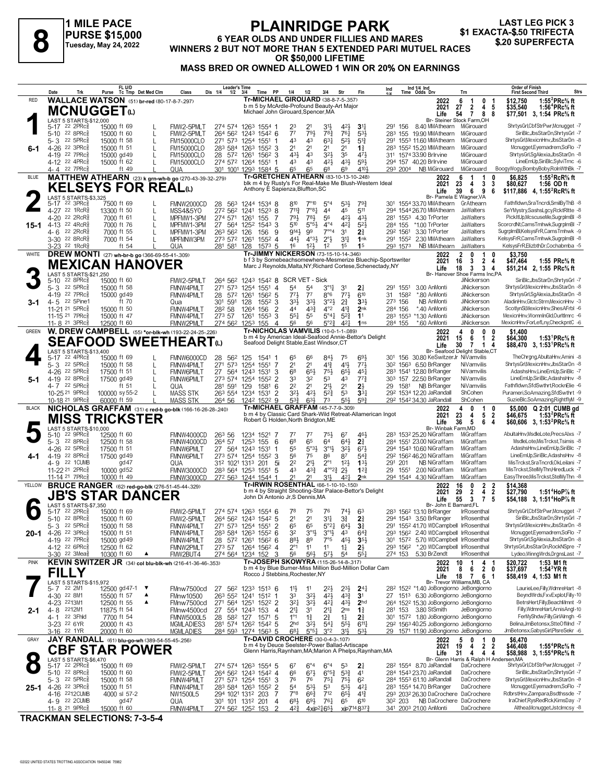**1 MILE PACE PURSE \$15,000 Tuesday, May 24, 2022**

#### **PLAINRIDGE PARK 6 YEAR OLDS AND UNDER FILLIES AND MARES PURSE \$15,000**<br>
Tuesday, May 24, 2022 WINNERS 2 BUT NOT MORE THAN 5 EXTENDED PARI MUTUEL RACES \$20 SUPERFECTA **OR \$50,000 LIFETIME MASS BRED OR OWNED ALLOWED 1 WIN OR 20% ON EARNINGS LAST LEG PICK 3<br>\$1 EXACTA-\$.50 TRIFECTA**

|              | Date<br>Trk                                                                    | FL U/D<br>Tc Tmp Det Med Clm<br>Purse                    | Dis 1/4<br>Class                             | <b>Leader's Time</b><br>$1/2$ $3/4$<br>PP<br>Time                          | 1/4<br>3/4<br>1/2                                                                                    | Fin<br>Str                                                                    | Ind 1/4 Ind<br>Time Odds Drv<br>Ind<br>Trn                                                             | <b>Order of Finish</b><br><b>Strs</b><br><b>First Second Third</b>                                                                             |
|--------------|--------------------------------------------------------------------------------|----------------------------------------------------------|----------------------------------------------|----------------------------------------------------------------------------|------------------------------------------------------------------------------------------------------|-------------------------------------------------------------------------------|--------------------------------------------------------------------------------------------------------|------------------------------------------------------------------------------------------------------------------------------------------------|
| <b>RED</b>   |                                                                                | <b>WALLACE WATSON</b> (51) br-red (80-17-8-7-297)        |                                              |                                                                            | Tr-MICHAEL GIROUARD (38-8-7-5-.357)<br>b m 5 by McArdle-Profound Beauty-Art Major                    |                                                                               | 2022<br>6<br>$\mathbf{1}$<br>2<br>2021<br>27<br>4                                                      | 1:55 ${}^{2}$ PRc ${}^{5}$ s ft<br>0 <sub>1</sub><br>\$12,750<br>\$35,540<br>1:56 <sup>4</sup> PRc <sup>5</sup> / <sub>8</sub> ft<br>-5        |
|              | <b>MCNUGGET</b> <sup>0</sup><br>LAST 5 STARTS-\$12,000                         |                                                          |                                              |                                                                            | Michael John Girouard, Spencer, MA                                                                   |                                                                               | $\overline{7}$<br>8<br>Life<br>54<br>Br- Steiner Stock Farm, OH                                        | 8<br>\$77,501 3, 1:54 PRc% ft                                                                                                                  |
|              | 5-17 22 2PRc <sup>5</sup><br>22 8PRc3<br>$5 - 10$                              | 15000 ft 69<br>15000 ft 60<br>L                          | FMW2-5PMLT<br>FMW2-5PMLT                     | 274 574 1263 1554 1<br>264 562 1243 1542 6                                 | 23<br>2 <sup>1</sup><br>31}<br>7 <sup>7</sup><br>783<br>791                                          | 42}<br>3 <sup>11</sup><br>761<br>$5^{31}$                                     | 291 156 8.40 MMAthearn MiGirouard<br>283 155 19.90 MMAthearn<br>MiGirouard                             | ShrtysGrl,CbfStrPwr,Mcnugget -7<br>SiriBlc, JbsStarDn, ShrtysGrl -7                                                                            |
|              | 22 5PRc<br>$5 - 3$                                                             | 15000 ft 58<br>L                                         | <b>FM15000CLO</b>                            | 271 573 1254 1551                                                          | $63\frac{1}{4}$<br>43<br>43                                                                          | $5^{21}$<br>$5^{13}$                                                          | 291 1553 11.60 MMAthearn<br>MiGirouard                                                                 | ShrtysGrlMexicnHnv.JbsStarDn -8                                                                                                                |
| 6-1          | 4-26 22 3PRc <sup>5</sup><br>4-19 22 7PRcs                                     | 15000 ft 51<br>L<br>15000 gd 49<br>L                     | <b>FM15000CLO</b><br><b>FM15000CLO</b>       | 283 584 1263 1552 3<br>28 572 1261<br>1562<br>3                            | 2 <sup>1</sup><br>2 <sup>1</sup><br>2 <sup>1</sup><br>431<br>32}<br>43                               | 2 <sup>1</sup><br>$1\frac{3}{4}$<br>35<br>471                                 | MiGirouard<br>283 1552 15.20 MMAthearn<br>311 1574 33.90 Brirvine<br>MiGirouard                        | Mcnugget, Eyemadrem, SoFlo -7<br>ShrtysGrl,SgAlexia,JbsStarDn -8                                                                               |
|              | 4-12 22 4PRc<br>22 7PRc <sup>5</sup><br>4-4                                    | 15000 ft 62<br>ft 49                                     | <b>FM15000CLO</b><br>QUA                     | 274 572 1264 1551<br>301 1001 1293 1584 5                                  | 43<br>43<br>421<br>65<br>68<br>65                                                                    | 431<br>$59\frac{1}{2}$<br>6 <sup>9</sup><br>4104                              | 294 157 40.20 Brlrvine<br>MiGirouard<br>293 2004<br>NB MiGirouard<br>MiGirouard                        | LineEmUp,SiriBlc,SylviTrnc -6<br>BoogyWogy,BombyBoby,RolnWthBk -7                                                                              |
| <b>BLUE</b>  |                                                                                | MATTHEW ATHEARN (23) k grn-wh-b go (270-43-39-32-279)    |                                              |                                                                            | Tr-GRETCHEN ATHEARN (83-10-13-10-248)<br>blk m 4 by Rusty's For Real-Make Me Blush-Western Ideal     |                                                                               | 2022<br>6<br>-1<br>-1<br>23<br>2021<br>4<br>3                                                          | \$6,825<br>1:55 ${}^{2}$ RcR ${}^{5}$ ft<br>3<br>\$80,627<br>1:56 OD ft                                                                        |
|              | LAST 5 STARTS-\$3,325                                                          | <b>KELSEYS FOR REAL(L)</b>                               |                                              |                                                                            | Anthony E Sapienza, Bluffton, SC                                                                     |                                                                               | 6<br>39<br>9<br>Life<br>Br- Pamela E Wagner, VA                                                        | 6<br>\$117,886 4, 1:55 <sup>2</sup> RcR <sup>5</sup> / <sub>8</sub> ft                                                                         |
|              | 5-17 22 3PRc <sup>5</sup><br>4-27 22 1RcR <sup>5</sup>                         | 7500 ft 69                                               | FMNW2000CD                                   | 28 563 1244 1534 8                                                         | 810<br>$7^{\circ}10$<br>$5^{\circ}4$<br>7°8 <sup>1</sup><br>$7^{11}\frac{3}{4}$<br>44                | 531<br>793<br>45<br>511                                                       | 301 1554 33.70 MMAthearn<br>GrAthearn<br>294 1544 26.70 MMAthearn<br>JaWalters                         | Fathfldwn,SraTncrdi,SmilByThB -8<br>SeYMystry,SashsLgcy,RcktRltte -8                                                                           |
|              | 22 $2RcR_8^5$<br>$4 - 20$                                                      | 13300 ft 50<br>L<br>7000 ft 61<br>L                      | MSS4&5YO<br>274 571<br>MPFMW1-3PM            | 272 562 1241<br>$152^3$ 8<br>1261<br>155<br>-7                             | 791<br>781<br>56                                                                                     | 431<br>42}                                                                    | 281 1553 4.30 TrPorter<br><b>JaWalters</b>                                                             | PickItUp,McscuseMe,SugrpImBI -8                                                                                                                |
| 15-1         | 4-13 22 4RcR <sup>5</sup><br>22 2RcR <sup>5</sup><br>4- 6                      | 7000 ft 76<br>L<br>7000 ft 55<br>L                       | MPFMW1-3PM<br>MPFMW1-3PM<br>263 562 126      | 27 564 1252 1543 3<br>156<br>9                                             | $5^{10}$<br>$5^{\circ}5^{\circ}$<br>$4^{\circ}4$<br>9141<br>99<br>$7^{\circ\circ}4$                  | 421<br>$5^{2}$<br>3 <sup>1</sup><br>2 <sup>3</sup>                            | 284 155<br>*1.00 TrPorter<br>JaWalters<br>3.30 TrPorter<br><b>JaWalters</b><br>292 1561                | ScorcrdNt,CamsTmhwk,SugrplmBl -7<br>SugrplmBl,KelsysFrR,CamsTmhwk -9                                                                           |
|              | 3-30 <sup>22</sup> 8RcR <sup>§</sup><br>3-23 <sup>22</sup> 1RcR <sup>5</sup>   | 7000 ft 54<br>ft $54$                                    | MPFMNW3PM<br>281 581<br>QUA                  | 273 572 1261<br>$155^2$ 4<br>128<br>157 <sup>3</sup> 5                     | 443<br>$4^{\circ}3\frac{1}{2}$<br>$2^{\circ}$<br>$12\frac{1}{2}$<br>16<br>1 <sup>2</sup>             | 31<br>1nk<br>1 <sup>5</sup><br>1 <sup>5</sup>                                 | 291 1552 2.30 MMAthearn<br>JaWalters<br>293 1573<br>NB MMAthearn<br>JaWalters                          | KelsysFrR,CamsTmhwk,SugrplmBl -8<br>KelsysFrR,ElizbthDr,Cochabmba -5                                                                           |
| WHITE        |                                                                                | <b>DREW MONTI</b> (27) wh-br-b go (366-69-55-41-.309)    |                                              |                                                                            | Tr-JIMMY NICKERSON (73-15-10-14-346)<br>b f 3 by Somebeachsomewhere-Mesmerize Bluechip-Sportswriter  |                                                                               | $\overline{2}$<br>$\mathbf{0}$<br>2022<br>-1<br>3<br>$\overline{2}$                                    | 0<br>\$3.750<br>4                                                                                                                              |
|              |                                                                                | <b>MEXICAN HANOVER</b>                                   |                                              |                                                                            | Marc J Reynolds, Malta, NY; Richard Cortese, Schenectady, NY                                         |                                                                               | 2021<br>16<br>18<br>3<br>$\mathbf{3}$<br>Life                                                          | \$47,464<br>1:55 $PRc\%$ ft<br>\$51,214 2, 1:55 PRc% ft<br>4                                                                                   |
|              | LAST 5 STARTS-\$21,250<br>$22$ 8PR $c_{8}^5$<br>$5 - 10$                       | 15000 ft 60                                              | FMW2-5PMLT                                   |                                                                            | 264 562 1243 1542 8 SCR VET - Sick                                                                   |                                                                               | Br- Hanover Shoe Farms Inc,PA<br>JiNickerson                                                           | SiriBlc, JbsStarDn, ShrtysGrl -7                                                                                                               |
|              | 22 5PRc3<br>$5 - 3$<br>4-19 22 7PRc <sup>5</sup>                               | 15000 ft 58<br>15000 gd 49                               | FMNW4PMLT<br>271 573<br>FMNW4PMLT            | 1254 1551 4<br>28 572 1261<br>$156^2$ 5                                    | 54<br>5 <sup>4</sup><br>$3^{011}$<br>773<br>77<br>$8^{\circ}6$                                       | 31<br>$2\frac{1}{4}$<br>773<br>610                                            | JiNickerson<br>291 1551<br>3.00 AnMonti<br>1582<br>31<br>*.80 AnMonti<br><b>JiNickerson</b>            | ShrtysGrl, MexicnHnv, JbsStarDn -8<br>ShrtysGrl,SgAlexia,JbsStarDn -8                                                                          |
| 3-1          | 4-5 22 5Pine1<br>11-21 21 5PRc <sup>5</sup>                                    | ft 70<br>15000 ft 50                                     | 301<br>591<br>Qua<br>282 58<br>FMNW4PMLT     | 128<br>1552<br>3<br>2<br>1264<br>156                                       | $3^{3}\frac{1}{2}$<br>331<br>3°23<br>$4^{\circ}2$<br>44<br>$43\frac{3}{7}$                           | $2\frac{3}{4}$<br>3 <sup>3</sup><br>$4^{13}$<br>2 <sub>nk</sub>               | 273 156<br>NB AnMonti<br>JiNickerson<br>284 156<br>*.40 AnMonti<br>JiNickerson                         | AladinHnv,GlctcStrm,MexicnHnv -3<br>ScotlynSl, MexicnHnv, ShesAFrbl -6                                                                         |
|              | 11-15 21 7PRc <sup>5</sup><br>11-8 <sup>21</sup> 3PRc <sup>3</sup>             | 15000 ft 47<br>12500 ft 60                               | FMNW4PMLT<br>273 57<br>FMNW2PMLT             | 1261<br>1553<br>3<br>274 562 1253 155<br>$\overline{4}$                    | $5^{\circ}4\frac{1}{4}$<br>$55\frac{1}{4}$<br>55<br>56<br>56<br>$5^{\circ}2_{4}^{3}$                 | $5^{2}3$<br>1 <sup>1</sup><br>$4^{2}$<br>1 <sub>ns</sub>                      | 283 1553 *1.30 AnMonti<br>JiNickerson<br>284 155<br>*.60 AnMonti<br>JiNickerson                        | MexicnHnv,WomnInGld,OurItImrc -6<br>MexicnHnv,ForLefLny,CheckpntC -6                                                                           |
| <b>GREEN</b> |                                                                                | W. DREW CAMPBELL (55) *or-blk-wh (193-22-24-25-.226)     |                                              |                                                                            | <b>Tr-NICHOLAS VAMVILIS (10-0-1-1-089)</b><br>b m 4 by American Ideal-Seafood Annie-Bettor's Delight |                                                                               | 2022<br>4<br>0                                                                                         | $0\quad 0$<br>\$1.400                                                                                                                          |
|              |                                                                                | <b>SEAFOOD SWEETHEARTω</b>                               |                                              |                                                                            | Seafood Delight Stable, East Windsor, CT                                                             |                                                                               | 15<br>2021<br>6<br>$\mathbf{1}$<br>30<br>Life<br>7<br>$\mathbf{1}$<br>Br- Seafood Delight Stable.CT    | 2<br>\$64,300<br>1:53 <sup>1</sup> PRc <sup>5</sup> / <sub>8</sub> ft<br>\$88,470 3, 1:53 <sup>1</sup> PRc <sup>5</sup> / <sub>8</sub> ft<br>4 |
|              | LAST 5 STARTS-\$13,400<br>5-17 22 4PRc <sup>5</sup>                            | 15000 ft 69                                              | 28<br>FMNW6000CD                             | 562 125<br>1541 1                                                          | 84}<br>65<br>66                                                                                      | 693<br>75                                                                     | 301 156 30.80 KeSwitzerJr NiVamvilis                                                                   | TheChrana.AbultaHnv.Amini -8                                                                                                                   |
|              | 5-3 22 5PRc<br>4-26 22 5PRc                                                    | 15000 ft 58<br>L<br>17500 ft 51<br>L                     | FMNW4PMLT<br>271 573<br><b>FMNW6PMLT</b>     | 1254 1551<br>-7<br>27 564 1243<br>1531<br>3                                | 2 <sup>1</sup><br>2 <sup>1</sup><br>$4^{13}$<br>6 <sup>8</sup><br>653<br>75}                         | 41}<br>$77\frac{1}{2}$<br>65}<br>$45\frac{1}{4}$                              | 30 <sup>2</sup> 156 <sup>3</sup> 6.50 BrRanger<br>NiVamvilis<br>283 1541 12.80 BrRanger<br>NiVamvilis  | ShrtysGrl, MexicnHnv, JbsStarDn -8<br>AdashsHnv,LineEmUp,SiriBlc -7                                                                            |
| 5-1          | 4-19 22 8PRc <sup>5</sup><br>4-7 22 5PRc                                       | 17500 gd 49<br>L<br>ft 51<br>$\mathsf{L}$                | <b>FMNW6PMLT</b><br>281<br>591<br>QUA        | 273 574 1254<br>1552<br>2<br>129<br>1581<br>6                              | 33<br>32<br>53<br>2 <sup>2</sup><br>2 <sup>1</sup><br>$21\frac{1}{2}$                                | 773<br>43<br>2 <sup>1</sup><br>2 <sup>1</sup>                                 | 303 157 22.50 BrRanger<br>NiVamvilis<br>1581 NB BrRanger<br>NiVamvilis<br>29                           | LineEmUp,SiriBlc,AdashsHnv -8<br>Fathfldwn,SfdSwthrt,RocknElie -6                                                                              |
|              | 10-25 <sup>21</sup> 9PRc <sup>3</sup><br>10-18 <sup>21</sup> 9PRc <sup>3</sup> | 100000 sy 55-2<br>60000 ft 59                            | <b>MASS STK</b><br><b>MASS STK</b><br>264 56 | 263 554 1234<br>1531<br>2<br>1242 1522 9                                   | 32}<br>421<br>$5^{2}$<br>$5^{3}$<br>631<br>73                                                        | 53<br>33 <sub>1</sub><br>$55\frac{1}{2}$<br>$59\frac{3}{4}$                   | 29 <sup>2</sup> 1534 12.20 JaRandall<br>ShCohen<br>292 1542 34.30 JaRandall<br>ShCohen                 | Purameri, So Amazing, Sfd Swthrt - 9<br>SuzieBlc,SoAmazing,RightflyM -9                                                                        |
| <b>BLACK</b> |                                                                                | NICHOLAS GRAFFAM (31) c red-b go-blk (166-16-26-28-.240) |                                              |                                                                            | Tr-MICHAEL GRAFFAM (45-7-7-9-.309)<br>b m 4 by Classic Card Shark-Wild Retreat-Allamerican Ingot     |                                                                               | 2022<br>4<br>0<br>-1<br>23<br>5<br>4                                                                   | Q 2:01 CUMB gd<br>0<br>\$5.000<br>$\overline{2}$                                                                                               |
|              | LAST 5 STARTS-\$10,000                                                         | <b>MISS TRICKSTER</b>                                    |                                              |                                                                            | Robert G Holden, North Bridgton, ME                                                                  |                                                                               | 2021<br>36<br>5<br>6<br>Life<br>Br- Winbak Farm, MD                                                    | 1:53 $^{2}$ PRc $\%$ ft<br>\$46,675<br>4<br>\$60,606 3, 1:53 <sup>2</sup> PRc <sup>5</sup> / <sub>8</sub> ft                                   |
|              | $22$ 9PR $c_{8}$<br>$5 - 10$<br>5-3 22 8PRc <sup>5</sup>                       | 12500 ft 60                                              | FMNW4000CD<br>26 <sup>3</sup> 56<br>264 57   | 1234 1521<br>-7                                                            | 77<br>75}<br>77<br>6 <sup>8</sup><br>65<br>64                                                        | 67<br>461<br>$64\frac{1}{2}$<br>$2\frac{3}{4}$                                | 283 1532 25.20 NiGraffam<br>MiGraffam<br>284 1551 23.00 NiGraffam<br>MiGraffam                         | AbultaHnv,MsdleLote,PrecsAlxs -7<br>MsdleLote.MisTrckst.Tsimis -8                                                                              |
|              | 4-26 22 5PRc <sup>5</sup>                                                      | 12500 ft 58<br>17500 ft 51                               | FMNW4000CD<br><b>FMNW6PMLT</b>               | 1253 155<br>6<br>27 564 1243 1531<br>-1                                    | $5^{\circ}3\frac{1}{2}$<br>$3^{01}$<br>55                                                            | 3 <sup>2</sup><br>673                                                         | 294 1543 10.60 NiGraffam<br>MiGraffam                                                                  | AdashsHnv,LineEmUp,SiriBlc -7                                                                                                                  |
| 4-1          | 4-19 22 8PRc <sup>5</sup><br>4-9 22 1 CUMB                                     | 17500 gd 49<br>gd47                                      | <b>FMNW6PMLT</b><br>QUA                      | 273 574 1254 1552<br>3<br>312 1021 1313<br>5i<br>201                       | 56<br>75<br>86<br>2 <sup>2</sup><br>$21\frac{1}{2}$<br>$2^{\circ}1$                                  | 87<br>$5^{4}$<br>133<br>$12\frac{1}{2}$                                       | 29 <sup>2</sup> 156 <sup>2</sup> 46.20 NiGraffam<br>MiGraffam<br>MiGraffam<br>291 201<br>NB NiGraffam  | LineEmUp,SiriBlc,AdashsHnv -8<br>MisTrckst,SraTncrdi,OkLeilani -7                                                                              |
|              | 11-22 <sup>21</sup> 2PRc <sup>3</sup><br>11-14 <sup>21</sup> 7PRc              | 10000 gd52<br>10000 ft 49                                | FMNW3000CD<br>FMNW3000CD                     | 283 564 1253 1551 5<br>272 563 1244 1544 1                                 | 43<br>$4^{3}\frac{3}{4}$<br>21<br>21<br>3½                                                           | $4^{\circ}2^3$ $2^1$<br>$1^{22}$<br>2nk<br>421                                | 29 1551<br>2.00 NiGraffam<br>MiGraffam<br>294 1544 4.30 NiGraffam<br>MiGraffam                         | MisTrckst,StelMyThn,HiredLuck -7<br>EasyThree, MisTrckst, StelMyThn -8                                                                         |
| YELLOW       |                                                                                | <b>BRUCE RANGER</b> (62) red-go-blk (276-51-45-44-.329)  |                                              |                                                                            | Tr-IRWIN ROSENTHAL (66-1-10-10-150)<br>b m 4 by Straight Shooting-Star Palace-Bettor's Delight       |                                                                               | $\mathbf{2}$<br>2022<br>16<br>0<br>29<br>$\mathbf{2}$<br>2021<br>4                                     | $\overline{2}$<br>\$14,368<br>$\overline{2}$<br>\$27,790<br>1:51 <sup>4</sup> HoP% ft                                                          |
|              | LAST 5 STARTS-\$7,350                                                          | <b>JB'S STAR DANCER</b>                                  |                                              |                                                                            | John Di Antonio Jr, S Dennis, MA                                                                     |                                                                               | 55<br>3<br>Life<br>$\mathbf{7}$<br>Br- John E Barnard, FL                                              | 5<br>\$54,188 3, 1:51 <sup>4</sup> HoP% ft                                                                                                     |
|              | 5-17 22 2PRc<br>5-10 22 8PRc <sup>5</sup>                                      | 15000 ft 69<br>15000 ft 60                               | FMW2-5PMLT<br>FMW2-5PMLT                     | 274 574 1263 1554 6<br>264 562 1243 1542 5                                 | 78<br>75<br>76<br>2 <sup>1</sup><br>2 <sup>1</sup><br>34                                             | $74\frac{1}{2}$<br>63<br>$3\frac{3}{4}$<br>2 <sup>3</sup>                     | 283 1562 13.10 BrRanger<br><b>IrRosenthal</b><br>294 1543 3.50 BrRanger<br><b>IrRosenthal</b>          | ShrtysGrl,CbfStrPwr,Mcnugget -7<br>SiriBlc, JbsStarDn, ShrtysGrl -7                                                                            |
|              | 5-3 22 5PRc                                                                    | 15000 ft 58                                              | FMNW4PMLT                                    | 271 573 1254 1551                                                          | 65<br>$5^{\circ}2\frac{1}{4}$                                                                        | $64\frac{1}{2}$<br>$3\frac{3}{4}$                                             | 291 1552 41.70 WDCampbell IrRosenthal                                                                  | ShrtysGrl,MexicnHnv,JbsStarDn -8<br>Mcnugget,Eyemadrem,SoFlo -7                                                                                |
|              | 20-1 4-26 22 3PRc<br>4-19 22 7PRc <sup>3</sup>                                 | 15000 ft 51<br>15000 gd 49                               | FMNW4PMLT<br>FMNW4PMLT                       | 283 584 1263 1552 6<br>28 572 1261 1562 6                                  | 32<br>$3^{01}$<br>$3^{01}$<br>883<br>7°5<br>89                                                       | 43<br>$64\frac{3}{4}$<br>$45\frac{1}{2}$<br>$35\frac{1}{2}$                   | 293 1562 2.40 WDCampbell IrRosenthal<br>301 1572 5.70 WDCampbell IrRosenthal                           | ShrtysGrl,SgAlexia,JbsStarDn -8                                                                                                                |
|              | 4-12 22 6PRc <sup>3</sup><br>3-30 <sup>22</sup> 3Mea <sup>5</sup>              | 12500 ft 62<br>10300 ft 60<br>▲                          | FMNW2PMLT<br>FMW2BUT4                        | 273 57 1264 1562 4<br>274 564 1234 152<br>3                                | $2^{\circ}1$<br>11<br>11<br>56<br>$56\frac{1}{2}$<br>$5^{7}\frac{1}{2}$                              | $1\frac{1}{4}$<br>$2\frac{1}{2}$<br>$55\frac{1}{4}$<br>54                     | 293 1562 *.20 WDCampbell IrRosenthal<br>274 153<br>5.30 BrZendt<br>IrRosenthal                         | ShrtysGrl,JbsStarDn,RockNSpre -7<br>Lydeo, Winng Wrds, DrgnsLast -7                                                                            |
| <b>PINK</b>  |                                                                                | KEVIN SWITZER JR (34) col blu-blk-wh (216-41-36-46-353)  |                                              |                                                                            | Tr-JOSEPH SKOWYRA (115-26-14-8-.317)<br>b m 4 by Blue Burner-Miss Million Bud-Million Dollar Cam     |                                                                               | 10<br>2022<br>8<br>2021<br>6                                                                           | 4 1<br>\$20,722<br>1:53 M1 ft<br>2 <sub>0</sub><br>\$37,697<br>1:54 $3$ YR ft                                                                  |
|              | <b>FILLY</b><br>LAST 5 STARTS-\$15,972                                         |                                                          |                                              |                                                                            | Rocco J Stebbins, Rochester, NY                                                                      |                                                                               | 18<br>Life<br>$\mathbf{7}$<br>Br- Trevor Williams, MB, CA                                              | 6 1<br>\$58,419 4, 1:53 M1 ft                                                                                                                  |
|              | 5-7 22 2M1<br>4-30 22 8M1                                                      | 12500 gd 47-1 $\blacktriangledown$<br>15500 ft 57        | FMnw7500cd<br>27<br>FMnw10500                | 56 <sup>2</sup> 123 <sup>3</sup> 151 <sup>3</sup> 6<br>263 552 1241 1512 1 | 11<br>$2^{2}$<br>11<br>33<br>$3^{2}$<br>$4^{21}$                                                     | $2^{3}\frac{1}{2}$<br>24 <sub>1</sub><br>$4^{3}\frac{3}{4}$<br>3 <sup>1</sup> | 28 <sup>2</sup> 152 <sup>2</sup> *1.40 JoBongiorno JeBongiorno<br>27 1513 6.30 JoBongiorno JeBongiorno | LaurieLee,Filly,WdmreHart -8<br>BeyndWrds,FxvExplot,Filly-10                                                                                   |
|              | 4-23 2213M1<br>4-8 2212M1                                                      | 12500 ft 55<br>▲<br>11875 ft 54                          | FMnw7500cd<br>FMnw4500cd                     | 271 564 1251 1522 2<br>27 554 1243 153<br>4                                | $3^{21}$<br>$3^{2}$<br>$4^{2}$<br>21<br>$2^{11}$<br>31                                               | $43\frac{1}{2}$<br>2 <sub>hd</sub><br>2 <sub>ns</sub><br>$1\frac{3}{4}$       | 264 1522 15.30 JoBongiorno JeBongiorno<br>281 153 3.80 StSmith<br>JeBongiorno                          | BetrsHert,Filly,BeachMmnt -9<br>Filly, WdmreHart, Arnis Angl-10                                                                                |
| 2-1          | 4-1<br>22 3Fhld                                                                | 7700 ft 54                                               | <b>FMNW5000L5</b><br>28                      | 582 127<br>1571<br>5                                                       | $1^{\circ}1$<br>$2\frac{3}{4}$<br>$1\frac{3}{4}$                                                     | 21<br>$1\frac{1}{4}$                                                          | 301 1572 1.80 JoBongiorno JeBongiorno                                                                  | FerMyShdw,Filly,GirlAlmgh -6                                                                                                                   |
|              | 3-23 <sup>22</sup> 6YR<br>3-16 <sup>22</sup> 1YR                               | 20000 ft 43<br>20000 ft 60                               | MGMLADIES3<br><b>MGMLADIES</b>               | 281 574 1262 1542 5<br>284 593 1274 1563 5                                 | 2 <sub>hd</sub><br>$3^{2}\frac{1}{2}$<br>$5^{4}$<br>$6^{81}$<br>3°2<br>$5^{\circ 5}$ <sup>1</sup>    | $55\frac{1}{2}$<br>$6^{11}$<br>$3^{11}$<br>533                                | 292 1563 40.25 JoBongiorno JeBongiorno<br>29 1571 11.90 JoBongiorno JeBongiorno                        | Belina, JmBetonsx, StteOfMnd -7<br>JmBetonsx,GabysGirl,PlsreSekr -6                                                                            |
| GRAY         |                                                                                | JAY RANDALL (61) blu-go-wh (389-54-55-45-256)            |                                              |                                                                            | Tr-DAVID CROCHERE (30-0-4-3-.107)<br>b m 4 by Deuce Seelster-Power Ballad-Artiscape                  |                                                                               | 2022<br>5<br>0<br>1<br>19<br>$\overline{2}$<br>2021<br>4                                               | 0<br>\$6,470<br>2<br>\$46,408<br>1:55 <sup>4</sup> PRc% ft                                                                                     |
|              | LAST 5 STARTS-\$6,470                                                          | <b>CBF STAR POWER</b>                                    |                                              |                                                                            | Glenn Harris, Raynham, MA; Marion A Phelps, Raynham, MA                                              |                                                                               | 31<br>Life<br>4<br>Br- Glenn Harris & Ralph H Andersen, MA                                             | 44<br>\$58,988 3, 1:55 <sup>4</sup> PRc <sup>5</sup> / <sub>8</sub> ft                                                                         |
|              | 5-17 22 2PRc <sup>3</sup><br>5-10 22 8PRc <sup>3</sup>                         | 15000 ft 69<br>15000 ft 60                               | FMW2-5PMLT<br>FMW2-5PMLT                     | 274 574 1263 1554 5<br>264 562 1243 1542 4                                 | $6^{\circ}4$<br>$6^{\circ}4$<br>67<br>66<br>$67\frac{1}{2}$<br>$6^{o5}\frac{3}{4}$                   | 53<br>$2\frac{1}{4}$<br>$5^{3}\frac{3}{4}$<br>41                              | 28 <sup>2</sup> 1554 8.70 JaRandall<br>DaCrochere<br>284 1543 23.70 JaRandall<br>DaCrochere            | ShrtysGrl,CbfStrPwr,Mcnugget -7<br>SiriBlc, JbsStarDn, ShrtysGrl -7                                                                            |
|              | 5-3 22 5PRc <sup>5</sup>                                                       | 15000 ft 58                                              | FMNW4PMLT                                    | 271 573 1254 1551 3                                                        | 76<br>76<br>$75\frac{1}{4}$                                                                          | $75\frac{1}{2}$<br>62                                                         | 284 1553 61.10 JaRandall<br>DaCrochere<br>DaCrochere                                                   | ShrtysGrl, MexicnHnv, JbsStarDn -8<br>Mcnugget,Eyemadrem,SoFlo -7                                                                              |
|              | 25-1 4-26 <sup>22 3PRc§</sup><br>4-16 2212 CUMB                                | 15000 ft 51<br>4000 sl 57-2                              | <b>FMNW4PMLT</b><br>NW1500L5                 | 283 584 1263 1552 2<br>294 1021 1312 203<br>-7                             | $5^{3}$<br>54<br>53<br>$7^{\circ}8$<br>712<br>$66\frac{3}{4}$                                        | $5^{31}$<br>421<br>$65\frac{1}{2}$<br>$4^{13}$                                | 283 1554 14.70 BrRanger<br>293 2032 26.30 DaCrochere DaCrochere                                        | RdbrstHnv,Zampara,Bsdthssde -7                                                                                                                 |
|              | 4-9 22 2 CUMB<br>11-8 <sup>21</sup> 9PRc <sup>3</sup>                          | gd47<br>15000 ft 60                                      | QUA<br><b>FMNW4PMLT</b>                      | 301 101 1312 201<br>$\overline{4}$<br>274 562 1252 153                     | $6^{8}$<br>761<br>$69\frac{1}{2}$<br>42}<br>$4xip^2465\frac{1}{2}$                                   | 65<br>610<br>xip7148373                                                       | NB DaCrochere DaCrochere<br>30 <sup>2</sup> 203<br>341 2003 21.00 AnMonti<br>DaCrochere                | IraChief,RysRedRck,KimsDay -7<br>Althea, Mcnugget, Jstclmcsy -8                                                                                |

**TRACKMAN SELECTIONS: 7-3-5-4**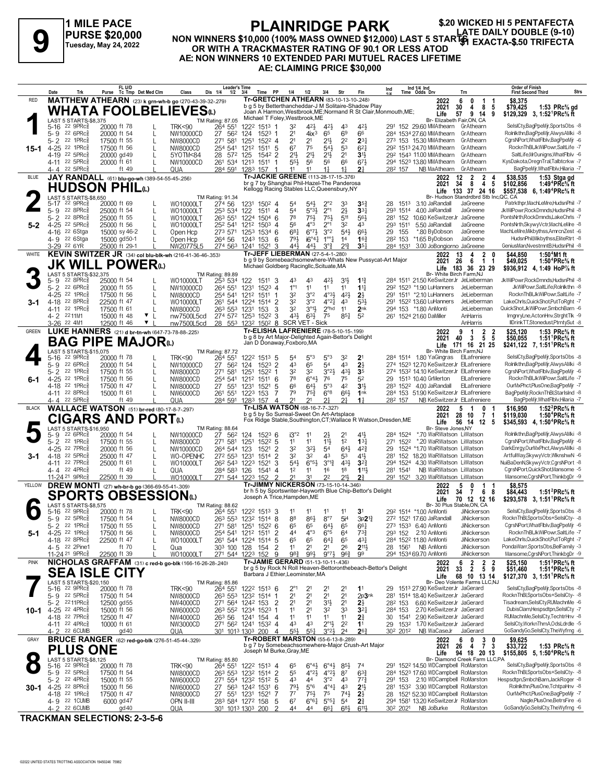**1 MILE PACE PURSE \$20,000 Tuesday, May 24, 2022**

#### **PLAINRIDGE PARK NON WINNERS \$10,000 (100% MASS OWNED \$12,000) LAST 5 STARTS OR WITH A TRACKMASTER RATING OF 90.1 OR LESS ATOD AE: NON WINNERS 10 EXTENDED PARI MUTUEL RACES LIFETIME AE: CLAIMING PRICE \$30,000 1 MILE PACE PLAINRIDGE PARK** \$20 WICKED HI 5 PENTAFECTA<br>PURSE \$20,000 MON WINNERS \$10,000 (100% MASS OWNED \$12,000) LAST 5 STARTS EXACTA-\$.50 TRIFECTA<br>OR WITH A TENOR WINNERS ARE ARTENED BACK AND RELATED TO BLOW WINNERS A

|              | Date                | Trk                                                          | FL U/D<br>Purse Tc Tmp Det Med Clm                              |              | Class                                                   | <b>Leader's Time</b><br>Dis 1/4<br>$1/2$ $3/4$                     |             | Time PP                             | 1/4                                                                                           | 1/2                                       | 3/4                                                                     | Str                               | Fin                                   | Ind                                                              |                                  | Ind 1/4 Ind<br>Time Odds Drv                                               | Trn                                                                                      | <b>Order of Finish</b><br><b>Strs</b><br><b>First Second Third</b>                                          |
|--------------|---------------------|--------------------------------------------------------------|-----------------------------------------------------------------|--------------|---------------------------------------------------------|--------------------------------------------------------------------|-------------|-------------------------------------|-----------------------------------------------------------------------------------------------|-------------------------------------------|-------------------------------------------------------------------------|-----------------------------------|---------------------------------------|------------------------------------------------------------------|----------------------------------|----------------------------------------------------------------------------|------------------------------------------------------------------------------------------|-------------------------------------------------------------------------------------------------------------|
| <b>RED</b>   |                     |                                                              |                                                                 |              | MATTHEW ATHEARN (23) k grn-wh-b go (270-43-39-32-279)   |                                                                    |             |                                     | Tr-GRETCHEN ATHEARN (83-10-13-10-248)                                                         |                                           |                                                                         |                                   |                                       |                                                                  |                                  | 2022                                                                       | 6<br>$\mathbf{0}$<br>-1<br>-1                                                            | \$8,375                                                                                                     |
|              |                     |                                                              |                                                                 |              | WHATA FOOLBELIEVESധ                                     |                                                                    |             |                                     | b g 5 by Betterthancheddar-J M Solitaire-Shadow Play                                          |                                           |                                                                         |                                   |                                       | Joan A Harmon, Westbrook, ME; Normand R St Clair, Monmouth, ME;  |                                  | 2021<br>Life                                                               | 30<br>$\overline{4}$<br>8<br>-5<br>9<br>57 9 14                                          | \$79,425<br>1:53 $PRc$ % gd<br>\$129,329 3, 1:52 PRc% ft                                                    |
|              |                     | LAST 5 STARTS-\$8,375                                        |                                                                 |              |                                                         | TM Rating: 87.05                                                   |             |                                     | Michael T Foley, Westbrook, ME                                                                |                                           |                                                                         |                                   |                                       |                                                                  |                                  |                                                                            | Br- Elizabeth Fair, ON, CA                                                               |                                                                                                             |
|              | 5-16<br>5-9         | 22 9PRc <sup>3</sup><br>22 6PRc                              | 20000 ft 78<br>20000 ft 54                                      | L            | <b>TRK&lt;90</b><br>NW10000CD                           | 264 551<br>27 562 124                                              | 1222 1513 1 | $1523$ 1                            | 32<br>21                                                                                      | 42}<br>4ix <sup>3</sup>                   | $4^{2}\frac{1}{2}$<br>65                                                | 4 <sup>3</sup><br>6 <sup>9</sup>  | 42}<br>66                             |                                                                  |                                  | 291 152 29.60 MMAthearn<br>284 1534 27.60 MMAthearn                        | GrAthearn<br>GrAthearn                                                                   | SelslCty,BagPpeMjr,SportsObs -8<br>Rolnlkthn,BagPpeMjr,AlwysAMki -8                                         |
|              | 5-2                 | 22 1PRc                                                      | 17500 ft 55                                                     | L            | NW8000CD                                                | 271 581                                                            | 1251        | 1522 4                              | 2 <sup>1</sup>                                                                                | 2 <sup>1</sup>                            | 21}                                                                     | 2 <sup>2</sup>                    | $2^{3}$                               |                                                                  |                                  | 273 153 15.30 MMAthearn                                                    | GrAthearn                                                                                | CarsNPort.WhatFlblv.BaaPpeMir -6                                                                            |
| 15-1         | $4 - 25$            | 22 1PRc<br>4-19 22 5PRc                                      | 17500 ft 56<br>20000 gd 49                                      |              | NW8000CD<br>5YOTM<84                                    | 254 541 1212 1511 5<br>28 572 125                                  |             | 1542 2                              | 67<br>$21\frac{1}{2}$                                                                         | 75<br>$21\frac{1}{2}$                     | $54\frac{1}{2}$<br>$21\frac{1}{2}$                                      | 53<br>2 <sup>1</sup>              | $6^{2}$<br>3 <sup>1</sup>             |                                                                  |                                  | 292 1513 24.70 MMAthearn<br>292 1543 11.00 MMAthearn                       | GrAthearn<br>GrAthearn                                                                   | RocknThBl,JkWilPowr,SaltLife -7<br>SaltLife, MrDunigns, WhatFlblv -6                                        |
|              |                     | 4-11 22 5PRc                                                 | 20000 ft 61                                                     | L            | NW10000CD                                               | 261 534 1213 1511                                                  |             | -1                                  | $5^{5}\frac{1}{2}$                                                                            | 56                                        | 56                                                                      | 66                                | $6^{71}$                              |                                                                  |                                  | 294 1523 13.80 MMAthearn                                                   | GrAthearn                                                                                | KysDakota, Oregn Tral, Talbtcrkw -7                                                                         |
|              |                     | 4-4 22 5PRc                                                  | ft 49                                                           |              | QUA                                                     | 284 591 1283 157                                                   |             |                                     | 11<br>Tr-JACKIE GREENE (113-28-17-15-.376)                                                    | 11                                        | 11                                                                      | $1\frac{1}{4}$                    | 21                                    |                                                                  | 282 157                          | NB MaAthearn                                                               | GrAthearn                                                                                | BagPpeMjr, WhatFlblv, Hilaria -7                                                                            |
| <b>BLUE</b>  |                     |                                                              | JAY RANDALL (61) blu-go-wh (389-54-55-45-256)                   |              |                                                         |                                                                    |             |                                     | br g 7 by Shanghai Phil-Hazel-The Panderosa                                                   |                                           |                                                                         |                                   |                                       |                                                                  |                                  | 2022<br>2021                                                               | $\overline{2}$<br>$\overline{2}$<br>12<br>4<br>$\overline{4}$<br>$\sqrt{5}$<br>34<br>- 8 | \$38,535<br>1:53 Stga gd<br>1:49 ${}^4$ PRc ${}^5\!$ ft<br>\$102,856                                        |
|              |                     |                                                              | <b>HUDSON PHIL</b> O                                            |              |                                                         |                                                                    |             |                                     | Kellogg Racing Stables LLC, Queensbury, NY                                                    |                                           |                                                                         |                                   |                                       |                                                                  |                                  |                                                                            | Life 133 37 24 16<br>Br- Hudson Standrdbrd Stb Inc, QC, CA                               | \$557,538 6, 1:49 <sup>4</sup> PRc <sup>5</sup> / <sub>8</sub> ft                                           |
|              |                     | LAST 5 STARTS-\$8,650<br>5-17 22 9PRc                        | 20000 ft 69                                                     |              | WO10000LT                                               | TM Rating: 91.34<br>274 56                                         | 1231 1502 4 |                                     | 54                                                                                            | $5^{4}$                                   | $2^{\circ}2$                                                            | 33                                | $35\frac{3}{4}$                       | 28                                                               | 1513                             | 3.10 JaRandall                                                             | JaGreene                                                                                 | Patrkthpr.MachLeMre.HudsnPhil -7                                                                            |
|              | $5 - 9$             | 22 8PRc<br>22 8PRc                                           | 25000 ft 54                                                     | $\mathbf{I}$ | WO10000LT                                               | 253 534 122                                                        |             | 1511 4                              | 54                                                                                            | $5°3\frac{1}{2}$                          | $2^{\circ}1$                                                            | 21                                | 33 <sub>1</sub>                       |                                                                  |                                  | 293 1514 4.00 JaRandall                                                    | JaGreene                                                                                 | JkWilPowr,RockDmnds,HudsnPhil -8<br>PontsNrth,RockDmnds,LakeChrls -7                                        |
| 5-2          | $5 - 2$<br>$4 - 25$ | 22 5PRc3                                                     | 25000 ft 55<br>25000 ft 56                                      | L<br>L       | WO10000LT<br>WO10000LT                                  | 263 551<br>25 <sup>2</sup> 541 121 <sup>2</sup> 150 <sup>3</sup> 4 | 1224 1504 6 |                                     | 78<br>56                                                                                      | 75}<br>$4^{\circ}3$                       | 75}<br>$2^{\circ}1$                                                     | 511<br>32                         | 561<br>43                             |                                                                  | 293 1511                         | 281 152 10.60 KeSwitzerJr JaGreene<br>5.50 JaRandall                       | JaGreene                                                                                 | PontsNrth,SkywyVctr,MachLeMre -8                                                                            |
|              | 4-16                | 22 6Stga                                                     | 15000 sy 46-2                                                   |              | Open Hcp                                                | 273 571 1253 1534 6                                                |             |                                     | 681                                                                                           | $6^{07}\frac{1}{2}$                       | 3°2                                                                     | $54\frac{1}{2}$                   | 661                                   |                                                                  | 29 155                           | *.80 ByDobson                                                              | JaGreene                                                                                 | MachLeMre, Mikbythss, AmrcnZest -6                                                                          |
|              |                     | 4-9 22 6Stga<br>3-29 22 6YR                                  | 15000 gd50-1<br>25000 ft 29-1                                   |              | Open Hcp<br>NW20775L5                                   | 264 56<br>274 563 1241 1521 3                                      | 1243 153    | -6                                  | 793<br>441,                                                                                   | $i6^{\circ}4^{\circ}$<br>443              | $1^{\circ}2$<br>$3^{\circ}\frac{3}{4}$                                  | 14<br>$2^{13}$                    | $16\frac{3}{4}$<br>35 <sub>1</sub>    |                                                                  | 282 153<br>284 1531              | *1.65 ByDobson<br>3.00 JoBongiorno JaGreene                                | JaGreene                                                                                 | HudsnPhil, Mikbythss, EliteRtrt -8<br>GeniusMan, Nvestmnt B, Hudsn Phil -8                                  |
| WHITE        |                     |                                                              |                                                                 |              | KEVIN SWITZER JR (34) col blu-blk-wh (216-41-36-46-353) |                                                                    |             |                                     | Tr-JEFF LIEBERMAN (27-5-4-1-280)                                                              |                                           |                                                                         |                                   |                                       |                                                                  |                                  | 2022                                                                       | 13<br>4<br>$\mathbf{2}$<br>0                                                             | 1:50 <sup>4</sup> M1 ft<br>\$44.850                                                                         |
|              |                     |                                                              | <b>JK WILL POWER</b> w                                          |              |                                                         |                                                                    |             |                                     | Michael Goldberg Racingllc, Scituate, MA                                                      |                                           |                                                                         |                                   |                                       | b g 9 by Somebeachsomewhere-Whats New Pussycat-Art Major         |                                  | 2021                                                                       | -26<br>$\overline{1}$<br>- 6<br>-1<br>Life 183 36 23 29                                  | \$49,025<br>1:50 <sup>4</sup> PRc% ft<br>\$936,912 4, 1:49 HoP% ft                                          |
|              |                     | LAST 5 STARTS-\$32,375                                       |                                                                 |              |                                                         | TM Rating: 89.89                                                   |             |                                     |                                                                                               |                                           |                                                                         |                                   |                                       |                                                                  |                                  |                                                                            | Br- White Birch Farm, NJ                                                                 |                                                                                                             |
|              | 5- 9<br>$5 - 2$     | 22 8PRc <sup>3</sup><br>22 6PRc                              | 25000 ft 54<br>20000 ft 55                                      |              | WO10000LT<br>NW10000CD                                  | 253 534<br>264 551                                                 | 122<br>1231 | 1511 3<br>1523 4                    | 43<br>$1^{\circ}1$                                                                            | 43<br>11                                  | 42}<br>11                                                               | 3 <sup>1</sup><br>11              | $1\frac{13}{4}$<br>$1^{11}$           |                                                                  |                                  | 284 1511 21.50 KeSwitzerJr JeLieberman<br>292 1523 *1.90 LuHanners         | JeLieberman                                                                              | JkWilPowr,RockDmnds,HudsnPhil -8<br>JkWilPowr,SaltLife,Rolnlkthn -8                                         |
|              | 4-25                | 22 1PRc                                                      | 17500 ft 56                                                     | L            | NW8000CD                                                | 254 541 1212 1511                                                  |             | -1                                  | 32                                                                                            | 3°2                                       | $4^{\circ}3\frac{1}{2}$                                                 | 42}                               | $2\frac{1}{2}$                        |                                                                  |                                  | 291 1511 *2.10 LuHanners                                                   | JeLieberman                                                                              | RocknThBl,JkWilPowr,SaltLife -7                                                                             |
| 3-1          | 4-18<br>4-11        | $22$ 8PR $c_8^5$<br>22 1PRc3                                 | 22500 ft 47<br>17500 ft 61                                      |              | WO10000LT<br>NW8000CD                                   | 261 544 1224 1514<br>263 553 1231                                  |             | $\overline{2}$<br>3<br>153          | 32<br>32                                                                                      | 3°2<br>$3^{01}$                           | $4^{\circ}2\frac{1}{4}$<br>2 <sup>ohd</sup>                             | 43<br>11                          | 531<br>2 <sub>nk</sub>                |                                                                  |                                  | 291 1522 13.60 LuHanners<br>294 153 *1.80 AnMonti                          | JeLieberman<br>JeLieberman                                                               | LakeChrls, QuickShot, PutToRght -7<br>QuickShot,JkWilPowr,SmbchBarn -6                                      |
|              | 4-2 2211M1          |                                                              | 15000 ft 48                                                     | $\mathbf{v}$ | nw7500L5cd                                              | 274 572 1253 1522 3                                                |             |                                     | 431                                                                                           | $63\frac{1}{2}$                           | 75                                                                      | $85\frac{1}{4}$                   | 52                                    |                                                                  |                                  | 261 1524 21.60 DaMiller                                                    | AnHarris                                                                                 | ImanryLne.ActonHnv.StrahtTlk -9                                                                             |
|              | 3-26 22 4M1         |                                                              | 12500 ft 46                                                     |              | nw7500L5cd                                              | 28 553 1232 1502 8 SCR VET - Sick                                  |             |                                     |                                                                                               |                                           |                                                                         |                                   |                                       |                                                                  |                                  |                                                                            | AnHarris                                                                                 | IIDrinkTT.Stonedust.PtrntvSut -8                                                                            |
| GREEN        |                     |                                                              | LUKE HANNERS (21) d br-tn-wh (647-73-78-88-.225)                |              |                                                         |                                                                    |             |                                     | Tr-ELISHA LAFRENIERE (78-5-10-15-.199)<br>b g 8 by Art Major-Delighted Again-Bettor's Delight |                                           |                                                                         |                                   |                                       |                                                                  |                                  | 2022<br>2021                                                               | 9<br>$\overline{1}$<br>$\overline{2}$<br>$\frac{2}{5}$<br>40 3<br>5                      | 1:53 PRc% ft<br>\$25,120<br>\$50,055<br>1:51 PRc% ft                                                        |
|              |                     | LAST 5 STARTS-\$15,075                                       | <b>BAG PIPE MAJOR</b> t                                         |              |                                                         |                                                                    |             |                                     | Jan D Donaway, Foxboro, MA                                                                    |                                           |                                                                         |                                   |                                       |                                                                  |                                  |                                                                            | Life 171 16 21 25<br>Br- White Birch Farm.NJ                                             | \$241,122 7, 1:51 PRc% ft                                                                                   |
|              | 5-16                | 22 9PRc3                                                     | 20000 ft 78                                                     |              | <b>TRK&lt;90</b>                                        | <b>TM Rating: 87.72</b><br>264 551                                 | 1222 1513 5 |                                     | 54                                                                                            | $5^{\circ}3$                              | 5°3                                                                     | 32                                | 2 <sup>1</sup>                        |                                                                  |                                  | 284 1514 1.80 YaGingras ElLafreniere                                       |                                                                                          | SelslCty,BagPpeMjr,SportsObs -8                                                                             |
|              | 5-9                 | 22 6PRc<br>22 1PRc                                           | 20000 ft 54                                                     |              | NW10000CD                                               | 27 562 124                                                         |             | 1523 2                              | 43                                                                                            | 65                                        | 54                                                                      | 43                                | 2 <sub>2</sub>                        |                                                                  |                                  | 274 1523 12.70 KeSwitzerJr ElLafreniere                                    |                                                                                          | Rolnlkthn,BagPpeMjr,AlwysAMki -8<br>CgrsNPort, WhatFlblv, BagPpeMir -6                                      |
| 6-1          | $5 - 2$<br>$4 - 25$ | 22 1PRc                                                      | 17500 ft 55<br>17500 ft 56                                      | L<br>L       | NW8000CD<br>NW8000CD                                    | 271 581<br>254 541 1212 1511                                       | 1251        | 1522 1<br>6                         | 32<br>78                                                                                      | 3 <sup>2</sup><br>$6^{\circ}4\frac{1}{2}$ | $3^{°2}\frac{1}{2}$<br>76                                               | $43\frac{1}{2}$<br>75             | 35<br>5 <sup>2</sup>                  |                                                                  |                                  | 274 1532 14.10 KeSwitzerJr ElLafreniere<br>29 1513 10.40 GrMerton          | ElLafreniere                                                                             | RocknThBl,JkWilPowr,SaltLife -7                                                                             |
|              | 4-18                | 22 1PRc                                                      | 17500 ft 47                                                     |              | NW8000CD                                                | 27 551                                                             | 1231        | 5<br>1521                           | 66                                                                                            | $64\frac{1}{2}$                           | 5°3                                                                     | 42                                | 3 <sup>1</sup>                        |                                                                  |                                  | 283 1522 4.00 JaRandall                                                    | ElLafreniere                                                                             | OurMxPhct,PlusOne,BagPpeMjr -7                                                                              |
|              |                     | 4-11 22 8PRc<br>4-4 22 5PRc                                  | 15000 ft 61<br>ft 49                                            | L            | NW6000CD<br>QUA                                         | 261 551<br>284 591 1283 157                                        | 1223 153    | 7<br>$\overline{4}$                 | 79<br>21                                                                                      | $75\frac{3}{4}$<br>2 <sup>1</sup>         | $6^{\circ}8$                                                            | 66}<br>21                         | 1nk<br>$1\frac{1}{4}$                 |                                                                  | 282 157                          | 284 153 51.90 KeSwitzerJr ElLafreniere<br>NB KeSwitzerJr ElLafreniere      |                                                                                          | BagPpeMjr,RocknThBl,StarIsInd -8<br>BagPpeMjr, WhatFlblv, Hilaria -7                                        |
| <b>BLACK</b> |                     |                                                              | <b>WALLACE WATSON</b> (51) br-red (80-17-8-7-297)               |              |                                                         |                                                                    |             |                                     | Tr-LISA WATSON (68-16-7-7-.327)                                                               |                                           |                                                                         |                                   |                                       |                                                                  |                                  | 2022                                                                       | 5<br>$\overline{\mathbf{1}}$<br>0 <sub>1</sub>                                           | \$16,950<br>1:52 $^{2}$ PRc $\%$ ft                                                                         |
|              |                     |                                                              | CIGARS AND PORTa                                                |              |                                                         |                                                                    |             |                                     | b g 5 by So Surreal-Sweet On Art-Artsplace                                                    |                                           |                                                                         |                                   |                                       | Fox Ridge Stable, Southington, CT; Wallace R Watson, Dresden, ME |                                  | 2021<br>Life                                                               | 28 10<br>7<br>-1<br>56 14 12 5                                                           | \$119,030<br>1:50 <sup>4</sup> PRc% ft<br>\$345,593 4, 1:50 <sup>4</sup> PRc <sup>5</sup> / <sub>8</sub> ft |
|              |                     | LAST 5 STARTS-\$16,950                                       |                                                                 |              |                                                         | <b>TM Rating: 88.64</b>                                            |             |                                     |                                                                                               |                                           |                                                                         |                                   |                                       |                                                                  |                                  | Br- Steve Jones, NY                                                        |                                                                                          |                                                                                                             |
|              | 5- 9                | $226$ PRc $\frac{5}{8}$<br>5-2 <sup>22</sup> 1PRc            | 20000 ft 54<br>17500 ft 55                                      | L            | NW10000CD<br>NW8000CD                                   | 27 562<br>271 581                                                  | 124<br>1251 | $152^3$ 6<br>$152^2$ 5              | i3°2<br>11                                                                                    | 11<br>11                                  | 2}<br>$11\frac{1}{2}$                                                   | 21<br>1 <sup>2</sup>              | 41}<br>$13\frac{1}{4}$                |                                                                  | 284 1524<br>271 1522             | *.70 WaRWatson LiWatson<br>*.20 WaRWatson LiWatson                         |                                                                                          | Rolnikthn,BagPpeMjr,AlwysAMki -8<br>CgrsNPort, WhatFlblv, BagPpeMir -6                                      |
|              | 4-25                | 22 7PRc                                                      | 20000 ft 56                                                     | L            | NW10000CD                                               | 264 544 123                                                        |             | 1521<br>$\overline{2}$              | 32                                                                                            | 3 <sup>2</sup>                            | 5 <sup>4</sup>                                                          | $64\frac{1}{2}$                   | $4^{2}\frac{3}{4}$                    | 29                                                               |                                  | 1524 *1.70 WaRWatson LiWatson                                              |                                                                                          | DarkEnrgy,OurMxPhct,AlwysAMki -8                                                                            |
| 3-1          | 4-18<br>4-11        | $22\,5$ PR $c_{8}^{5}$<br>22 7PRc                            | 25000 ft 47<br>25000 ft 61                                      | L<br>L       | WO-OPENHC<br>WO10000LT                                  | 272 553 1231<br>262 543 1223                                       |             | $\overline{2}$<br>1514<br>3<br>1521 | 3 <sup>2</sup><br>543                                                                         | 3 <sup>2</sup><br>$6^{o5}\frac{1}{2}$     | 43<br>$3^{012}$                                                         | 53<br>431                         | $4^{11}$<br>$3^{2}$                   | 281                                                              |                                  | 152 18.20 WaRWatson LiWatson<br>294 1524 4.30 WaRWatson LiWatson           |                                                                                          | ArtfulWay,SkywyVctr,WlknshwN -6<br>NuiBaDenN,SkywyVctr,CgrsNPort -8                                         |
|              |                     | 4-4 22 4PRc                                                  | ft 49                                                           |              | QUA                                                     | 284 583 126                                                        |             | 1541<br>-4                          | 12                                                                                            | 11                                        | 16                                                                      | 1 <sup>8</sup>                    | 1113                                  |                                                                  | 281 1541                         | NB WaRWatson LiWatson                                                      |                                                                                          | CgrsNPort, Quick Shot, Mansome -5                                                                           |
| YELLOW       |                     | 11-24 <sup>21</sup> 9PRc                                     | 22500 ft 39<br>DREW MONTI (27) wh-br-b go (366-69-55-41-.309)   |              | WO10000LT                                               | 271 544 1223 152                                                   |             | $\mathcal{P}$                       | 21<br>Tr-JIMMY NICKERSON (73-15-10-14-.346)                                                   | 3 <sup>1</sup>                            | 22                                                                      | 21,                               | 2 <sup>3</sup>                        |                                                                  |                                  | 291 1521 3.20 WaRWatson LiWatson                                           | 5<br>n<br>-1                                                                             | Mansome,CgrsNPort,ThinkbgDr -9                                                                              |
|              |                     |                                                              | SPORTS OBSESSIONധ                                               |              |                                                         |                                                                    |             |                                     | br h 5 by Sportswriter-Hayworth Blue Chip-Bettor's Delight                                    |                                           |                                                                         |                                   |                                       |                                                                  |                                  | 2022<br>2021                                                               | 34 7<br>6 8                                                                              | \$8,575<br>\$84,443<br>1:51 ${}^{2}$ PRc ${}^{5}_{8}$ ft                                                    |
|              |                     | LAST 5 STARTS-\$8,575                                        |                                                                 |              |                                                         | TM Rating: 88.62                                                   |             |                                     | Joseph A Trice, Hampden, ME                                                                   |                                           |                                                                         |                                   |                                       |                                                                  |                                  | Life                                                                       | 70 12 12 16<br>Br- 30 Plus Stable, ON, CA                                                | \$293,578 3, 1:51 PRc <sup>5</sup> / <sub>8</sub> ft                                                        |
|              | 5-16                | 22 9PRc3                                                     | 20000 ft 78                                                     |              | TRK<90                                                  | 264 551                                                            | 1222 1513 3 |                                     | 11                                                                                            | 11                                        | 11                                                                      | 11                                | 3 <sup>1</sup>                        |                                                                  |                                  | 292 1514 *1.00 AnMonti                                                     | <b>JiNickerson</b>                                                                       | SelslCty,BagPpeMir,SportsObs -8                                                                             |
|              |                     | 5-9 22 5PRc<br>$5 - 2$ 22 1PRc $\frac{5}{8}$                 | 17500 ft 54<br>17500 ft 55                                      | L            | NW8000CD<br>NW8000CD                                    | 263 553 1232 1514 8<br>271 581 1251 1522 6                         |             |                                     | 88<br>65                                                                                      | $86\frac{1}{2}$<br>65                     | $8^{\circ}7$<br>$64\frac{1}{2}$                                         | 5i <sup>4</sup><br>65             | $3p21\frac{3}{4}$<br>$66\frac{1}{4}$  |                                                                  |                                  | 272 1521 17.60 JaRandall<br>273 1533 6.40 AnMonti                          | JiNickerson<br>JiNickerson                                                               | RocknThBl,SportsObs+SelslCty- -8<br>CarsNPort.WhatFlblv.BagPpeMir -6                                        |
| 5-1          |                     | 4-25 22 1PRc <sup>5</sup>                                    | 17500 ft 56                                                     | L            | NW8000CD                                                | 254 541 1212 1511                                                  |             | $\overline{2}$                      | 4 <sup>4</sup>                                                                                | $4^{\circ}3$                              | $6^{\circ 5}$                                                           | 64                                | $73\frac{3}{4}$                       |                                                                  |                                  | 293 152 2.10 AnMonti                                                       | JiNickerson                                                                              | RocknThBl,JkWilPowr,SaltLife -7                                                                             |
|              |                     | 4-18 22 8PRc <sup>5</sup><br>4-5 22 2Pine1                   | 22500 ft 47<br>ft 70                                            | L            | WO10000LT<br>Qua                                        | 261 544 1224 1514<br>303 100 128                                   |             | 5<br>2<br>154                       | 65<br>11                                                                                      | 65<br>2 <sup>1</sup>                      | $64\frac{1}{4}$<br>2 <sup>1</sup>                                       | 65<br>26                          | $4^{3}$<br>$2^{11}\frac{1}{2}$        |                                                                  |                                  | 284 1522 11.80 AnMonti<br>28 1561 NB AnMonti                               | JiNickerson<br>JiNickerson                                                               | LakeChrls, QuickShot, PutToRght -7<br>PondaWarr,SportsObs,BelFamily -3                                      |
|              |                     | 11-24 <sup>21</sup> 9PRc <sup>3</sup>                        | 22500 ft 39                                                     |              | WO10000LT                                               | 271 544 1223 152                                                   |             | 9                                   | 983                                                                                           | $99\frac{1}{2}$                           | $9^{07}\frac{1}{2}$                                                     | 96}                               | 99                                    |                                                                  |                                  | 294 1534 69.70 AnMonti                                                     | JiNickerson                                                                              | Mansome,CgrsNPort,ThinkbgDr -9                                                                              |
| <b>PINK</b>  |                     |                                                              |                                                                 |              | NICHOLAS GRAFFAM (31) c red-b go-blk (166-16-26-28-240) |                                                                    |             |                                     | Tr-JAMIE GERARD (51-13-10-11-436)                                                             |                                           |                                                                         |                                   |                                       | br g 5 by Rock N Roll Heaven-Bettoronthebeach-Bettor's Delight   |                                  | 2022                                                                       | $\begin{array}{ccccc}\n6 & 2 & 2 & 2 \\ 33 & 2 & 5 & 9\n\end{array}$                     | 1:51 ${}^{3}$ PRc ${}^{5}_{8}$ ft<br>\$25,150<br>\$51,460                                                   |
|              |                     |                                                              | <b>SEA ISLE CITY</b>                                            |              |                                                         |                                                                    |             |                                     | Barbara J Ethier, Leominster, MA                                                              |                                           |                                                                         |                                   |                                       |                                                                  |                                  | 2021<br>Life                                                               | 68 10 13 14                                                                              | 1:51 <sup>4</sup> PRc% ft<br>\$127,370 3, 1:51 PRc% ft                                                      |
|              |                     | LAST 5 STARTS-\$20,150<br>5-16 22 9PRc <sup>5</sup>          | 20000 ft 78                                                     |              | <b>TRK&lt;90</b>                                        | TM Rating: 85.86<br>264 551                                        | 1222 1513 6 |                                     | $2^{\circ_1}$                                                                                 | 2 <sup>1</sup>                            | 2 <sup>1</sup>                                                          | 2 <sup>1</sup>                    | 1 <sup>1</sup>                        |                                                                  |                                  | 29 1513 27.90 KeSwitzerJr JaGerard                                         | Br- Deo Volente Farms LLC,NJ                                                             | SelslCty,BagPpeMjr,SportsObs -8                                                                             |
|              |                     | $5 - 9$ $22$ $5$ PRc $\frac{5}{8}$                           | 17500 ft 54                                                     |              | NW8000CD                                                | 263 553 1232 1514 1                                                |             |                                     | 21                                                                                            | 2 <sup>1</sup>                            | 2 <sup>1</sup>                                                          | 2 <sup>1</sup>                    | 2p3nk                                 |                                                                  |                                  | 281 1514 18.40 KeSwitzerJr JaGerard                                        |                                                                                          | RocknThBl,SportsObs+SelslCty- -8                                                                            |
|              |                     | 5-2 2211PRc<br>4-25 22 4PRc <sup>5</sup>                     | 12500 gd55<br>15000 ft 56                                       |              | NW4000CD<br><b>NW6000CD</b>                             | 271 564 1242 153 2<br>263 552 1234 1523 1                          |             |                                     | 21<br>11                                                                                      | 2 <sup>1</sup><br>2 <sup>1</sup>          | 3 <sup>1</sup><br>32                                                    | 2 <sup>1</sup><br>33              | $2\frac{1}{2}$<br>3 <sup>2</sup>      |                                                                  | 284 153                          | 28 <sup>2</sup> 153 6.60 KeSwitzerJr JaGerard<br>2.70 KeSwitzerJr JaGerard |                                                                                          | Tisadream,SelslCty,RUMachnMe -6<br>DubisClam,Hespsdtpn,SelslCty -7                                          |
| 10-1         |                     | 4-18 22 7PRc <sub>8</sub>                                    | 12500 ft 47                                                     |              | NW4000CD                                                | 263 56 1241 154 4                                                  |             |                                     | 11                                                                                            | 11                                        | 11                                                                      | 11                                | $2\frac{3}{4}$                        |                                                                  |                                  | 30 1541 2.90 KeSwitzerJr JaGerard                                          |                                                                                          | RUMachnMe,SelsICty,TechtrHnv -8                                                                             |
|              |                     | 4-11 22 4PRc                                                 | 10000 ft 61                                                     |              | NW3000CD                                                | 271 562 1241 1532 4                                                |             |                                     | 43                                                                                            | 43                                        | $2^{\circ}1\frac{1}{2}$                                                 | 2 <sup>2</sup>                    | 1 <sup>1</sup>                        |                                                                  |                                  | 29 1532 1.70 KeSwitzerJr JaGerard                                          | JaGerard                                                                                 | SelslCty, WorknThmA, OdsLdrdle -5<br>GoSandyGo,SeIsICty,TheWyfrng -6                                        |
| GRAY         |                     | 4-2 22 6CUMB                                                 | gd40<br><b>BRUCE RANGER</b> (62) red-go-blk (276-51-45-44-.329) |              | QUA                                                     | 301 1013 1303 200 4                                                |             |                                     | $55\frac{1}{2}$<br>Tr-ROBERT MARSTON (55-6-13-8-289)                                          | $55\frac{1}{4}$                           | $3^{o_2}\frac{1}{2}$                                                    | 2 <sup>4</sup>                    | $26\frac{3}{4}$                       |                                                                  | 30 <sup>2</sup> 201 <sup>2</sup> | NB WaCaseJr<br>2022                                                        | 6<br>3<br>0<br>0                                                                         | \$9,625                                                                                                     |
|              |                     | <b>PLUS ONE</b>                                              |                                                                 |              |                                                         |                                                                    |             |                                     | b g 7 by Somebeachsomewhere-Major Crush-Art Major<br>Joseph M Burke, Gray, ME                 |                                           |                                                                         |                                   |                                       |                                                                  |                                  | 2021                                                                       | 26<br>$\overline{7}$<br>$\overline{\mathbf{4}}$<br>3                                     | \$33,722<br>1:53 PRc% ft                                                                                    |
|              |                     | LAST 5 STARTS-\$8,125                                        |                                                                 |              |                                                         | TM Rating: 85.80                                                   |             |                                     |                                                                                               |                                           |                                                                         |                                   |                                       |                                                                  |                                  | Life                                                                       | 94 18 20 13<br>Br- Diamond Creek Farm LLC,PA                                             | $$155,805$ 5, 1:50 <sup>4</sup> PRc <sup>5</sup> / <sub>8</sub> ft                                          |
|              |                     | 5-16 22 9PRc <sup>3</sup>                                    | 20000 ft 78                                                     |              | <b>TRK&lt;90</b>                                        | 264 551                                                            | 1222 1513 4 |                                     | 65                                                                                            |                                           | $6^{\circ}4^{\frac{1}{2}}$ $6^{\circ}4^{\frac{1}{2}}$ $8^{\frac{1}{2}}$ |                                   | 74                                    |                                                                  |                                  | 291 1522 14.50 WDCampbell RoMarston                                        |                                                                                          | SelslCty,BagPpeMjr,SportsObs -8                                                                             |
|              |                     | $5 - 9$ $22$ $5$ PRc $\frac{5}{8}$<br>5-2 <sup>22</sup> 4PRc | 17500 ft 54<br>15000 ft 55                                      |              | NW8000CD<br>NW6000CD                                    | 263 553 1232 1514 2<br>271 554 1232 1512 5                         |             |                                     | 55<br>43                                                                                      | $4^{\circ}2\frac{1}{2}$<br>44             | $4^{\circ}2\frac{1}{2}$<br>3°2                                          | 87<br>43                          | $6^{3}\frac{3}{4}$<br>$77\frac{3}{4}$ |                                                                  |                                  | 284 1523 17.60 WDCampbell RoMarston<br>291 153 2.10 WDCampbell RoMarston   |                                                                                          | RocknThBl,SportsObs+SelslCty- -8<br>Hespsdtpn,SmbchBarn,JackRoger -8                                        |
|              |                     | 30-1 4-25 22 8PRc                                            | 15000 ft 56                                                     |              | NW6000CD                                                | 27 563 1242 1531 6                                                 |             |                                     | $79\frac{1}{2}$                                                                               | $5^{\circ}6$                              | $4^{\circ}4^{\circ}$                                                    | 43                                | 2 <sup>11</sup>                       |                                                                  |                                  | 281 1532 3.90 WDCampbell RoMarston                                         |                                                                                          | Rolnlkthn,PlusOne,TchtpaHnv -8                                                                              |
|              |                     | 4-18 22 1PRc <sub>8</sub><br>4-9 22 1CUMB                    | 17500 ft 47<br>6000 gd 47                                       |              | NW8000CD<br>OPN II-III                                  | 27 551 1231 1521<br>283 584 1272 158                               |             | 7<br>-5                             | $7^7$<br>6 <sup>7</sup>                                                                       | $75\frac{1}{2}$<br>$6^{\circ}6^{\circ}4$  | 75<br>$5^{\circ 51}$                                                    | $74\frac{1}{2}$<br>5 <sup>4</sup> | $2\frac{1}{2}$<br>2 <sup>3</sup>      |                                                                  |                                  | 28 1521 52.30 WDCampbell RoMarston<br>294 1581 13.20 KeSwitzerJr RoMarston |                                                                                          | OurMxPhct,PlusOne,BagPpeMjr -7<br>Nagle, PlusOne, BetrsFire -6                                              |
|              | 4-2                 | 22 GCUMB                                                     | gd40                                                            |              | QUA                                                     | 301 1013 1303 200                                                  |             |                                     | 44                                                                                            | 44                                        | $66\frac{1}{4}$                                                         | $6^{8}$                           | $6^{11}$                              |                                                                  |                                  | 30 <sup>2</sup> 202 <sup>1</sup> NB JoBurke                                | RoMarston                                                                                | GoSandyGo,SeIsICty,TheWyfrng -6                                                                             |

**TRACKMAN SELECTIONS: 2-3-5-6**